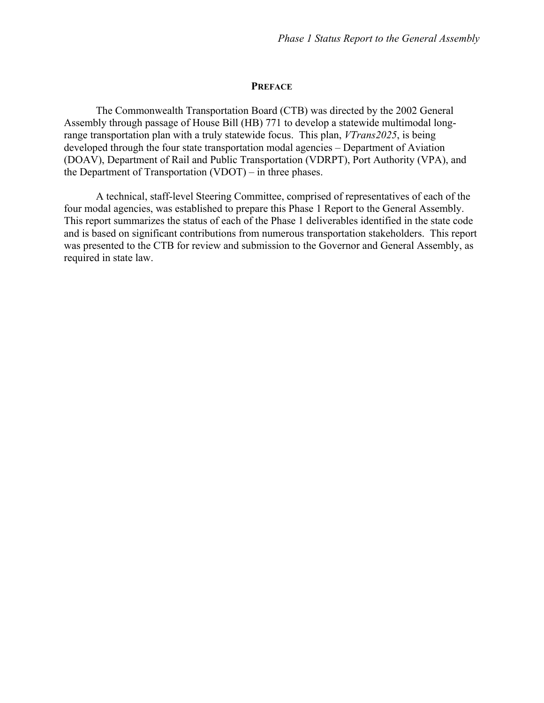#### **PREFACE**

The Commonwealth Transportation Board (CTB) was directed by the 2002 General Assembly through passage of House Bill (HB) 771 to develop a statewide multimodal longrange transportation plan with a truly statewide focus. This plan, *VTrans2025*, is being developed through the four state transportation modal agencies – Department of Aviation (DOAV), Department of Rail and Public Transportation (VDRPT), Port Authority (VPA), and the Department of Transportation (VDOT) – in three phases.

A technical, staff-level Steering Committee, comprised of representatives of each of the four modal agencies, was established to prepare this Phase 1 Report to the General Assembly. This report summarizes the status of each of the Phase 1 deliverables identified in the state code and is based on significant contributions from numerous transportation stakeholders. This report was presented to the CTB for review and submission to the Governor and General Assembly, as required in state law.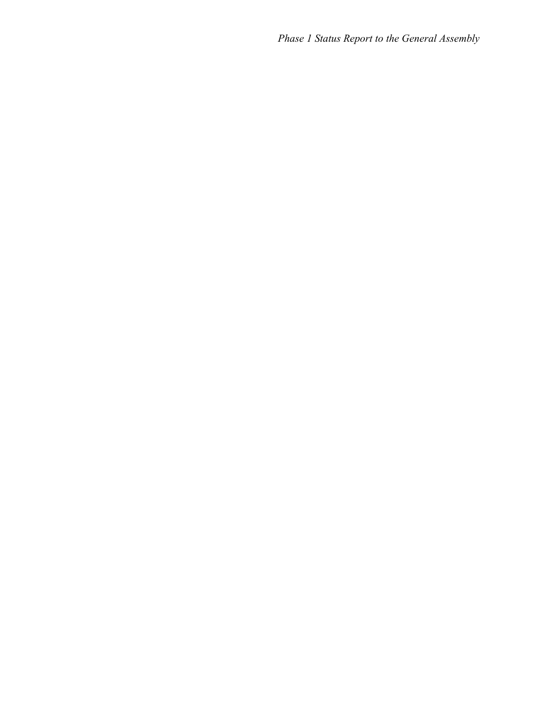*Phase 1 Status Report to the General Assembly*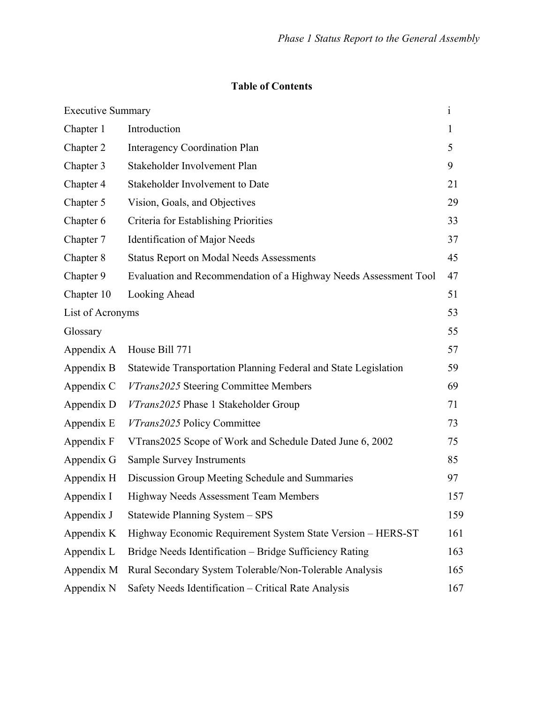# **Table of Contents**

| <b>Executive Summary</b> |                                                                  | $\mathbf{i}$ |
|--------------------------|------------------------------------------------------------------|--------------|
| Chapter 1                | Introduction                                                     | 1            |
| Chapter 2                | <b>Interagency Coordination Plan</b>                             | 5            |
| Chapter 3                | Stakeholder Involvement Plan                                     | 9            |
| Chapter 4                | Stakeholder Involvement to Date                                  | 21           |
| Chapter 5                | Vision, Goals, and Objectives                                    | 29           |
| Chapter 6                | Criteria for Establishing Priorities                             | 33           |
| Chapter 7                | Identification of Major Needs                                    | 37           |
| Chapter 8                | <b>Status Report on Modal Needs Assessments</b>                  | 45           |
| Chapter 9                | Evaluation and Recommendation of a Highway Needs Assessment Tool | 47           |
| Chapter 10               | Looking Ahead                                                    | 51           |
| List of Acronyms         |                                                                  | 53           |
| Glossary                 |                                                                  | 55           |
| Appendix A               | House Bill 771                                                   | 57           |
| Appendix B               | Statewide Transportation Planning Federal and State Legislation  | 59           |
| Appendix C               | VTrans2025 Steering Committee Members                            | 69           |
| Appendix D               | VTrans2025 Phase 1 Stakeholder Group                             | 71           |
| Appendix E               | VTrans2025 Policy Committee                                      | 73           |
| Appendix F               | VTrans2025 Scope of Work and Schedule Dated June 6, 2002         | 75           |
| Appendix G               | <b>Sample Survey Instruments</b>                                 | 85           |
| Appendix H               | Discussion Group Meeting Schedule and Summaries                  | 97           |
| Appendix I               | Highway Needs Assessment Team Members                            | 157          |
| Appendix J               | Statewide Planning System - SPS                                  | 159          |
| Appendix K               | Highway Economic Requirement System State Version - HERS-ST      | 161          |
| Appendix L               | Bridge Needs Identification – Bridge Sufficiency Rating          | 163          |
| Appendix M               | Rural Secondary System Tolerable/Non-Tolerable Analysis          | 165          |
| Appendix N               | Safety Needs Identification - Critical Rate Analysis             | 167          |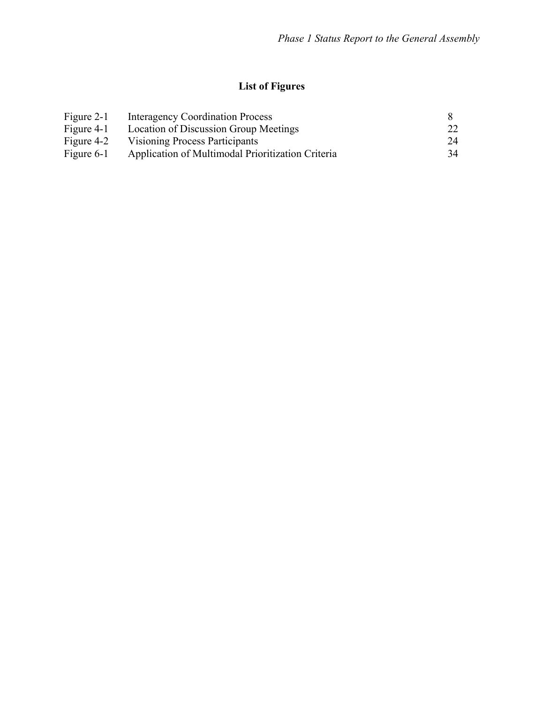# **List of Figures**

| Figure 2-1 | Interagency Coordination Process                  |    |
|------------|---------------------------------------------------|----|
| Figure 4-1 | Location of Discussion Group Meetings             | 22 |
| Figure 4-2 | Visioning Process Participants                    | 24 |
| Figure 6-1 | Application of Multimodal Prioritization Criteria | 34 |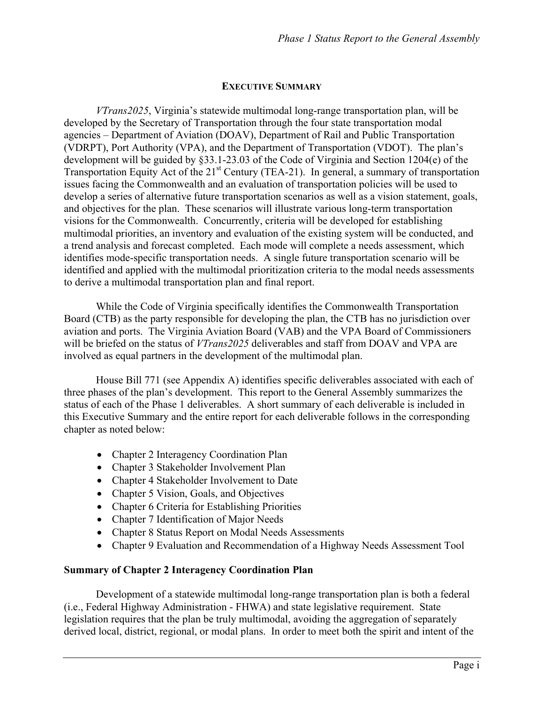#### **EXECUTIVE SUMMARY**

*VTrans2025*, Virginia's statewide multimodal long-range transportation plan, will be developed by the Secretary of Transportation through the four state transportation modal agencies – Department of Aviation (DOAV), Department of Rail and Public Transportation (VDRPT), Port Authority (VPA), and the Department of Transportation (VDOT). The plan's development will be guided by §33.1-23.03 of the Code of Virginia and Section 1204(e) of the Transportation Equity Act of the 21<sup>st</sup> Century (TEA-21). In general, a summary of transportation issues facing the Commonwealth and an evaluation of transportation policies will be used to develop a series of alternative future transportation scenarios as well as a vision statement, goals, and objectives for the plan. These scenarios will illustrate various long-term transportation visions for the Commonwealth. Concurrently, criteria will be developed for establishing multimodal priorities, an inventory and evaluation of the existing system will be conducted, and a trend analysis and forecast completed. Each mode will complete a needs assessment, which identifies mode-specific transportation needs. A single future transportation scenario will be identified and applied with the multimodal prioritization criteria to the modal needs assessments to derive a multimodal transportation plan and final report.

While the Code of Virginia specifically identifies the Commonwealth Transportation Board (CTB) as the party responsible for developing the plan, the CTB has no jurisdiction over aviation and ports. The Virginia Aviation Board (VAB) and the VPA Board of Commissioners will be briefed on the status of *VTrans2025* deliverables and staff from DOAV and VPA are involved as equal partners in the development of the multimodal plan.

House Bill 771 (see Appendix A) identifies specific deliverables associated with each of three phases of the plan's development. This report to the General Assembly summarizes the status of each of the Phase 1 deliverables. A short summary of each deliverable is included in this Executive Summary and the entire report for each deliverable follows in the corresponding chapter as noted below:

- Chapter 2 Interagency Coordination Plan
- Chapter 3 Stakeholder Involvement Plan
- Chapter 4 Stakeholder Involvement to Date
- Chapter 5 Vision, Goals, and Objectives
- Chapter 6 Criteria for Establishing Priorities
- Chapter 7 Identification of Major Needs
- Chapter 8 Status Report on Modal Needs Assessments
- Chapter 9 Evaluation and Recommendation of a Highway Needs Assessment Tool

### **Summary of Chapter 2 Interagency Coordination Plan**

Development of a statewide multimodal long-range transportation plan is both a federal (i.e., Federal Highway Administration - FHWA) and state legislative requirement. State legislation requires that the plan be truly multimodal, avoiding the aggregation of separately derived local, district, regional, or modal plans. In order to meet both the spirit and intent of the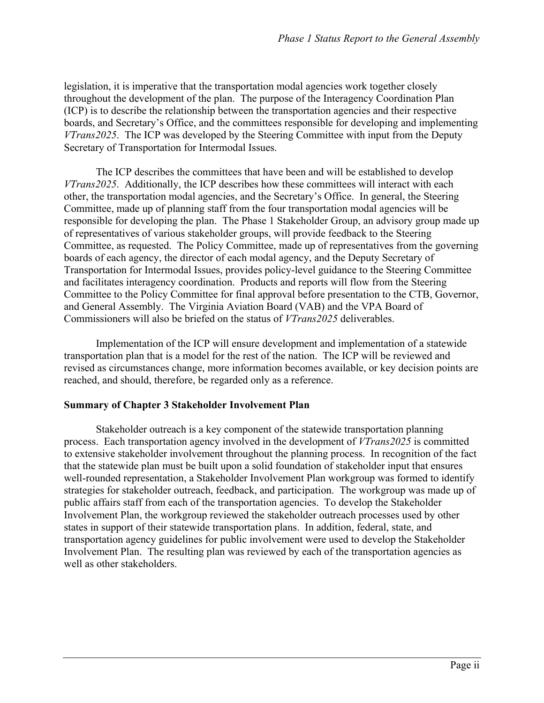legislation, it is imperative that the transportation modal agencies work together closely throughout the development of the plan. The purpose of the Interagency Coordination Plan (ICP) is to describe the relationship between the transportation agencies and their respective boards, and Secretary's Office, and the committees responsible for developing and implementing *VTrans2025*. The ICP was developed by the Steering Committee with input from the Deputy Secretary of Transportation for Intermodal Issues.

The ICP describes the committees that have been and will be established to develop *VTrans2025*. Additionally, the ICP describes how these committees will interact with each other, the transportation modal agencies, and the Secretary's Office. In general, the Steering Committee, made up of planning staff from the four transportation modal agencies will be responsible for developing the plan. The Phase 1 Stakeholder Group, an advisory group made up of representatives of various stakeholder groups, will provide feedback to the Steering Committee, as requested. The Policy Committee, made up of representatives from the governing boards of each agency, the director of each modal agency, and the Deputy Secretary of Transportation for Intermodal Issues, provides policy-level guidance to the Steering Committee and facilitates interagency coordination. Products and reports will flow from the Steering Committee to the Policy Committee for final approval before presentation to the CTB, Governor, and General Assembly. The Virginia Aviation Board (VAB) and the VPA Board of Commissioners will also be briefed on the status of *VTrans2025* deliverables.

Implementation of the ICP will ensure development and implementation of a statewide transportation plan that is a model for the rest of the nation. The ICP will be reviewed and revised as circumstances change, more information becomes available, or key decision points are reached, and should, therefore, be regarded only as a reference.

### **Summary of Chapter 3 Stakeholder Involvement Plan**

Stakeholder outreach is a key component of the statewide transportation planning process. Each transportation agency involved in the development of *VTrans2025* is committed to extensive stakeholder involvement throughout the planning process. In recognition of the fact that the statewide plan must be built upon a solid foundation of stakeholder input that ensures well-rounded representation, a Stakeholder Involvement Plan workgroup was formed to identify strategies for stakeholder outreach, feedback, and participation. The workgroup was made up of public affairs staff from each of the transportation agencies. To develop the Stakeholder Involvement Plan, the workgroup reviewed the stakeholder outreach processes used by other states in support of their statewide transportation plans. In addition, federal, state, and transportation agency guidelines for public involvement were used to develop the Stakeholder Involvement Plan. The resulting plan was reviewed by each of the transportation agencies as well as other stakeholders.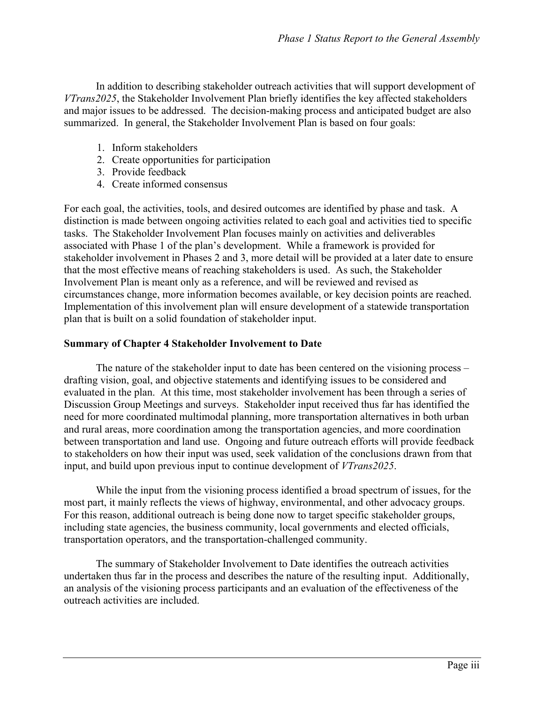In addition to describing stakeholder outreach activities that will support development of *VTrans2025*, the Stakeholder Involvement Plan briefly identifies the key affected stakeholders and major issues to be addressed. The decision-making process and anticipated budget are also summarized. In general, the Stakeholder Involvement Plan is based on four goals:

- 1. Inform stakeholders
- 2. Create opportunities for participation
- 3. Provide feedback
- 4. Create informed consensus

For each goal, the activities, tools, and desired outcomes are identified by phase and task. A distinction is made between ongoing activities related to each goal and activities tied to specific tasks. The Stakeholder Involvement Plan focuses mainly on activities and deliverables associated with Phase 1 of the plan's development. While a framework is provided for stakeholder involvement in Phases 2 and 3, more detail will be provided at a later date to ensure that the most effective means of reaching stakeholders is used. As such, the Stakeholder Involvement Plan is meant only as a reference, and will be reviewed and revised as circumstances change, more information becomes available, or key decision points are reached. Implementation of this involvement plan will ensure development of a statewide transportation plan that is built on a solid foundation of stakeholder input.

#### **Summary of Chapter 4 Stakeholder Involvement to Date**

The nature of the stakeholder input to date has been centered on the visioning process – drafting vision, goal, and objective statements and identifying issues to be considered and evaluated in the plan. At this time, most stakeholder involvement has been through a series of Discussion Group Meetings and surveys. Stakeholder input received thus far has identified the need for more coordinated multimodal planning, more transportation alternatives in both urban and rural areas, more coordination among the transportation agencies, and more coordination between transportation and land use. Ongoing and future outreach efforts will provide feedback to stakeholders on how their input was used, seek validation of the conclusions drawn from that input, and build upon previous input to continue development of *VTrans2025*.

While the input from the visioning process identified a broad spectrum of issues, for the most part, it mainly reflects the views of highway, environmental, and other advocacy groups. For this reason, additional outreach is being done now to target specific stakeholder groups, including state agencies, the business community, local governments and elected officials, transportation operators, and the transportation-challenged community.

The summary of Stakeholder Involvement to Date identifies the outreach activities undertaken thus far in the process and describes the nature of the resulting input. Additionally, an analysis of the visioning process participants and an evaluation of the effectiveness of the outreach activities are included.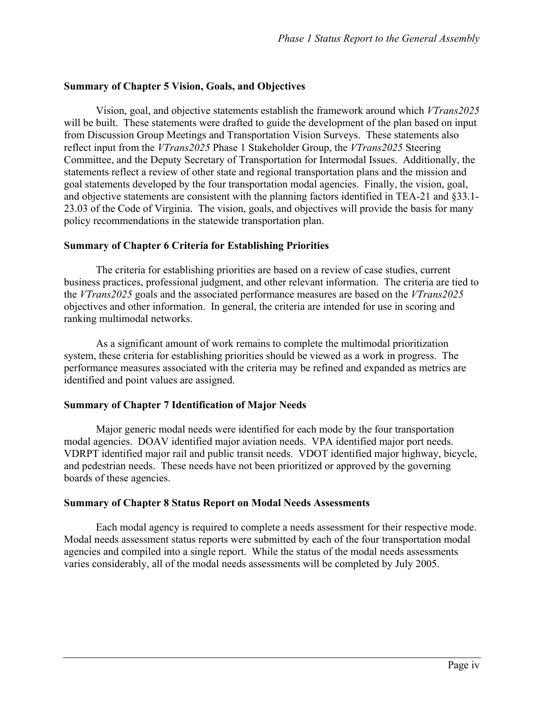#### **Summary of Chapter 5 Vision, Goals, and Objectives**

Vision, goal, and objective statements establish the framework around which *VTrans2025* will be built. These statements were drafted to guide the development of the plan based on input from Discussion Group Meetings and Transportation Vision Surveys. These statements also reflect input from the *VTrans2025* Phase 1 Stakeholder Group, the *VTrans2025* Steering Committee, and the Deputy Secretary of Transportation for Intermodal Issues. Additionally, the statements reflect a review of other state and regional transportation plans and the mission and goal statements developed by the four transportation modal agencies. Finally, the vision, goal, and objective statements are consistent with the planning factors identified in TEA-21 and §33.1- 23.03 of the Code of Virginia. The vision, goals, and objectives will provide the basis for many policy recommendations in the statewide transportation plan.

#### **Summary of Chapter 6 Criteria for Establishing Priorities**

The criteria for establishing priorities are based on a review of case studies, current business practices, professional judgment, and other relevant information. The criteria are tied to the *VTrans2025* goals and the associated performance measures are based on the *VTrans2025* objectives and other information. In general, the criteria are intended for use in scoring and ranking multimodal networks.

As a significant amount of work remains to complete the multimodal prioritization system, these criteria for establishing priorities should be viewed as a work in progress. The performance measures associated with the criteria may be refined and expanded as metrics are identified and point values are assigned.

### **Summary of Chapter 7 Identification of Major Needs**

Major generic modal needs were identified for each mode by the four transportation modal agencies. DOAV identified major aviation needs. VPA identified major port needs. VDRPT identified major rail and public transit needs. VDOT identified major highway, bicycle, and pedestrian needs. These needs have not been prioritized or approved by the governing boards of these agencies.

#### **Summary of Chapter 8 Status Report on Modal Needs Assessments**

Each modal agency is required to complete a needs assessment for their respective mode. Modal needs assessment status reports were submitted by each of the four transportation modal agencies and compiled into a single report. While the status of the modal needs assessments varies considerably, all of the modal needs assessments will be completed by July 2005.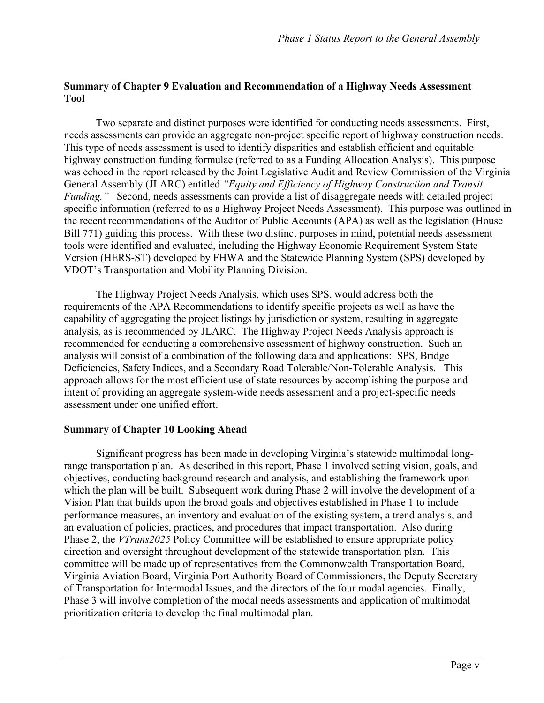#### **Summary of Chapter 9 Evaluation and Recommendation of a Highway Needs Assessment Tool**

Two separate and distinct purposes were identified for conducting needs assessments. First, needs assessments can provide an aggregate non-project specific report of highway construction needs. This type of needs assessment is used to identify disparities and establish efficient and equitable highway construction funding formulae (referred to as a Funding Allocation Analysis). This purpose was echoed in the report released by the Joint Legislative Audit and Review Commission of the Virginia General Assembly (JLARC) entitled *"Equity and Efficiency of Highway Construction and Transit Funding.*" Second, needs assessments can provide a list of disaggregate needs with detailed project specific information (referred to as a Highway Project Needs Assessment). This purpose was outlined in the recent recommendations of the Auditor of Public Accounts (APA) as well as the legislation (House Bill 771) guiding this process. With these two distinct purposes in mind, potential needs assessment tools were identified and evaluated, including the Highway Economic Requirement System State Version (HERS-ST) developed by FHWA and the Statewide Planning System (SPS) developed by VDOT's Transportation and Mobility Planning Division.

The Highway Project Needs Analysis, which uses SPS, would address both the requirements of the APA Recommendations to identify specific projects as well as have the capability of aggregating the project listings by jurisdiction or system, resulting in aggregate analysis, as is recommended by JLARC. The Highway Project Needs Analysis approach is recommended for conducting a comprehensive assessment of highway construction. Such an analysis will consist of a combination of the following data and applications: SPS, Bridge Deficiencies, Safety Indices, and a Secondary Road Tolerable/Non-Tolerable Analysis. This approach allows for the most efficient use of state resources by accomplishing the purpose and intent of providing an aggregate system-wide needs assessment and a project-specific needs assessment under one unified effort.

#### **Summary of Chapter 10 Looking Ahead**

Significant progress has been made in developing Virginia's statewide multimodal longrange transportation plan. As described in this report, Phase 1 involved setting vision, goals, and objectives, conducting background research and analysis, and establishing the framework upon which the plan will be built. Subsequent work during Phase 2 will involve the development of a Vision Plan that builds upon the broad goals and objectives established in Phase 1 to include performance measures, an inventory and evaluation of the existing system, a trend analysis, and an evaluation of policies, practices, and procedures that impact transportation. Also during Phase 2, the *VTrans2025* Policy Committee will be established to ensure appropriate policy direction and oversight throughout development of the statewide transportation plan. This committee will be made up of representatives from the Commonwealth Transportation Board, Virginia Aviation Board, Virginia Port Authority Board of Commissioners, the Deputy Secretary of Transportation for Intermodal Issues, and the directors of the four modal agencies. Finally, Phase 3 will involve completion of the modal needs assessments and application of multimodal prioritization criteria to develop the final multimodal plan.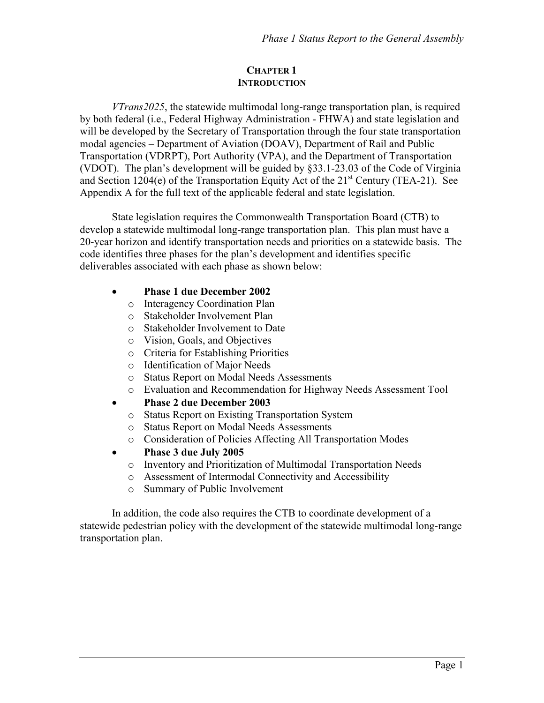#### **CHAPTER 1 INTRODUCTION**

*VTrans2025*, the statewide multimodal long-range transportation plan, is required by both federal (i.e., Federal Highway Administration - FHWA) and state legislation and will be developed by the Secretary of Transportation through the four state transportation modal agencies – Department of Aviation (DOAV), Department of Rail and Public Transportation (VDRPT), Port Authority (VPA), and the Department of Transportation (VDOT). The plan's development will be guided by §33.1-23.03 of the Code of Virginia and Section 1204(e) of the Transportation Equity Act of the  $21<sup>st</sup>$  Century (TEA-21). See Appendix A for the full text of the applicable federal and state legislation.

State legislation requires the Commonwealth Transportation Board (CTB) to develop a statewide multimodal long-range transportation plan. This plan must have a 20-year horizon and identify transportation needs and priorities on a statewide basis. The code identifies three phases for the plan's development and identifies specific deliverables associated with each phase as shown below:

#### • **Phase 1 due December 2002**

- o Interagency Coordination Plan
- o Stakeholder Involvement Plan
- o Stakeholder Involvement to Date
- o Vision, Goals, and Objectives
- o Criteria for Establishing Priorities
- o Identification of Major Needs
- o Status Report on Modal Needs Assessments
- o Evaluation and Recommendation for Highway Needs Assessment Tool
- **Phase 2 due December 2003** 
	- o Status Report on Existing Transportation System
	- o Status Report on Modal Needs Assessments
	- o Consideration of Policies Affecting All Transportation Modes
- **Phase 3 due July 2005** 
	- o Inventory and Prioritization of Multimodal Transportation Needs
	- o Assessment of Intermodal Connectivity and Accessibility
	- o Summary of Public Involvement

In addition, the code also requires the CTB to coordinate development of a statewide pedestrian policy with the development of the statewide multimodal long-range transportation plan.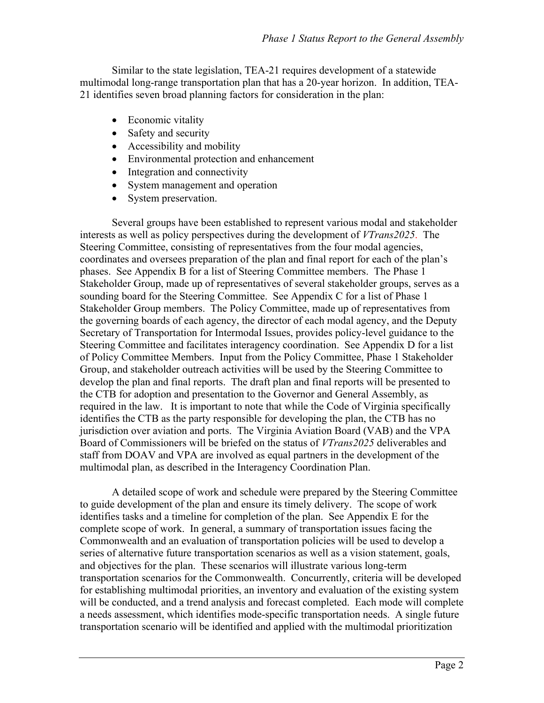Similar to the state legislation, TEA-21 requires development of a statewide multimodal long-range transportation plan that has a 20-year horizon. In addition, TEA-21 identifies seven broad planning factors for consideration in the plan:

- Economic vitality
- Safety and security
- Accessibility and mobility
- Environmental protection and enhancement
- Integration and connectivity
- System management and operation
- System preservation.

Several groups have been established to represent various modal and stakeholder interests as well as policy perspectives during the development of *VTrans2025*. The Steering Committee, consisting of representatives from the four modal agencies, coordinates and oversees preparation of the plan and final report for each of the plan's phases. See Appendix B for a list of Steering Committee members. The Phase 1 Stakeholder Group, made up of representatives of several stakeholder groups, serves as a sounding board for the Steering Committee. See Appendix C for a list of Phase 1 Stakeholder Group members. The Policy Committee, made up of representatives from the governing boards of each agency, the director of each modal agency, and the Deputy Secretary of Transportation for Intermodal Issues, provides policy-level guidance to the Steering Committee and facilitates interagency coordination. See Appendix D for a list of Policy Committee Members. Input from the Policy Committee, Phase 1 Stakeholder Group, and stakeholder outreach activities will be used by the Steering Committee to develop the plan and final reports. The draft plan and final reports will be presented to the CTB for adoption and presentation to the Governor and General Assembly, as required in the law. It is important to note that while the Code of Virginia specifically identifies the CTB as the party responsible for developing the plan, the CTB has no jurisdiction over aviation and ports. The Virginia Aviation Board (VAB) and the VPA Board of Commissioners will be briefed on the status of *VTrans2025* deliverables and staff from DOAV and VPA are involved as equal partners in the development of the multimodal plan, as described in the Interagency Coordination Plan.

A detailed scope of work and schedule were prepared by the Steering Committee to guide development of the plan and ensure its timely delivery. The scope of work identifies tasks and a timeline for completion of the plan. See Appendix E for the complete scope of work. In general, a summary of transportation issues facing the Commonwealth and an evaluation of transportation policies will be used to develop a series of alternative future transportation scenarios as well as a vision statement, goals, and objectives for the plan. These scenarios will illustrate various long-term transportation scenarios for the Commonwealth. Concurrently, criteria will be developed for establishing multimodal priorities, an inventory and evaluation of the existing system will be conducted, and a trend analysis and forecast completed. Each mode will complete a needs assessment, which identifies mode-specific transportation needs. A single future transportation scenario will be identified and applied with the multimodal prioritization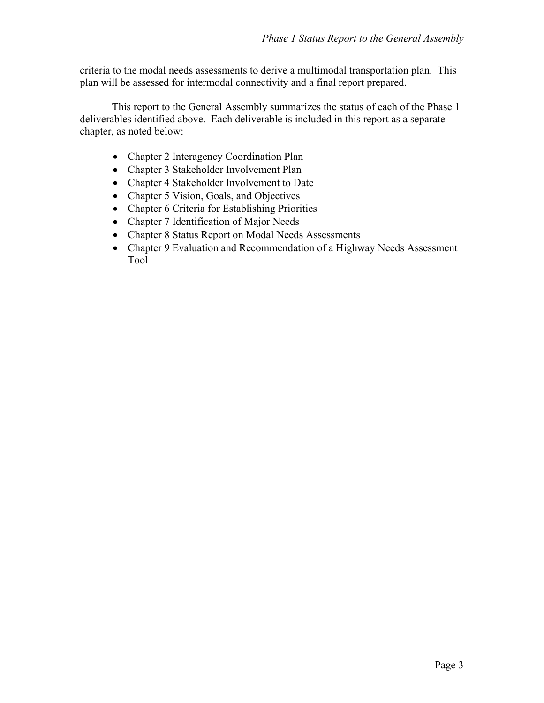criteria to the modal needs assessments to derive a multimodal transportation plan. This plan will be assessed for intermodal connectivity and a final report prepared.

This report to the General Assembly summarizes the status of each of the Phase 1 deliverables identified above. Each deliverable is included in this report as a separate chapter, as noted below:

- Chapter 2 Interagency Coordination Plan
- Chapter 3 Stakeholder Involvement Plan
- Chapter 4 Stakeholder Involvement to Date
- Chapter 5 Vision, Goals, and Objectives
- Chapter 6 Criteria for Establishing Priorities
- Chapter 7 Identification of Major Needs
- Chapter 8 Status Report on Modal Needs Assessments
- Chapter 9 Evaluation and Recommendation of a Highway Needs Assessment Tool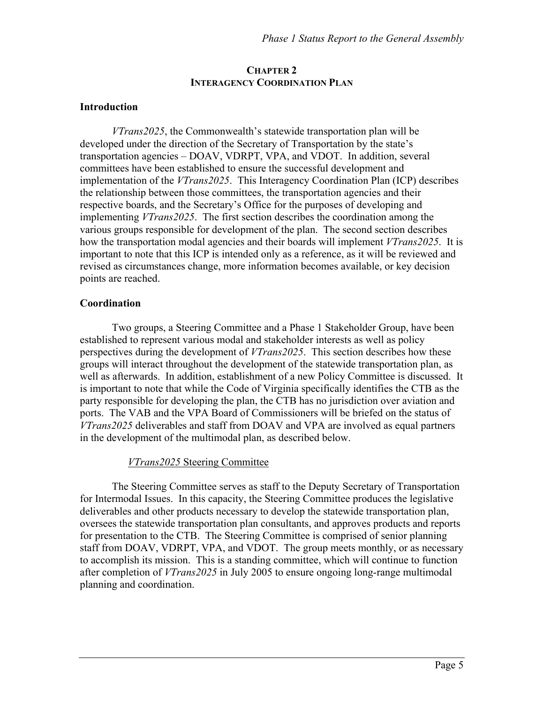#### **CHAPTER 2 INTERAGENCY COORDINATION PLAN**

#### **Introduction**

*VTrans2025*, the Commonwealth's statewide transportation plan will be developed under the direction of the Secretary of Transportation by the state's transportation agencies – DOAV, VDRPT, VPA, and VDOT. In addition, several committees have been established to ensure the successful development and implementation of the *VTrans2025*. This Interagency Coordination Plan (ICP) describes the relationship between those committees, the transportation agencies and their respective boards, and the Secretary's Office for the purposes of developing and implementing *VTrans2025*. The first section describes the coordination among the various groups responsible for development of the plan. The second section describes how the transportation modal agencies and their boards will implement *VTrans2025*. It is important to note that this ICP is intended only as a reference, as it will be reviewed and revised as circumstances change, more information becomes available, or key decision points are reached.

### **Coordination**

Two groups, a Steering Committee and a Phase 1 Stakeholder Group, have been established to represent various modal and stakeholder interests as well as policy perspectives during the development of *VTrans2025*. This section describes how these groups will interact throughout the development of the statewide transportation plan, as well as afterwards. In addition, establishment of a new Policy Committee is discussed. It is important to note that while the Code of Virginia specifically identifies the CTB as the party responsible for developing the plan, the CTB has no jurisdiction over aviation and ports. The VAB and the VPA Board of Commissioners will be briefed on the status of *VTrans2025* deliverables and staff from DOAV and VPA are involved as equal partners in the development of the multimodal plan, as described below.

### *VTrans2025* Steering Committee

The Steering Committee serves as staff to the Deputy Secretary of Transportation for Intermodal Issues. In this capacity, the Steering Committee produces the legislative deliverables and other products necessary to develop the statewide transportation plan, oversees the statewide transportation plan consultants, and approves products and reports for presentation to the CTB. The Steering Committee is comprised of senior planning staff from DOAV, VDRPT, VPA, and VDOT. The group meets monthly, or as necessary to accomplish its mission. This is a standing committee, which will continue to function after completion of *VTrans2025* in July 2005 to ensure ongoing long-range multimodal planning and coordination.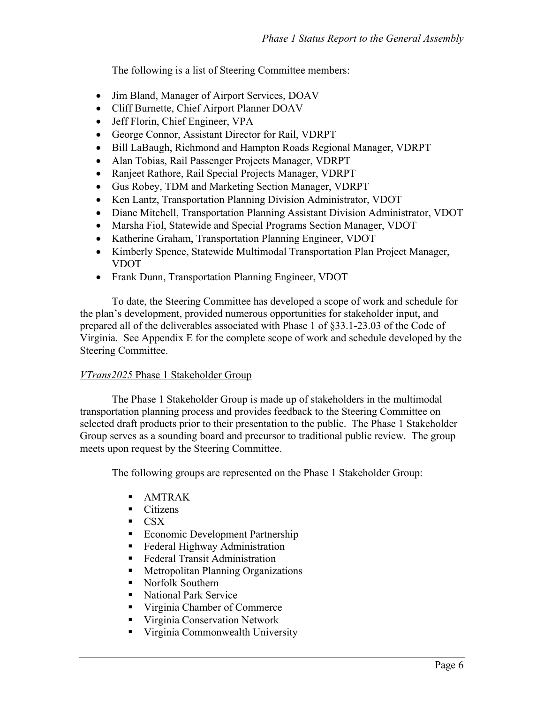The following is a list of Steering Committee members:

- Jim Bland, Manager of Airport Services, DOAV
- Cliff Burnette, Chief Airport Planner DOAV
- Jeff Florin, Chief Engineer, VPA
- George Connor, Assistant Director for Rail, VDRPT
- Bill LaBaugh, Richmond and Hampton Roads Regional Manager, VDRPT
- Alan Tobias, Rail Passenger Projects Manager, VDRPT
- Ranjeet Rathore, Rail Special Projects Manager, VDRPT
- Gus Robey, TDM and Marketing Section Manager, VDRPT
- Ken Lantz, Transportation Planning Division Administrator, VDOT
- Diane Mitchell, Transportation Planning Assistant Division Administrator, VDOT
- Marsha Fiol, Statewide and Special Programs Section Manager, VDOT
- Katherine Graham, Transportation Planning Engineer, VDOT
- Kimberly Spence, Statewide Multimodal Transportation Plan Project Manager, VDOT
- Frank Dunn, Transportation Planning Engineer, VDOT

To date, the Steering Committee has developed a scope of work and schedule for the plan's development, provided numerous opportunities for stakeholder input, and prepared all of the deliverables associated with Phase 1 of §33.1-23.03 of the Code of Virginia. See Appendix E for the complete scope of work and schedule developed by the Steering Committee.

### *VTrans2025* Phase 1 Stakeholder Group

The Phase 1 Stakeholder Group is made up of stakeholders in the multimodal transportation planning process and provides feedback to the Steering Committee on selected draft products prior to their presentation to the public. The Phase 1 Stakeholder Group serves as a sounding board and precursor to traditional public review. The group meets upon request by the Steering Committee.

The following groups are represented on the Phase 1 Stakeholder Group:

- AMTRAK
- Citizens
- **CSX**
- Economic Development Partnership
- **Federal Highway Administration**
- **Federal Transit Administration**
- **Metropolitan Planning Organizations**
- Norfolk Southern
- National Park Service
- Virginia Chamber of Commerce
- **Virginia Conservation Network**
- **Virginia Commonwealth University**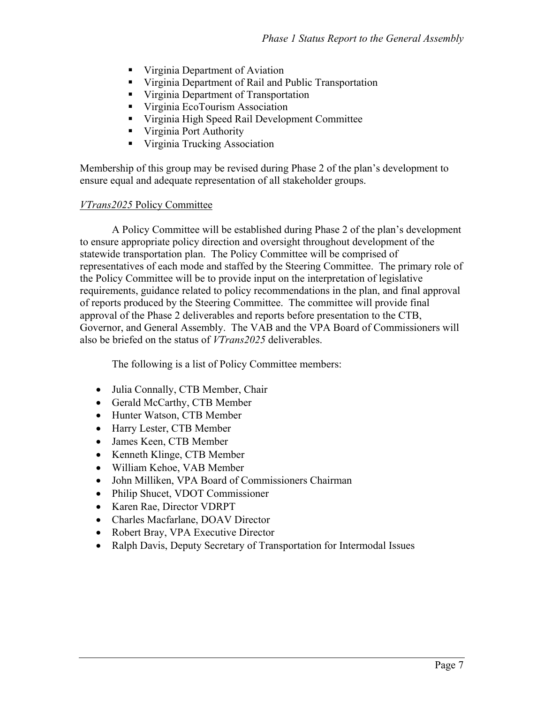- Virginia Department of Aviation
- Virginia Department of Rail and Public Transportation
- Virginia Department of Transportation
- Virginia EcoTourism Association
- Virginia High Speed Rail Development Committee
- **Virginia Port Authority**
- Virginia Trucking Association

Membership of this group may be revised during Phase 2 of the plan's development to ensure equal and adequate representation of all stakeholder groups.

### *VTrans2025* Policy Committee

A Policy Committee will be established during Phase 2 of the plan's development to ensure appropriate policy direction and oversight throughout development of the statewide transportation plan. The Policy Committee will be comprised of representatives of each mode and staffed by the Steering Committee. The primary role of the Policy Committee will be to provide input on the interpretation of legislative requirements, guidance related to policy recommendations in the plan, and final approval of reports produced by the Steering Committee. The committee will provide final approval of the Phase 2 deliverables and reports before presentation to the CTB, Governor, and General Assembly. The VAB and the VPA Board of Commissioners will also be briefed on the status of *VTrans2025* deliverables.

The following is a list of Policy Committee members:

- Julia Connally, CTB Member, Chair
- Gerald McCarthy, CTB Member
- Hunter Watson, CTB Member
- Harry Lester, CTB Member
- James Keen, CTB Member
- Kenneth Klinge, CTB Member
- William Kehoe, VAB Member
- John Milliken, VPA Board of Commissioners Chairman
- Philip Shucet, VDOT Commissioner
- Karen Rae, Director VDRPT
- Charles Macfarlane, DOAV Director
- Robert Bray, VPA Executive Director
- Ralph Davis, Deputy Secretary of Transportation for Intermodal Issues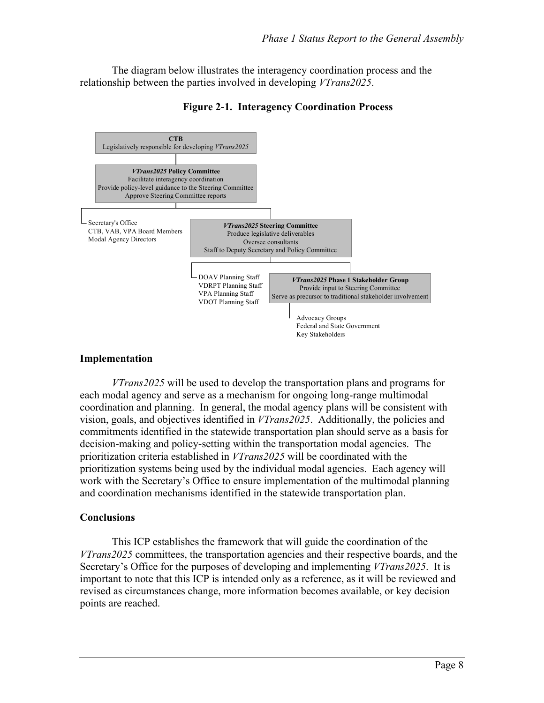The diagram below illustrates the interagency coordination process and the relationship between the parties involved in developing *VTrans2025*.



### **Figure 2-1. Interagency Coordination Process**

### **Implementation**

*VTrans2025* will be used to develop the transportation plans and programs for each modal agency and serve as a mechanism for ongoing long-range multimodal coordination and planning. In general, the modal agency plans will be consistent with vision, goals, and objectives identified in *VTrans2025*. Additionally, the policies and commitments identified in the statewide transportation plan should serve as a basis for decision-making and policy-setting within the transportation modal agencies. The prioritization criteria established in *VTrans2025* will be coordinated with the prioritization systems being used by the individual modal agencies. Each agency will work with the Secretary's Office to ensure implementation of the multimodal planning and coordination mechanisms identified in the statewide transportation plan.

### **Conclusions**

This ICP establishes the framework that will guide the coordination of the *VTrans2025* committees, the transportation agencies and their respective boards, and the Secretary's Office for the purposes of developing and implementing *VTrans2025*. It is important to note that this ICP is intended only as a reference, as it will be reviewed and revised as circumstances change, more information becomes available, or key decision points are reached.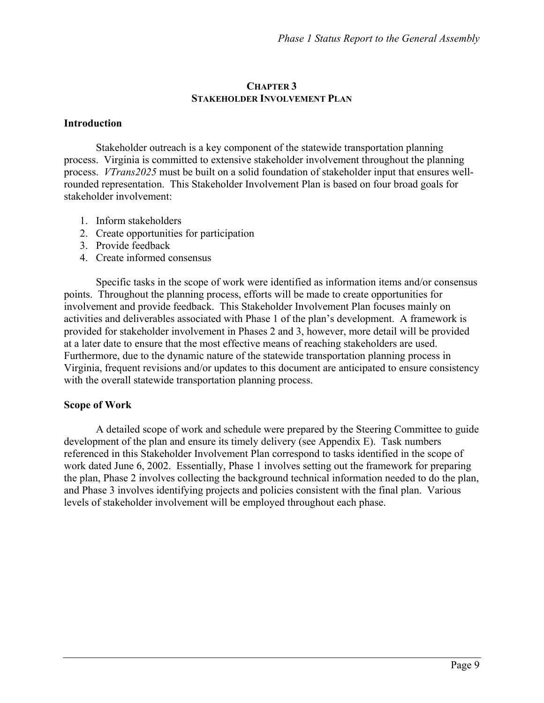#### **CHAPTER 3 STAKEHOLDER INVOLVEMENT PLAN**

#### **Introduction**

Stakeholder outreach is a key component of the statewide transportation planning process. Virginia is committed to extensive stakeholder involvement throughout the planning process. *VTrans2025* must be built on a solid foundation of stakeholder input that ensures wellrounded representation. This Stakeholder Involvement Plan is based on four broad goals for stakeholder involvement:

- 1. Inform stakeholders
- 2. Create opportunities for participation
- 3. Provide feedback
- 4. Create informed consensus

Specific tasks in the scope of work were identified as information items and/or consensus points. Throughout the planning process, efforts will be made to create opportunities for involvement and provide feedback. This Stakeholder Involvement Plan focuses mainly on activities and deliverables associated with Phase 1 of the plan's development. A framework is provided for stakeholder involvement in Phases 2 and 3, however, more detail will be provided at a later date to ensure that the most effective means of reaching stakeholders are used. Furthermore, due to the dynamic nature of the statewide transportation planning process in Virginia, frequent revisions and/or updates to this document are anticipated to ensure consistency with the overall statewide transportation planning process.

### **Scope of Work**

A detailed scope of work and schedule were prepared by the Steering Committee to guide development of the plan and ensure its timely delivery (see Appendix E). Task numbers referenced in this Stakeholder Involvement Plan correspond to tasks identified in the scope of work dated June 6, 2002. Essentially, Phase 1 involves setting out the framework for preparing the plan, Phase 2 involves collecting the background technical information needed to do the plan, and Phase 3 involves identifying projects and policies consistent with the final plan. Various levels of stakeholder involvement will be employed throughout each phase.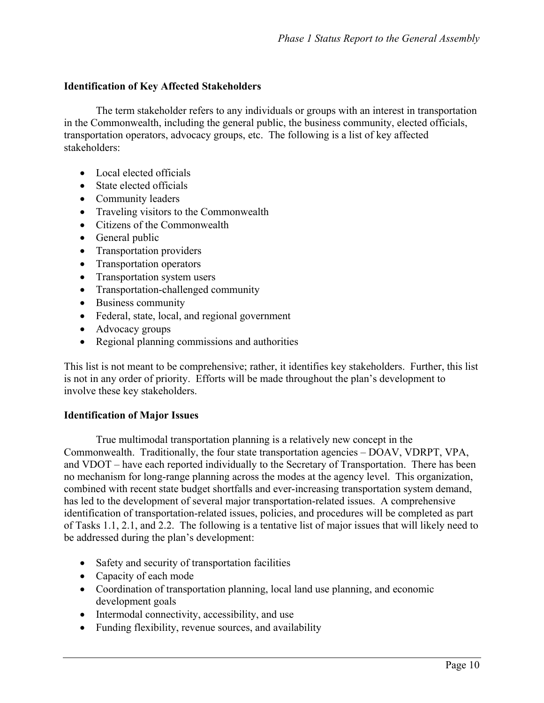#### **Identification of Key Affected Stakeholders**

The term stakeholder refers to any individuals or groups with an interest in transportation in the Commonwealth, including the general public, the business community, elected officials, transportation operators, advocacy groups, etc. The following is a list of key affected stakeholders:

- Local elected officials
- State elected officials
- Community leaders
- Traveling visitors to the Commonwealth
- Citizens of the Commonwealth
- General public
- Transportation providers
- Transportation operators
- Transportation system users
- Transportation-challenged community
- Business community
- Federal, state, local, and regional government
- Advocacy groups
- Regional planning commissions and authorities

This list is not meant to be comprehensive; rather, it identifies key stakeholders. Further, this list is not in any order of priority. Efforts will be made throughout the plan's development to involve these key stakeholders.

#### **Identification of Major Issues**

True multimodal transportation planning is a relatively new concept in the Commonwealth. Traditionally, the four state transportation agencies – DOAV, VDRPT, VPA, and VDOT – have each reported individually to the Secretary of Transportation. There has been no mechanism for long-range planning across the modes at the agency level. This organization, combined with recent state budget shortfalls and ever-increasing transportation system demand, has led to the development of several major transportation-related issues. A comprehensive identification of transportation-related issues, policies, and procedures will be completed as part of Tasks 1.1, 2.1, and 2.2. The following is a tentative list of major issues that will likely need to be addressed during the plan's development:

- Safety and security of transportation facilities
- Capacity of each mode
- Coordination of transportation planning, local land use planning, and economic development goals
- Intermodal connectivity, accessibility, and use
- Funding flexibility, revenue sources, and availability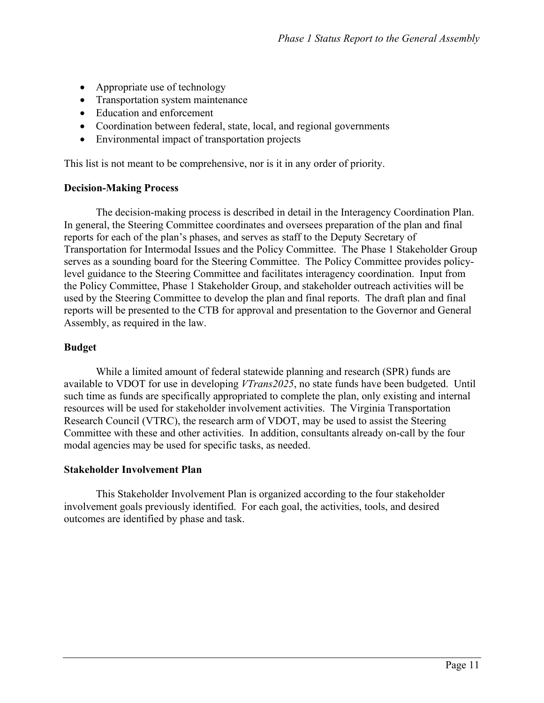- Appropriate use of technology
- Transportation system maintenance
- Education and enforcement
- Coordination between federal, state, local, and regional governments
- Environmental impact of transportation projects

This list is not meant to be comprehensive, nor is it in any order of priority.

#### **Decision-Making Process**

The decision-making process is described in detail in the Interagency Coordination Plan. In general, the Steering Committee coordinates and oversees preparation of the plan and final reports for each of the plan's phases, and serves as staff to the Deputy Secretary of Transportation for Intermodal Issues and the Policy Committee. The Phase 1 Stakeholder Group serves as a sounding board for the Steering Committee. The Policy Committee provides policylevel guidance to the Steering Committee and facilitates interagency coordination. Input from the Policy Committee, Phase 1 Stakeholder Group, and stakeholder outreach activities will be used by the Steering Committee to develop the plan and final reports. The draft plan and final reports will be presented to the CTB for approval and presentation to the Governor and General Assembly, as required in the law.

### **Budget**

While a limited amount of federal statewide planning and research (SPR) funds are available to VDOT for use in developing *VTrans2025*, no state funds have been budgeted. Until such time as funds are specifically appropriated to complete the plan, only existing and internal resources will be used for stakeholder involvement activities. The Virginia Transportation Research Council (VTRC), the research arm of VDOT, may be used to assist the Steering Committee with these and other activities. In addition, consultants already on-call by the four modal agencies may be used for specific tasks, as needed.

#### **Stakeholder Involvement Plan**

 This Stakeholder Involvement Plan is organized according to the four stakeholder involvement goals previously identified. For each goal, the activities, tools, and desired outcomes are identified by phase and task.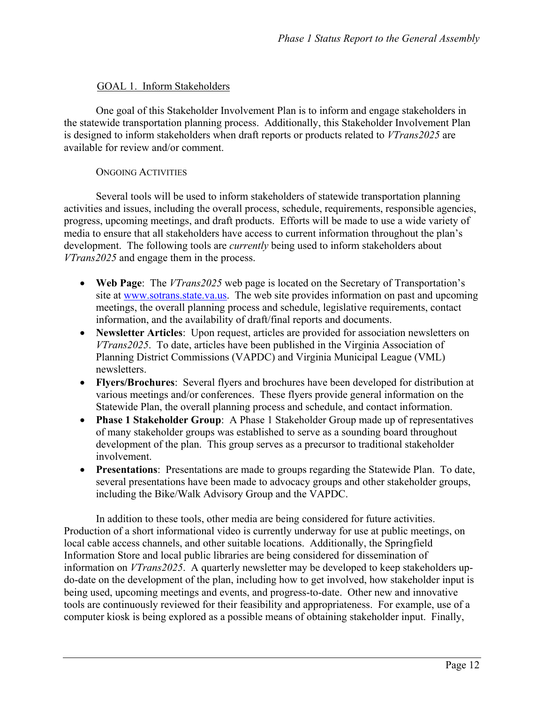### GOAL 1. Inform Stakeholders

One goal of this Stakeholder Involvement Plan is to inform and engage stakeholders in the statewide transportation planning process. Additionally, this Stakeholder Involvement Plan is designed to inform stakeholders when draft reports or products related to *VTrans2025* are available for review and/or comment.

#### ONGOING ACTIVITIES

Several tools will be used to inform stakeholders of statewide transportation planning activities and issues, including the overall process, schedule, requirements, responsible agencies, progress, upcoming meetings, and draft products. Efforts will be made to use a wide variety of media to ensure that all stakeholders have access to current information throughout the plan's development. The following tools are *currently* being used to inform stakeholders about *VTrans2025* and engage them in the process.

- **Web Page**: The *VTrans2025* web page is located on the Secretary of Transportation's site at www.sotrans.state.va.us. The web site provides information on past and upcoming meetings, the overall planning process and schedule, legislative requirements, contact information, and the availability of draft/final reports and documents.
- **Newsletter Articles**: Upon request, articles are provided for association newsletters on *VTrans2025*. To date, articles have been published in the Virginia Association of Planning District Commissions (VAPDC) and Virginia Municipal League (VML) newsletters.
- **Flyers/Brochures**: Several flyers and brochures have been developed for distribution at various meetings and/or conferences. These flyers provide general information on the Statewide Plan, the overall planning process and schedule, and contact information.
- **Phase 1 Stakeholder Group**: A Phase 1 Stakeholder Group made up of representatives of many stakeholder groups was established to serve as a sounding board throughout development of the plan. This group serves as a precursor to traditional stakeholder involvement.
- **Presentations**: Presentations are made to groups regarding the Statewide Plan. To date, several presentations have been made to advocacy groups and other stakeholder groups, including the Bike/Walk Advisory Group and the VAPDC.

In addition to these tools, other media are being considered for future activities. Production of a short informational video is currently underway for use at public meetings, on local cable access channels, and other suitable locations. Additionally, the Springfield Information Store and local public libraries are being considered for dissemination of information on *VTrans2025*. A quarterly newsletter may be developed to keep stakeholders updo-date on the development of the plan, including how to get involved, how stakeholder input is being used, upcoming meetings and events, and progress-to-date. Other new and innovative tools are continuously reviewed for their feasibility and appropriateness. For example, use of a computer kiosk is being explored as a possible means of obtaining stakeholder input. Finally,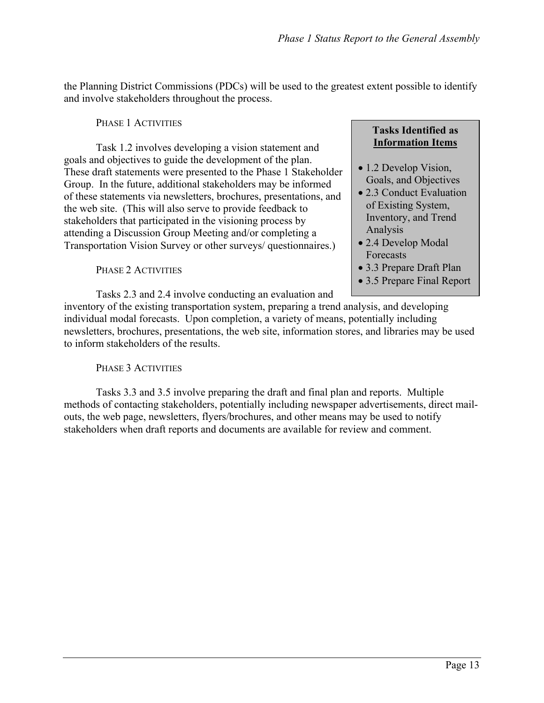the Planning District Commissions (PDCs) will be used to the greatest extent possible to identify and involve stakeholders throughout the process.

#### PHASE 1 ACTIVITIES

Task 1.2 involves developing a vision statement and goals and objectives to guide the development of the plan. These draft statements were presented to the Phase 1 Stakeholder Group. In the future, additional stakeholders may be informed of these statements via newsletters, brochures, presentations, and the web site. (This will also serve to provide feedback to stakeholders that participated in the visioning process by attending a Discussion Group Meeting and/or completing a Transportation Vision Survey or other surveys/ questionnaires.)

### **Tasks Identified as Information Items**

- 1.2 Develop Vision, Goals, and Objectives
- 2.3 Conduct Evaluation of Existing System, Inventory, and Trend Analysis
- 2.4 Develop Modal Forecasts
- 3.3 Prepare Draft Plan
- 3.5 Prepare Final Report

PHASE 2 ACTIVITIES

Tasks 2.3 and 2.4 involve conducting an evaluation and

inventory of the existing transportation system, preparing a trend analysis, and developing individual modal forecasts. Upon completion, a variety of means, potentially including newsletters, brochures, presentations, the web site, information stores, and libraries may be used to inform stakeholders of the results.

# PHASE 3 ACTIVITIES

Tasks 3.3 and 3.5 involve preparing the draft and final plan and reports. Multiple methods of contacting stakeholders, potentially including newspaper advertisements, direct mailouts, the web page, newsletters, flyers/brochures, and other means may be used to notify stakeholders when draft reports and documents are available for review and comment.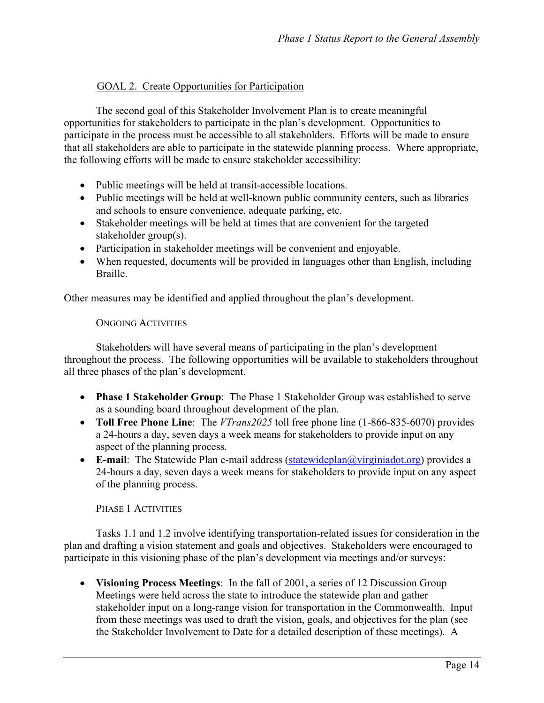### GOAL 2. Create Opportunities for Participation

The second goal of this Stakeholder Involvement Plan is to create meaningful opportunities for stakeholders to participate in the plan's development. Opportunities to participate in the process must be accessible to all stakeholders. Efforts will be made to ensure that all stakeholders are able to participate in the statewide planning process. Where appropriate, the following efforts will be made to ensure stakeholder accessibility:

- Public meetings will be held at transit-accessible locations.
- Public meetings will be held at well-known public community centers, such as libraries and schools to ensure convenience, adequate parking, etc.
- Stakeholder meetings will be held at times that are convenient for the targeted stakeholder group(s).
- Participation in stakeholder meetings will be convenient and enjoyable.
- When requested, documents will be provided in languages other than English, including Braille.

Other measures may be identified and applied throughout the plan's development.

#### ONGOING ACTIVITIES

Stakeholders will have several means of participating in the plan's development throughout the process. The following opportunities will be available to stakeholders throughout all three phases of the plan's development.

- **Phase 1 Stakeholder Group**: The Phase 1 Stakeholder Group was established to serve as a sounding board throughout development of the plan.
- **Toll Free Phone Line**: The *VTrans2025* toll free phone line (1-866-835-6070) provides a 24-hours a day, seven days a week means for stakeholders to provide input on any aspect of the planning process.
- **E-mail**: The Statewide Plan e-mail address (statewideplan@virginiadot.org) provides a 24-hours a day, seven days a week means for stakeholders to provide input on any aspect of the planning process.

### PHASE 1 ACTIVITIES

Tasks 1.1 and 1.2 involve identifying transportation-related issues for consideration in the plan and drafting a vision statement and goals and objectives. Stakeholders were encouraged to participate in this visioning phase of the plan's development via meetings and/or surveys:

• **Visioning Process Meetings**: In the fall of 2001, a series of 12 Discussion Group Meetings were held across the state to introduce the statewide plan and gather stakeholder input on a long-range vision for transportation in the Commonwealth. Input from these meetings was used to draft the vision, goals, and objectives for the plan (see the Stakeholder Involvement to Date for a detailed description of these meetings). A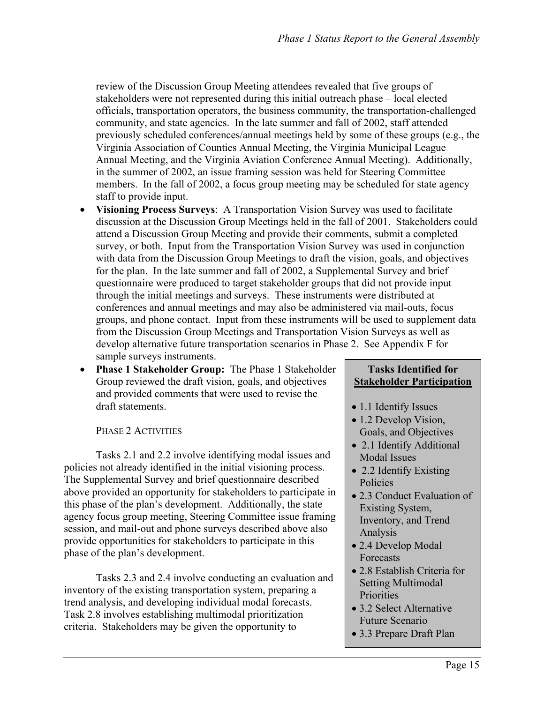review of the Discussion Group Meeting attendees revealed that five groups of stakeholders were not represented during this initial outreach phase – local elected officials, transportation operators, the business community, the transportation-challenged community, and state agencies. In the late summer and fall of 2002, staff attended previously scheduled conferences/annual meetings held by some of these groups (e.g., the Virginia Association of Counties Annual Meeting, the Virginia Municipal League Annual Meeting, and the Virginia Aviation Conference Annual Meeting). Additionally, in the summer of 2002, an issue framing session was held for Steering Committee members. In the fall of 2002, a focus group meeting may be scheduled for state agency staff to provide input.

- **Visioning Process Surveys**: A Transportation Vision Survey was used to facilitate discussion at the Discussion Group Meetings held in the fall of 2001. Stakeholders could attend a Discussion Group Meeting and provide their comments, submit a completed survey, or both. Input from the Transportation Vision Survey was used in conjunction with data from the Discussion Group Meetings to draft the vision, goals, and objectives for the plan. In the late summer and fall of 2002, a Supplemental Survey and brief questionnaire were produced to target stakeholder groups that did not provide input through the initial meetings and surveys. These instruments were distributed at conferences and annual meetings and may also be administered via mail-outs, focus groups, and phone contact. Input from these instruments will be used to supplement data from the Discussion Group Meetings and Transportation Vision Surveys as well as develop alternative future transportation scenarios in Phase 2. See Appendix F for sample surveys instruments.
- **Phase 1 Stakeholder Group:** The Phase 1 Stakeholder Group reviewed the draft vision, goals, and objectives and provided comments that were used to revise the draft statements.

### PHASE 2 ACTIVITIES

Tasks 2.1 and 2.2 involve identifying modal issues and policies not already identified in the initial visioning process. The Supplemental Survey and brief questionnaire described above provided an opportunity for stakeholders to participate in this phase of the plan's development. Additionally, the state agency focus group meeting, Steering Committee issue framing session, and mail-out and phone surveys described above also provide opportunities for stakeholders to participate in this phase of the plan's development.

Tasks 2.3 and 2.4 involve conducting an evaluation and inventory of the existing transportation system, preparing a trend analysis, and developing individual modal forecasts. Task 2.8 involves establishing multimodal prioritization criteria. Stakeholders may be given the opportunity to

#### **Tasks Identified for Stakeholder Participation**

- 1.1 Identify Issues
- 1.2 Develop Vision, Goals, and Objectives
- 2.1 Identify Additional Modal Issues
- 2.2 Identify Existing Policies
- 2.3 Conduct Evaluation of Existing System, Inventory, and Trend Analysis
- 2.4 Develop Modal **Forecasts**
- 2.8 Establish Criteria for Setting Multimodal **Priorities**
- 3.2 Select Alternative Future Scenario
- 3.3 Prepare Draft Plan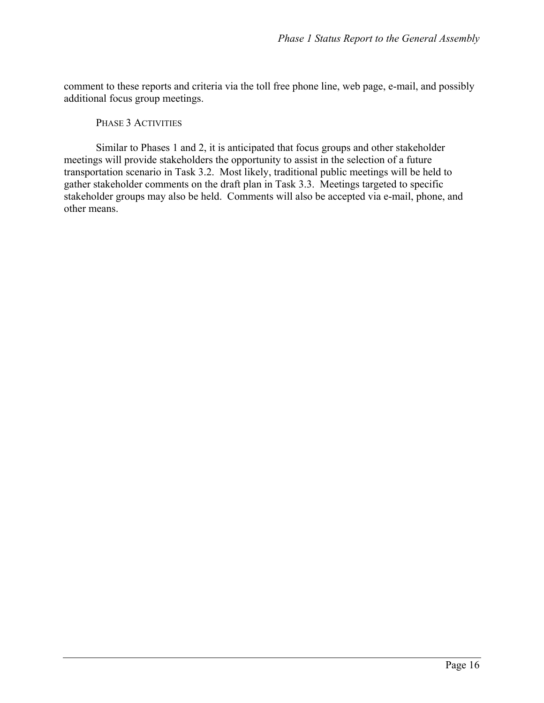comment to these reports and criteria via the toll free phone line, web page, e-mail, and possibly additional focus group meetings.

#### PHASE 3 ACTIVITIES

Similar to Phases 1 and 2, it is anticipated that focus groups and other stakeholder meetings will provide stakeholders the opportunity to assist in the selection of a future transportation scenario in Task 3.2. Most likely, traditional public meetings will be held to gather stakeholder comments on the draft plan in Task 3.3. Meetings targeted to specific stakeholder groups may also be held. Comments will also be accepted via e-mail, phone, and other means.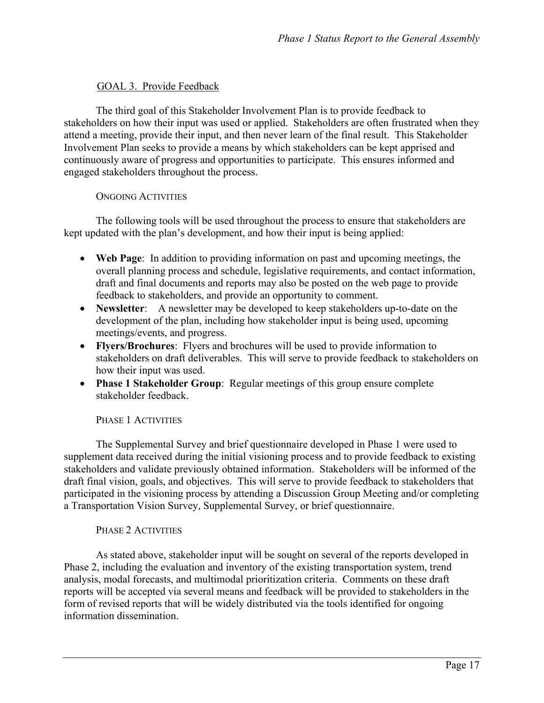### GOAL 3. Provide Feedback

The third goal of this Stakeholder Involvement Plan is to provide feedback to stakeholders on how their input was used or applied. Stakeholders are often frustrated when they attend a meeting, provide their input, and then never learn of the final result. This Stakeholder Involvement Plan seeks to provide a means by which stakeholders can be kept apprised and continuously aware of progress and opportunities to participate. This ensures informed and engaged stakeholders throughout the process.

### ONGOING ACTIVITIES

The following tools will be used throughout the process to ensure that stakeholders are kept updated with the plan's development, and how their input is being applied:

- **Web Page**: In addition to providing information on past and upcoming meetings, the overall planning process and schedule, legislative requirements, and contact information, draft and final documents and reports may also be posted on the web page to provide feedback to stakeholders, and provide an opportunity to comment.
- **Newsletter**: A newsletter may be developed to keep stakeholders up-to-date on the development of the plan, including how stakeholder input is being used, upcoming meetings/events, and progress.
- **Flyers/Brochures**: Flyers and brochures will be used to provide information to stakeholders on draft deliverables. This will serve to provide feedback to stakeholders on how their input was used.
- **Phase 1 Stakeholder Group**: Regular meetings of this group ensure complete stakeholder feedback.

### PHASE 1 ACTIVITIES

The Supplemental Survey and brief questionnaire developed in Phase 1 were used to supplement data received during the initial visioning process and to provide feedback to existing stakeholders and validate previously obtained information. Stakeholders will be informed of the draft final vision, goals, and objectives. This will serve to provide feedback to stakeholders that participated in the visioning process by attending a Discussion Group Meeting and/or completing a Transportation Vision Survey, Supplemental Survey, or brief questionnaire.

### PHASE 2 ACTIVITIES

As stated above, stakeholder input will be sought on several of the reports developed in Phase 2, including the evaluation and inventory of the existing transportation system, trend analysis, modal forecasts, and multimodal prioritization criteria. Comments on these draft reports will be accepted via several means and feedback will be provided to stakeholders in the form of revised reports that will be widely distributed via the tools identified for ongoing information dissemination.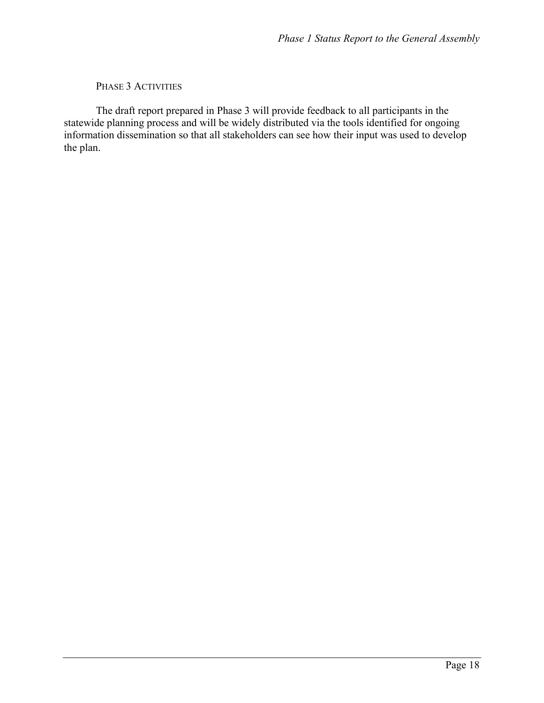#### PHASE 3 ACTIVITIES

The draft report prepared in Phase 3 will provide feedback to all participants in the statewide planning process and will be widely distributed via the tools identified for ongoing information dissemination so that all stakeholders can see how their input was used to develop the plan.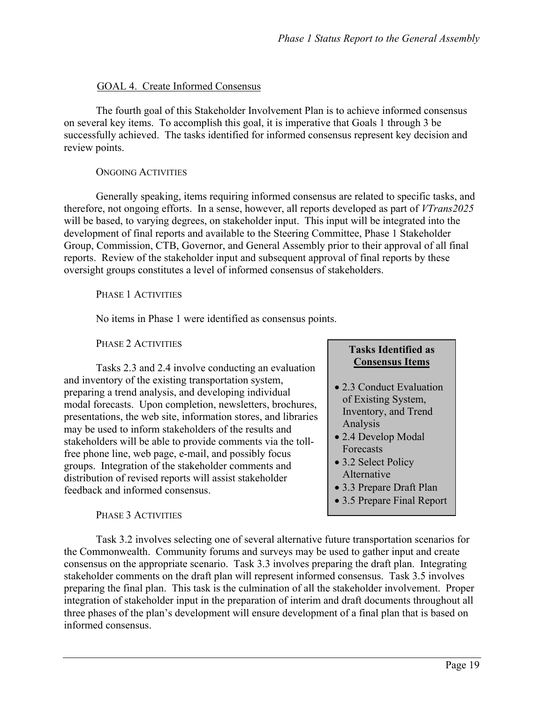### GOAL 4. Create Informed Consensus

The fourth goal of this Stakeholder Involvement Plan is to achieve informed consensus on several key items. To accomplish this goal, it is imperative that Goals 1 through 3 be successfully achieved. The tasks identified for informed consensus represent key decision and review points.

#### ONGOING ACTIVITIES

 Generally speaking, items requiring informed consensus are related to specific tasks, and therefore, not ongoing efforts. In a sense, however, all reports developed as part of *VTrans2025* will be based, to varying degrees, on stakeholder input. This input will be integrated into the development of final reports and available to the Steering Committee, Phase 1 Stakeholder Group, Commission, CTB, Governor, and General Assembly prior to their approval of all final reports. Review of the stakeholder input and subsequent approval of final reports by these oversight groups constitutes a level of informed consensus of stakeholders.

#### PHASE 1 ACTIVITIES

No items in Phase 1 were identified as consensus points.

PHASE 2 ACTIVITIES

Tasks 2.3 and 2.4 involve conducting an evaluation and inventory of the existing transportation system, preparing a trend analysis, and developing individual modal forecasts. Upon completion, newsletters, brochures, presentations, the web site, information stores, and libraries may be used to inform stakeholders of the results and stakeholders will be able to provide comments via the tollfree phone line, web page, e-mail, and possibly focus groups. Integration of the stakeholder comments and distribution of revised reports will assist stakeholder feedback and informed consensus.

### PHASE 3 ACTIVITIES

#### **Tasks Identified as Consensus Items**

- 2.3 Conduct Evaluation of Existing System, Inventory, and Trend Analysis
- 2.4 Develop Modal Forecasts
- 3.2 Select Policy Alternative
- 3.3 Prepare Draft Plan
- 3.5 Prepare Final Report

Task 3.2 involves selecting one of several alternative future transportation scenarios for the Commonwealth. Community forums and surveys may be used to gather input and create consensus on the appropriate scenario. Task 3.3 involves preparing the draft plan. Integrating stakeholder comments on the draft plan will represent informed consensus. Task 3.5 involves preparing the final plan. This task is the culmination of all the stakeholder involvement. Proper integration of stakeholder input in the preparation of interim and draft documents throughout all three phases of the plan's development will ensure development of a final plan that is based on informed consensus.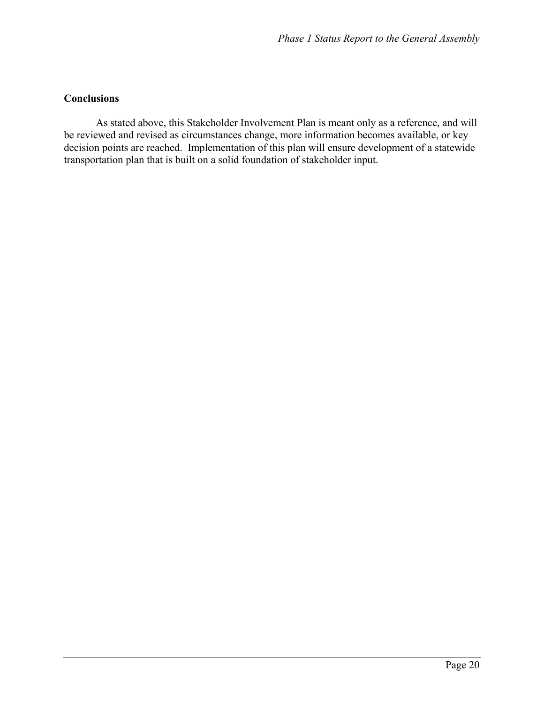### **Conclusions**

As stated above, this Stakeholder Involvement Plan is meant only as a reference, and will be reviewed and revised as circumstances change, more information becomes available, or key decision points are reached. Implementation of this plan will ensure development of a statewide transportation plan that is built on a solid foundation of stakeholder input.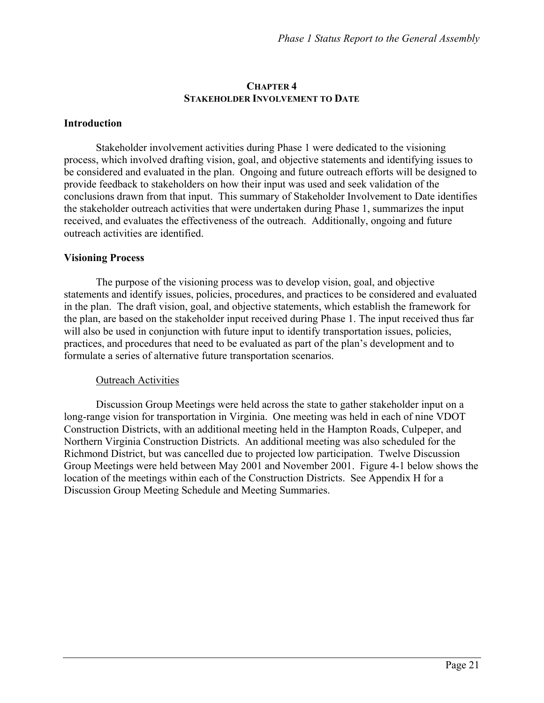#### **CHAPTER 4 STAKEHOLDER INVOLVEMENT TO DATE**

#### **Introduction**

Stakeholder involvement activities during Phase 1 were dedicated to the visioning process, which involved drafting vision, goal, and objective statements and identifying issues to be considered and evaluated in the plan. Ongoing and future outreach efforts will be designed to provide feedback to stakeholders on how their input was used and seek validation of the conclusions drawn from that input. This summary of Stakeholder Involvement to Date identifies the stakeholder outreach activities that were undertaken during Phase 1, summarizes the input received, and evaluates the effectiveness of the outreach. Additionally, ongoing and future outreach activities are identified.

#### **Visioning Process**

The purpose of the visioning process was to develop vision, goal, and objective statements and identify issues, policies, procedures, and practices to be considered and evaluated in the plan. The draft vision, goal, and objective statements, which establish the framework for the plan, are based on the stakeholder input received during Phase 1. The input received thus far will also be used in conjunction with future input to identify transportation issues, policies, practices, and procedures that need to be evaluated as part of the plan's development and to formulate a series of alternative future transportation scenarios.

### Outreach Activities

Discussion Group Meetings were held across the state to gather stakeholder input on a long-range vision for transportation in Virginia. One meeting was held in each of nine VDOT Construction Districts, with an additional meeting held in the Hampton Roads, Culpeper, and Northern Virginia Construction Districts. An additional meeting was also scheduled for the Richmond District, but was cancelled due to projected low participation. Twelve Discussion Group Meetings were held between May 2001 and November 2001. Figure 4-1 below shows the location of the meetings within each of the Construction Districts. See Appendix H for a Discussion Group Meeting Schedule and Meeting Summaries.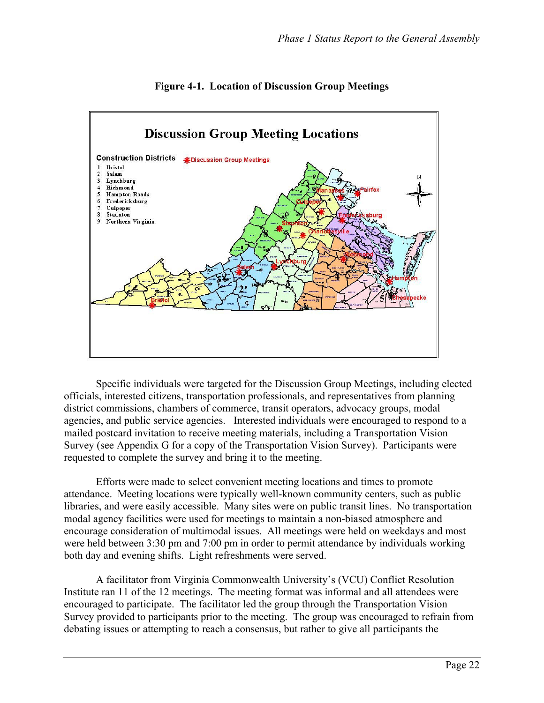

# **Figure 4-1. Location of Discussion Group Meetings**

Specific individuals were targeted for the Discussion Group Meetings, including elected officials, interested citizens, transportation professionals, and representatives from planning district commissions, chambers of commerce, transit operators, advocacy groups, modal agencies, and public service agencies. Interested individuals were encouraged to respond to a mailed postcard invitation to receive meeting materials, including a Transportation Vision Survey (see Appendix G for a copy of the Transportation Vision Survey). Participants were requested to complete the survey and bring it to the meeting.

Efforts were made to select convenient meeting locations and times to promote attendance. Meeting locations were typically well-known community centers, such as public libraries, and were easily accessible. Many sites were on public transit lines. No transportation modal agency facilities were used for meetings to maintain a non-biased atmosphere and encourage consideration of multimodal issues. All meetings were held on weekdays and most were held between 3:30 pm and 7:00 pm in order to permit attendance by individuals working both day and evening shifts. Light refreshments were served.

A facilitator from Virginia Commonwealth University's (VCU) Conflict Resolution Institute ran 11 of the 12 meetings. The meeting format was informal and all attendees were encouraged to participate. The facilitator led the group through the Transportation Vision Survey provided to participants prior to the meeting. The group was encouraged to refrain from debating issues or attempting to reach a consensus, but rather to give all participants the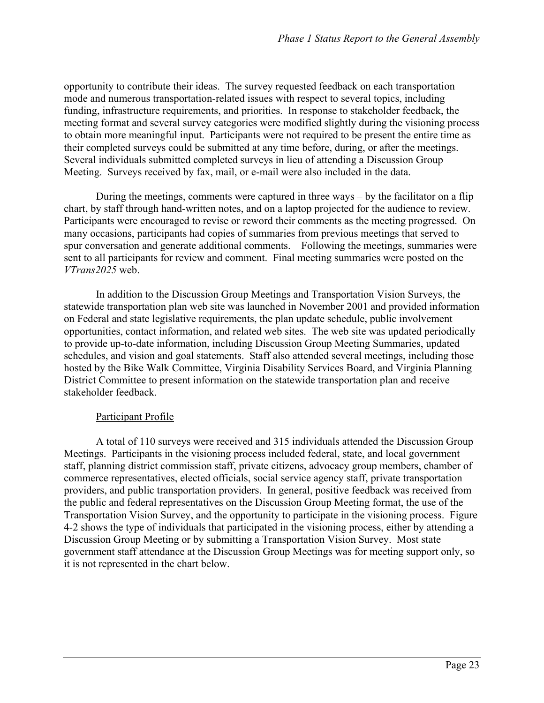opportunity to contribute their ideas. The survey requested feedback on each transportation mode and numerous transportation-related issues with respect to several topics, including funding, infrastructure requirements, and priorities. In response to stakeholder feedback, the meeting format and several survey categories were modified slightly during the visioning process to obtain more meaningful input. Participants were not required to be present the entire time as their completed surveys could be submitted at any time before, during, or after the meetings. Several individuals submitted completed surveys in lieu of attending a Discussion Group Meeting. Surveys received by fax, mail, or e-mail were also included in the data.

During the meetings, comments were captured in three ways – by the facilitator on a flip chart, by staff through hand-written notes, and on a laptop projected for the audience to review. Participants were encouraged to revise or reword their comments as the meeting progressed. On many occasions, participants had copies of summaries from previous meetings that served to spur conversation and generate additional comments. Following the meetings, summaries were sent to all participants for review and comment. Final meeting summaries were posted on the *VTrans2025* web.

In addition to the Discussion Group Meetings and Transportation Vision Surveys, the statewide transportation plan web site was launched in November 2001 and provided information on Federal and state legislative requirements, the plan update schedule, public involvement opportunities, contact information, and related web sites. The web site was updated periodically to provide up-to-date information, including Discussion Group Meeting Summaries, updated schedules, and vision and goal statements. Staff also attended several meetings, including those hosted by the Bike Walk Committee, Virginia Disability Services Board, and Virginia Planning District Committee to present information on the statewide transportation plan and receive stakeholder feedback.

### Participant Profile

A total of 110 surveys were received and 315 individuals attended the Discussion Group Meetings. Participants in the visioning process included federal, state, and local government staff, planning district commission staff, private citizens, advocacy group members, chamber of commerce representatives, elected officials, social service agency staff, private transportation providers, and public transportation providers. In general, positive feedback was received from the public and federal representatives on the Discussion Group Meeting format, the use of the Transportation Vision Survey, and the opportunity to participate in the visioning process. Figure 4-2 shows the type of individuals that participated in the visioning process, either by attending a Discussion Group Meeting or by submitting a Transportation Vision Survey. Most state government staff attendance at the Discussion Group Meetings was for meeting support only, so it is not represented in the chart below.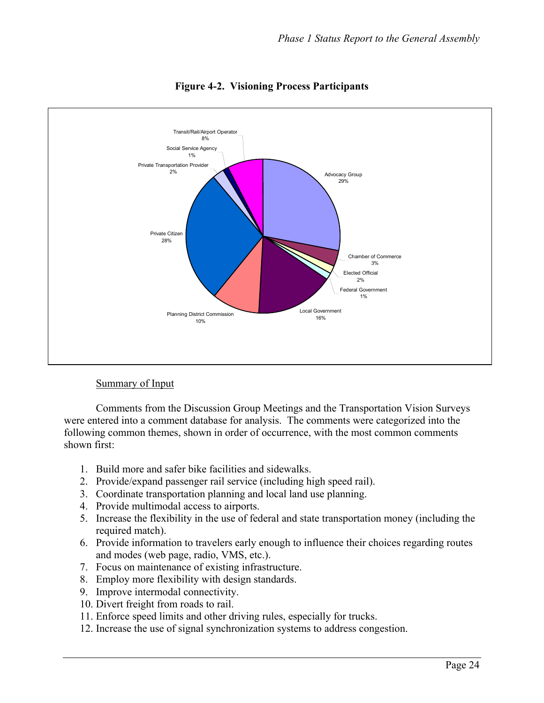

### **Figure 4-2. Visioning Process Participants**

### Summary of Input

Comments from the Discussion Group Meetings and the Transportation Vision Surveys were entered into a comment database for analysis. The comments were categorized into the following common themes, shown in order of occurrence, with the most common comments shown first:

- 1. Build more and safer bike facilities and sidewalks.
- 2. Provide/expand passenger rail service (including high speed rail).
- 3. Coordinate transportation planning and local land use planning.
- 4. Provide multimodal access to airports.
- 5. Increase the flexibility in the use of federal and state transportation money (including the required match).
- 6. Provide information to travelers early enough to influence their choices regarding routes and modes (web page, radio, VMS, etc.).
- 7. Focus on maintenance of existing infrastructure.
- 8. Employ more flexibility with design standards.
- 9. Improve intermodal connectivity.
- 10. Divert freight from roads to rail.
- 11. Enforce speed limits and other driving rules, especially for trucks.
- 12. Increase the use of signal synchronization systems to address congestion.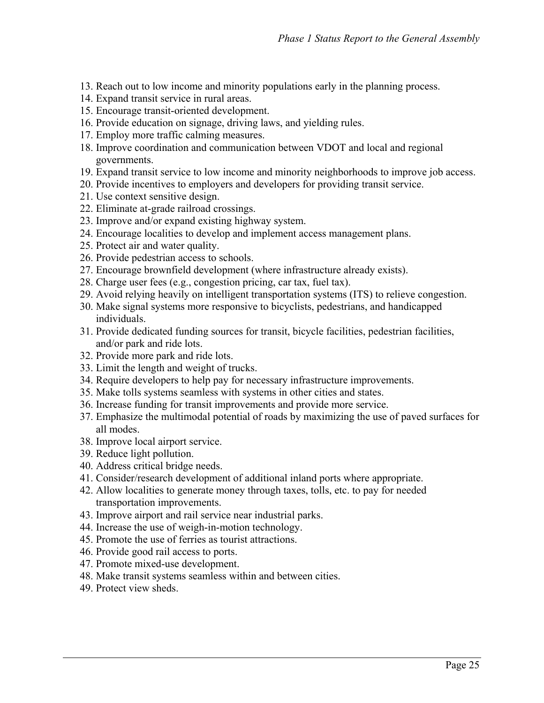- 13. Reach out to low income and minority populations early in the planning process.
- 14. Expand transit service in rural areas.
- 15. Encourage transit-oriented development.
- 16. Provide education on signage, driving laws, and yielding rules.
- 17. Employ more traffic calming measures.
- 18. Improve coordination and communication between VDOT and local and regional governments.
- 19. Expand transit service to low income and minority neighborhoods to improve job access.
- 20. Provide incentives to employers and developers for providing transit service.
- 21. Use context sensitive design.
- 22. Eliminate at-grade railroad crossings.
- 23. Improve and/or expand existing highway system.
- 24. Encourage localities to develop and implement access management plans.
- 25. Protect air and water quality.
- 26. Provide pedestrian access to schools.
- 27. Encourage brownfield development (where infrastructure already exists).
- 28. Charge user fees (e.g., congestion pricing, car tax, fuel tax).
- 29. Avoid relying heavily on intelligent transportation systems (ITS) to relieve congestion.
- 30. Make signal systems more responsive to bicyclists, pedestrians, and handicapped individuals.
- 31. Provide dedicated funding sources for transit, bicycle facilities, pedestrian facilities, and/or park and ride lots.
- 32. Provide more park and ride lots.
- 33. Limit the length and weight of trucks.
- 34. Require developers to help pay for necessary infrastructure improvements.
- 35. Make tolls systems seamless with systems in other cities and states.
- 36. Increase funding for transit improvements and provide more service.
- 37. Emphasize the multimodal potential of roads by maximizing the use of paved surfaces for all modes.
- 38. Improve local airport service.
- 39. Reduce light pollution.
- 40. Address critical bridge needs.
- 41. Consider/research development of additional inland ports where appropriate.
- 42. Allow localities to generate money through taxes, tolls, etc. to pay for needed transportation improvements.
- 43. Improve airport and rail service near industrial parks.
- 44. Increase the use of weigh-in-motion technology.
- 45. Promote the use of ferries as tourist attractions.
- 46. Provide good rail access to ports.
- 47. Promote mixed-use development.
- 48. Make transit systems seamless within and between cities.
- 49. Protect view sheds.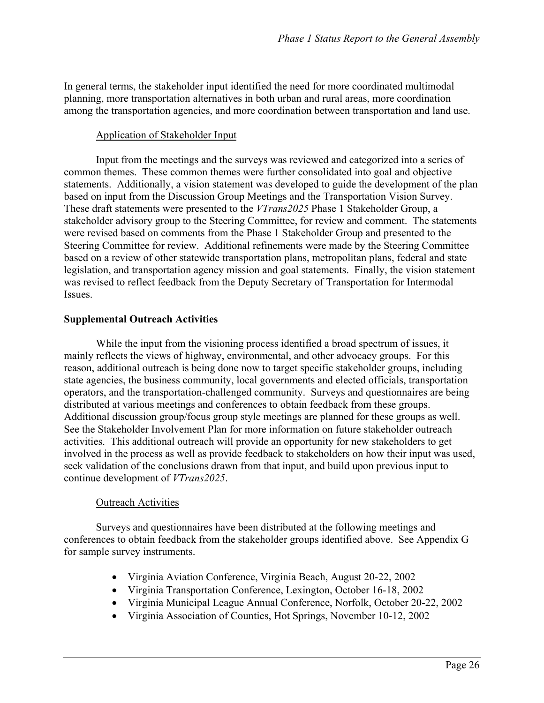In general terms, the stakeholder input identified the need for more coordinated multimodal planning, more transportation alternatives in both urban and rural areas, more coordination among the transportation agencies, and more coordination between transportation and land use.

#### Application of Stakeholder Input

Input from the meetings and the surveys was reviewed and categorized into a series of common themes. These common themes were further consolidated into goal and objective statements. Additionally, a vision statement was developed to guide the development of the plan based on input from the Discussion Group Meetings and the Transportation Vision Survey. These draft statements were presented to the *VTrans2025* Phase 1 Stakeholder Group, a stakeholder advisory group to the Steering Committee, for review and comment. The statements were revised based on comments from the Phase 1 Stakeholder Group and presented to the Steering Committee for review. Additional refinements were made by the Steering Committee based on a review of other statewide transportation plans, metropolitan plans, federal and state legislation, and transportation agency mission and goal statements. Finally, the vision statement was revised to reflect feedback from the Deputy Secretary of Transportation for Intermodal Issues.

#### **Supplemental Outreach Activities**

While the input from the visioning process identified a broad spectrum of issues, it mainly reflects the views of highway, environmental, and other advocacy groups. For this reason, additional outreach is being done now to target specific stakeholder groups, including state agencies, the business community, local governments and elected officials, transportation operators, and the transportation-challenged community. Surveys and questionnaires are being distributed at various meetings and conferences to obtain feedback from these groups. Additional discussion group/focus group style meetings are planned for these groups as well. See the Stakeholder Involvement Plan for more information on future stakeholder outreach activities. This additional outreach will provide an opportunity for new stakeholders to get involved in the process as well as provide feedback to stakeholders on how their input was used, seek validation of the conclusions drawn from that input, and build upon previous input to continue development of *VTrans2025*.

#### Outreach Activities

Surveys and questionnaires have been distributed at the following meetings and conferences to obtain feedback from the stakeholder groups identified above. See Appendix G for sample survey instruments.

- Virginia Aviation Conference, Virginia Beach, August 20-22, 2002
- Virginia Transportation Conference, Lexington, October 16-18, 2002
- Virginia Municipal League Annual Conference, Norfolk, October 20-22, 2002
- Virginia Association of Counties, Hot Springs, November 10-12, 2002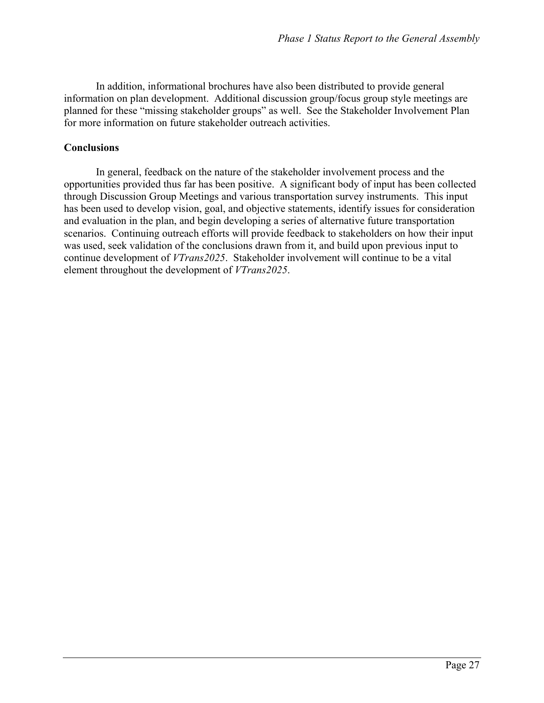In addition, informational brochures have also been distributed to provide general information on plan development. Additional discussion group/focus group style meetings are planned for these "missing stakeholder groups" as well. See the Stakeholder Involvement Plan for more information on future stakeholder outreach activities.

## **Conclusions**

In general, feedback on the nature of the stakeholder involvement process and the opportunities provided thus far has been positive. A significant body of input has been collected through Discussion Group Meetings and various transportation survey instruments. This input has been used to develop vision, goal, and objective statements, identify issues for consideration and evaluation in the plan, and begin developing a series of alternative future transportation scenarios. Continuing outreach efforts will provide feedback to stakeholders on how their input was used, seek validation of the conclusions drawn from it, and build upon previous input to continue development of *VTrans2025*. Stakeholder involvement will continue to be a vital element throughout the development of *VTrans2025*.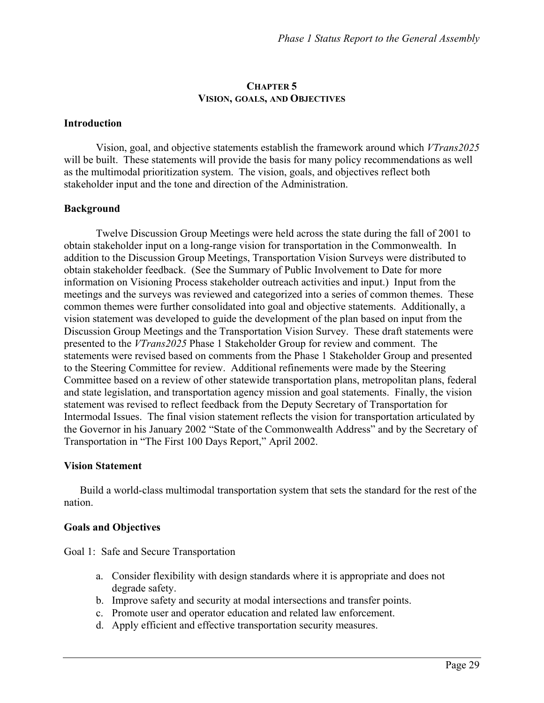#### **CHAPTER 5 VISION, GOALS, AND OBJECTIVES**

#### **Introduction**

Vision, goal, and objective statements establish the framework around which *VTrans2025* will be built. These statements will provide the basis for many policy recommendations as well as the multimodal prioritization system. The vision, goals, and objectives reflect both stakeholder input and the tone and direction of the Administration.

#### **Background**

Twelve Discussion Group Meetings were held across the state during the fall of 2001 to obtain stakeholder input on a long-range vision for transportation in the Commonwealth. In addition to the Discussion Group Meetings, Transportation Vision Surveys were distributed to obtain stakeholder feedback. (See the Summary of Public Involvement to Date for more information on Visioning Process stakeholder outreach activities and input.) Input from the meetings and the surveys was reviewed and categorized into a series of common themes. These common themes were further consolidated into goal and objective statements. Additionally, a vision statement was developed to guide the development of the plan based on input from the Discussion Group Meetings and the Transportation Vision Survey. These draft statements were presented to the *VTrans2025* Phase 1 Stakeholder Group for review and comment. The statements were revised based on comments from the Phase 1 Stakeholder Group and presented to the Steering Committee for review. Additional refinements were made by the Steering Committee based on a review of other statewide transportation plans, metropolitan plans, federal and state legislation, and transportation agency mission and goal statements. Finally, the vision statement was revised to reflect feedback from the Deputy Secretary of Transportation for Intermodal Issues. The final vision statement reflects the vision for transportation articulated by the Governor in his January 2002 "State of the Commonwealth Address" and by the Secretary of Transportation in "The First 100 Days Report," April 2002.

#### **Vision Statement**

Build a world-class multimodal transportation system that sets the standard for the rest of the nation.

#### **Goals and Objectives**

Goal 1: Safe and Secure Transportation

- a. Consider flexibility with design standards where it is appropriate and does not degrade safety.
- b. Improve safety and security at modal intersections and transfer points.
- c. Promote user and operator education and related law enforcement.
- d. Apply efficient and effective transportation security measures.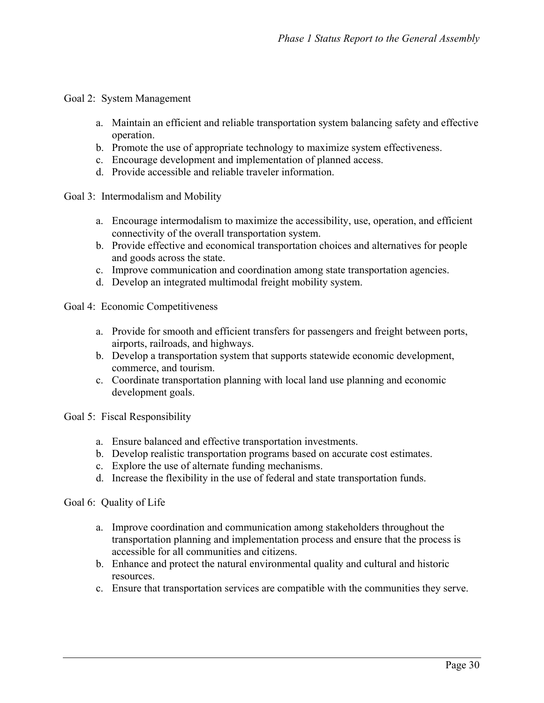Goal 2: System Management

- a. Maintain an efficient and reliable transportation system balancing safety and effective operation.
- b. Promote the use of appropriate technology to maximize system effectiveness.
- c. Encourage development and implementation of planned access.
- d. Provide accessible and reliable traveler information.
- Goal 3: Intermodalism and Mobility
	- a. Encourage intermodalism to maximize the accessibility, use, operation, and efficient connectivity of the overall transportation system.
	- b. Provide effective and economical transportation choices and alternatives for people and goods across the state.
	- c. Improve communication and coordination among state transportation agencies.
	- d. Develop an integrated multimodal freight mobility system.

Goal 4: Economic Competitiveness

- a. Provide for smooth and efficient transfers for passengers and freight between ports, airports, railroads, and highways.
- b. Develop a transportation system that supports statewide economic development, commerce, and tourism.
- c. Coordinate transportation planning with local land use planning and economic development goals.

Goal 5: Fiscal Responsibility

- a. Ensure balanced and effective transportation investments.
- b. Develop realistic transportation programs based on accurate cost estimates.
- c. Explore the use of alternate funding mechanisms.
- d. Increase the flexibility in the use of federal and state transportation funds.

Goal 6: Quality of Life

- a. Improve coordination and communication among stakeholders throughout the transportation planning and implementation process and ensure that the process is accessible for all communities and citizens.
- b. Enhance and protect the natural environmental quality and cultural and historic resources.
- c. Ensure that transportation services are compatible with the communities they serve.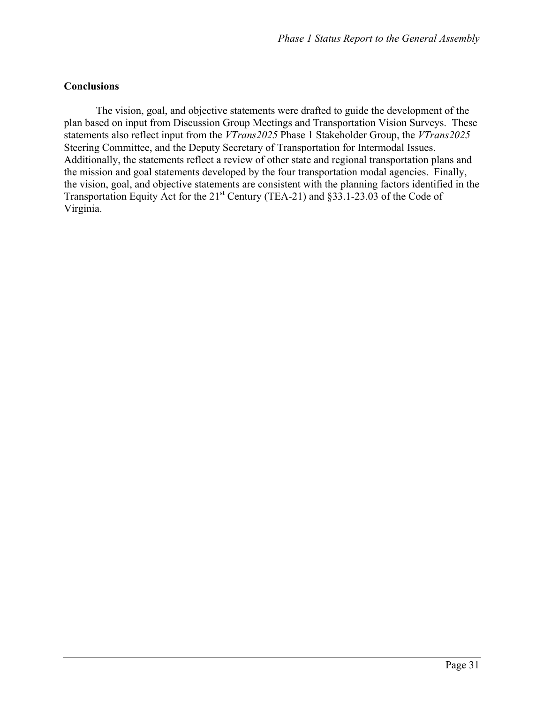## **Conclusions**

The vision, goal, and objective statements were drafted to guide the development of the plan based on input from Discussion Group Meetings and Transportation Vision Surveys. These statements also reflect input from the *VTrans2025* Phase 1 Stakeholder Group, the *VTrans2025* Steering Committee, and the Deputy Secretary of Transportation for Intermodal Issues. Additionally, the statements reflect a review of other state and regional transportation plans and the mission and goal statements developed by the four transportation modal agencies. Finally, the vision, goal, and objective statements are consistent with the planning factors identified in the Transportation Equity Act for the 21<sup>st</sup> Century (TEA-21) and §33.1-23.03 of the Code of Virginia.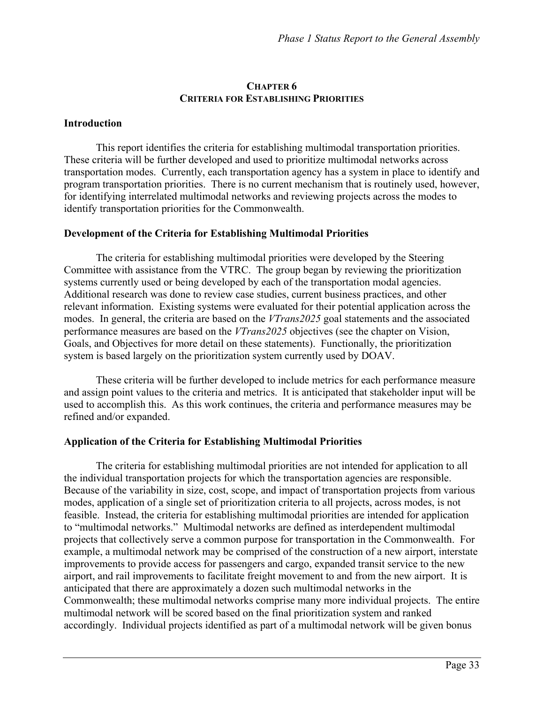## **CHAPTER 6 CRITERIA FOR ESTABLISHING PRIORITIES**

## **Introduction**

This report identifies the criteria for establishing multimodal transportation priorities. These criteria will be further developed and used to prioritize multimodal networks across transportation modes. Currently, each transportation agency has a system in place to identify and program transportation priorities. There is no current mechanism that is routinely used, however, for identifying interrelated multimodal networks and reviewing projects across the modes to identify transportation priorities for the Commonwealth.

## **Development of the Criteria for Establishing Multimodal Priorities**

The criteria for establishing multimodal priorities were developed by the Steering Committee with assistance from the VTRC. The group began by reviewing the prioritization systems currently used or being developed by each of the transportation modal agencies. Additional research was done to review case studies, current business practices, and other relevant information. Existing systems were evaluated for their potential application across the modes. In general, the criteria are based on the *VTrans2025* goal statements and the associated performance measures are based on the *VTrans2025* objectives (see the chapter on Vision, Goals, and Objectives for more detail on these statements). Functionally, the prioritization system is based largely on the prioritization system currently used by DOAV.

These criteria will be further developed to include metrics for each performance measure and assign point values to the criteria and metrics. It is anticipated that stakeholder input will be used to accomplish this. As this work continues, the criteria and performance measures may be refined and/or expanded.

## **Application of the Criteria for Establishing Multimodal Priorities**

The criteria for establishing multimodal priorities are not intended for application to all the individual transportation projects for which the transportation agencies are responsible. Because of the variability in size, cost, scope, and impact of transportation projects from various modes, application of a single set of prioritization criteria to all projects, across modes, is not feasible. Instead, the criteria for establishing multimodal priorities are intended for application to "multimodal networks." Multimodal networks are defined as interdependent multimodal projects that collectively serve a common purpose for transportation in the Commonwealth. For example, a multimodal network may be comprised of the construction of a new airport, interstate improvements to provide access for passengers and cargo, expanded transit service to the new airport, and rail improvements to facilitate freight movement to and from the new airport. It is anticipated that there are approximately a dozen such multimodal networks in the Commonwealth; these multimodal networks comprise many more individual projects. The entire multimodal network will be scored based on the final prioritization system and ranked accordingly. Individual projects identified as part of a multimodal network will be given bonus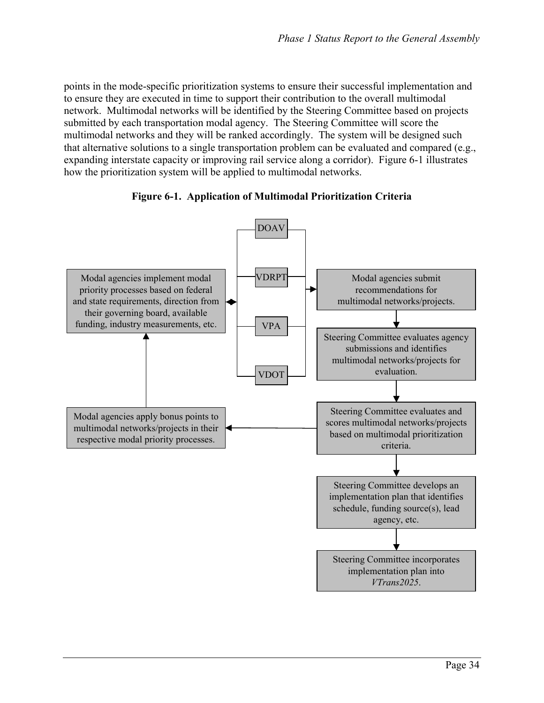points in the mode-specific prioritization systems to ensure their successful implementation and to ensure they are executed in time to support their contribution to the overall multimodal network. Multimodal networks will be identified by the Steering Committee based on projects submitted by each transportation modal agency. The Steering Committee will score the multimodal networks and they will be ranked accordingly. The system will be designed such that alternative solutions to a single transportation problem can be evaluated and compared (e.g., expanding interstate capacity or improving rail service along a corridor). Figure 6-1 illustrates how the prioritization system will be applied to multimodal networks.



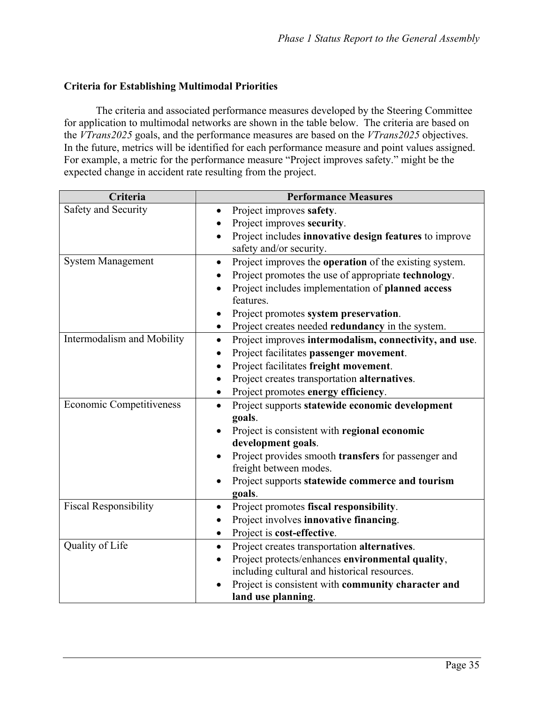## **Criteria for Establishing Multimodal Priorities**

The criteria and associated performance measures developed by the Steering Committee for application to multimodal networks are shown in the table below. The criteria are based on the *VTrans2025* goals, and the performance measures are based on the *VTrans2025* objectives. In the future, metrics will be identified for each performance measure and point values assigned. For example, a metric for the performance measure "Project improves safety." might be the expected change in accident rate resulting from the project.

| Criteria                        | <b>Performance Measures</b>                                         |
|---------------------------------|---------------------------------------------------------------------|
| Safety and Security             | Project improves safety.<br>$\bullet$                               |
|                                 | Project improves security.                                          |
|                                 | Project includes innovative design features to improve<br>$\bullet$ |
|                                 | safety and/or security.                                             |
| <b>System Management</b>        | Project improves the operation of the existing system.<br>٠         |
|                                 | Project promotes the use of appropriate technology.                 |
|                                 | Project includes implementation of planned access                   |
|                                 | features.                                                           |
|                                 | Project promotes system preservation.                               |
|                                 | Project creates needed redundancy in the system.                    |
| Intermodalism and Mobility      | Project improves intermodalism, connectivity, and use.<br>$\bullet$ |
|                                 | Project facilitates passenger movement.                             |
|                                 | Project facilitates freight movement.                               |
|                                 | Project creates transportation alternatives.                        |
|                                 | Project promotes energy efficiency.<br>$\bullet$                    |
| <b>Economic Competitiveness</b> | Project supports statewide economic development<br>$\bullet$        |
|                                 | goals.                                                              |
|                                 | Project is consistent with regional economic                        |
|                                 | development goals.                                                  |
|                                 | Project provides smooth transfers for passenger and                 |
|                                 | freight between modes.                                              |
|                                 | Project supports statewide commerce and tourism                     |
|                                 | goals.                                                              |
| <b>Fiscal Responsibility</b>    | Project promotes fiscal responsibility.<br>$\bullet$                |
|                                 | Project involves innovative financing.<br>٠                         |
|                                 | Project is cost-effective.<br>$\bullet$                             |
| Quality of Life                 | Project creates transportation alternatives.<br>$\bullet$           |
|                                 | Project protects/enhances environmental quality,                    |
|                                 | including cultural and historical resources.                        |
|                                 | Project is consistent with community character and                  |
|                                 | land use planning.                                                  |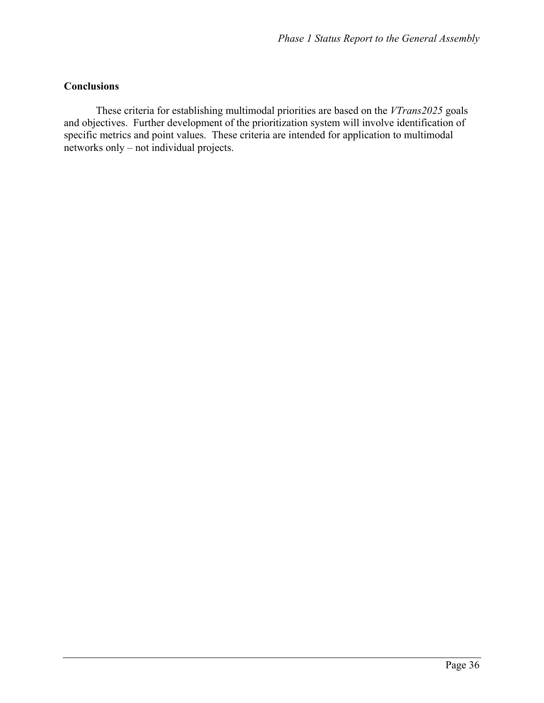## **Conclusions**

 These criteria for establishing multimodal priorities are based on the *VTrans2025* goals and objectives. Further development of the prioritization system will involve identification of specific metrics and point values. These criteria are intended for application to multimodal networks only – not individual projects.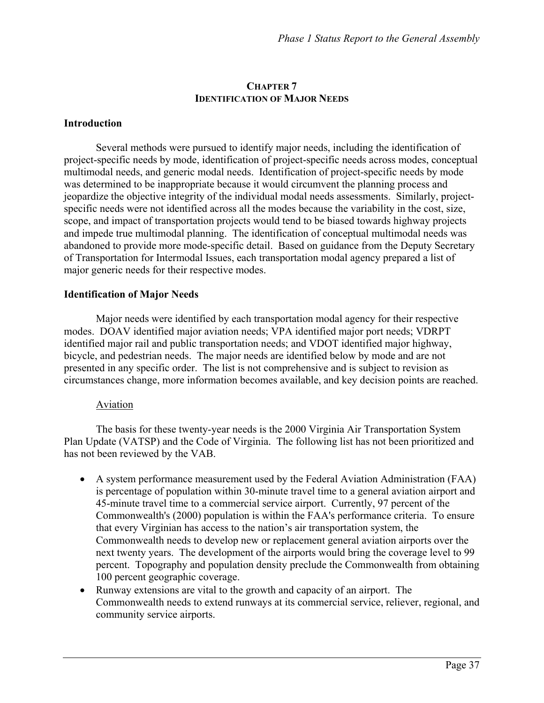## **CHAPTER 7 IDENTIFICATION OF MAJOR NEEDS**

## **Introduction**

 Several methods were pursued to identify major needs, including the identification of project-specific needs by mode, identification of project-specific needs across modes, conceptual multimodal needs, and generic modal needs. Identification of project-specific needs by mode was determined to be inappropriate because it would circumvent the planning process and jeopardize the objective integrity of the individual modal needs assessments. Similarly, projectspecific needs were not identified across all the modes because the variability in the cost, size, scope, and impact of transportation projects would tend to be biased towards highway projects and impede true multimodal planning. The identification of conceptual multimodal needs was abandoned to provide more mode-specific detail. Based on guidance from the Deputy Secretary of Transportation for Intermodal Issues, each transportation modal agency prepared a list of major generic needs for their respective modes.

## **Identification of Major Needs**

Major needs were identified by each transportation modal agency for their respective modes. DOAV identified major aviation needs; VPA identified major port needs; VDRPT identified major rail and public transportation needs; and VDOT identified major highway, bicycle, and pedestrian needs. The major needs are identified below by mode and are not presented in any specific order. The list is not comprehensive and is subject to revision as circumstances change, more information becomes available, and key decision points are reached.

#### Aviation

The basis for these twenty-year needs is the 2000 Virginia Air Transportation System Plan Update (VATSP) and the Code of Virginia. The following list has not been prioritized and has not been reviewed by the VAB.

- A system performance measurement used by the Federal Aviation Administration (FAA) is percentage of population within 30-minute travel time to a general aviation airport and 45-minute travel time to a commercial service airport. Currently, 97 percent of the Commonwealth's (2000) population is within the FAA's performance criteria. To ensure that every Virginian has access to the nation's air transportation system, the Commonwealth needs to develop new or replacement general aviation airports over the next twenty years. The development of the airports would bring the coverage level to 99 percent. Topography and population density preclude the Commonwealth from obtaining 100 percent geographic coverage.
- Runway extensions are vital to the growth and capacity of an airport. The Commonwealth needs to extend runways at its commercial service, reliever, regional, and community service airports.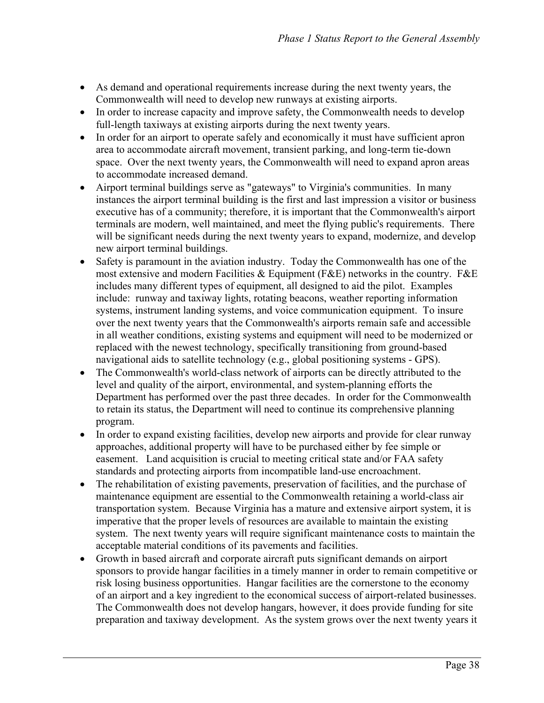- As demand and operational requirements increase during the next twenty years, the Commonwealth will need to develop new runways at existing airports.
- In order to increase capacity and improve safety, the Commonwealth needs to develop full-length taxiways at existing airports during the next twenty years.
- In order for an airport to operate safely and economically it must have sufficient apron area to accommodate aircraft movement, transient parking, and long-term tie-down space. Over the next twenty years, the Commonwealth will need to expand apron areas to accommodate increased demand.
- Airport terminal buildings serve as "gateways" to Virginia's communities. In many instances the airport terminal building is the first and last impression a visitor or business executive has of a community; therefore, it is important that the Commonwealth's airport terminals are modern, well maintained, and meet the flying public's requirements. There will be significant needs during the next twenty years to expand, modernize, and develop new airport terminal buildings.
- Safety is paramount in the aviation industry. Today the Commonwealth has one of the most extensive and modern Facilities & Equipment (F&E) networks in the country. F&E includes many different types of equipment, all designed to aid the pilot. Examples include: runway and taxiway lights, rotating beacons, weather reporting information systems, instrument landing systems, and voice communication equipment. To insure over the next twenty years that the Commonwealth's airports remain safe and accessible in all weather conditions, existing systems and equipment will need to be modernized or replaced with the newest technology, specifically transitioning from ground-based navigational aids to satellite technology (e.g., global positioning systems - GPS).
- The Commonwealth's world-class network of airports can be directly attributed to the level and quality of the airport, environmental, and system-planning efforts the Department has performed over the past three decades. In order for the Commonwealth to retain its status, the Department will need to continue its comprehensive planning program.
- In order to expand existing facilities, develop new airports and provide for clear runway approaches, additional property will have to be purchased either by fee simple or easement. Land acquisition is crucial to meeting critical state and/or FAA safety standards and protecting airports from incompatible land-use encroachment.
- The rehabilitation of existing pavements, preservation of facilities, and the purchase of maintenance equipment are essential to the Commonwealth retaining a world-class air transportation system. Because Virginia has a mature and extensive airport system, it is imperative that the proper levels of resources are available to maintain the existing system. The next twenty years will require significant maintenance costs to maintain the acceptable material conditions of its pavements and facilities.
- Growth in based aircraft and corporate aircraft puts significant demands on airport sponsors to provide hangar facilities in a timely manner in order to remain competitive or risk losing business opportunities. Hangar facilities are the cornerstone to the economy of an airport and a key ingredient to the economical success of airport-related businesses. The Commonwealth does not develop hangars, however, it does provide funding for site preparation and taxiway development. As the system grows over the next twenty years it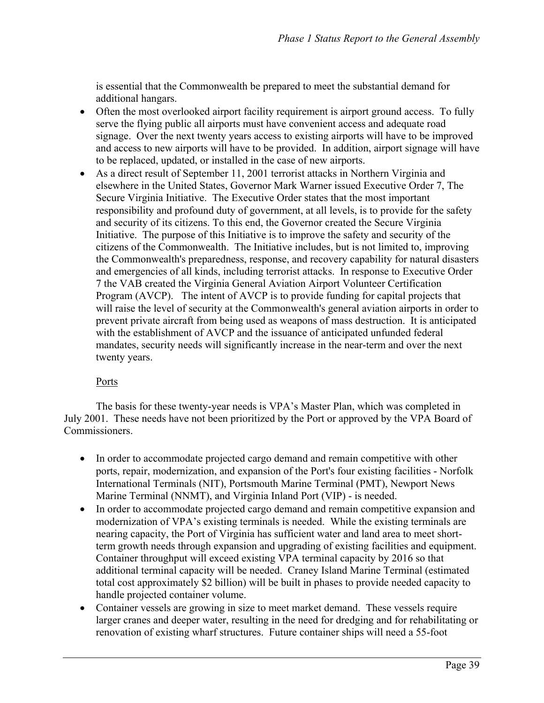is essential that the Commonwealth be prepared to meet the substantial demand for additional hangars.

- Often the most overlooked airport facility requirement is airport ground access. To fully serve the flying public all airports must have convenient access and adequate road signage. Over the next twenty years access to existing airports will have to be improved and access to new airports will have to be provided. In addition, airport signage will have to be replaced, updated, or installed in the case of new airports.
- As a direct result of September 11, 2001 terrorist attacks in Northern Virginia and elsewhere in the United States, Governor Mark Warner issued Executive Order 7, The Secure Virginia Initiative. The Executive Order states that the most important responsibility and profound duty of government, at all levels, is to provide for the safety and security of its citizens. To this end, the Governor created the Secure Virginia Initiative. The purpose of this Initiative is to improve the safety and security of the citizens of the Commonwealth. The Initiative includes, but is not limited to, improving the Commonwealth's preparedness, response, and recovery capability for natural disasters and emergencies of all kinds, including terrorist attacks. In response to Executive Order 7 the VAB created the Virginia General Aviation Airport Volunteer Certification Program (AVCP). The intent of AVCP is to provide funding for capital projects that will raise the level of security at the Commonwealth's general aviation airports in order to prevent private aircraft from being used as weapons of mass destruction. It is anticipated with the establishment of AVCP and the issuance of anticipated unfunded federal mandates, security needs will significantly increase in the near-term and over the next twenty years.

## Ports

The basis for these twenty-year needs is VPA's Master Plan, which was completed in July 2001. These needs have not been prioritized by the Port or approved by the VPA Board of Commissioners.

- In order to accommodate projected cargo demand and remain competitive with other ports, repair, modernization, and expansion of the Port's four existing facilities - Norfolk International Terminals (NIT), Portsmouth Marine Terminal (PMT), Newport News Marine Terminal (NNMT), and Virginia Inland Port (VIP) - is needed.
- In order to accommodate projected cargo demand and remain competitive expansion and modernization of VPA's existing terminals is needed. While the existing terminals are nearing capacity, the Port of Virginia has sufficient water and land area to meet shortterm growth needs through expansion and upgrading of existing facilities and equipment. Container throughput will exceed existing VPA terminal capacity by 2016 so that additional terminal capacity will be needed. Craney Island Marine Terminal (estimated total cost approximately \$2 billion) will be built in phases to provide needed capacity to handle projected container volume.
- Container vessels are growing in size to meet market demand. These vessels require larger cranes and deeper water, resulting in the need for dredging and for rehabilitating or renovation of existing wharf structures. Future container ships will need a 55-foot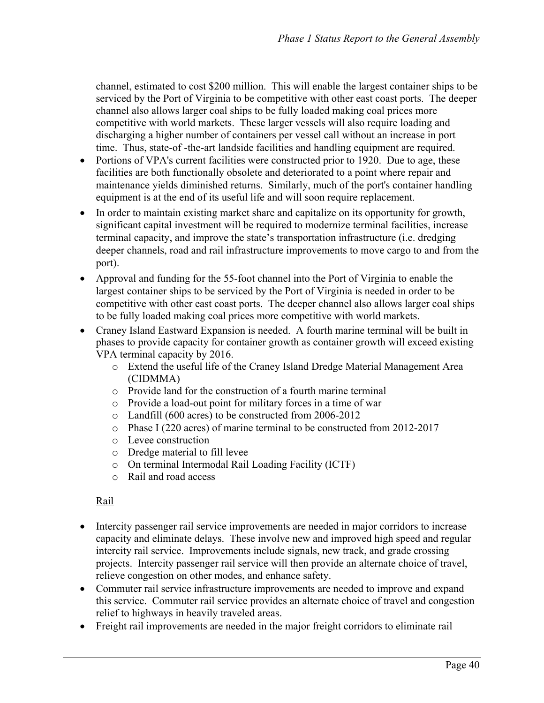channel, estimated to cost \$200 million. This will enable the largest container ships to be serviced by the Port of Virginia to be competitive with other east coast ports. The deeper channel also allows larger coal ships to be fully loaded making coal prices more competitive with world markets. These larger vessels will also require loading and discharging a higher number of containers per vessel call without an increase in port time. Thus, state-of -the-art landside facilities and handling equipment are required.

- Portions of VPA's current facilities were constructed prior to 1920. Due to age, these facilities are both functionally obsolete and deteriorated to a point where repair and maintenance yields diminished returns. Similarly, much of the port's container handling equipment is at the end of its useful life and will soon require replacement.
- In order to maintain existing market share and capitalize on its opportunity for growth, significant capital investment will be required to modernize terminal facilities, increase terminal capacity, and improve the state's transportation infrastructure (i.e. dredging deeper channels, road and rail infrastructure improvements to move cargo to and from the port).
- Approval and funding for the 55-foot channel into the Port of Virginia to enable the largest container ships to be serviced by the Port of Virginia is needed in order to be competitive with other east coast ports. The deeper channel also allows larger coal ships to be fully loaded making coal prices more competitive with world markets.
- Craney Island Eastward Expansion is needed. A fourth marine terminal will be built in phases to provide capacity for container growth as container growth will exceed existing VPA terminal capacity by 2016.
	- o Extend the useful life of the Craney Island Dredge Material Management Area (CIDMMA)
	- o Provide land for the construction of a fourth marine terminal
	- o Provide a load-out point for military forces in a time of war
	- o Landfill (600 acres) to be constructed from 2006-2012
	- o Phase I (220 acres) of marine terminal to be constructed from 2012-2017
	- o Levee construction
	- o Dredge material to fill levee
	- o On terminal Intermodal Rail Loading Facility (ICTF)
	- o Rail and road access

## Rail

- Intercity passenger rail service improvements are needed in major corridors to increase capacity and eliminate delays. These involve new and improved high speed and regular intercity rail service. Improvements include signals, new track, and grade crossing projects. Intercity passenger rail service will then provide an alternate choice of travel, relieve congestion on other modes, and enhance safety.
- Commuter rail service infrastructure improvements are needed to improve and expand this service. Commuter rail service provides an alternate choice of travel and congestion relief to highways in heavily traveled areas.
- Freight rail improvements are needed in the major freight corridors to eliminate rail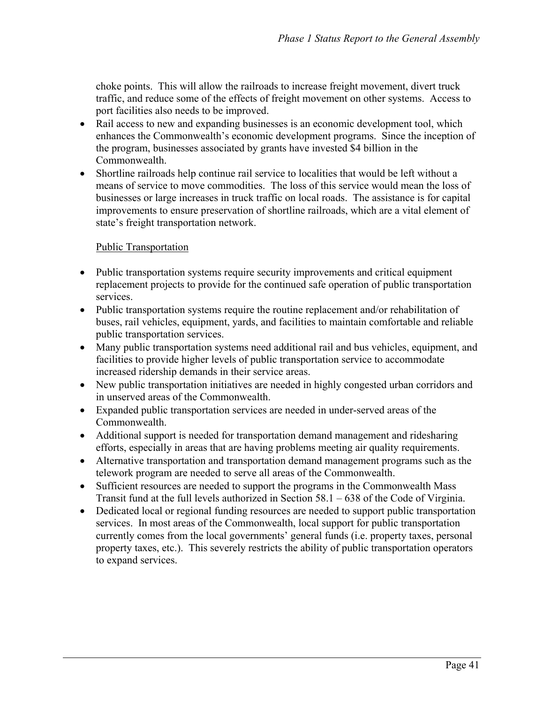choke points. This will allow the railroads to increase freight movement, divert truck traffic, and reduce some of the effects of freight movement on other systems. Access to port facilities also needs to be improved.

- Rail access to new and expanding businesses is an economic development tool, which enhances the Commonwealth's economic development programs. Since the inception of the program, businesses associated by grants have invested \$4 billion in the Commonwealth.
- Shortline railroads help continue rail service to localities that would be left without a means of service to move commodities. The loss of this service would mean the loss of businesses or large increases in truck traffic on local roads. The assistance is for capital improvements to ensure preservation of shortline railroads, which are a vital element of state's freight transportation network.

## Public Transportation

- Public transportation systems require security improvements and critical equipment replacement projects to provide for the continued safe operation of public transportation services.
- Public transportation systems require the routine replacement and/or rehabilitation of buses, rail vehicles, equipment, yards, and facilities to maintain comfortable and reliable public transportation services.
- Many public transportation systems need additional rail and bus vehicles, equipment, and facilities to provide higher levels of public transportation service to accommodate increased ridership demands in their service areas.
- New public transportation initiatives are needed in highly congested urban corridors and in unserved areas of the Commonwealth.
- Expanded public transportation services are needed in under-served areas of the Commonwealth.
- Additional support is needed for transportation demand management and ridesharing efforts, especially in areas that are having problems meeting air quality requirements.
- Alternative transportation and transportation demand management programs such as the telework program are needed to serve all areas of the Commonwealth.
- Sufficient resources are needed to support the programs in the Commonwealth Mass Transit fund at the full levels authorized in Section 58.1 – 638 of the Code of Virginia.
- Dedicated local or regional funding resources are needed to support public transportation services. In most areas of the Commonwealth, local support for public transportation currently comes from the local governments' general funds (i.e. property taxes, personal property taxes, etc.). This severely restricts the ability of public transportation operators to expand services.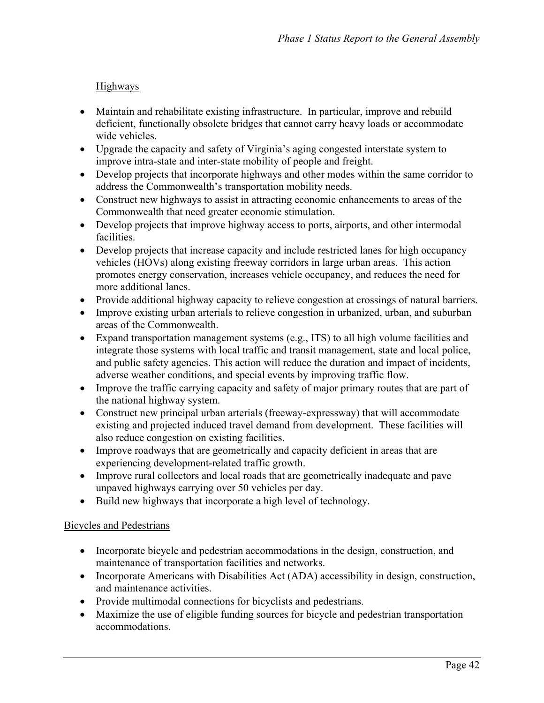# **Highways**

- Maintain and rehabilitate existing infrastructure. In particular, improve and rebuild deficient, functionally obsolete bridges that cannot carry heavy loads or accommodate wide vehicles.
- Upgrade the capacity and safety of Virginia's aging congested interstate system to improve intra-state and inter-state mobility of people and freight.
- Develop projects that incorporate highways and other modes within the same corridor to address the Commonwealth's transportation mobility needs.
- Construct new highways to assist in attracting economic enhancements to areas of the Commonwealth that need greater economic stimulation.
- Develop projects that improve highway access to ports, airports, and other intermodal facilities.
- Develop projects that increase capacity and include restricted lanes for high occupancy vehicles (HOVs) along existing freeway corridors in large urban areas. This action promotes energy conservation, increases vehicle occupancy, and reduces the need for more additional lanes.
- Provide additional highway capacity to relieve congestion at crossings of natural barriers.
- Improve existing urban arterials to relieve congestion in urbanized, urban, and suburban areas of the Commonwealth.
- Expand transportation management systems (e.g., ITS) to all high volume facilities and integrate those systems with local traffic and transit management, state and local police, and public safety agencies. This action will reduce the duration and impact of incidents, adverse weather conditions, and special events by improving traffic flow.
- Improve the traffic carrying capacity and safety of major primary routes that are part of the national highway system.
- Construct new principal urban arterials (freeway-expressway) that will accommodate existing and projected induced travel demand from development. These facilities will also reduce congestion on existing facilities.
- Improve roadways that are geometrically and capacity deficient in areas that are experiencing development-related traffic growth.
- Improve rural collectors and local roads that are geometrically inadequate and pave unpaved highways carrying over 50 vehicles per day.
- Build new highways that incorporate a high level of technology.

## Bicycles and Pedestrians

- Incorporate bicycle and pedestrian accommodations in the design, construction, and maintenance of transportation facilities and networks.
- Incorporate Americans with Disabilities Act (ADA) accessibility in design, construction, and maintenance activities.
- Provide multimodal connections for bicyclists and pedestrians.
- Maximize the use of eligible funding sources for bicycle and pedestrian transportation accommodations.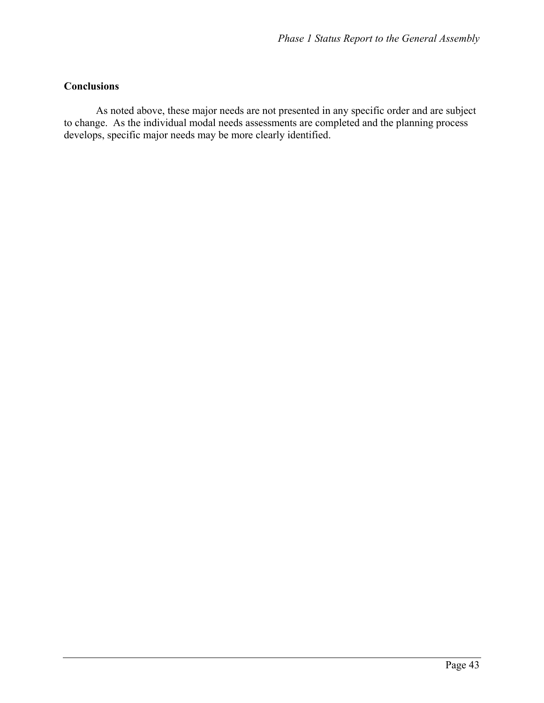## **Conclusions**

As noted above, these major needs are not presented in any specific order and are subject to change. As the individual modal needs assessments are completed and the planning process develops, specific major needs may be more clearly identified.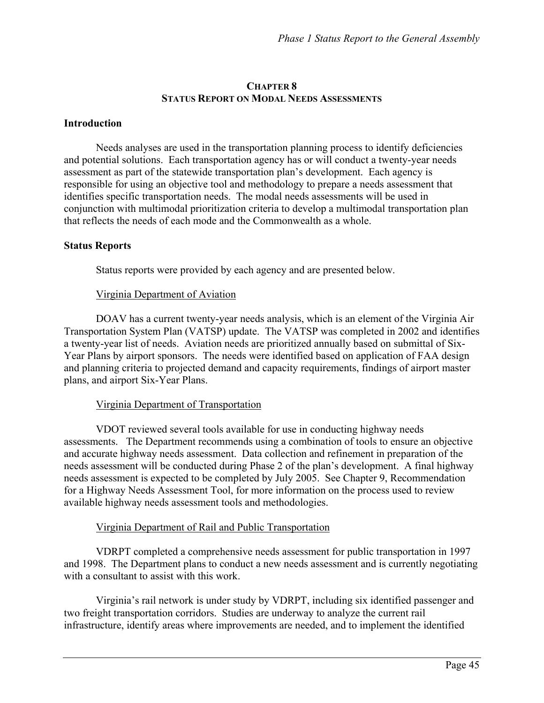## **CHAPTER 8 STATUS REPORT ON MODAL NEEDS ASSESSMENTS**

#### **Introduction**

Needs analyses are used in the transportation planning process to identify deficiencies and potential solutions. Each transportation agency has or will conduct a twenty-year needs assessment as part of the statewide transportation plan's development. Each agency is responsible for using an objective tool and methodology to prepare a needs assessment that identifies specific transportation needs. The modal needs assessments will be used in conjunction with multimodal prioritization criteria to develop a multimodal transportation plan that reflects the needs of each mode and the Commonwealth as a whole.

## **Status Reports**

Status reports were provided by each agency and are presented below.

## Virginia Department of Aviation

DOAV has a current twenty-year needs analysis, which is an element of the Virginia Air Transportation System Plan (VATSP) update. The VATSP was completed in 2002 and identifies a twenty-year list of needs. Aviation needs are prioritized annually based on submittal of Six-Year Plans by airport sponsors. The needs were identified based on application of FAA design and planning criteria to projected demand and capacity requirements, findings of airport master plans, and airport Six-Year Plans.

#### Virginia Department of Transportation

VDOT reviewed several tools available for use in conducting highway needs assessments. The Department recommends using a combination of tools to ensure an objective and accurate highway needs assessment. Data collection and refinement in preparation of the needs assessment will be conducted during Phase 2 of the plan's development. A final highway needs assessment is expected to be completed by July 2005. See Chapter 9, Recommendation for a Highway Needs Assessment Tool, for more information on the process used to review available highway needs assessment tools and methodologies.

#### Virginia Department of Rail and Public Transportation

VDRPT completed a comprehensive needs assessment for public transportation in 1997 and 1998. The Department plans to conduct a new needs assessment and is currently negotiating with a consultant to assist with this work.

 Virginia's rail network is under study by VDRPT, including six identified passenger and two freight transportation corridors. Studies are underway to analyze the current rail infrastructure, identify areas where improvements are needed, and to implement the identified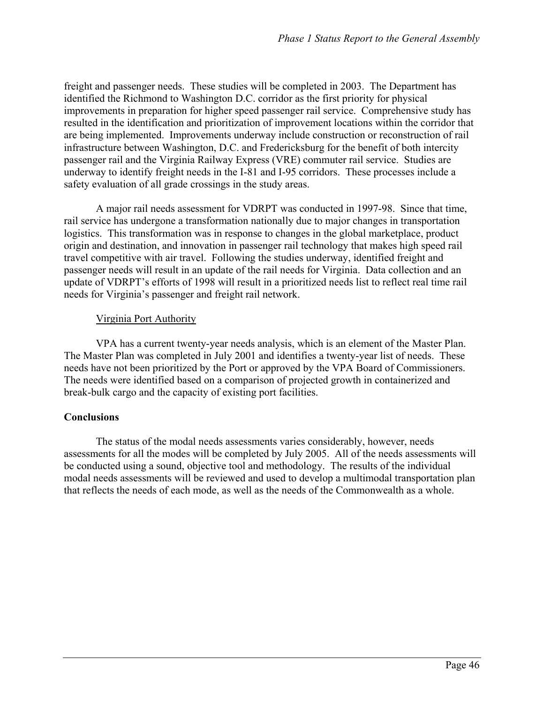freight and passenger needs. These studies will be completed in 2003. The Department has identified the Richmond to Washington D.C. corridor as the first priority for physical improvements in preparation for higher speed passenger rail service. Comprehensive study has resulted in the identification and prioritization of improvement locations within the corridor that are being implemented. Improvements underway include construction or reconstruction of rail infrastructure between Washington, D.C. and Fredericksburg for the benefit of both intercity passenger rail and the Virginia Railway Express (VRE) commuter rail service. Studies are underway to identify freight needs in the I-81 and I-95 corridors. These processes include a safety evaluation of all grade crossings in the study areas.

 A major rail needs assessment for VDRPT was conducted in 1997-98. Since that time, rail service has undergone a transformation nationally due to major changes in transportation logistics. This transformation was in response to changes in the global marketplace, product origin and destination, and innovation in passenger rail technology that makes high speed rail travel competitive with air travel. Following the studies underway, identified freight and passenger needs will result in an update of the rail needs for Virginia. Data collection and an update of VDRPT's efforts of 1998 will result in a prioritized needs list to reflect real time rail needs for Virginia's passenger and freight rail network.

## Virginia Port Authority

VPA has a current twenty-year needs analysis, which is an element of the Master Plan. The Master Plan was completed in July 2001 and identifies a twenty-year list of needs. These needs have not been prioritized by the Port or approved by the VPA Board of Commissioners. The needs were identified based on a comparison of projected growth in containerized and break-bulk cargo and the capacity of existing port facilities.

## **Conclusions**

The status of the modal needs assessments varies considerably, however, needs assessments for all the modes will be completed by July 2005. All of the needs assessments will be conducted using a sound, objective tool and methodology. The results of the individual modal needs assessments will be reviewed and used to develop a multimodal transportation plan that reflects the needs of each mode, as well as the needs of the Commonwealth as a whole.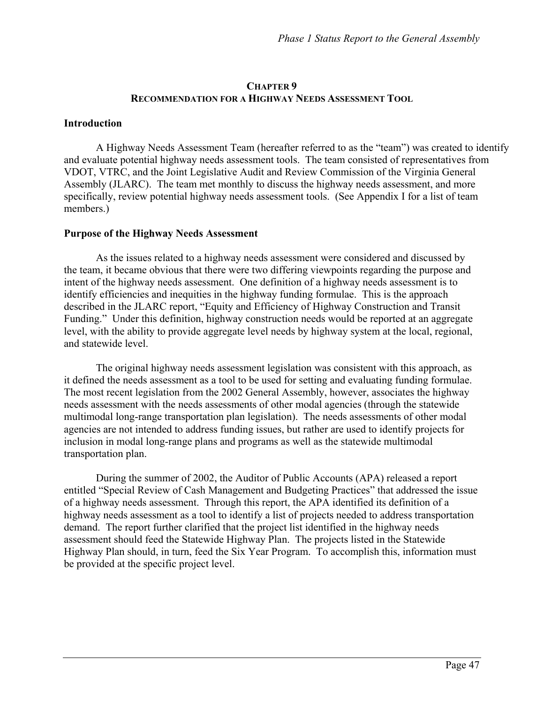## **CHAPTER 9 RECOMMENDATION FOR A HIGHWAY NEEDS ASSESSMENT TOOL**

#### **Introduction**

A Highway Needs Assessment Team (hereafter referred to as the "team") was created to identify and evaluate potential highway needs assessment tools. The team consisted of representatives from VDOT, VTRC, and the Joint Legislative Audit and Review Commission of the Virginia General Assembly (JLARC). The team met monthly to discuss the highway needs assessment, and more specifically, review potential highway needs assessment tools. (See Appendix I for a list of team members.)

## **Purpose of the Highway Needs Assessment**

As the issues related to a highway needs assessment were considered and discussed by the team, it became obvious that there were two differing viewpoints regarding the purpose and intent of the highway needs assessment. One definition of a highway needs assessment is to identify efficiencies and inequities in the highway funding formulae. This is the approach described in the JLARC report, "Equity and Efficiency of Highway Construction and Transit Funding." Under this definition, highway construction needs would be reported at an aggregate level, with the ability to provide aggregate level needs by highway system at the local, regional, and statewide level.

The original highway needs assessment legislation was consistent with this approach, as it defined the needs assessment as a tool to be used for setting and evaluating funding formulae. The most recent legislation from the 2002 General Assembly, however, associates the highway needs assessment with the needs assessments of other modal agencies (through the statewide multimodal long-range transportation plan legislation). The needs assessments of other modal agencies are not intended to address funding issues, but rather are used to identify projects for inclusion in modal long-range plans and programs as well as the statewide multimodal transportation plan.

During the summer of 2002, the Auditor of Public Accounts (APA) released a report entitled "Special Review of Cash Management and Budgeting Practices" that addressed the issue of a highway needs assessment. Through this report, the APA identified its definition of a highway needs assessment as a tool to identify a list of projects needed to address transportation demand. The report further clarified that the project list identified in the highway needs assessment should feed the Statewide Highway Plan. The projects listed in the Statewide Highway Plan should, in turn, feed the Six Year Program. To accomplish this, information must be provided at the specific project level.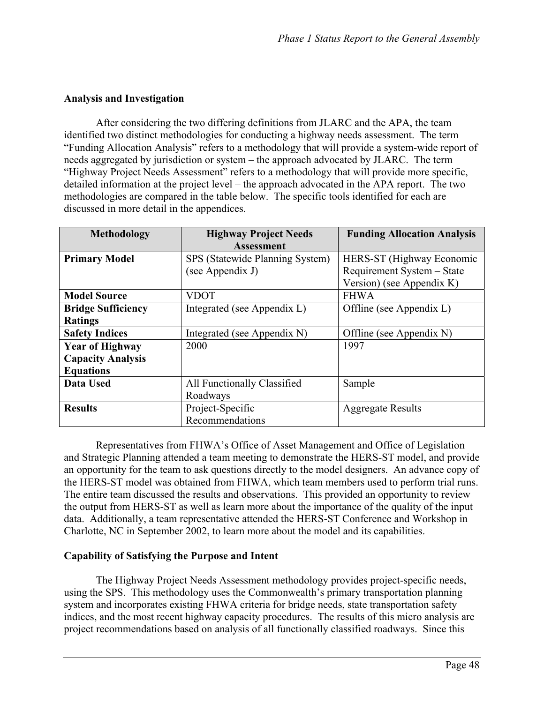## **Analysis and Investigation**

After considering the two differing definitions from JLARC and the APA, the team identified two distinct methodologies for conducting a highway needs assessment. The term "Funding Allocation Analysis" refers to a methodology that will provide a system-wide report of needs aggregated by jurisdiction or system – the approach advocated by JLARC. The term "Highway Project Needs Assessment" refers to a methodology that will provide more specific, detailed information at the project level – the approach advocated in the APA report. The two methodologies are compared in the table below. The specific tools identified for each are discussed in more detail in the appendices.

| Methodology               | <b>Highway Project Needs</b>    | <b>Funding Allocation Analysis</b> |
|---------------------------|---------------------------------|------------------------------------|
|                           | <b>Assessment</b>               |                                    |
| <b>Primary Model</b>      | SPS (Statewide Planning System) | HERS-ST (Highway Economic          |
|                           | (see Appendix J)                | Requirement System - State         |
|                           |                                 | Version) (see Appendix K)          |
| <b>Model Source</b>       | <b>VDOT</b>                     | <b>FHWA</b>                        |
| <b>Bridge Sufficiency</b> | Integrated (see Appendix L)     | Offline (see Appendix L)           |
| <b>Ratings</b>            |                                 |                                    |
| <b>Safety Indices</b>     | Integrated (see Appendix N)     | Offline (see Appendix N)           |
| <b>Year of Highway</b>    | 2000                            | 1997                               |
| <b>Capacity Analysis</b>  |                                 |                                    |
| <b>Equations</b>          |                                 |                                    |
| Data Used                 | All Functionally Classified     | Sample                             |
|                           | Roadways                        |                                    |
| <b>Results</b>            | Project-Specific                | <b>Aggregate Results</b>           |
|                           | Recommendations                 |                                    |

Representatives from FHWA's Office of Asset Management and Office of Legislation and Strategic Planning attended a team meeting to demonstrate the HERS-ST model, and provide an opportunity for the team to ask questions directly to the model designers. An advance copy of the HERS-ST model was obtained from FHWA, which team members used to perform trial runs. The entire team discussed the results and observations. This provided an opportunity to review the output from HERS-ST as well as learn more about the importance of the quality of the input data. Additionally, a team representative attended the HERS-ST Conference and Workshop in Charlotte, NC in September 2002, to learn more about the model and its capabilities.

## **Capability of Satisfying the Purpose and Intent**

The Highway Project Needs Assessment methodology provides project-specific needs, using the SPS. This methodology uses the Commonwealth's primary transportation planning system and incorporates existing FHWA criteria for bridge needs, state transportation safety indices, and the most recent highway capacity procedures. The results of this micro analysis are project recommendations based on analysis of all functionally classified roadways. Since this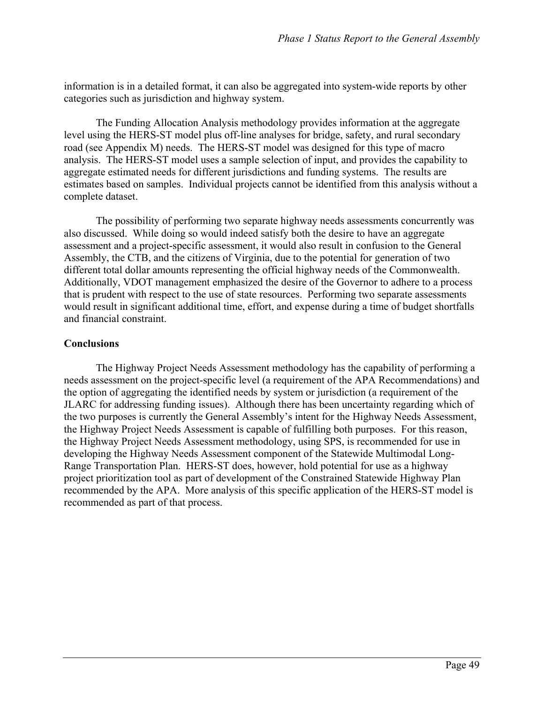information is in a detailed format, it can also be aggregated into system-wide reports by other categories such as jurisdiction and highway system.

The Funding Allocation Analysis methodology provides information at the aggregate level using the HERS-ST model plus off-line analyses for bridge, safety, and rural secondary road (see Appendix M) needs. The HERS-ST model was designed for this type of macro analysis. The HERS-ST model uses a sample selection of input, and provides the capability to aggregate estimated needs for different jurisdictions and funding systems. The results are estimates based on samples. Individual projects cannot be identified from this analysis without a complete dataset.

The possibility of performing two separate highway needs assessments concurrently was also discussed. While doing so would indeed satisfy both the desire to have an aggregate assessment and a project-specific assessment, it would also result in confusion to the General Assembly, the CTB, and the citizens of Virginia, due to the potential for generation of two different total dollar amounts representing the official highway needs of the Commonwealth. Additionally, VDOT management emphasized the desire of the Governor to adhere to a process that is prudent with respect to the use of state resources. Performing two separate assessments would result in significant additional time, effort, and expense during a time of budget shortfalls and financial constraint.

## **Conclusions**

The Highway Project Needs Assessment methodology has the capability of performing a needs assessment on the project-specific level (a requirement of the APA Recommendations) and the option of aggregating the identified needs by system or jurisdiction (a requirement of the JLARC for addressing funding issues). Although there has been uncertainty regarding which of the two purposes is currently the General Assembly's intent for the Highway Needs Assessment, the Highway Project Needs Assessment is capable of fulfilling both purposes. For this reason, the Highway Project Needs Assessment methodology, using SPS, is recommended for use in developing the Highway Needs Assessment component of the Statewide Multimodal Long-Range Transportation Plan. HERS-ST does, however, hold potential for use as a highway project prioritization tool as part of development of the Constrained Statewide Highway Plan recommended by the APA. More analysis of this specific application of the HERS-ST model is recommended as part of that process.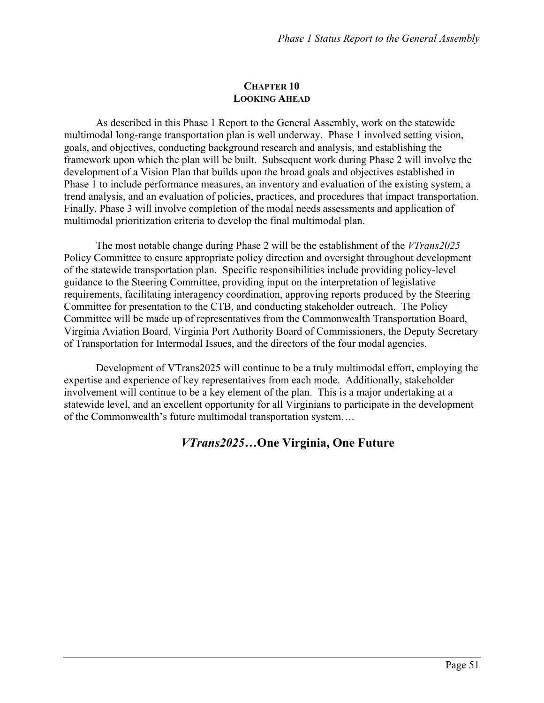## **CHAPTER 10 LOOKING AHEAD**

As described in this Phase 1 Report to the General Assembly, work on the statewide multimodal long-range transportation plan is well underway. Phase 1 involved setting vision, goals, and objectives, conducting background research and analysis, and establishing the framework upon which the plan will be built. Subsequent work during Phase 2 will involve the development of a Vision Plan that builds upon the broad goals and objectives established in Phase 1 to include performance measures, an inventory and evaluation of the existing system, a trend analysis, and an evaluation of policies, practices, and procedures that impact transportation. Finally, Phase 3 will involve completion of the modal needs assessments and application of multimodal prioritization criteria to develop the final multimodal plan.

The most notable change during Phase 2 will be the establishment of the *VTrans2025*  Policy Committee to ensure appropriate policy direction and oversight throughout development of the statewide transportation plan. Specific responsibilities include providing policy-level guidance to the Steering Committee, providing input on the interpretation of legislative requirements, facilitating interagency coordination, approving reports produced by the Steering Committee for presentation to the CTB, and conducting stakeholder outreach. The Policy Committee will be made up of representatives from the Commonwealth Transportation Board, Virginia Aviation Board, Virginia Port Authority Board of Commissioners, the Deputy Secretary of Transportation for Intermodal Issues, and the directors of the four modal agencies.

Development of VTrans2025 will continue to be a truly multimodal effort, employing the expertise and experience of key representatives from each mode. Additionally, stakeholder involvement will continue to be a key element of the plan. This is a major undertaking at a statewide level, and an excellent opportunity for all Virginians to participate in the development of the Commonwealth's future multimodal transportation system….

# *VTrans2025***…One Virginia, One Future**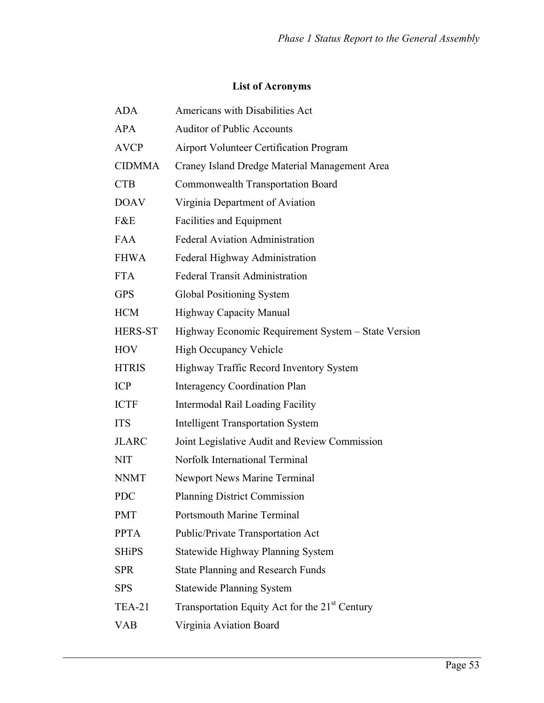# **List of Acronyms**

| <b>ADA</b>     | Americans with Disabilities Act                            |
|----------------|------------------------------------------------------------|
| APA            | <b>Auditor of Public Accounts</b>                          |
| <b>AVCP</b>    | <b>Airport Volunteer Certification Program</b>             |
| <b>CIDMMA</b>  | Craney Island Dredge Material Management Area              |
| <b>CTB</b>     | <b>Commonwealth Transportation Board</b>                   |
| <b>DOAV</b>    | Virginia Department of Aviation                            |
| F&E            | Facilities and Equipment                                   |
| <b>FAA</b>     | <b>Federal Aviation Administration</b>                     |
| <b>FHWA</b>    | Federal Highway Administration                             |
| <b>FTA</b>     | <b>Federal Transit Administration</b>                      |
| <b>GPS</b>     | Global Positioning System                                  |
| <b>HCM</b>     | <b>Highway Capacity Manual</b>                             |
| <b>HERS-ST</b> | Highway Economic Requirement System - State Version        |
| <b>HOV</b>     | <b>High Occupancy Vehicle</b>                              |
| <b>HTRIS</b>   | Highway Traffic Record Inventory System                    |
| <b>ICP</b>     | <b>Interagency Coordination Plan</b>                       |
| <b>ICTF</b>    | Intermodal Rail Loading Facility                           |
| <b>ITS</b>     | <b>Intelligent Transportation System</b>                   |
| <b>JLARC</b>   | Joint Legislative Audit and Review Commission              |
| <b>NIT</b>     | Norfolk International Terminal                             |
| <b>NNMT</b>    | <b>Newport News Marine Terminal</b>                        |
| <b>PDC</b>     | <b>Planning District Commission</b>                        |
| <b>PMT</b>     | <b>Portsmouth Marine Terminal</b>                          |
| <b>PPTA</b>    | Public/Private Transportation Act                          |
| SHiPS          | Statewide Highway Planning System                          |
| <b>SPR</b>     | <b>State Planning and Research Funds</b>                   |
| <b>SPS</b>     | <b>Statewide Planning System</b>                           |
| <b>TEA-21</b>  | Transportation Equity Act for the 21 <sup>st</sup> Century |
| <b>VAB</b>     | Virginia Aviation Board                                    |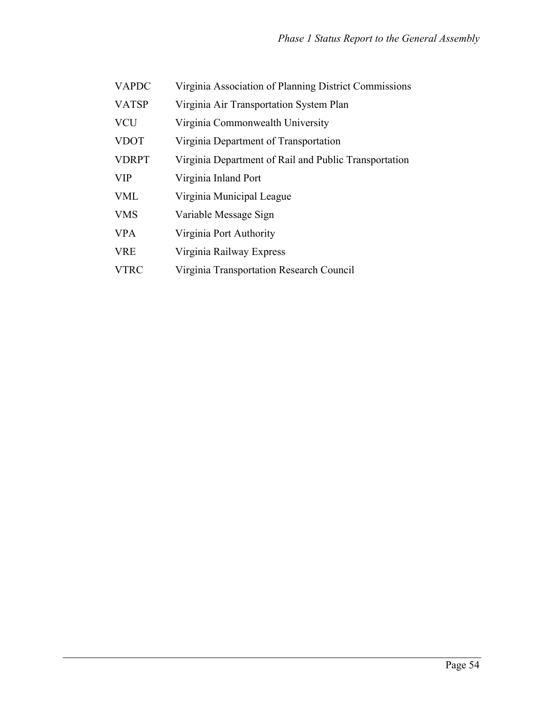- VAPDC Virginia Association of Planning District Commissions
- VATSP Virginia Air Transportation System Plan
- VCU Virginia Commonwealth University
- VDOT Virginia Department of Transportation
- VDRPT Virginia Department of Rail and Public Transportation
- VIP Virginia Inland Port
- VML Virginia Municipal League
- VMS Variable Message Sign
- VPA Virginia Port Authority
- VRE Virginia Railway Express
- VTRC Virginia Transportation Research Council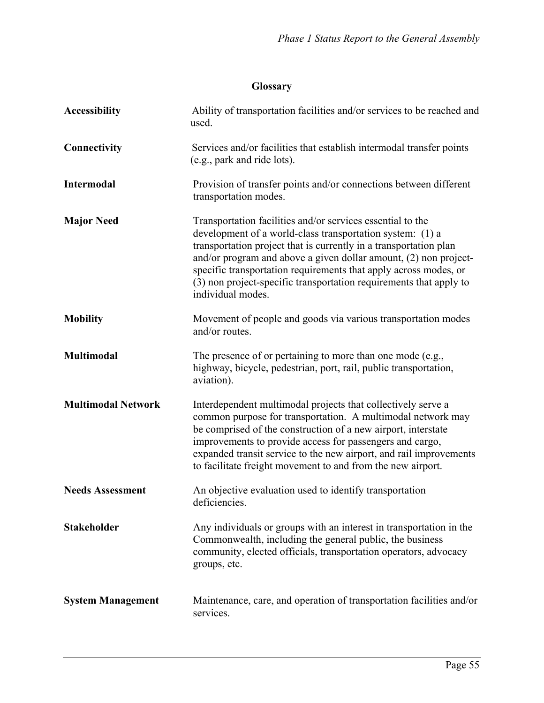# **Glossary**

| <b>Accessibility</b>      | Ability of transportation facilities and/or services to be reached and<br>used.                                                                                                                                                                                                                                                                                                                                                 |
|---------------------------|---------------------------------------------------------------------------------------------------------------------------------------------------------------------------------------------------------------------------------------------------------------------------------------------------------------------------------------------------------------------------------------------------------------------------------|
| Connectivity              | Services and/or facilities that establish intermodal transfer points<br>(e.g., park and ride lots).                                                                                                                                                                                                                                                                                                                             |
| <b>Intermodal</b>         | Provision of transfer points and/or connections between different<br>transportation modes.                                                                                                                                                                                                                                                                                                                                      |
| <b>Major Need</b>         | Transportation facilities and/or services essential to the<br>development of a world-class transportation system: (1) a<br>transportation project that is currently in a transportation plan<br>and/or program and above a given dollar amount, (2) non project-<br>specific transportation requirements that apply across modes, or<br>(3) non project-specific transportation requirements that apply to<br>individual modes. |
| <b>Mobility</b>           | Movement of people and goods via various transportation modes<br>and/or routes.                                                                                                                                                                                                                                                                                                                                                 |
| Multimodal                | The presence of or pertaining to more than one mode (e.g.,<br>highway, bicycle, pedestrian, port, rail, public transportation,<br>aviation).                                                                                                                                                                                                                                                                                    |
| <b>Multimodal Network</b> | Interdependent multimodal projects that collectively serve a<br>common purpose for transportation. A multimodal network may<br>be comprised of the construction of a new airport, interstate<br>improvements to provide access for passengers and cargo,<br>expanded transit service to the new airport, and rail improvements<br>to facilitate freight movement to and from the new airport.                                   |
| <b>Needs Assessment</b>   | An objective evaluation used to identify transportation<br>deficiencies.                                                                                                                                                                                                                                                                                                                                                        |
| <b>Stakeholder</b>        | Any individuals or groups with an interest in transportation in the<br>Commonwealth, including the general public, the business<br>community, elected officials, transportation operators, advocacy<br>groups, etc.                                                                                                                                                                                                             |
| <b>System Management</b>  | Maintenance, care, and operation of transportation facilities and/or<br>services.                                                                                                                                                                                                                                                                                                                                               |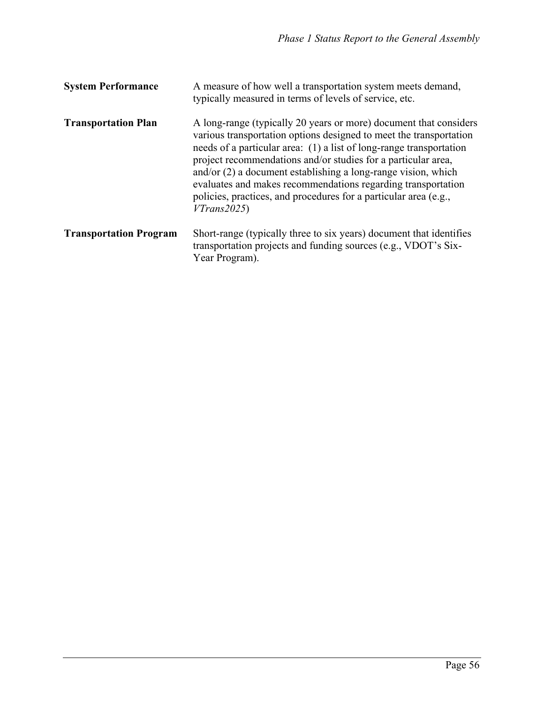| <b>System Performance</b>     | A measure of how well a transportation system meets demand,<br>typically measured in terms of levels of service, etc.                                                                                                                                                                                                                                                                                                                                                                                |
|-------------------------------|------------------------------------------------------------------------------------------------------------------------------------------------------------------------------------------------------------------------------------------------------------------------------------------------------------------------------------------------------------------------------------------------------------------------------------------------------------------------------------------------------|
| <b>Transportation Plan</b>    | A long-range (typically 20 years or more) document that considers<br>various transportation options designed to meet the transportation<br>needs of a particular area: (1) a list of long-range transportation<br>project recommendations and/or studies for a particular area,<br>$and/or (2)$ a document establishing a long-range vision, which<br>evaluates and makes recommendations regarding transportation<br>policies, practices, and procedures for a particular area (e.g.,<br>VTrans2025 |
| <b>Transportation Program</b> | Short-range (typically three to six years) document that identifies<br>transportation projects and funding sources (e.g., VDOT's Six-<br>Year Program).                                                                                                                                                                                                                                                                                                                                              |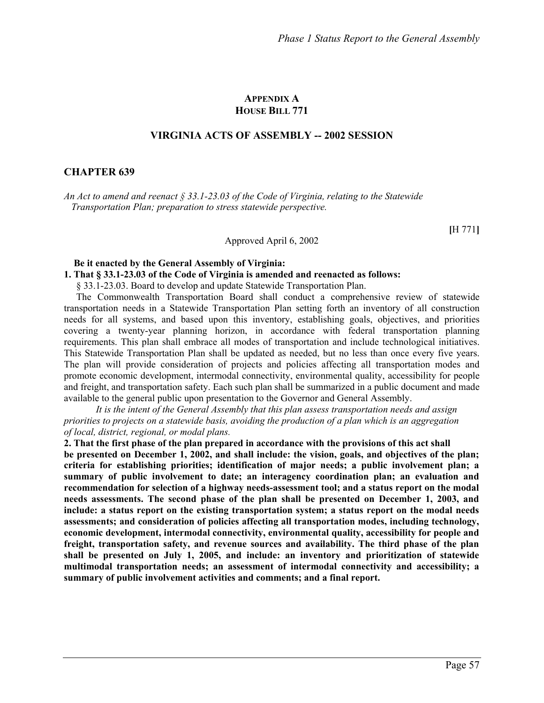#### **APPENDIX A HOUSE BILL 771**

#### **VIRGINIA ACTS OF ASSEMBLY -- 2002 SESSION**

## **CHAPTER 639**

*An Act to amend and reenact § 33.1-23.03 of the Code of Virginia, relating to the Statewide Transportation Plan; preparation to stress statewide perspective.* 

**[**H 771**]** 

#### Approved April 6, 2002

#### **Be it enacted by the General Assembly of Virginia:**

#### **1. That § 33.1-23.03 of the Code of Virginia is amended and reenacted as follows:**

§ 33.1-23.03. Board to develop and update Statewide Transportation Plan.

 The Commonwealth Transportation Board shall conduct a comprehensive review of statewide transportation needs in a Statewide Transportation Plan setting forth an inventory of all construction needs for all systems, and based upon this inventory, establishing goals, objectives, and priorities covering a twenty-year planning horizon, in accordance with federal transportation planning requirements. This plan shall embrace all modes of transportation and include technological initiatives. This Statewide Transportation Plan shall be updated as needed, but no less than once every five years. The plan will provide consideration of projects and policies affecting all transportation modes and promote economic development, intermodal connectivity, environmental quality, accessibility for people and freight, and transportation safety. Each such plan shall be summarized in a public document and made available to the general public upon presentation to the Governor and General Assembly.

*It is the intent of the General Assembly that this plan assess transportation needs and assign priorities to projects on a statewide basis, avoiding the production of a plan which is an aggregation of local, district, regional, or modal plans.*

**2. That the first phase of the plan prepared in accordance with the provisions of this act shall be presented on December 1, 2002, and shall include: the vision, goals, and objectives of the plan; criteria for establishing priorities; identification of major needs; a public involvement plan; a summary of public involvement to date; an interagency coordination plan; an evaluation and recommendation for selection of a highway needs-assessment tool; and a status report on the modal needs assessments. The second phase of the plan shall be presented on December 1, 2003, and include: a status report on the existing transportation system; a status report on the modal needs assessments; and consideration of policies affecting all transportation modes, including technology, economic development, intermodal connectivity, environmental quality, accessibility for people and freight, transportation safety, and revenue sources and availability. The third phase of the plan shall be presented on July 1, 2005, and include: an inventory and prioritization of statewide multimodal transportation needs; an assessment of intermodal connectivity and accessibility; a summary of public involvement activities and comments; and a final report.**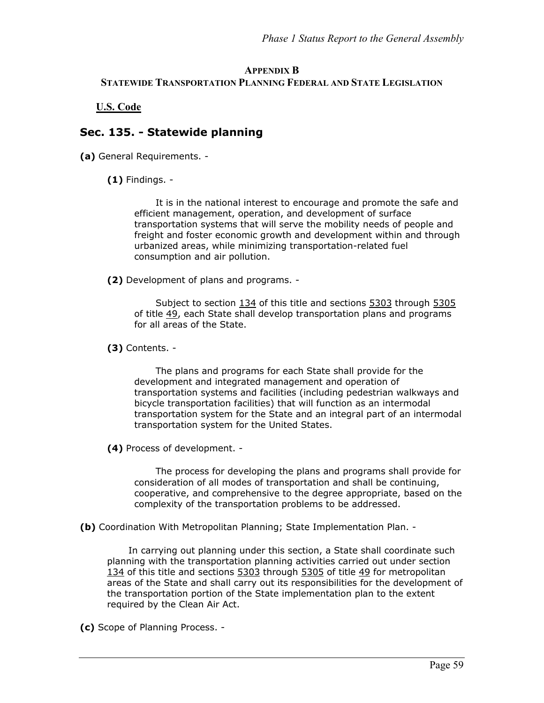#### **APPENDIX B**

#### **STATEWIDE TRANSPORTATION PLANNING FEDERAL AND STATE LEGISLATION**

#### **U.S. Code**

## **Sec. 135. - Statewide planning**

- **(a)** General Requirements.
	- **(1)** Findings. -

It is in the national interest to encourage and promote the safe and efficient management, operation, and development of surface transportation systems that will serve the mobility needs of people and freight and foster economic growth and development within and through urbanized areas, while minimizing transportation-related fuel consumption and air pollution.

**(2)** Development of plans and programs. -

Subject to section 134 of this title and sections 5303 through 5305 of title 49, each State shall develop transportation plans and programs for all areas of the State.

**(3)** Contents. -

The plans and programs for each State shall provide for the development and integrated management and operation of transportation systems and facilities (including pedestrian walkways and bicycle transportation facilities) that will function as an intermodal transportation system for the State and an integral part of an intermodal transportation system for the United States.

**(4)** Process of development. -

The process for developing the plans and programs shall provide for consideration of all modes of transportation and shall be continuing, cooperative, and comprehensive to the degree appropriate, based on the complexity of the transportation problems to be addressed.

**(b)** Coordination With Metropolitan Planning; State Implementation Plan. -

In carrying out planning under this section, a State shall coordinate such planning with the transportation planning activities carried out under section 134 of this title and sections 5303 through 5305 of title 49 for metropolitan areas of the State and shall carry out its responsibilities for the development of the transportation portion of the State implementation plan to the extent required by the Clean Air Act.

**(c)** Scope of Planning Process. -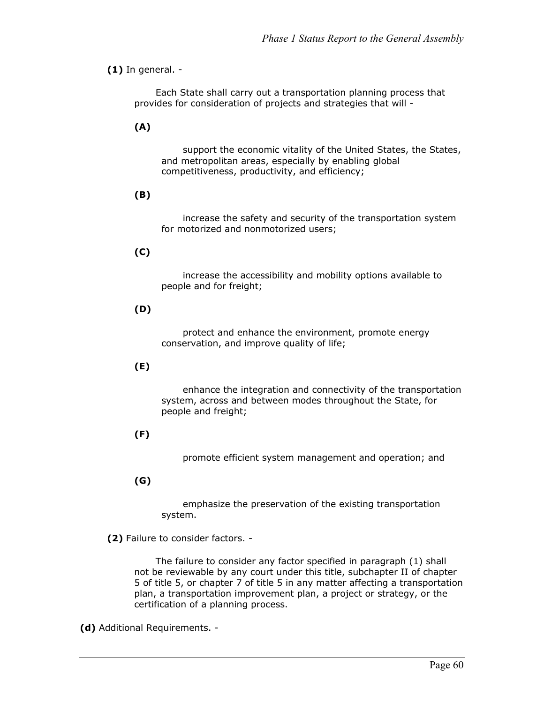## **(1)** In general. -

Each State shall carry out a transportation planning process that provides for consideration of projects and strategies that will -

## **(A)**

support the economic vitality of the United States, the States, and metropolitan areas, especially by enabling global competitiveness, productivity, and efficiency;

#### **(B)**

increase the safety and security of the transportation system for motorized and nonmotorized users;

## **(C)**

increase the accessibility and mobility options available to people and for freight;

## **(D)**

protect and enhance the environment, promote energy conservation, and improve quality of life;

## **(E)**

enhance the integration and connectivity of the transportation system, across and between modes throughout the State, for people and freight;

## **(F)**

promote efficient system management and operation; and

#### **(G)**

emphasize the preservation of the existing transportation system.

**(2)** Failure to consider factors. -

The failure to consider any factor specified in paragraph (1) shall not be reviewable by any court under this title, subchapter II of chapter 5 of title 5, or chapter 7 of title 5 in any matter affecting a transportation plan, a transportation improvement plan, a project or strategy, or the certification of a planning process.

**(d)** Additional Requirements. -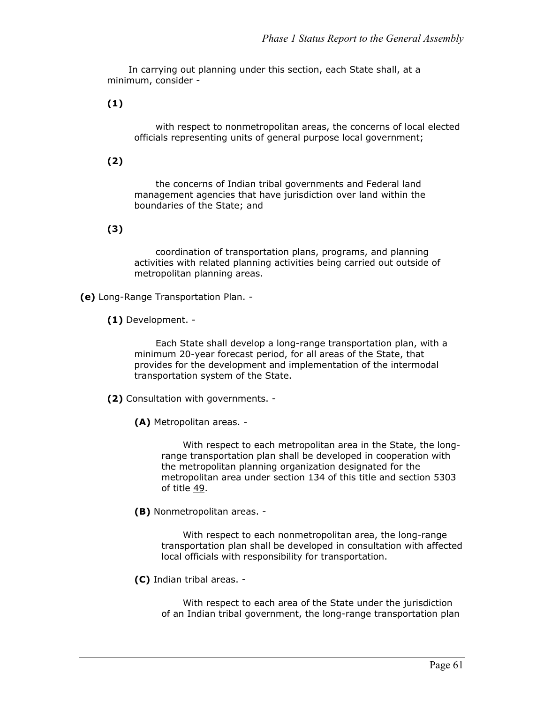In carrying out planning under this section, each State shall, at a minimum, consider -

**(1)** 

with respect to nonmetropolitan areas, the concerns of local elected officials representing units of general purpose local government;

**(2)** 

the concerns of Indian tribal governments and Federal land management agencies that have jurisdiction over land within the boundaries of the State; and

**(3)** 

coordination of transportation plans, programs, and planning activities with related planning activities being carried out outside of metropolitan planning areas.

**(e)** Long-Range Transportation Plan. -

**(1)** Development. -

Each State shall develop a long-range transportation plan, with a minimum 20-year forecast period, for all areas of the State, that provides for the development and implementation of the intermodal transportation system of the State.

**(2)** Consultation with governments. -

**(A)** Metropolitan areas. -

With respect to each metropolitan area in the State, the longrange transportation plan shall be developed in cooperation with the metropolitan planning organization designated for the metropolitan area under section 134 of this title and section 5303 of title 49.

**(B)** Nonmetropolitan areas. -

With respect to each nonmetropolitan area, the long-range transportation plan shall be developed in consultation with affected local officials with responsibility for transportation.

**(C)** Indian tribal areas. -

With respect to each area of the State under the jurisdiction of an Indian tribal government, the long-range transportation plan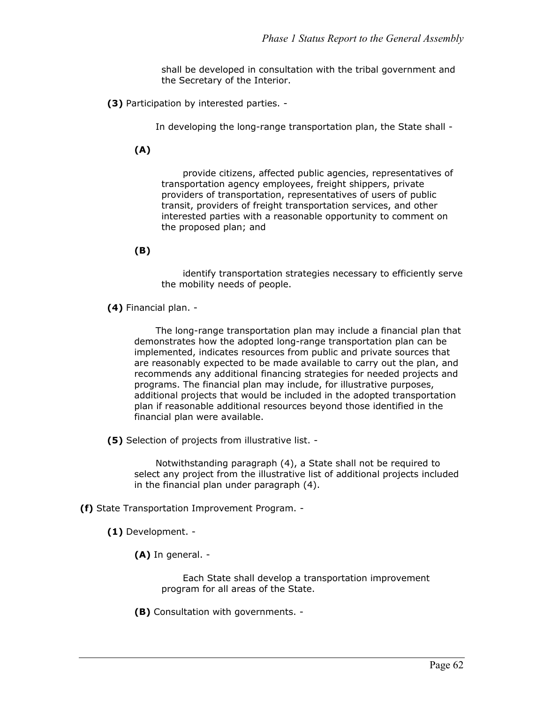shall be developed in consultation with the tribal government and the Secretary of the Interior.

**(3)** Participation by interested parties. -

In developing the long-range transportation plan, the State shall -

**(A)** 

provide citizens, affected public agencies, representatives of transportation agency employees, freight shippers, private providers of transportation, representatives of users of public transit, providers of freight transportation services, and other interested parties with a reasonable opportunity to comment on the proposed plan; and

**(B)** 

identify transportation strategies necessary to efficiently serve the mobility needs of people.

**(4)** Financial plan. -

The long-range transportation plan may include a financial plan that demonstrates how the adopted long-range transportation plan can be implemented, indicates resources from public and private sources that are reasonably expected to be made available to carry out the plan, and recommends any additional financing strategies for needed projects and programs. The financial plan may include, for illustrative purposes, additional projects that would be included in the adopted transportation plan if reasonable additional resources beyond those identified in the financial plan were available.

**(5)** Selection of projects from illustrative list. -

Notwithstanding paragraph (4), a State shall not be required to select any project from the illustrative list of additional projects included in the financial plan under paragraph (4).

**(f)** State Transportation Improvement Program. -

**(1)** Development. -

**(A)** In general. -

Each State shall develop a transportation improvement program for all areas of the State.

**(B)** Consultation with governments. -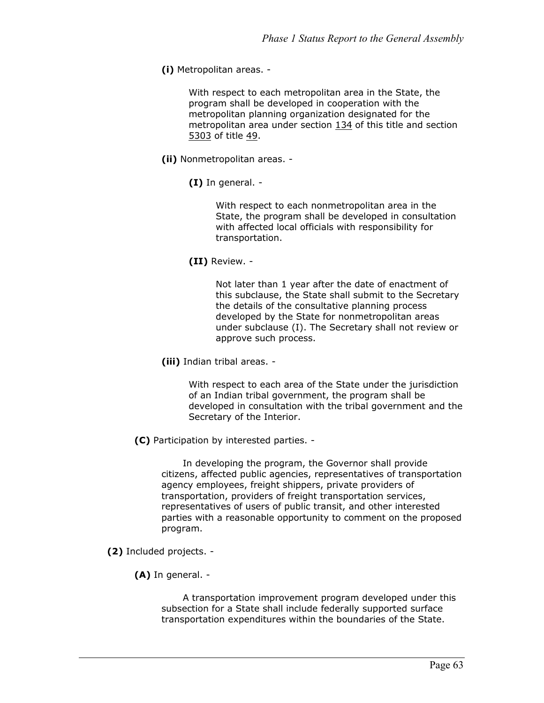**(i)** Metropolitan areas. -

With respect to each metropolitan area in the State, the program shall be developed in cooperation with the metropolitan planning organization designated for the metropolitan area under section 134 of this title and section 5303 of title 49.

- **(ii)** Nonmetropolitan areas.
	- **(I)** In general. -

With respect to each nonmetropolitan area in the State, the program shall be developed in consultation with affected local officials with responsibility for transportation.

**(II)** Review. -

Not later than 1 year after the date of enactment of this subclause, the State shall submit to the Secretary the details of the consultative planning process developed by the State for nonmetropolitan areas under subclause (I). The Secretary shall not review or approve such process.

**(iii)** Indian tribal areas. -

With respect to each area of the State under the jurisdiction of an Indian tribal government, the program shall be developed in consultation with the tribal government and the Secretary of the Interior.

**(C)** Participation by interested parties. -

In developing the program, the Governor shall provide citizens, affected public agencies, representatives of transportation agency employees, freight shippers, private providers of transportation, providers of freight transportation services, representatives of users of public transit, and other interested parties with a reasonable opportunity to comment on the proposed program.

**(2)** Included projects. -

**(A)** In general. -

A transportation improvement program developed under this subsection for a State shall include federally supported surface transportation expenditures within the boundaries of the State.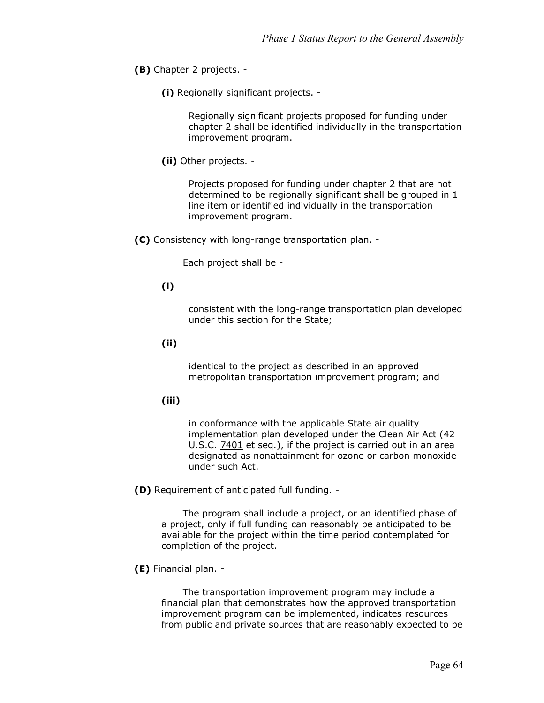**(B)** Chapter 2 projects. -

**(i)** Regionally significant projects. -

Regionally significant projects proposed for funding under chapter 2 shall be identified individually in the transportation improvement program.

**(ii)** Other projects. -

Projects proposed for funding under chapter 2 that are not determined to be regionally significant shall be grouped in 1 line item or identified individually in the transportation improvement program.

**(C)** Consistency with long-range transportation plan. -

Each project shall be -

#### **(i)**

consistent with the long-range transportation plan developed under this section for the State;

**(ii)** 

identical to the project as described in an approved metropolitan transportation improvement program; and

#### **(iii)**

in conformance with the applicable State air quality implementation plan developed under the Clean Air Act  $(42)$ U.S.C. **7401** et seq.), if the project is carried out in an area designated as nonattainment for ozone or carbon monoxide under such Act.

**(D)** Requirement of anticipated full funding. -

The program shall include a project, or an identified phase of a project, only if full funding can reasonably be anticipated to be available for the project within the time period contemplated for completion of the project.

**(E)** Financial plan. -

The transportation improvement program may include a financial plan that demonstrates how the approved transportation improvement program can be implemented, indicates resources from public and private sources that are reasonably expected to be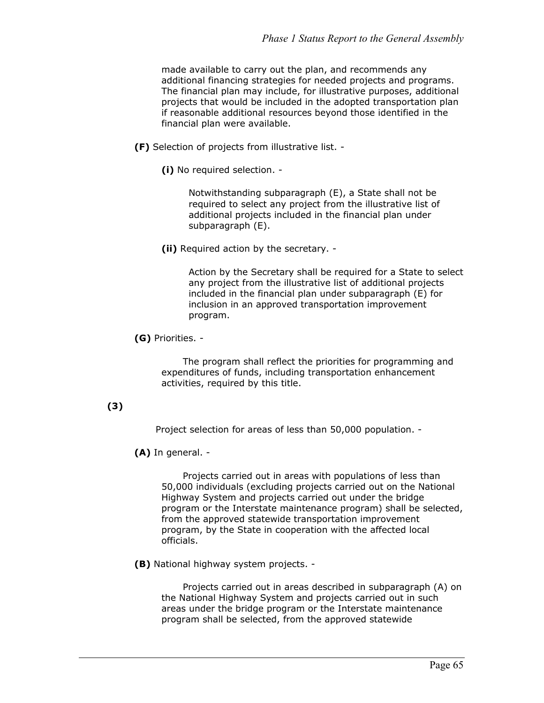made available to carry out the plan, and recommends any additional financing strategies for needed projects and programs. The financial plan may include, for illustrative purposes, additional projects that would be included in the adopted transportation plan if reasonable additional resources beyond those identified in the financial plan were available.

- **(F)** Selection of projects from illustrative list.
	- **(i)** No required selection. -

Notwithstanding subparagraph (E), a State shall not be required to select any project from the illustrative list of additional projects included in the financial plan under subparagraph (E).

**(ii)** Required action by the secretary. -

Action by the Secretary shall be required for a State to select any project from the illustrative list of additional projects included in the financial plan under subparagraph (E) for inclusion in an approved transportation improvement program.

**(G)** Priorities. -

The program shall reflect the priorities for programming and expenditures of funds, including transportation enhancement activities, required by this title.

**(3)** 

Project selection for areas of less than 50,000 population. -

**(A)** In general. -

Projects carried out in areas with populations of less than 50,000 individuals (excluding projects carried out on the National Highway System and projects carried out under the bridge program or the Interstate maintenance program) shall be selected, from the approved statewide transportation improvement program, by the State in cooperation with the affected local officials.

**(B)** National highway system projects. -

Projects carried out in areas described in subparagraph (A) on the National Highway System and projects carried out in such areas under the bridge program or the Interstate maintenance program shall be selected, from the approved statewide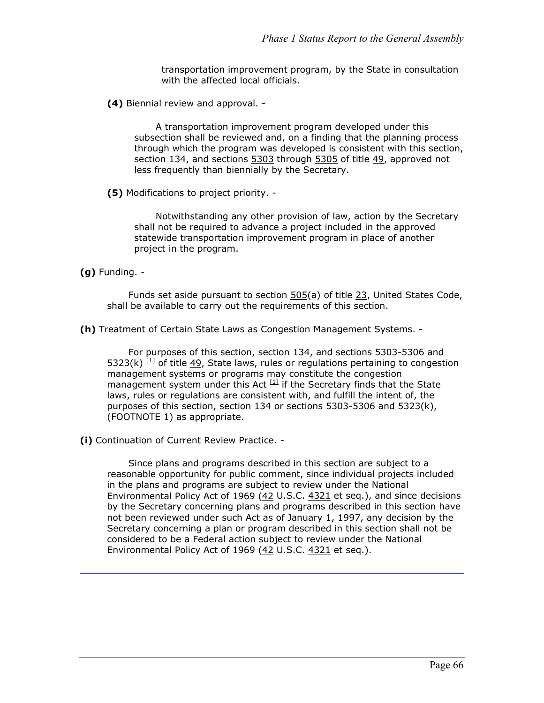transportation improvement program, by the State in consultation with the affected local officials.

**(4)** Biennial review and approval. -

A transportation improvement program developed under this subsection shall be reviewed and, on a finding that the planning process through which the program was developed is consistent with this section, section 134, and sections 5303 through 5305 of title 49, approved not less frequently than biennially by the Secretary.

**(5)** Modifications to project priority. -

Notwithstanding any other provision of law, action by the Secretary shall not be required to advance a project included in the approved statewide transportation improvement program in place of another project in the program.

**(g)** Funding. -

Funds set aside pursuant to section 505(a) of title 23, United States Code, shall be available to carry out the requirements of this section.

**(h)** Treatment of Certain State Laws as Congestion Management Systems. -

For purposes of this section, section 134, and sections 5303-5306 and 5323(k)  $[1]$  of title 49, State laws, rules or regulations pertaining to congestion management systems or programs may constitute the congestion management system under this Act  $[1]$  if the Secretary finds that the State laws, rules or regulations are consistent with, and fulfill the intent of, the purposes of this section, section 134 or sections 5303-5306 and 5323(k), (FOOTNOTE 1) as appropriate.

**(i)** Continuation of Current Review Practice. -

Since plans and programs described in this section are subject to a reasonable opportunity for public comment, since individual projects included in the plans and programs are subject to review under the National Environmental Policy Act of 1969 (42 U.S.C. 4321 et seq.), and since decisions by the Secretary concerning plans and programs described in this section have not been reviewed under such Act as of January 1, 1997, any decision by the Secretary concerning a plan or program described in this section shall not be considered to be a Federal action subject to review under the National Environmental Policy Act of 1969 (42 U.S.C. 4321 et seq.).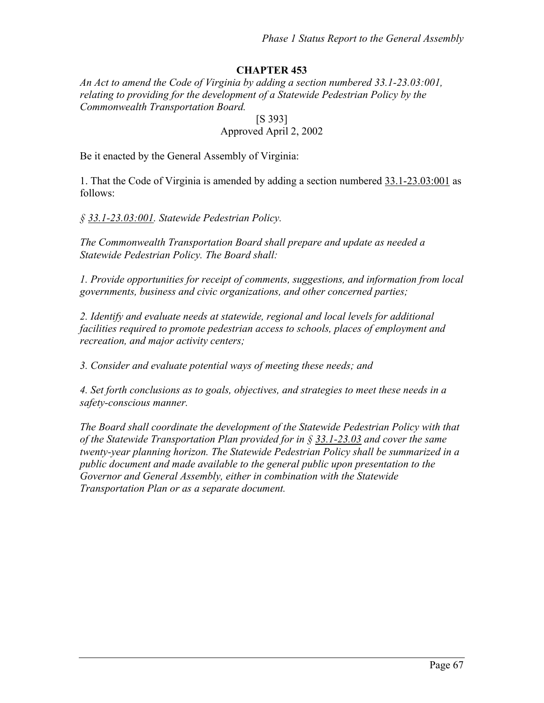# **CHAPTER 453**

*An Act to amend the Code of Virginia by adding a section numbered 33.1-23.03:001, relating to providing for the development of a Statewide Pedestrian Policy by the Commonwealth Transportation Board.* 

## [S 393]

# Approved April 2, 2002

Be it enacted by the General Assembly of Virginia:

1. That the Code of Virginia is amended by adding a section numbered 33.1-23.03:001 as follows:

*§ 33.1-23.03:001. Statewide Pedestrian Policy.*

*The Commonwealth Transportation Board shall prepare and update as needed a Statewide Pedestrian Policy. The Board shall:*

*1. Provide opportunities for receipt of comments, suggestions, and information from local governments, business and civic organizations, and other concerned parties;*

*2. Identify and evaluate needs at statewide, regional and local levels for additional facilities required to promote pedestrian access to schools, places of employment and recreation, and major activity centers;* 

*3. Consider and evaluate potential ways of meeting these needs; and*

*4. Set forth conclusions as to goals, objectives, and strategies to meet these needs in a safety-conscious manner.*

*The Board shall coordinate the development of the Statewide Pedestrian Policy with that of the Statewide Transportation Plan provided for in § 33.1-23.03 and cover the same twenty-year planning horizon. The Statewide Pedestrian Policy shall be summarized in a public document and made available to the general public upon presentation to the Governor and General Assembly, either in combination with the Statewide Transportation Plan or as a separate document.*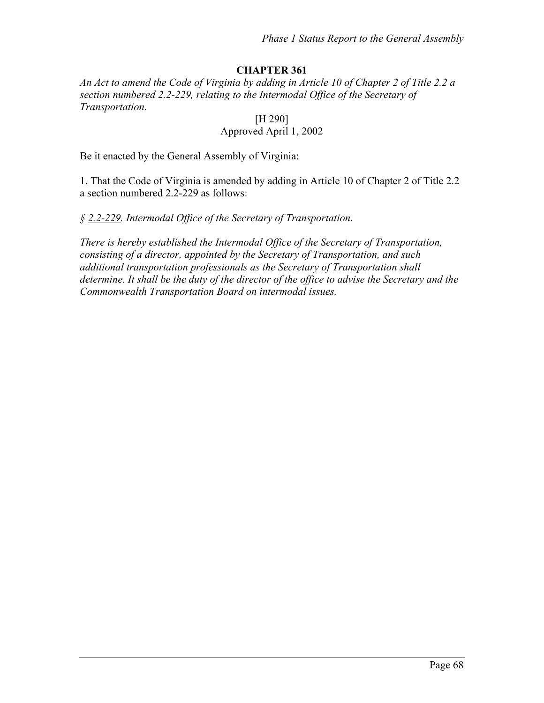# **CHAPTER 361**

*An Act to amend the Code of Virginia by adding in Article 10 of Chapter 2 of Title 2.2 a section numbered 2.2-229, relating to the Intermodal Office of the Secretary of Transportation.* 

# [H 290]

# Approved April 1, 2002

Be it enacted by the General Assembly of Virginia:

1. That the Code of Virginia is amended by adding in Article 10 of Chapter 2 of Title 2.2 a section numbered 2.2-229 as follows:

*§ 2.2-229. Intermodal Office of the Secretary of Transportation.*

*There is hereby established the Intermodal Office of the Secretary of Transportation, consisting of a director, appointed by the Secretary of Transportation, and such additional transportation professionals as the Secretary of Transportation shall determine. It shall be the duty of the director of the office to advise the Secretary and the Commonwealth Transportation Board on intermodal issues.*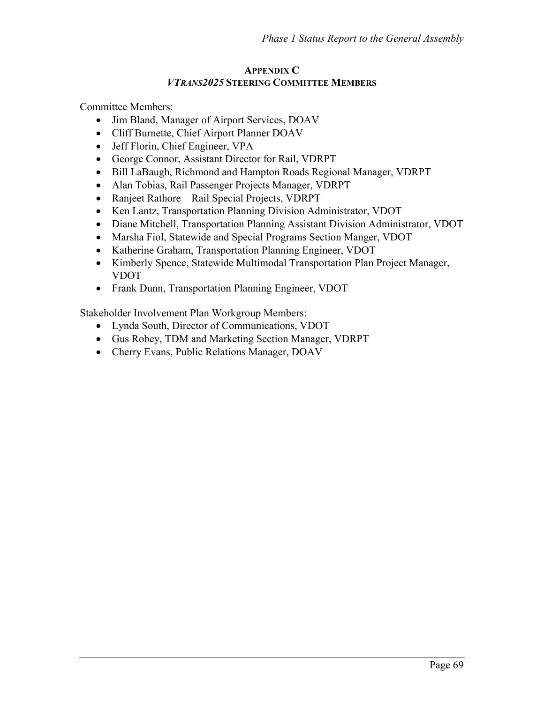## **APPENDIX C**  *VTRANS2025* **STEERING COMMITTEE MEMBERS**

Committee Members:

- Jim Bland, Manager of Airport Services, DOAV
- Cliff Burnette, Chief Airport Planner DOAV
- Jeff Florin, Chief Engineer, VPA
- George Connor, Assistant Director for Rail, VDRPT
- Bill LaBaugh, Richmond and Hampton Roads Regional Manager, VDRPT
- Alan Tobias, Rail Passenger Projects Manager, VDRPT
- Ranjeet Rathore Rail Special Projects, VDRPT
- Ken Lantz, Transportation Planning Division Administrator, VDOT
- Diane Mitchell, Transportation Planning Assistant Division Administrator, VDOT
- Marsha Fiol, Statewide and Special Programs Section Manger, VDOT
- Katherine Graham, Transportation Planning Engineer, VDOT
- Kimberly Spence, Statewide Multimodal Transportation Plan Project Manager, VDOT
- Frank Dunn, Transportation Planning Engineer, VDOT

Stakeholder Involvement Plan Workgroup Members:

- Lynda South, Director of Communications, VDOT
- Gus Robey, TDM and Marketing Section Manager, VDRPT
- Cherry Evans, Public Relations Manager, DOAV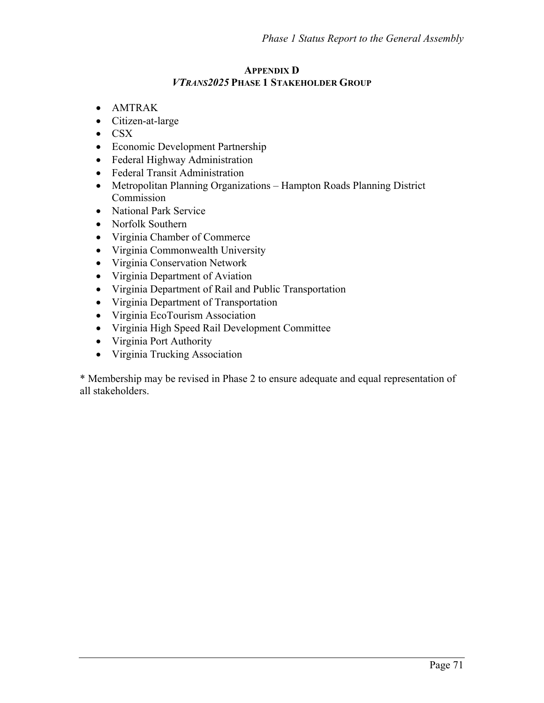### **APPENDIX D**  *VTRANS2025* **PHASE 1 STAKEHOLDER GROUP**

- AMTRAK
- Citizen-at-large
- CSX
- Economic Development Partnership
- Federal Highway Administration
- Federal Transit Administration
- Metropolitan Planning Organizations Hampton Roads Planning District Commission
- National Park Service
- Norfolk Southern
- Virginia Chamber of Commerce
- Virginia Commonwealth University
- Virginia Conservation Network
- Virginia Department of Aviation
- Virginia Department of Rail and Public Transportation
- Virginia Department of Transportation
- Virginia EcoTourism Association
- Virginia High Speed Rail Development Committee
- Virginia Port Authority
- Virginia Trucking Association

\* Membership may be revised in Phase 2 to ensure adequate and equal representation of all stakeholders.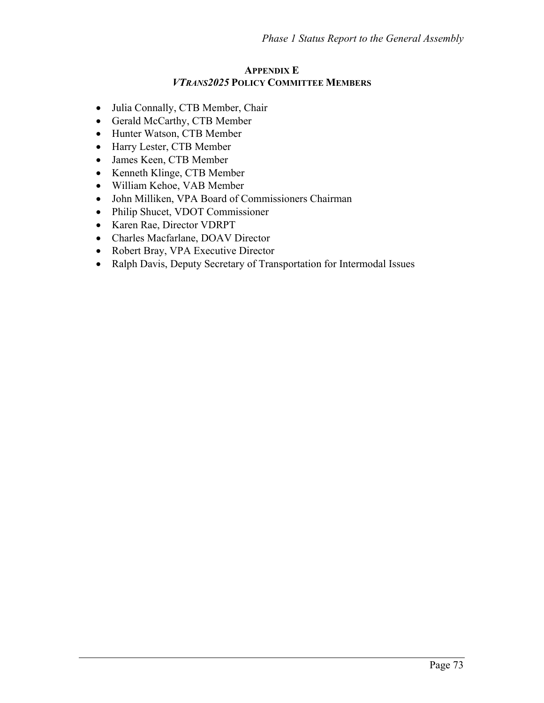## **APPENDIX E**  *VTRANS2025* **POLICY COMMITTEE MEMBERS**

- Julia Connally, CTB Member, Chair
- Gerald McCarthy, CTB Member
- Hunter Watson, CTB Member
- Harry Lester, CTB Member
- James Keen, CTB Member
- Kenneth Klinge, CTB Member
- William Kehoe, VAB Member
- John Milliken, VPA Board of Commissioners Chairman
- Philip Shucet, VDOT Commissioner
- Karen Rae, Director VDRPT
- Charles Macfarlane, DOAV Director
- Robert Bray, VPA Executive Director
- Ralph Davis, Deputy Secretary of Transportation for Intermodal Issues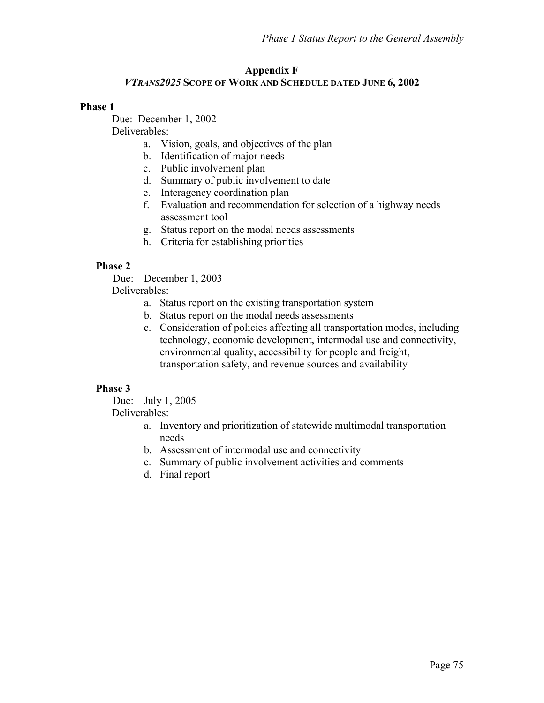## **Appendix F**  *VTRANS2025* **SCOPE OF WORK AND SCHEDULE DATED JUNE 6, 2002**

#### **Phase 1**

Due: December 1, 2002

Deliverables:

- a. Vision, goals, and objectives of the plan
- b. Identification of major needs
- c. Public involvement plan
- d. Summary of public involvement to date
- e. Interagency coordination plan
- f. Evaluation and recommendation for selection of a highway needs assessment tool
- g. Status report on the modal needs assessments
- h. Criteria for establishing priorities

## **Phase 2**

Due: December 1, 2003 Deliverables:

- a. Status report on the existing transportation system
- b. Status report on the modal needs assessments
- c. Consideration of policies affecting all transportation modes, including technology, economic development, intermodal use and connectivity, environmental quality, accessibility for people and freight, transportation safety, and revenue sources and availability

#### **Phase 3**

Due: July 1, 2005

Deliverables:

- a. Inventory and prioritization of statewide multimodal transportation needs
- b. Assessment of intermodal use and connectivity
- c. Summary of public involvement activities and comments
- d. Final report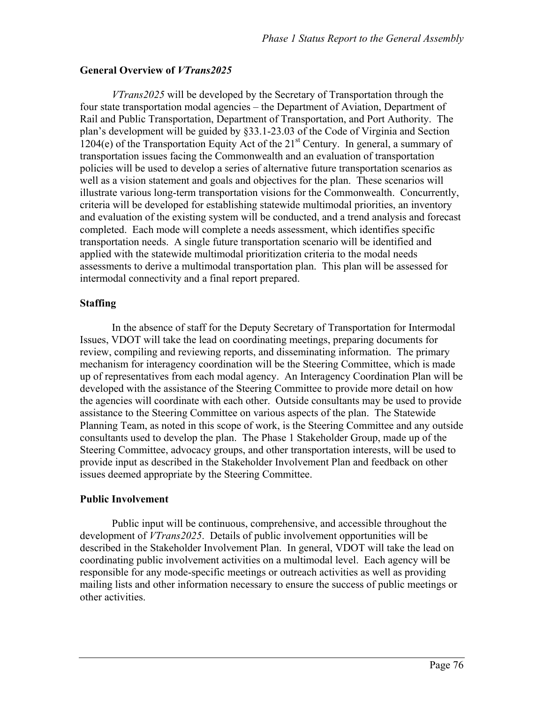# **General Overview of** *VTrans2025*

*VTrans2025* will be developed by the Secretary of Transportation through the four state transportation modal agencies – the Department of Aviation, Department of Rail and Public Transportation, Department of Transportation, and Port Authority. The plan's development will be guided by §33.1-23.03 of the Code of Virginia and Section 1204(e) of the Transportation Equity Act of the  $21<sup>st</sup>$  Century. In general, a summary of transportation issues facing the Commonwealth and an evaluation of transportation policies will be used to develop a series of alternative future transportation scenarios as well as a vision statement and goals and objectives for the plan. These scenarios will illustrate various long-term transportation visions for the Commonwealth. Concurrently, criteria will be developed for establishing statewide multimodal priorities, an inventory and evaluation of the existing system will be conducted, and a trend analysis and forecast completed. Each mode will complete a needs assessment, which identifies specific transportation needs. A single future transportation scenario will be identified and applied with the statewide multimodal prioritization criteria to the modal needs assessments to derive a multimodal transportation plan. This plan will be assessed for intermodal connectivity and a final report prepared.

## **Staffing**

In the absence of staff for the Deputy Secretary of Transportation for Intermodal Issues, VDOT will take the lead on coordinating meetings, preparing documents for review, compiling and reviewing reports, and disseminating information. The primary mechanism for interagency coordination will be the Steering Committee, which is made up of representatives from each modal agency. An Interagency Coordination Plan will be developed with the assistance of the Steering Committee to provide more detail on how the agencies will coordinate with each other. Outside consultants may be used to provide assistance to the Steering Committee on various aspects of the plan. The Statewide Planning Team, as noted in this scope of work, is the Steering Committee and any outside consultants used to develop the plan. The Phase 1 Stakeholder Group, made up of the Steering Committee, advocacy groups, and other transportation interests, will be used to provide input as described in the Stakeholder Involvement Plan and feedback on other issues deemed appropriate by the Steering Committee.

#### **Public Involvement**

Public input will be continuous, comprehensive, and accessible throughout the development of *VTrans2025*. Details of public involvement opportunities will be described in the Stakeholder Involvement Plan. In general, VDOT will take the lead on coordinating public involvement activities on a multimodal level. Each agency will be responsible for any mode-specific meetings or outreach activities as well as providing mailing lists and other information necessary to ensure the success of public meetings or other activities.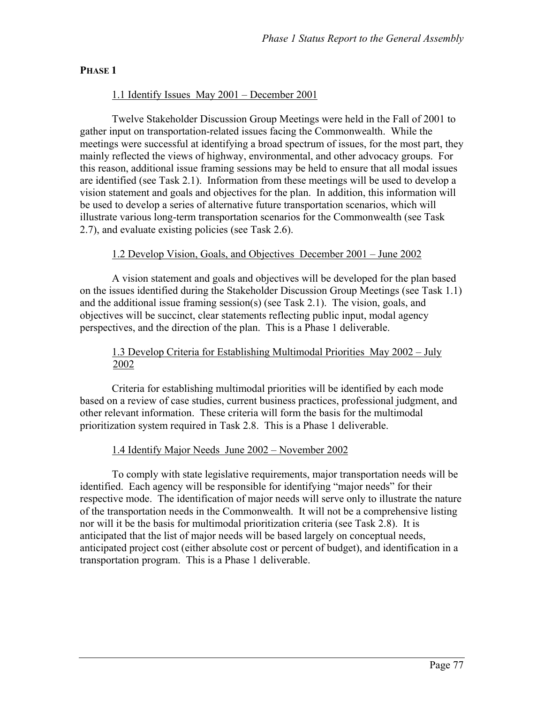# **PHASE 1**

# 1.1 Identify Issues May 2001 – December 2001

Twelve Stakeholder Discussion Group Meetings were held in the Fall of 2001 to gather input on transportation-related issues facing the Commonwealth. While the meetings were successful at identifying a broad spectrum of issues, for the most part, they mainly reflected the views of highway, environmental, and other advocacy groups. For this reason, additional issue framing sessions may be held to ensure that all modal issues are identified (see Task 2.1). Information from these meetings will be used to develop a vision statement and goals and objectives for the plan. In addition, this information will be used to develop a series of alternative future transportation scenarios, which will illustrate various long-term transportation scenarios for the Commonwealth (see Task 2.7), and evaluate existing policies (see Task 2.6).

## 1.2 Develop Vision, Goals, and Objectives December 2001 – June 2002

A vision statement and goals and objectives will be developed for the plan based on the issues identified during the Stakeholder Discussion Group Meetings (see Task 1.1) and the additional issue framing session(s) (see Task 2.1). The vision, goals, and objectives will be succinct, clear statements reflecting public input, modal agency perspectives, and the direction of the plan. This is a Phase 1 deliverable.

## 1.3 Develop Criteria for Establishing Multimodal Priorities May 2002 – July 2002

Criteria for establishing multimodal priorities will be identified by each mode based on a review of case studies, current business practices, professional judgment, and other relevant information. These criteria will form the basis for the multimodal prioritization system required in Task 2.8. This is a Phase 1 deliverable.

## 1.4 Identify Major Needs June 2002 – November 2002

To comply with state legislative requirements, major transportation needs will be identified. Each agency will be responsible for identifying "major needs" for their respective mode. The identification of major needs will serve only to illustrate the nature of the transportation needs in the Commonwealth. It will not be a comprehensive listing nor will it be the basis for multimodal prioritization criteria (see Task 2.8). It is anticipated that the list of major needs will be based largely on conceptual needs, anticipated project cost (either absolute cost or percent of budget), and identification in a transportation program. This is a Phase 1 deliverable.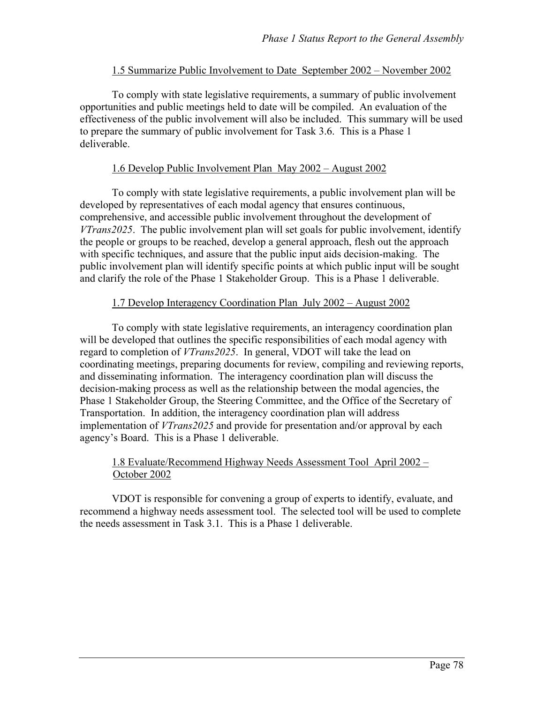## 1.5 Summarize Public Involvement to Date September 2002 – November 2002

To comply with state legislative requirements, a summary of public involvement opportunities and public meetings held to date will be compiled. An evaluation of the effectiveness of the public involvement will also be included. This summary will be used to prepare the summary of public involvement for Task 3.6. This is a Phase 1 deliverable.

## 1.6 Develop Public Involvement Plan May 2002 – August 2002

To comply with state legislative requirements, a public involvement plan will be developed by representatives of each modal agency that ensures continuous, comprehensive, and accessible public involvement throughout the development of *VTrans2025*. The public involvement plan will set goals for public involvement, identify the people or groups to be reached, develop a general approach, flesh out the approach with specific techniques, and assure that the public input aids decision-making. The public involvement plan will identify specific points at which public input will be sought and clarify the role of the Phase 1 Stakeholder Group. This is a Phase 1 deliverable.

## 1.7 Develop Interagency Coordination Plan July 2002 – August 2002

To comply with state legislative requirements, an interagency coordination plan will be developed that outlines the specific responsibilities of each modal agency with regard to completion of *VTrans2025*. In general, VDOT will take the lead on coordinating meetings, preparing documents for review, compiling and reviewing reports, and disseminating information. The interagency coordination plan will discuss the decision-making process as well as the relationship between the modal agencies, the Phase 1 Stakeholder Group, the Steering Committee, and the Office of the Secretary of Transportation. In addition, the interagency coordination plan will address implementation of *VTrans2025* and provide for presentation and/or approval by each agency's Board. This is a Phase 1 deliverable.

## 1.8 Evaluate/Recommend Highway Needs Assessment Tool April 2002 – October 2002

VDOT is responsible for convening a group of experts to identify, evaluate, and recommend a highway needs assessment tool. The selected tool will be used to complete the needs assessment in Task 3.1. This is a Phase 1 deliverable.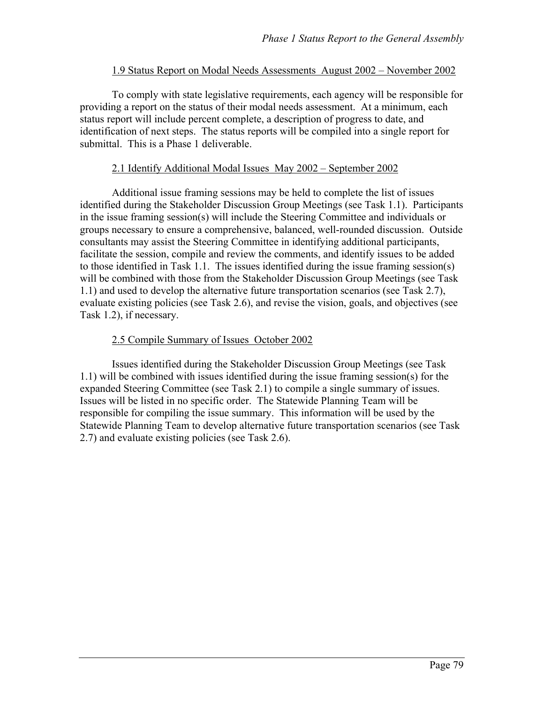## 1.9 Status Report on Modal Needs Assessments August 2002 – November 2002

To comply with state legislative requirements, each agency will be responsible for providing a report on the status of their modal needs assessment. At a minimum, each status report will include percent complete, a description of progress to date, and identification of next steps. The status reports will be compiled into a single report for submittal. This is a Phase 1 deliverable.

## 2.1 Identify Additional Modal Issues May 2002 – September 2002

Additional issue framing sessions may be held to complete the list of issues identified during the Stakeholder Discussion Group Meetings (see Task 1.1). Participants in the issue framing session(s) will include the Steering Committee and individuals or groups necessary to ensure a comprehensive, balanced, well-rounded discussion. Outside consultants may assist the Steering Committee in identifying additional participants, facilitate the session, compile and review the comments, and identify issues to be added to those identified in Task 1.1. The issues identified during the issue framing session(s) will be combined with those from the Stakeholder Discussion Group Meetings (see Task 1.1) and used to develop the alternative future transportation scenarios (see Task 2.7), evaluate existing policies (see Task 2.6), and revise the vision, goals, and objectives (see Task 1.2), if necessary.

## 2.5 Compile Summary of Issues October 2002

Issues identified during the Stakeholder Discussion Group Meetings (see Task 1.1) will be combined with issues identified during the issue framing session(s) for the expanded Steering Committee (see Task 2.1) to compile a single summary of issues. Issues will be listed in no specific order. The Statewide Planning Team will be responsible for compiling the issue summary. This information will be used by the Statewide Planning Team to develop alternative future transportation scenarios (see Task 2.7) and evaluate existing policies (see Task 2.6).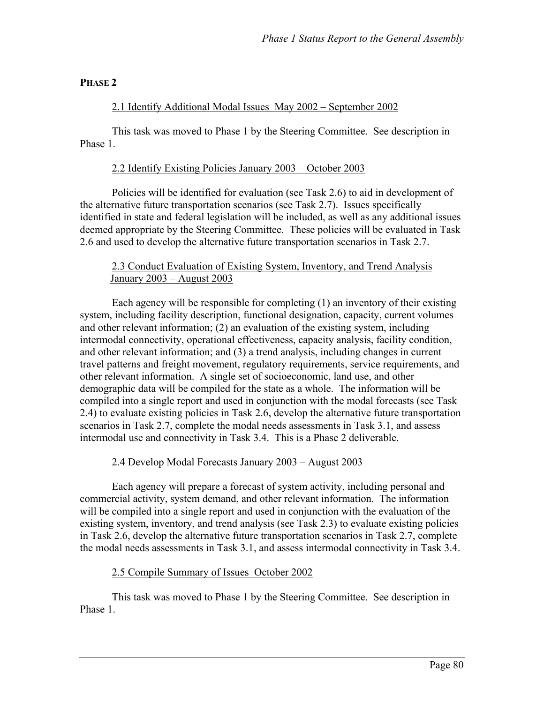# **PHASE 2**

# 2.1 Identify Additional Modal Issues May 2002 – September 2002

 This task was moved to Phase 1 by the Steering Committee. See description in Phase 1.

# 2.2 Identify Existing Policies January 2003 – October 2003

Policies will be identified for evaluation (see Task 2.6) to aid in development of the alternative future transportation scenarios (see Task 2.7). Issues specifically identified in state and federal legislation will be included, as well as any additional issues deemed appropriate by the Steering Committee. These policies will be evaluated in Task 2.6 and used to develop the alternative future transportation scenarios in Task 2.7.

# 2.3 Conduct Evaluation of Existing System, Inventory, and Trend Analysis January 2003 – August 2003

Each agency will be responsible for completing (1) an inventory of their existing system, including facility description, functional designation, capacity, current volumes and other relevant information; (2) an evaluation of the existing system, including intermodal connectivity, operational effectiveness, capacity analysis, facility condition, and other relevant information; and (3) a trend analysis, including changes in current travel patterns and freight movement, regulatory requirements, service requirements, and other relevant information. A single set of socioeconomic, land use, and other demographic data will be compiled for the state as a whole. The information will be compiled into a single report and used in conjunction with the modal forecasts (see Task 2.4) to evaluate existing policies in Task 2.6, develop the alternative future transportation scenarios in Task 2.7, complete the modal needs assessments in Task 3.1, and assess intermodal use and connectivity in Task 3.4. This is a Phase 2 deliverable.

# 2.4 Develop Modal Forecasts January 2003 – August 2003

Each agency will prepare a forecast of system activity, including personal and commercial activity, system demand, and other relevant information. The information will be compiled into a single report and used in conjunction with the evaluation of the existing system, inventory, and trend analysis (see Task 2.3) to evaluate existing policies in Task 2.6, develop the alternative future transportation scenarios in Task 2.7, complete the modal needs assessments in Task 3.1, and assess intermodal connectivity in Task 3.4.

# 2.5 Compile Summary of Issues October 2002

This task was moved to Phase 1 by the Steering Committee. See description in Phase 1.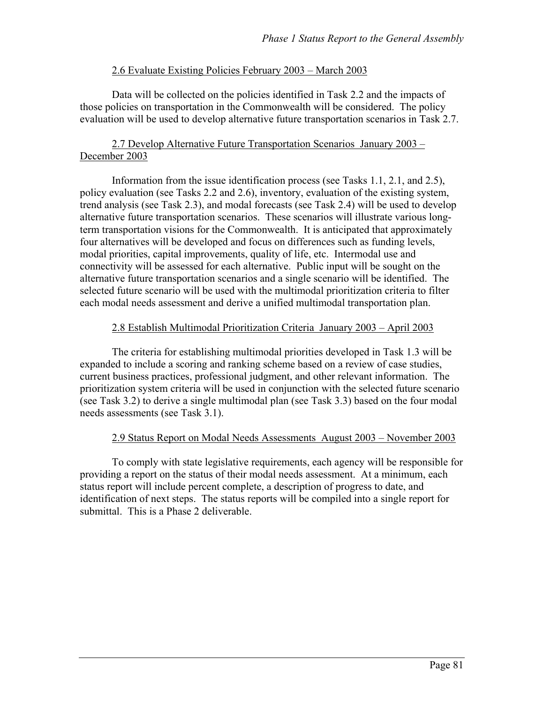## 2.6 Evaluate Existing Policies February 2003 – March 2003

Data will be collected on the policies identified in Task 2.2 and the impacts of those policies on transportation in the Commonwealth will be considered. The policy evaluation will be used to develop alternative future transportation scenarios in Task 2.7.

## 2.7 Develop Alternative Future Transportation Scenarios January 2003 – December 2003

Information from the issue identification process (see Tasks 1.1, 2.1, and 2.5), policy evaluation (see Tasks 2.2 and 2.6), inventory, evaluation of the existing system, trend analysis (see Task 2.3), and modal forecasts (see Task 2.4) will be used to develop alternative future transportation scenarios. These scenarios will illustrate various longterm transportation visions for the Commonwealth. It is anticipated that approximately four alternatives will be developed and focus on differences such as funding levels, modal priorities, capital improvements, quality of life, etc. Intermodal use and connectivity will be assessed for each alternative. Public input will be sought on the alternative future transportation scenarios and a single scenario will be identified. The selected future scenario will be used with the multimodal prioritization criteria to filter each modal needs assessment and derive a unified multimodal transportation plan.

## 2.8 Establish Multimodal Prioritization Criteria January 2003 – April 2003

The criteria for establishing multimodal priorities developed in Task 1.3 will be expanded to include a scoring and ranking scheme based on a review of case studies, current business practices, professional judgment, and other relevant information. The prioritization system criteria will be used in conjunction with the selected future scenario (see Task 3.2) to derive a single multimodal plan (see Task 3.3) based on the four modal needs assessments (see Task 3.1).

## 2.9 Status Report on Modal Needs Assessments August 2003 – November 2003

To comply with state legislative requirements, each agency will be responsible for providing a report on the status of their modal needs assessment. At a minimum, each status report will include percent complete, a description of progress to date, and identification of next steps. The status reports will be compiled into a single report for submittal. This is a Phase 2 deliverable.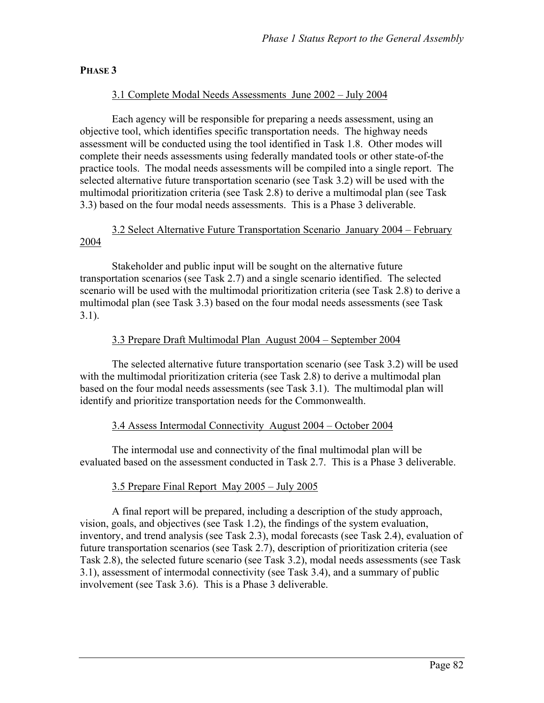# **PHASE 3**

# 3.1 Complete Modal Needs Assessments June 2002 – July 2004

Each agency will be responsible for preparing a needs assessment, using an objective tool, which identifies specific transportation needs. The highway needs assessment will be conducted using the tool identified in Task 1.8. Other modes will complete their needs assessments using federally mandated tools or other state-of-the practice tools. The modal needs assessments will be compiled into a single report. The selected alternative future transportation scenario (see Task 3.2) will be used with the multimodal prioritization criteria (see Task 2.8) to derive a multimodal plan (see Task 3.3) based on the four modal needs assessments. This is a Phase 3 deliverable.

## 3.2 Select Alternative Future Transportation Scenario January 2004 – February 2004

Stakeholder and public input will be sought on the alternative future transportation scenarios (see Task 2.7) and a single scenario identified. The selected scenario will be used with the multimodal prioritization criteria (see Task 2.8) to derive a multimodal plan (see Task 3.3) based on the four modal needs assessments (see Task 3.1).

## 3.3 Prepare Draft Multimodal Plan August 2004 – September 2004

The selected alternative future transportation scenario (see Task 3.2) will be used with the multimodal prioritization criteria (see Task 2.8) to derive a multimodal plan based on the four modal needs assessments (see Task 3.1). The multimodal plan will identify and prioritize transportation needs for the Commonwealth.

## 3.4 Assess Intermodal Connectivity August 2004 – October 2004

The intermodal use and connectivity of the final multimodal plan will be evaluated based on the assessment conducted in Task 2.7. This is a Phase 3 deliverable.

# 3.5 Prepare Final Report May 2005 – July 2005

A final report will be prepared, including a description of the study approach, vision, goals, and objectives (see Task 1.2), the findings of the system evaluation, inventory, and trend analysis (see Task 2.3), modal forecasts (see Task 2.4), evaluation of future transportation scenarios (see Task 2.7), description of prioritization criteria (see Task 2.8), the selected future scenario (see Task 3.2), modal needs assessments (see Task 3.1), assessment of intermodal connectivity (see Task 3.4), and a summary of public involvement (see Task 3.6). This is a Phase 3 deliverable.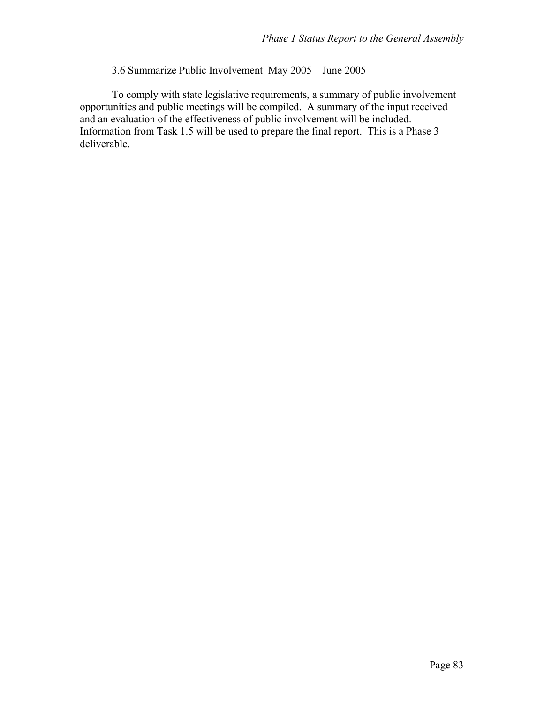# 3.6 Summarize Public Involvement May 2005 – June 2005

To comply with state legislative requirements, a summary of public involvement opportunities and public meetings will be compiled. A summary of the input received and an evaluation of the effectiveness of public involvement will be included. Information from Task 1.5 will be used to prepare the final report. This is a Phase 3 deliverable.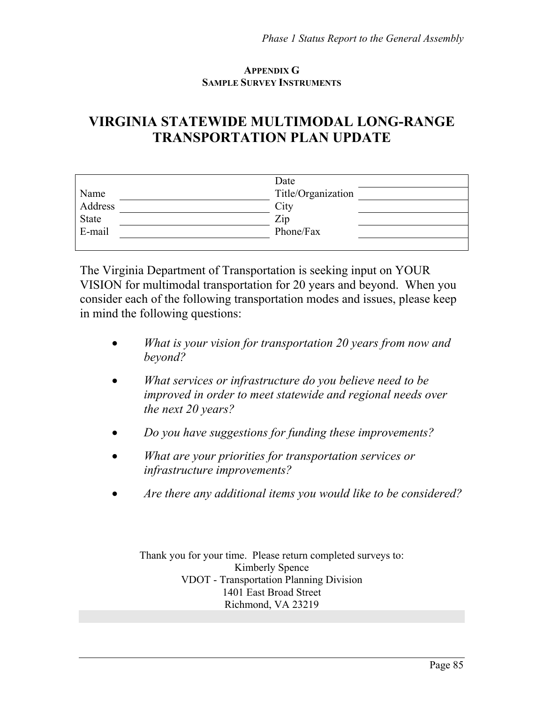### **APPENDIX G SAMPLE SURVEY INSTRUMENTS**

# **VIRGINIA STATEWIDE MULTIMODAL LONG-RANGE TRANSPORTATION PLAN UPDATE**

|         | Date               |  |
|---------|--------------------|--|
| Name    | Title/Organization |  |
| Address | City               |  |
| State   | Zip                |  |
| E-mail  | Phone/Fax          |  |
|         |                    |  |

The Virginia Department of Transportation is seeking input on YOUR VISION for multimodal transportation for 20 years and beyond. When you consider each of the following transportation modes and issues, please keep in mind the following questions:

- *What is your vision for transportation 20 years from now and beyond?*
- *What services or infrastructure do you believe need to be improved in order to meet statewide and regional needs over the next 20 years?*
- *Do you have suggestions for funding these improvements?*
- *What are your priorities for transportation services or infrastructure improvements?*
- *Are there any additional items you would like to be considered?*

Thank you for your time. Please return completed surveys to: Kimberly Spence VDOT - Transportation Planning Division 1401 East Broad Street Richmond, VA 23219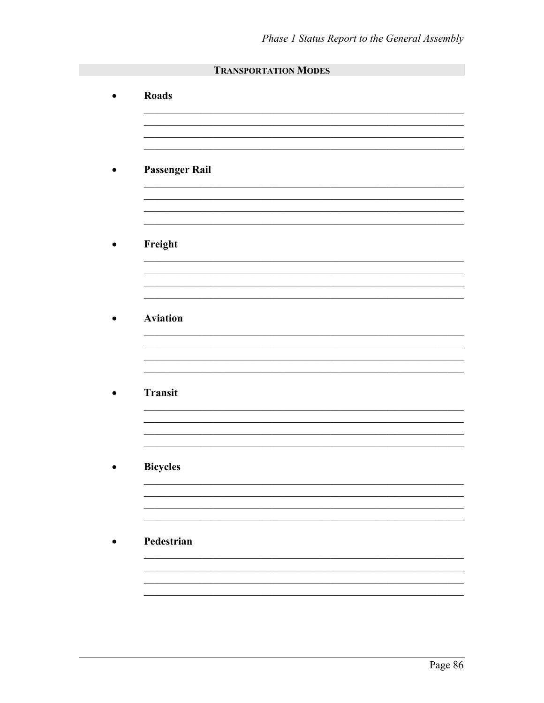**TRANSPORTATION MODES Roads**  $\bullet$  $\bullet$ **Passenger Rail** Freight  $\bullet$ **Aviation**  $\bullet$  $\bullet$ Transit **Bicycles**  $\bullet$ Pedestrian  $\bullet$ <u> 1989 - Johann John Stoff, deutscher Stoffen und der Stoffen und der Stoffen und der Stoffen und der Stoffen</u>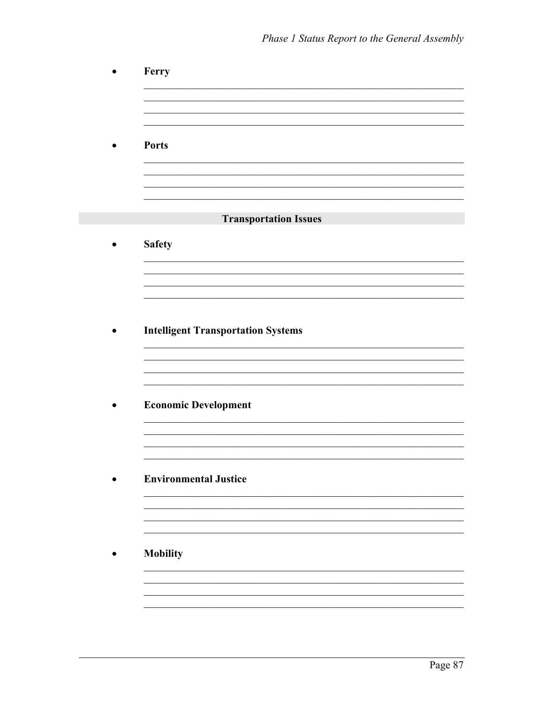| $\bullet$ | Ferry                                     |
|-----------|-------------------------------------------|
|           |                                           |
| $\bullet$ | <b>Ports</b>                              |
|           |                                           |
|           | <b>Transportation Issues</b>              |
|           | <b>Safety</b>                             |
|           |                                           |
|           |                                           |
|           | <b>Intelligent Transportation Systems</b> |
|           |                                           |
|           | <b>Economic Development</b>               |
|           |                                           |
| $\bullet$ | <b>Environmental Justice</b>              |
|           |                                           |
|           |                                           |
| ٠         | <b>Mobility</b>                           |
|           |                                           |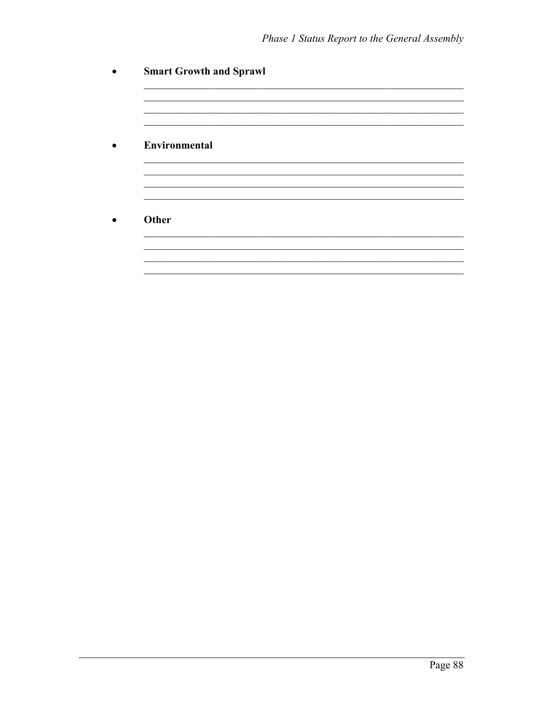**Smart Growth and Sprawl**  $\bullet$ <u> 1989 - Johann Stoff, deutscher Stoffen und der Stoffen und der Stoffen und der Stoffen und der Stoffen und der</u>  $\bullet$ Environmental <u> 1999 - Jan James James James James James James James James James James James James James James James James J</u> <u> 1988 - Johann Barbert, margaret eta idazlear (h. 1988).</u> **Other**  $\bullet$ <u> 1989 - Jan James James Barnett, martin amerikan basar dan berasal dalam basa dalam basa dalam basa dalam basa</u>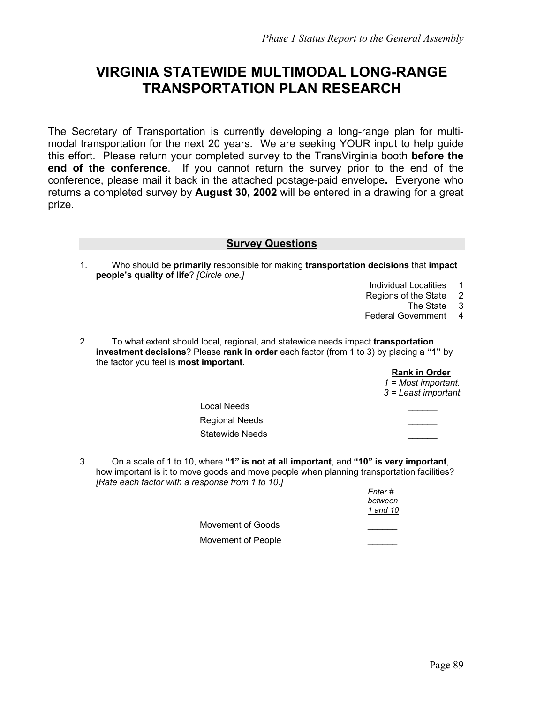# **VIRGINIA STATEWIDE MULTIMODAL LONG-RANGE TRANSPORTATION PLAN RESEARCH**

The Secretary of Transportation is currently developing a long-range plan for multimodal transportation for the next 20 years. We are seeking YOUR input to help guide this effort. Please return your completed survey to the TransVirginia booth **before the end of the conference**. If you cannot return the survey prior to the end of the conference, please mail it back in the attached postage-paid envelope**.** Everyone who returns a completed survey by **August 30, 2002** will be entered in a drawing for a great prize.

#### **Survey Questions**

- 1. Who should be **primarily** responsible for making **transportation decisions** that **impact people's quality of life**? *[Circle one.]* 
	- Individual Localities 1
	- Regions of the State 2
		- The State 3
	- Federal Government 4

2. To what extent should local, regional, and statewide needs impact **transportation investment decisions**? Please **rank in order** each factor (from 1 to 3) by placing a **"1"** by the factor you feel is **most important.**

> **Rank in Order** *1 = Most important. 3 = Least important.*

Local Needs \_\_\_\_\_\_ Regional Needs \_\_\_\_\_\_ Statewide Needs

3. On a scale of 1 to 10, where **"1" is not at all important**, and **"10" is very important**, how important is it to move goods and move people when planning transportation facilities? *[Rate each factor with a response from 1 to 10.] Enter #* 

|                    | _______<br>between<br>1 and 10 |
|--------------------|--------------------------------|
| Movement of Goods  |                                |
| Movement of People |                                |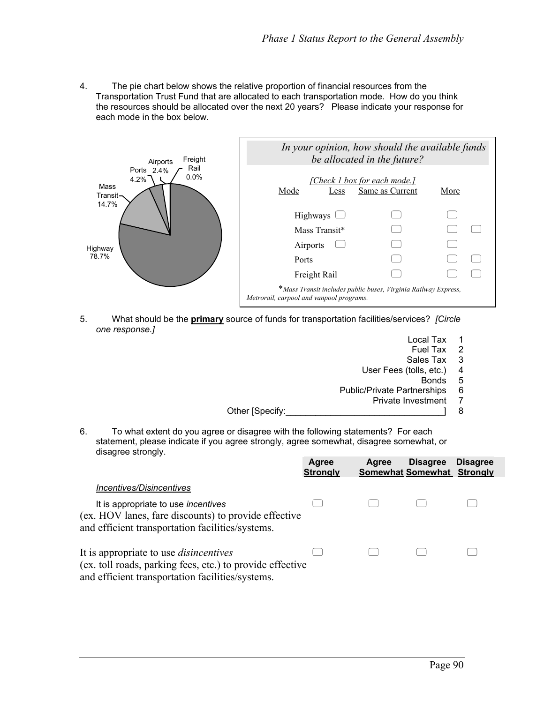4. The pie chart below shows the relative proportion of financial resources from the Transportation Trust Fund that are allocated to each transportation mode. How do you think the resources should be allocated over the next 20 years? Please indicate your response for each mode in the box below.

| Freight<br>Airports                                                | In your opinion, how should the available funds<br>be allocated in the future? |                                                                |      |  |
|--------------------------------------------------------------------|--------------------------------------------------------------------------------|----------------------------------------------------------------|------|--|
| Rail<br>Ports 2.4%<br>0.0%<br>$4.2\%$<br>Mass<br>Transit-<br>14.7% | Mode<br>Less                                                                   | [Check 1 box for each mode.]<br>Same as Current                | More |  |
|                                                                    | Highways $\Box$                                                                |                                                                |      |  |
|                                                                    | Mass Transit*                                                                  |                                                                |      |  |
| Highway                                                            | Airports                                                                       |                                                                |      |  |
| 78.7%                                                              | Ports                                                                          |                                                                |      |  |
|                                                                    | Freight Rail                                                                   |                                                                |      |  |
|                                                                    | Metrorail, carpool and vanpool programs.                                       | *Mass Transit includes public buses, Virginia Railway Express, |      |  |

5. What should be the **primary** source of funds for transportation facilities/services? *[Circle one response.]* 

|                 | Local Tax                          |                |
|-----------------|------------------------------------|----------------|
|                 | Fuel Tax                           | $\overline{2}$ |
|                 | Sales Tax                          | - 3            |
|                 | User Fees (tolls, etc.)            | 4              |
|                 | <b>Bonds</b>                       | - 5            |
|                 | <b>Public/Private Partnerships</b> | 6              |
|                 | Private Investment                 |                |
| Other [Specify: |                                    | 8              |
|                 |                                    |                |

6. To what extent do you agree or disagree with the following statements? For each statement, please indicate if you agree strongly, agree somewhat, disagree somewhat, or disagree strongly.

|                                                                                                                                                                | Agree<br><b>Strongly</b> | Agree | <b>Disagree</b><br><b>Somewhat Somewhat Strongly</b> | <b>Disagree</b> |
|----------------------------------------------------------------------------------------------------------------------------------------------------------------|--------------------------|-------|------------------------------------------------------|-----------------|
| <i><b>Incentives/Disincentives</b></i>                                                                                                                         |                          |       |                                                      |                 |
| It is appropriate to use <i>incentives</i><br>(ex. HOV lanes, fare discounts) to provide effective<br>and efficient transportation facilities/systems.         |                          |       |                                                      |                 |
| It is appropriate to use <i>disincentives</i><br>(ex. toll roads, parking fees, etc.) to provide effective<br>and efficient transportation facilities/systems. |                          |       |                                                      |                 |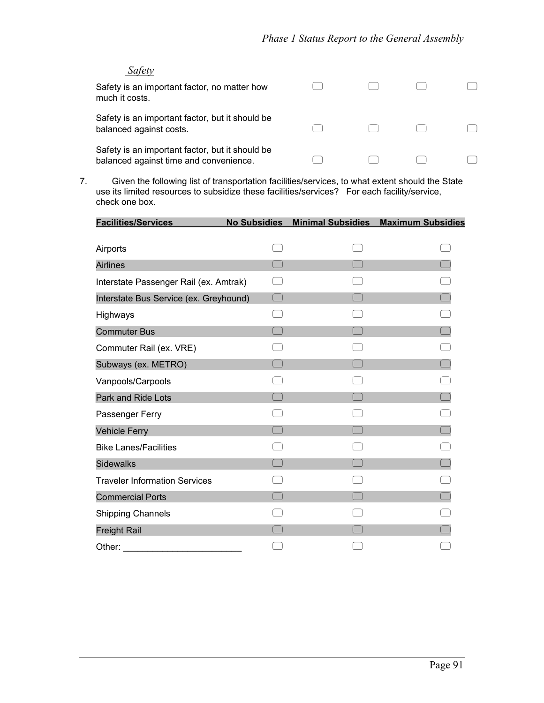| Safety is an important factor, no matter how<br>much it costs.                            |  |  |
|-------------------------------------------------------------------------------------------|--|--|
| Safety is an important factor, but it should be<br>balanced against costs.                |  |  |
| Safety is an important factor, but it should be<br>balanced against time and convenience. |  |  |

7. Given the following list of transportation facilities/services, to what extent should the State use its limited resources to subsidize these facilities/services? For each facility/service, check one box.

| <b>Facilities/Services</b>             | <b>No Subsidies</b> | <b>Minimal Subsidies</b> | <b>Maximum Subsidies</b> |
|----------------------------------------|---------------------|--------------------------|--------------------------|
|                                        |                     |                          |                          |
| Airports                               |                     |                          |                          |
| <b>Airlines</b>                        |                     |                          |                          |
| Interstate Passenger Rail (ex. Amtrak) |                     |                          |                          |
| Interstate Bus Service (ex. Greyhound) |                     |                          |                          |
| Highways                               |                     |                          |                          |
| <b>Commuter Bus</b>                    |                     |                          |                          |
| Commuter Rail (ex. VRE)                |                     |                          |                          |
| Subways (ex. METRO)                    |                     |                          |                          |
| Vanpools/Carpools                      |                     |                          |                          |
| Park and Ride Lots                     |                     |                          |                          |
| Passenger Ferry                        |                     |                          |                          |
| <b>Vehicle Ferry</b>                   |                     |                          |                          |
| <b>Bike Lanes/Facilities</b>           |                     |                          |                          |
| <b>Sidewalks</b>                       |                     |                          |                          |
| <b>Traveler Information Services</b>   |                     |                          |                          |
| <b>Commercial Ports</b>                |                     |                          |                          |
| <b>Shipping Channels</b>               |                     |                          |                          |
| <b>Freight Rail</b>                    |                     |                          |                          |
| Other:                                 |                     |                          |                          |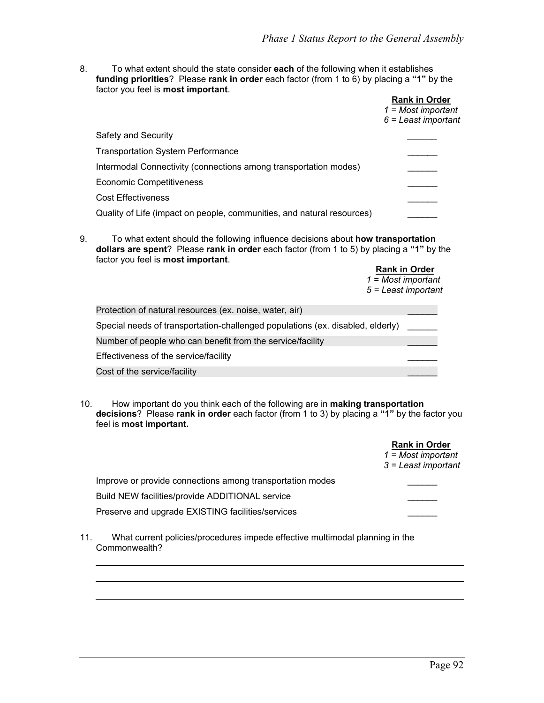8. To what extent should the state consider **each** of the following when it establishes **funding priorities**? Please **rank in order** each factor (from 1 to 6) by placing a **"1"** by the factor you feel is **most important**.  **Rank in Order**

|                                                                        | RAIIR III VIUTI<br>$1 = Most important$<br>$6$ = Least important |
|------------------------------------------------------------------------|------------------------------------------------------------------|
| Safety and Security                                                    |                                                                  |
| <b>Transportation System Performance</b>                               |                                                                  |
| Intermodal Connectivity (connections among transportation modes)       |                                                                  |
| <b>Economic Competitiveness</b>                                        |                                                                  |
| <b>Cost Effectiveness</b>                                              |                                                                  |
| Quality of Life (impact on people, communities, and natural resources) |                                                                  |
|                                                                        |                                                                  |

9. To what extent should the following influence decisions about **how transportation dollars are spent**? Please **rank in order** each factor (from 1 to 5) by placing a **"1"** by the factor you feel is **most important**. **Rank in Order**

|                                                                                | <b>Rank in Order</b> | $1 = Most important$<br>$5 =$ Least important |
|--------------------------------------------------------------------------------|----------------------|-----------------------------------------------|
| Protection of natural resources (ex. noise, water, air)                        |                      |                                               |
| Special needs of transportation-challenged populations (ex. disabled, elderly) |                      |                                               |
| Number of people who can benefit from the service/facility                     |                      |                                               |
| Effectiveness of the service/facility                                          |                      |                                               |
| Cost of the service/facility                                                   |                      |                                               |

10. How important do you think each of the following are in **making transportation decisions**? Please **rank in order** each factor (from 1 to 3) by placing a **"1"** by the factor you feel is **most important.**

|                                                           | <b>Rank in Order</b><br>$1 = Most important$<br>3 = Least important |
|-----------------------------------------------------------|---------------------------------------------------------------------|
| Improve or provide connections among transportation modes |                                                                     |
| Build NEW facilities/provide ADDITIONAL service           |                                                                     |
| Preserve and upgrade EXISTING facilities/services         |                                                                     |

11. What current policies/procedures impede effective multimodal planning in the Commonwealth?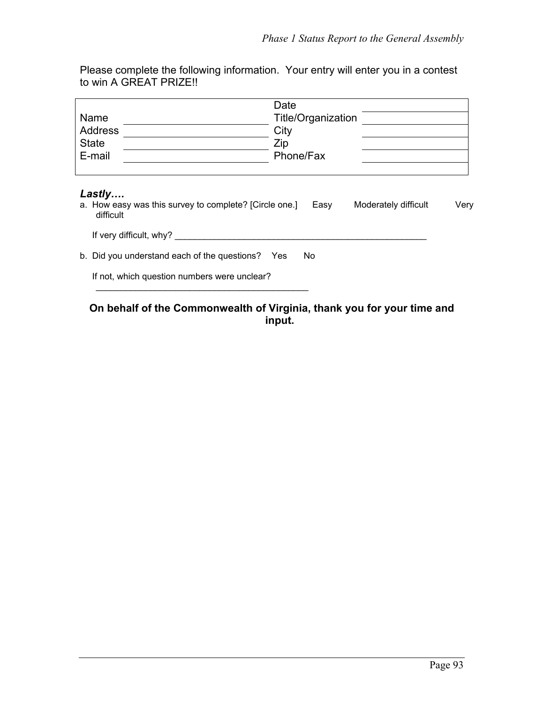Please complete the following information. Your entry will enter you in a contest to win A GREAT PRIZE!!

| Name<br><b>Address</b><br><b>State</b><br>E-mail                              | Date<br>Title/Organization<br>City<br>Zip<br>Phone/Fax |                      |      |
|-------------------------------------------------------------------------------|--------------------------------------------------------|----------------------|------|
| Lastly<br>a. How easy was this survey to complete? [Circle one.]<br>difficult | Easy                                                   | Moderately difficult | Very |
| If very difficult, why? _________                                             |                                                        |                      |      |
| b. Did you understand each of the questions? Yes                              | No.                                                    |                      |      |
| If not, which question numbers were unclear?                                  |                                                        |                      |      |

# **On behalf of the Commonwealth of Virginia, thank you for your time and input.**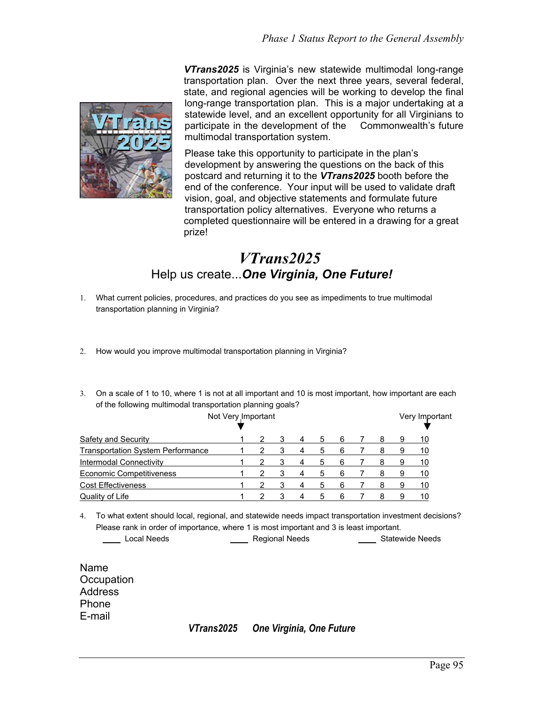

*VTrans2025* is Virginia's new statewide multimodal long-range transportation plan. Over the next three years, several federal, state, and regional agencies will be working to develop the final long-range transportation plan. This is a major undertaking at a statewide level, and an excellent opportunity for all Virginians to participate in the development of the Commonwealth's future multimodal transportation system.

Please take this opportunity to participate in the plan's development by answering the questions on the back of this postcard and returning it to the *VTrans2025* booth before the end of the conference. Your input will be used to validate draft vision, goal, and objective statements and formulate future transportation policy alternatives. Everyone who returns a completed questionnaire will be entered in a drawing for a great prize!

# *VTrans2025*  Help us create...*One Virginia, One Future!*

- 1. What current policies, procedures, and practices do you see as impediments to true multimodal transportation planning in Virginia?
- 2. How would you improve multimodal transportation planning in Virginia?
- 3. On a scale of 1 to 10, where 1 is not at all important and 10 is most important, how important are each of the following multimodal transportation planning goals?

| Not Very Important                       |  |  |   |   |   |   | Very Important |   |    |
|------------------------------------------|--|--|---|---|---|---|----------------|---|----|
| <b>Safety and Security</b>               |  |  |   | 4 | 5 | 6 |                | ч | 10 |
| <b>Transportation System Performance</b> |  |  | 3 | 4 | b | 6 | 8              | 9 | 10 |
| <b>Intermodal Connectivity</b>           |  |  |   |   | 5 |   |                |   | 10 |
| <b>Economic Competitiveness</b>          |  |  |   | 4 | 5 | 6 |                | 9 | 10 |
| <b>Cost Effectiveness</b>                |  |  |   | 4 | b | 6 | 8              | ч | 10 |
| Quality of Life                          |  |  |   | 4 | 5 | 6 |                | 9 | 10 |

4. To what extent should local, regional, and statewide needs impact transportation investment decisions? Please rank in order of importance, where 1 is most important and 3 is least important.

| Local Needs | <b>Regional Needs</b> | <b>Statewide Needs</b> |
|-------------|-----------------------|------------------------|
|-------------|-----------------------|------------------------|

| Name       |  |
|------------|--|
| Occupation |  |
| Address    |  |
| Phone      |  |
| E-mail     |  |

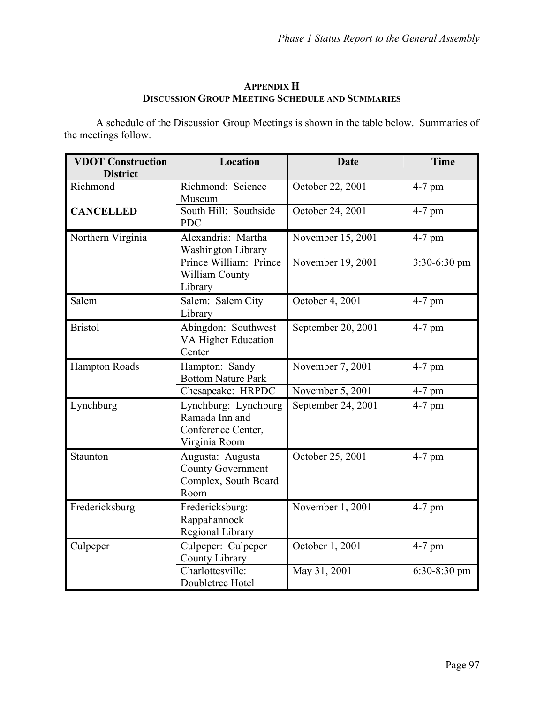## **APPENDIX H DISCUSSION GROUP MEETING SCHEDULE AND SUMMARIES**

A schedule of the Discussion Group Meetings is shown in the table below. Summaries of the meetings follow.

| <b>VDOT Construction</b><br><b>District</b> | Location                                                                      | <b>Date</b>        | <b>Time</b>    |
|---------------------------------------------|-------------------------------------------------------------------------------|--------------------|----------------|
| Richmond                                    | Richmond: Science<br>Museum                                                   | October 22, 2001   | $4-7$ pm       |
| <b>CANCELLED</b>                            | South Hill: Southside<br>PDC                                                  | October 24, 2001   | $4-7$ pm       |
| Northern Virginia                           | Alexandria: Martha<br><b>Washington Library</b>                               | November 15, 2001  | 4-7 pm         |
|                                             | Prince William: Prince<br>William County<br>Library                           | November 19, 2001  | $3:30-6:30$ pm |
| Salem                                       | Salem: Salem City<br>Library                                                  | October 4, 2001    | 4-7 pm         |
| <b>Bristol</b>                              | Abingdon: Southwest<br>VA Higher Education<br>Center                          | September 20, 2001 | 4-7 pm         |
| <b>Hampton Roads</b>                        | Hampton: Sandy<br><b>Bottom Nature Park</b>                                   | November 7, 2001   | 4-7 pm         |
|                                             | Chesapeake: HRPDC                                                             | November 5, 2001   | 4-7 pm         |
| Lynchburg                                   | Lynchburg: Lynchburg<br>Ramada Inn and<br>Conference Center,<br>Virginia Room | September 24, 2001 | 4-7 pm         |
| Staunton                                    | Augusta: Augusta<br><b>County Government</b><br>Complex, South Board<br>Room  | October 25, 2001   | $4-7$ pm       |
| Fredericksburg                              | Fredericksburg:<br>Rappahannock<br>Regional Library                           | November 1, 2001   | 4-7 pm         |
| Culpeper                                    | Culpeper: Culpeper<br>County Library                                          | October 1, 2001    | $4-7$ pm       |
|                                             | Charlottesville:<br>Doubletree Hotel                                          | May 31, 2001       | $6:30-8:30$ pm |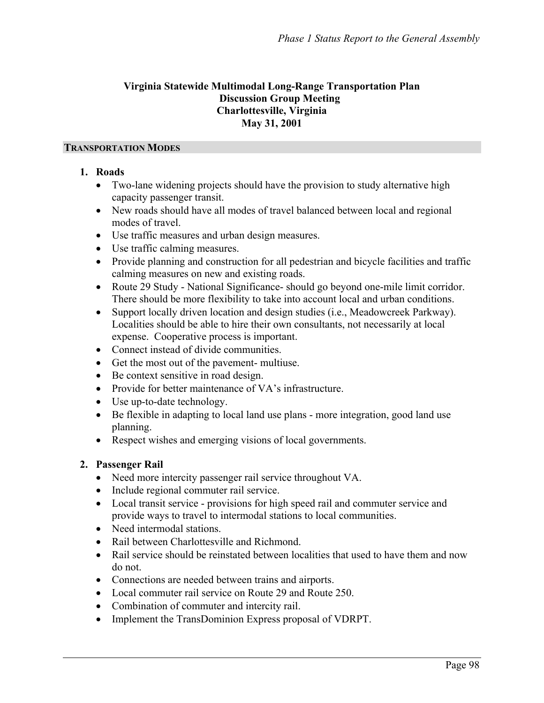## **Virginia Statewide Multimodal Long-Range Transportation Plan Discussion Group Meeting Charlottesville, Virginia May 31, 2001**

#### **TRANSPORTATION MODES**

#### **1. Roads**

- Two-lane widening projects should have the provision to study alternative high capacity passenger transit.
- New roads should have all modes of travel balanced between local and regional modes of travel.
- Use traffic measures and urban design measures.
- Use traffic calming measures.
- Provide planning and construction for all pedestrian and bicycle facilities and traffic calming measures on new and existing roads.
- Route 29 Study National Significance- should go beyond one-mile limit corridor. There should be more flexibility to take into account local and urban conditions.
- Support locally driven location and design studies (i.e., Meadowcreek Parkway). Localities should be able to hire their own consultants, not necessarily at local expense. Cooperative process is important.
- Connect instead of divide communities.
- Get the most out of the pavement- multiuse.
- Be context sensitive in road design.
- Provide for better maintenance of VA's infrastructure.
- Use up-to-date technology.
- Be flexible in adapting to local land use plans more integration, good land use planning.
- Respect wishes and emerging visions of local governments.

#### **2. Passenger Rail**

- Need more intercity passenger rail service throughout VA.
- Include regional commuter rail service.
- Local transit service provisions for high speed rail and commuter service and provide ways to travel to intermodal stations to local communities.
- Need intermodal stations.
- Rail between Charlottesville and Richmond
- Rail service should be reinstated between localities that used to have them and now do not.
- Connections are needed between trains and airports.
- Local commuter rail service on Route 29 and Route 250.
- Combination of commuter and intercity rail.
- Implement the TransDominion Express proposal of VDRPT.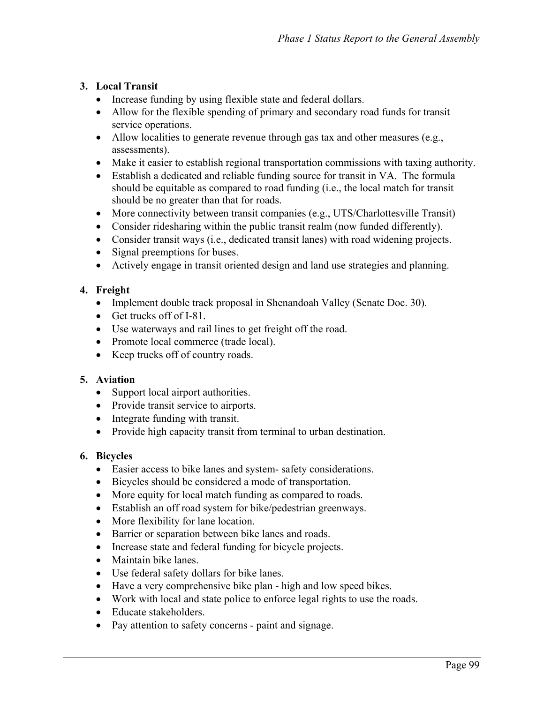# **3. Local Transit**

- Increase funding by using flexible state and federal dollars.
- Allow for the flexible spending of primary and secondary road funds for transit service operations.
- Allow localities to generate revenue through gas tax and other measures (e.g., assessments).
- Make it easier to establish regional transportation commissions with taxing authority.
- Establish a dedicated and reliable funding source for transit in VA. The formula should be equitable as compared to road funding (i.e., the local match for transit should be no greater than that for roads.
- More connectivity between transit companies (e.g., UTS/Charlottesville Transit)
- Consider ridesharing within the public transit realm (now funded differently).
- Consider transit ways (i.e., dedicated transit lanes) with road widening projects.
- Signal preemptions for buses.
- Actively engage in transit oriented design and land use strategies and planning.

# **4. Freight**

- Implement double track proposal in Shenandoah Valley (Senate Doc. 30).
- Get trucks off of I-81.
- Use waterways and rail lines to get freight off the road.
- Promote local commerce (trade local).
- Keep trucks off of country roads.

# **5. Aviation**

- Support local airport authorities.
- Provide transit service to airports.
- Integrate funding with transit.
- Provide high capacity transit from terminal to urban destination.

### **6. Bicycles**

- Easier access to bike lanes and system- safety considerations.
- Bicycles should be considered a mode of transportation.
- More equity for local match funding as compared to roads.
- Establish an off road system for bike/pedestrian greenways.
- More flexibility for lane location.
- Barrier or separation between bike lanes and roads.
- Increase state and federal funding for bicycle projects.
- Maintain bike lanes.
- Use federal safety dollars for bike lanes.
- Have a very comprehensive bike plan high and low speed bikes.
- Work with local and state police to enforce legal rights to use the roads.
- Educate stakeholders.
- Pay attention to safety concerns paint and signage.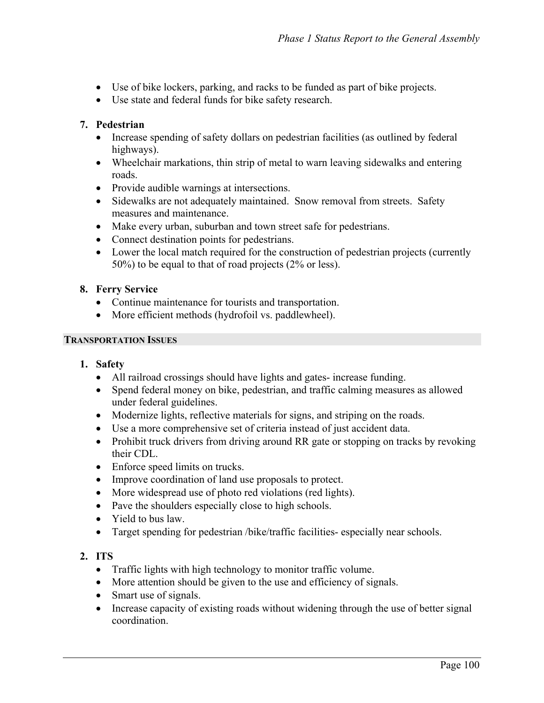- Use of bike lockers, parking, and racks to be funded as part of bike projects.
- Use state and federal funds for bike safety research.

### **7. Pedestrian**

- Increase spending of safety dollars on pedestrian facilities (as outlined by federal highways).
- Wheelchair markations, thin strip of metal to warn leaving sidewalks and entering roads.
- Provide audible warnings at intersections.
- Sidewalks are not adequately maintained. Snow removal from streets. Safety measures and maintenance.
- Make every urban, suburban and town street safe for pedestrians.
- Connect destination points for pedestrians.
- Lower the local match required for the construction of pedestrian projects (currently 50%) to be equal to that of road projects (2% or less).

### **8. Ferry Service**

- Continue maintenance for tourists and transportation.
- More efficient methods (hydrofoil vs. paddlewheel).

#### **TRANSPORTATION ISSUES**

### **1. Safety**

- All railroad crossings should have lights and gates- increase funding.
- Spend federal money on bike, pedestrian, and traffic calming measures as allowed under federal guidelines.
- Modernize lights, reflective materials for signs, and striping on the roads.
- Use a more comprehensive set of criteria instead of just accident data.
- Prohibit truck drivers from driving around RR gate or stopping on tracks by revoking their CDL.
- Enforce speed limits on trucks.
- Improve coordination of land use proposals to protect.
- More widespread use of photo red violations (red lights).
- Pave the shoulders especially close to high schools.
- Yield to bus law.
- Target spending for pedestrian /bike/traffic facilities- especially near schools.

### **2. ITS**

- Traffic lights with high technology to monitor traffic volume.
- More attention should be given to the use and efficiency of signals.
- Smart use of signals.
- Increase capacity of existing roads without widening through the use of better signal coordination.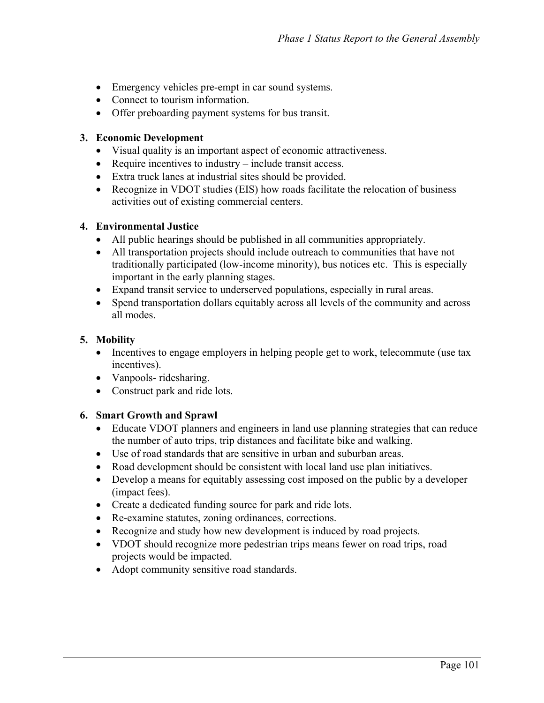- Emergency vehicles pre-empt in car sound systems.
- Connect to tourism information.
- Offer preboarding payment systems for bus transit.

### **3. Economic Development**

- Visual quality is an important aspect of economic attractiveness.
- Require incentives to industry include transit access.
- Extra truck lanes at industrial sites should be provided.
- Recognize in VDOT studies (EIS) how roads facilitate the relocation of business activities out of existing commercial centers.

### **4. Environmental Justice**

- All public hearings should be published in all communities appropriately.
- All transportation projects should include outreach to communities that have not traditionally participated (low-income minority), bus notices etc. This is especially important in the early planning stages.
- Expand transit service to underserved populations, especially in rural areas.
- Spend transportation dollars equitably across all levels of the community and across all modes.

# **5. Mobility**

- Incentives to engage employers in helping people get to work, telecommute (use tax incentives).
- Vanpools-ridesharing.
- Construct park and ride lots.

### **6. Smart Growth and Sprawl**

- Educate VDOT planners and engineers in land use planning strategies that can reduce the number of auto trips, trip distances and facilitate bike and walking.
- Use of road standards that are sensitive in urban and suburban areas.
- Road development should be consistent with local land use plan initiatives.
- Develop a means for equitably assessing cost imposed on the public by a developer (impact fees).
- Create a dedicated funding source for park and ride lots.
- Re-examine statutes, zoning ordinances, corrections.
- Recognize and study how new development is induced by road projects.
- VDOT should recognize more pedestrian trips means fewer on road trips, road projects would be impacted.
- Adopt community sensitive road standards.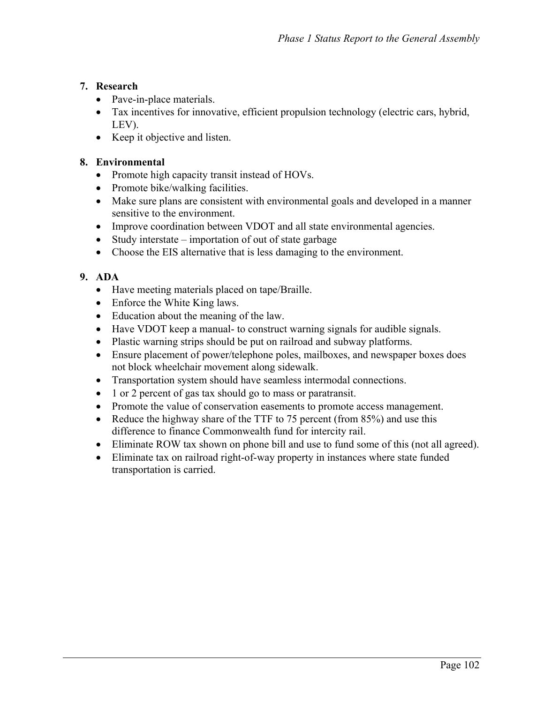# **7. Research**

- Pave-in-place materials.
- Tax incentives for innovative, efficient propulsion technology (electric cars, hybrid, LEV).
- Keep it objective and listen.

## **8. Environmental**

- Promote high capacity transit instead of HOVs.
- Promote bike/walking facilities.
- Make sure plans are consistent with environmental goals and developed in a manner sensitive to the environment.
- Improve coordination between VDOT and all state environmental agencies.
- Study interstate importation of out of state garbage
- Choose the EIS alternative that is less damaging to the environment.

# **9. ADA**

- Have meeting materials placed on tape/Braille.
- Enforce the White King laws.
- Education about the meaning of the law.
- Have VDOT keep a manual- to construct warning signals for audible signals.
- Plastic warning strips should be put on railroad and subway platforms.
- Ensure placement of power/telephone poles, mailboxes, and newspaper boxes does not block wheelchair movement along sidewalk.
- Transportation system should have seamless intermodal connections.
- 1 or 2 percent of gas tax should go to mass or paratransit.
- Promote the value of conservation easements to promote access management.
- Reduce the highway share of the TTF to 75 percent (from 85%) and use this difference to finance Commonwealth fund for intercity rail.
- Eliminate ROW tax shown on phone bill and use to fund some of this (not all agreed).
- Eliminate tax on railroad right-of-way property in instances where state funded transportation is carried.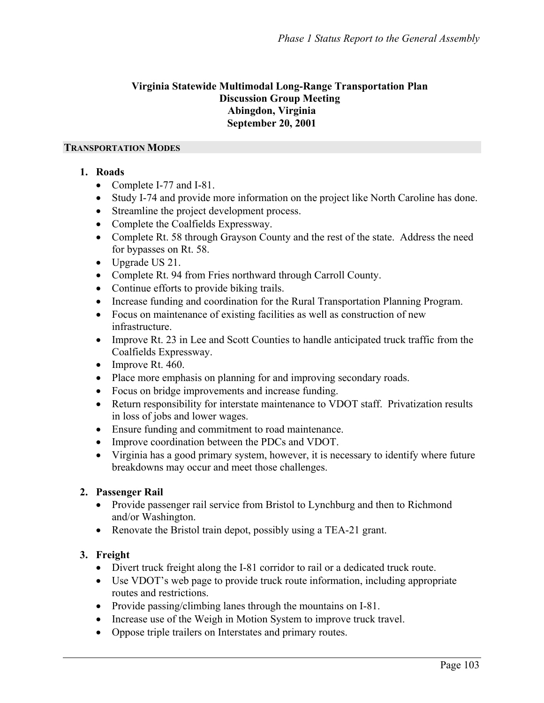### **Virginia Statewide Multimodal Long-Range Transportation Plan Discussion Group Meeting Abingdon, Virginia September 20, 2001**

#### **TRANSPORTATION MODES**

#### **1. Roads**

- Complete I-77 and I-81.
- Study I-74 and provide more information on the project like North Caroline has done.
- Streamline the project development process.
- Complete the Coalfields Expressway.
- Complete Rt. 58 through Grayson County and the rest of the state. Address the need for bypasses on Rt. 58.
- Upgrade US 21.
- Complete Rt. 94 from Fries northward through Carroll County.
- Continue efforts to provide biking trails.
- Increase funding and coordination for the Rural Transportation Planning Program.
- Focus on maintenance of existing facilities as well as construction of new infrastructure.
- Improve Rt. 23 in Lee and Scott Counties to handle anticipated truck traffic from the Coalfields Expressway.
- Improve Rt. 460.
- Place more emphasis on planning for and improving secondary roads.
- Focus on bridge improvements and increase funding.
- Return responsibility for interstate maintenance to VDOT staff. Privatization results in loss of jobs and lower wages.
- Ensure funding and commitment to road maintenance.
- Improve coordination between the PDCs and VDOT.
- Virginia has a good primary system, however, it is necessary to identify where future breakdowns may occur and meet those challenges.

#### **2. Passenger Rail**

- Provide passenger rail service from Bristol to Lynchburg and then to Richmond and/or Washington.
- Renovate the Bristol train depot, possibly using a TEA-21 grant.

### **3. Freight**

- Divert truck freight along the I-81 corridor to rail or a dedicated truck route.
- Use VDOT's web page to provide truck route information, including appropriate routes and restrictions.
- Provide passing/climbing lanes through the mountains on I-81.
- Increase use of the Weigh in Motion System to improve truck travel.
- Oppose triple trailers on Interstates and primary routes.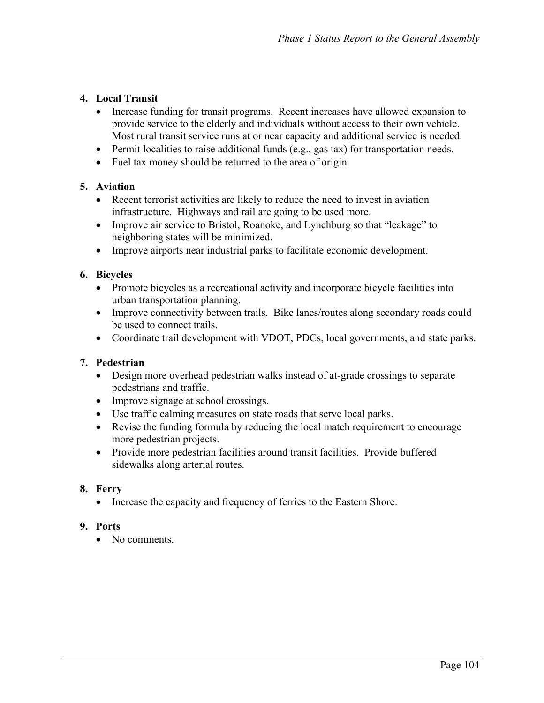## **4. Local Transit**

- Increase funding for transit programs. Recent increases have allowed expansion to provide service to the elderly and individuals without access to their own vehicle. Most rural transit service runs at or near capacity and additional service is needed.
- Permit localities to raise additional funds (e.g., gas tax) for transportation needs.
- Fuel tax money should be returned to the area of origin.

# **5. Aviation**

- Recent terrorist activities are likely to reduce the need to invest in aviation infrastructure. Highways and rail are going to be used more.
- Improve air service to Bristol, Roanoke, and Lynchburg so that "leakage" to neighboring states will be minimized.
- Improve airports near industrial parks to facilitate economic development.

# **6. Bicycles**

- Promote bicycles as a recreational activity and incorporate bicycle facilities into urban transportation planning.
- Improve connectivity between trails. Bike lanes/routes along secondary roads could be used to connect trails.
- Coordinate trail development with VDOT, PDCs, local governments, and state parks.

### **7. Pedestrian**

- Design more overhead pedestrian walks instead of at-grade crossings to separate pedestrians and traffic.
- Improve signage at school crossings.
- Use traffic calming measures on state roads that serve local parks.
- Revise the funding formula by reducing the local match requirement to encourage more pedestrian projects.
- Provide more pedestrian facilities around transit facilities. Provide buffered sidewalks along arterial routes.

### **8. Ferry**

• Increase the capacity and frequency of ferries to the Eastern Shore.

### **9. Ports**

• No comments.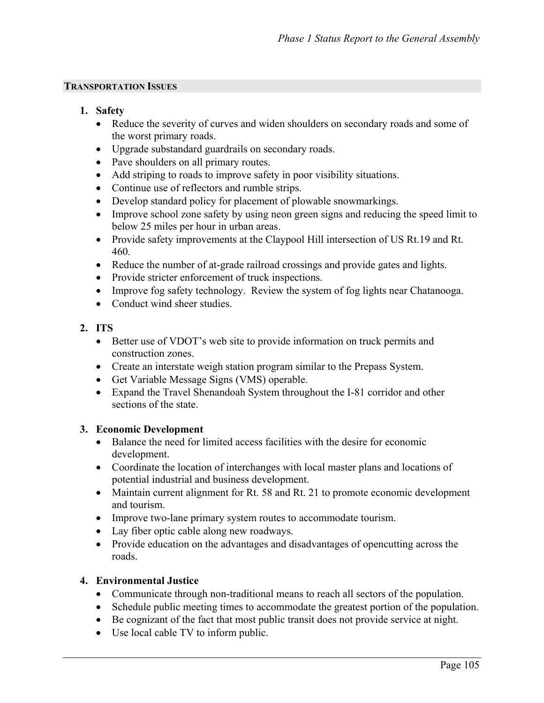#### **TRANSPORTATION ISSUES**

- **1. Safety** 
	- Reduce the severity of curves and widen shoulders on secondary roads and some of the worst primary roads.
	- Upgrade substandard guardrails on secondary roads.
	- Pave shoulders on all primary routes.
	- Add striping to roads to improve safety in poor visibility situations.
	- Continue use of reflectors and rumble strips.
	- Develop standard policy for placement of plowable snowmarkings.
	- Improve school zone safety by using neon green signs and reducing the speed limit to below 25 miles per hour in urban areas.
	- Provide safety improvements at the Claypool Hill intersection of US Rt.19 and Rt. 460.
	- Reduce the number of at-grade railroad crossings and provide gates and lights.
	- Provide stricter enforcement of truck inspections.
	- Improve fog safety technology. Review the system of fog lights near Chatanooga.
	- Conduct wind sheer studies.
- **2. ITS** 
	- Better use of VDOT's web site to provide information on truck permits and construction zones.
	- Create an interstate weigh station program similar to the Prepass System.
	- Get Variable Message Signs (VMS) operable.
	- Expand the Travel Shenandoah System throughout the I-81 corridor and other sections of the state.

### **3. Economic Development**

- Balance the need for limited access facilities with the desire for economic development.
- Coordinate the location of interchanges with local master plans and locations of potential industrial and business development.
- Maintain current alignment for Rt. 58 and Rt. 21 to promote economic development and tourism.
- Improve two-lane primary system routes to accommodate tourism.
- Lay fiber optic cable along new roadways.
- Provide education on the advantages and disadvantages of opencutting across the roads.

# **4. Environmental Justice**

- Communicate through non-traditional means to reach all sectors of the population.
- Schedule public meeting times to accommodate the greatest portion of the population.
- Be cognizant of the fact that most public transit does not provide service at night.
- Use local cable TV to inform public.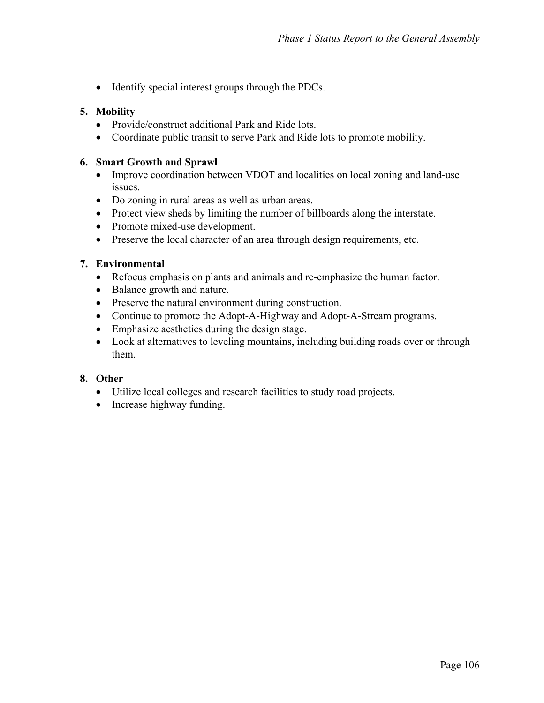• Identify special interest groups through the PDCs.

## **5. Mobility**

- Provide/construct additional Park and Ride lots.
- Coordinate public transit to serve Park and Ride lots to promote mobility.

#### **6. Smart Growth and Sprawl**

- Improve coordination between VDOT and localities on local zoning and land-use issues.
- Do zoning in rural areas as well as urban areas.
- Protect view sheds by limiting the number of billboards along the interstate.
- Promote mixed-use development.
- Preserve the local character of an area through design requirements, etc.

# **7. Environmental**

- Refocus emphasis on plants and animals and re-emphasize the human factor.
- Balance growth and nature.
- Preserve the natural environment during construction.
- Continue to promote the Adopt-A-Highway and Adopt-A-Stream programs.
- Emphasize aesthetics during the design stage.
- Look at alternatives to leveling mountains, including building roads over or through them.

# **8. Other**

- Utilize local colleges and research facilities to study road projects.
- Increase highway funding.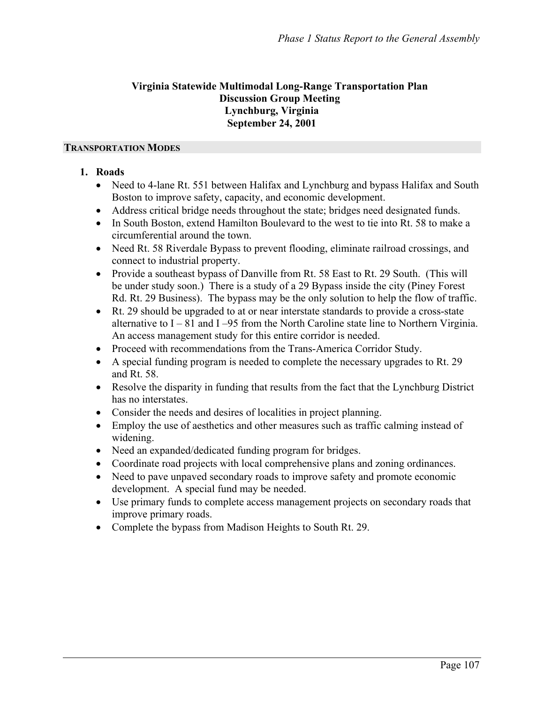### **Virginia Statewide Multimodal Long-Range Transportation Plan Discussion Group Meeting Lynchburg, Virginia September 24, 2001**

#### **TRANSPORTATION MODES**

#### **1. Roads**

- Need to 4-lane Rt. 551 between Halifax and Lynchburg and bypass Halifax and South Boston to improve safety, capacity, and economic development.
- Address critical bridge needs throughout the state; bridges need designated funds.
- In South Boston, extend Hamilton Boulevard to the west to tie into Rt. 58 to make a circumferential around the town.
- Need Rt. 58 Riverdale Bypass to prevent flooding, eliminate railroad crossings, and connect to industrial property.
- Provide a southeast bypass of Danville from Rt. 58 East to Rt. 29 South. (This will be under study soon.) There is a study of a 29 Bypass inside the city (Piney Forest Rd. Rt. 29 Business). The bypass may be the only solution to help the flow of traffic.
- Rt. 29 should be upgraded to at or near interstate standards to provide a cross-state alternative to  $I - 81$  and  $I - 95$  from the North Caroline state line to Northern Virginia. An access management study for this entire corridor is needed.
- Proceed with recommendations from the Trans-America Corridor Study.
- A special funding program is needed to complete the necessary upgrades to Rt. 29 and Rt. 58.
- Resolve the disparity in funding that results from the fact that the Lynchburg District has no interstates.
- Consider the needs and desires of localities in project planning.
- Employ the use of aesthetics and other measures such as traffic calming instead of widening.
- Need an expanded/dedicated funding program for bridges.
- Coordinate road projects with local comprehensive plans and zoning ordinances.
- Need to pave unpaved secondary roads to improve safety and promote economic development. A special fund may be needed.
- Use primary funds to complete access management projects on secondary roads that improve primary roads.
- Complete the bypass from Madison Heights to South Rt. 29.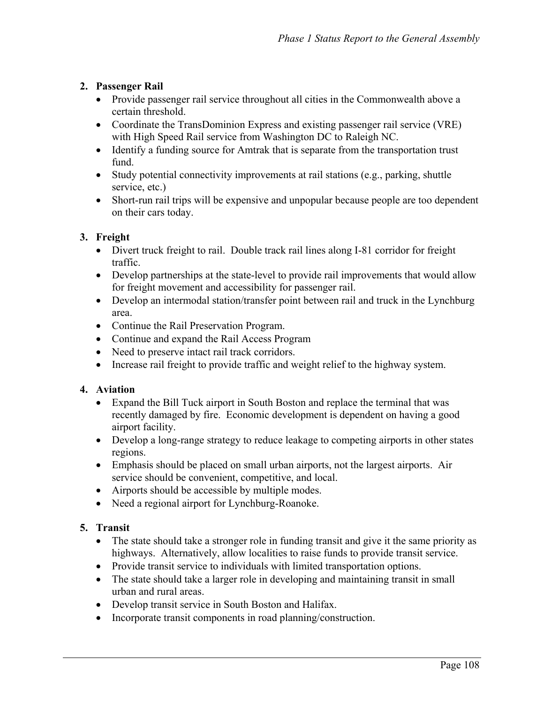# **2. Passenger Rail**

- Provide passenger rail service throughout all cities in the Commonwealth above a certain threshold.
- Coordinate the TransDominion Express and existing passenger rail service (VRE) with High Speed Rail service from Washington DC to Raleigh NC.
- Identify a funding source for Amtrak that is separate from the transportation trust fund.
- Study potential connectivity improvements at rail stations (e.g., parking, shuttle service, etc.)
- Short-run rail trips will be expensive and unpopular because people are too dependent on their cars today.

# **3. Freight**

- Divert truck freight to rail. Double track rail lines along I-81 corridor for freight traffic.
- Develop partnerships at the state-level to provide rail improvements that would allow for freight movement and accessibility for passenger rail.
- Develop an intermodal station/transfer point between rail and truck in the Lynchburg area.
- Continue the Rail Preservation Program.
- Continue and expand the Rail Access Program
- Need to preserve intact rail track corridors.
- Increase rail freight to provide traffic and weight relief to the highway system.

### **4. Aviation**

- Expand the Bill Tuck airport in South Boston and replace the terminal that was recently damaged by fire. Economic development is dependent on having a good airport facility.
- Develop a long-range strategy to reduce leakage to competing airports in other states regions.
- Emphasis should be placed on small urban airports, not the largest airports. Air service should be convenient, competitive, and local.
- Airports should be accessible by multiple modes.
- Need a regional airport for Lynchburg-Roanoke.

### **5. Transit**

- The state should take a stronger role in funding transit and give it the same priority as highways. Alternatively, allow localities to raise funds to provide transit service.
- Provide transit service to individuals with limited transportation options.
- The state should take a larger role in developing and maintaining transit in small urban and rural areas.
- Develop transit service in South Boston and Halifax.
- Incorporate transit components in road planning/construction.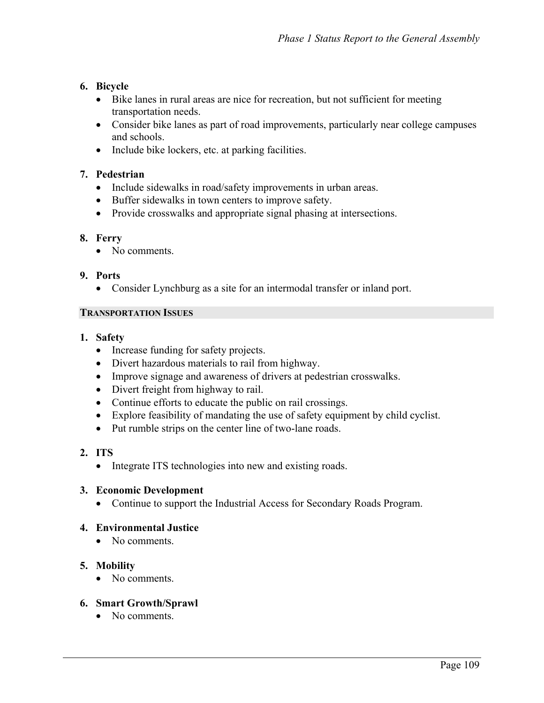# **6. Bicycle**

- Bike lanes in rural areas are nice for recreation, but not sufficient for meeting transportation needs.
- Consider bike lanes as part of road improvements, particularly near college campuses and schools.
- Include bike lockers, etc. at parking facilities.

## **7. Pedestrian**

- Include sidewalks in road/safety improvements in urban areas.
- Buffer sidewalks in town centers to improve safety.
- Provide crosswalks and appropriate signal phasing at intersections.

# **8. Ferry**

• No comments

## **9. Ports**

• Consider Lynchburg as a site for an intermodal transfer or inland port.

#### **TRANSPORTATION ISSUES**

- **1. Safety** 
	- Increase funding for safety projects.
	- Divert hazardous materials to rail from highway.
	- Improve signage and awareness of drivers at pedestrian crosswalks.
	- Divert freight from highway to rail.
	- Continue efforts to educate the public on rail crossings.
	- Explore feasibility of mandating the use of safety equipment by child cyclist.
	- Put rumble strips on the center line of two-lane roads.

### **2. ITS**

• Integrate ITS technologies into new and existing roads.

### **3. Economic Development**

• Continue to support the Industrial Access for Secondary Roads Program.

### **4. Environmental Justice**

• No comments.

### **5. Mobility**

• No comments

### **6. Smart Growth/Sprawl**

• No comments.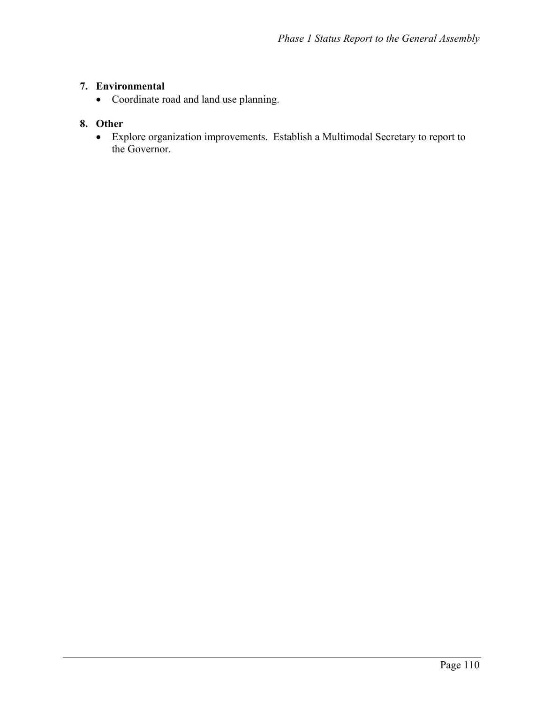# **7. Environmental**

• Coordinate road and land use planning.

# **8. Other**

• Explore organization improvements. Establish a Multimodal Secretary to report to the Governor.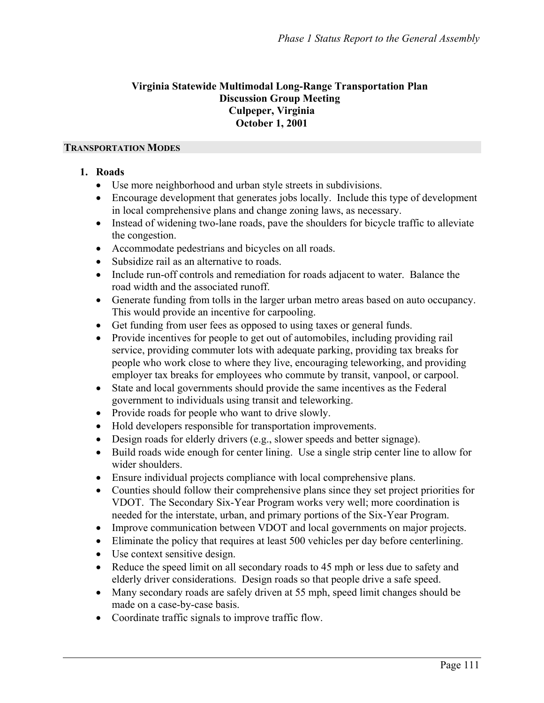### **Virginia Statewide Multimodal Long-Range Transportation Plan Discussion Group Meeting Culpeper, Virginia October 1, 2001**

#### **TRANSPORTATION MODES**

#### **1. Roads**

- Use more neighborhood and urban style streets in subdivisions.
- Encourage development that generates jobs locally. Include this type of development in local comprehensive plans and change zoning laws, as necessary.
- Instead of widening two-lane roads, pave the shoulders for bicycle traffic to alleviate the congestion.
- Accommodate pedestrians and bicycles on all roads.
- Subsidize rail as an alternative to roads.
- Include run-off controls and remediation for roads adjacent to water. Balance the road width and the associated runoff.
- Generate funding from tolls in the larger urban metro areas based on auto occupancy. This would provide an incentive for carpooling.
- Get funding from user fees as opposed to using taxes or general funds.
- Provide incentives for people to get out of automobiles, including providing rail service, providing commuter lots with adequate parking, providing tax breaks for people who work close to where they live, encouraging teleworking, and providing employer tax breaks for employees who commute by transit, vanpool, or carpool.
- State and local governments should provide the same incentives as the Federal government to individuals using transit and teleworking.
- Provide roads for people who want to drive slowly.
- Hold developers responsible for transportation improvements.
- Design roads for elderly drivers (e.g., slower speeds and better signage).
- Build roads wide enough for center lining. Use a single strip center line to allow for wider shoulders.
- Ensure individual projects compliance with local comprehensive plans.
- Counties should follow their comprehensive plans since they set project priorities for VDOT. The Secondary Six-Year Program works very well; more coordination is needed for the interstate, urban, and primary portions of the Six-Year Program.
- Improve communication between VDOT and local governments on major projects.
- Eliminate the policy that requires at least 500 vehicles per day before centerlining.
- Use context sensitive design.
- Reduce the speed limit on all secondary roads to 45 mph or less due to safety and elderly driver considerations. Design roads so that people drive a safe speed.
- Many secondary roads are safely driven at 55 mph, speed limit changes should be made on a case-by-case basis.
- Coordinate traffic signals to improve traffic flow.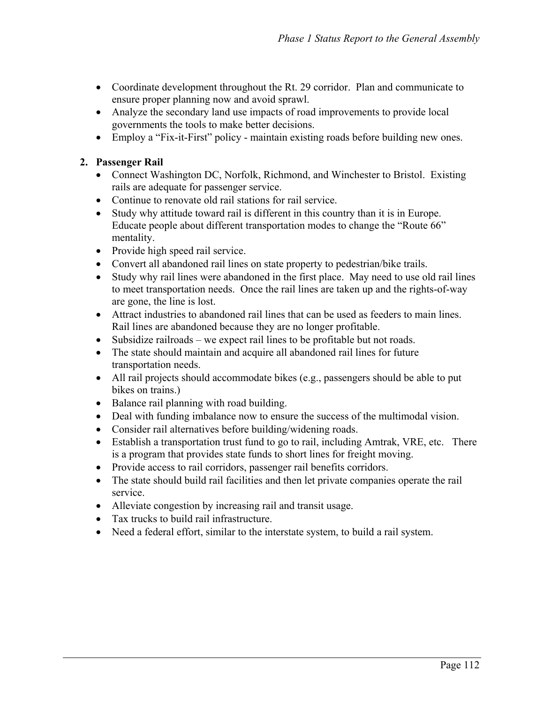- Coordinate development throughout the Rt. 29 corridor. Plan and communicate to ensure proper planning now and avoid sprawl.
- Analyze the secondary land use impacts of road improvements to provide local governments the tools to make better decisions.
- Employ a "Fix-it-First" policy maintain existing roads before building new ones.

## **2. Passenger Rail**

- Connect Washington DC, Norfolk, Richmond, and Winchester to Bristol. Existing rails are adequate for passenger service.
- Continue to renovate old rail stations for rail service.
- Study why attitude toward rail is different in this country than it is in Europe. Educate people about different transportation modes to change the "Route 66" mentality.
- Provide high speed rail service.
- Convert all abandoned rail lines on state property to pedestrian/bike trails.
- Study why rail lines were abandoned in the first place. May need to use old rail lines to meet transportation needs. Once the rail lines are taken up and the rights-of-way are gone, the line is lost.
- Attract industries to abandoned rail lines that can be used as feeders to main lines. Rail lines are abandoned because they are no longer profitable.
- Subsidize railroads we expect rail lines to be profitable but not roads.
- The state should maintain and acquire all abandoned rail lines for future transportation needs.
- All rail projects should accommodate bikes (e.g., passengers should be able to put bikes on trains.)
- Balance rail planning with road building.
- Deal with funding imbalance now to ensure the success of the multimodal vision.
- Consider rail alternatives before building/widening roads.
- Establish a transportation trust fund to go to rail, including Amtrak, VRE, etc. There is a program that provides state funds to short lines for freight moving.
- Provide access to rail corridors, passenger rail benefits corridors.
- The state should build rail facilities and then let private companies operate the rail service.
- Alleviate congestion by increasing rail and transit usage.
- Tax trucks to build rail infrastructure.
- Need a federal effort, similar to the interstate system, to build a rail system.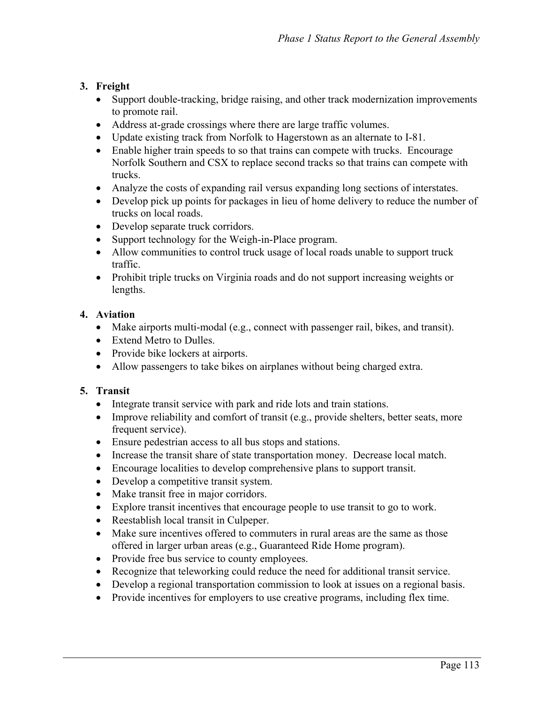# **3. Freight**

- Support double-tracking, bridge raising, and other track modernization improvements to promote rail.
- Address at-grade crossings where there are large traffic volumes.
- Update existing track from Norfolk to Hagerstown as an alternate to I-81.
- Enable higher train speeds to so that trains can compete with trucks. Encourage Norfolk Southern and CSX to replace second tracks so that trains can compete with trucks.
- Analyze the costs of expanding rail versus expanding long sections of interstates.
- Develop pick up points for packages in lieu of home delivery to reduce the number of trucks on local roads.
- Develop separate truck corridors.
- Support technology for the Weigh-in-Place program.
- Allow communities to control truck usage of local roads unable to support truck traffic.
- Prohibit triple trucks on Virginia roads and do not support increasing weights or lengths.

# **4. Aviation**

- Make airports multi-modal (e.g., connect with passenger rail, bikes, and transit).
- Extend Metro to Dulles.
- Provide bike lockers at airports.
- Allow passengers to take bikes on airplanes without being charged extra.

### **5. Transit**

- Integrate transit service with park and ride lots and train stations.
- Improve reliability and comfort of transit (e.g., provide shelters, better seats, more frequent service).
- Ensure pedestrian access to all bus stops and stations.
- Increase the transit share of state transportation money. Decrease local match.
- Encourage localities to develop comprehensive plans to support transit.
- Develop a competitive transit system.
- Make transit free in major corridors.
- Explore transit incentives that encourage people to use transit to go to work.
- Reestablish local transit in Culpeper.
- Make sure incentives offered to commuters in rural areas are the same as those offered in larger urban areas (e.g., Guaranteed Ride Home program).
- Provide free bus service to county employees.
- Recognize that teleworking could reduce the need for additional transit service.
- Develop a regional transportation commission to look at issues on a regional basis.
- Provide incentives for employers to use creative programs, including flex time.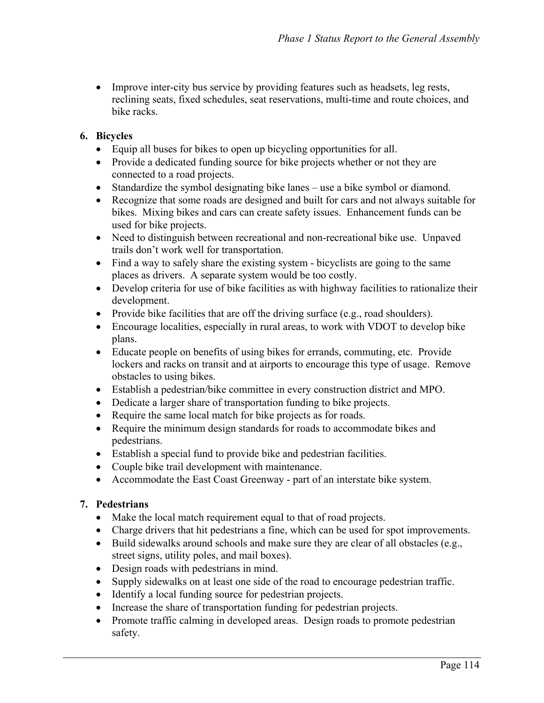• Improve inter-city bus service by providing features such as headsets, leg rests, reclining seats, fixed schedules, seat reservations, multi-time and route choices, and bike racks.

# **6. Bicycles**

- Equip all buses for bikes to open up bicycling opportunities for all.
- Provide a dedicated funding source for bike projects whether or not they are connected to a road projects.
- Standardize the symbol designating bike lanes use a bike symbol or diamond.
- Recognize that some roads are designed and built for cars and not always suitable for bikes. Mixing bikes and cars can create safety issues. Enhancement funds can be used for bike projects.
- Need to distinguish between recreational and non-recreational bike use. Unpaved trails don't work well for transportation.
- Find a way to safely share the existing system bicyclists are going to the same places as drivers. A separate system would be too costly.
- Develop criteria for use of bike facilities as with highway facilities to rationalize their development.
- Provide bike facilities that are off the driving surface (e.g., road shoulders).
- Encourage localities, especially in rural areas, to work with VDOT to develop bike plans.
- Educate people on benefits of using bikes for errands, commuting, etc. Provide lockers and racks on transit and at airports to encourage this type of usage. Remove obstacles to using bikes.
- Establish a pedestrian/bike committee in every construction district and MPO.
- Dedicate a larger share of transportation funding to bike projects.
- Require the same local match for bike projects as for roads.
- Require the minimum design standards for roads to accommodate bikes and pedestrians.
- Establish a special fund to provide bike and pedestrian facilities.
- Couple bike trail development with maintenance.
- Accommodate the East Coast Greenway part of an interstate bike system.

### **7. Pedestrians**

- Make the local match requirement equal to that of road projects.
- Charge drivers that hit pedestrians a fine, which can be used for spot improvements.
- Build sidewalks around schools and make sure they are clear of all obstacles (e.g., street signs, utility poles, and mail boxes).
- Design roads with pedestrians in mind.
- Supply sidewalks on at least one side of the road to encourage pedestrian traffic.
- Identify a local funding source for pedestrian projects.
- Increase the share of transportation funding for pedestrian projects.
- Promote traffic calming in developed areas. Design roads to promote pedestrian safety.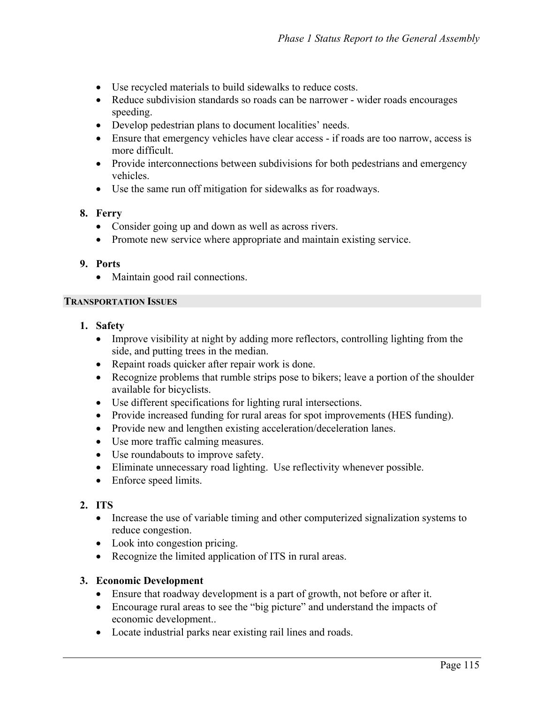- Use recycled materials to build sidewalks to reduce costs.
- Reduce subdivision standards so roads can be narrower wider roads encourages speeding.
- Develop pedestrian plans to document localities' needs.
- Ensure that emergency vehicles have clear access if roads are too narrow, access is more difficult.
- Provide interconnections between subdivisions for both pedestrians and emergency vehicles.
- Use the same run off mitigation for sidewalks as for roadways.

# **8. Ferry**

- Consider going up and down as well as across rivers.
- Promote new service where appropriate and maintain existing service.

### **9. Ports**

• Maintain good rail connections.

### **TRANSPORTATION ISSUES**

- **1. Safety** 
	- Improve visibility at night by adding more reflectors, controlling lighting from the side, and putting trees in the median.
	- Repaint roads quicker after repair work is done.
	- Recognize problems that rumble strips pose to bikers; leave a portion of the shoulder available for bicyclists.
	- Use different specifications for lighting rural intersections.
	- Provide increased funding for rural areas for spot improvements (HES funding).
	- Provide new and lengthen existing acceleration/deceleration lanes.
	- Use more traffic calming measures.
	- Use roundabouts to improve safety.
	- Eliminate unnecessary road lighting. Use reflectivity whenever possible.
	- Enforce speed limits.

### **2. ITS**

- Increase the use of variable timing and other computerized signalization systems to reduce congestion.
- Look into congestion pricing.
- Recognize the limited application of ITS in rural areas.

### **3. Economic Development**

- Ensure that roadway development is a part of growth, not before or after it.
- Encourage rural areas to see the "big picture" and understand the impacts of economic development..
- Locate industrial parks near existing rail lines and roads.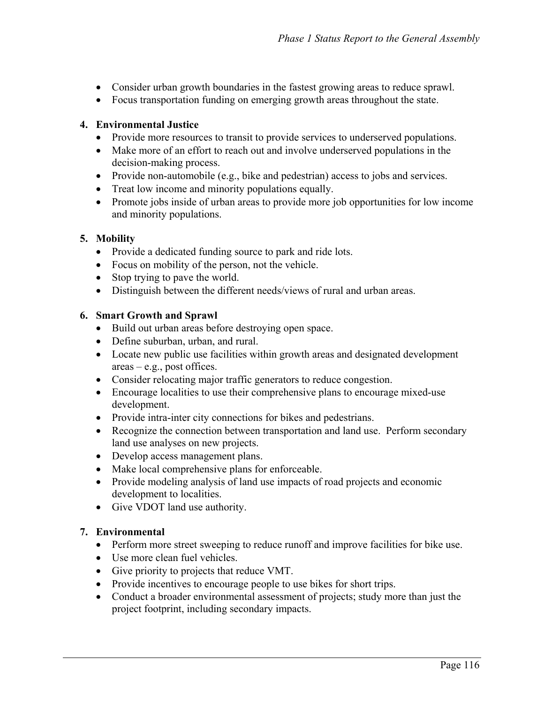- Consider urban growth boundaries in the fastest growing areas to reduce sprawl.
- Focus transportation funding on emerging growth areas throughout the state.

## **4. Environmental Justice**

- Provide more resources to transit to provide services to underserved populations.
- Make more of an effort to reach out and involve underserved populations in the decision-making process.
- Provide non-automobile (e.g., bike and pedestrian) access to jobs and services.
- Treat low income and minority populations equally.
- Promote jobs inside of urban areas to provide more job opportunities for low income and minority populations.

# **5. Mobility**

- Provide a dedicated funding source to park and ride lots.
- Focus on mobility of the person, not the vehicle.
- Stop trying to pave the world.
- Distinguish between the different needs/views of rural and urban areas.

### **6. Smart Growth and Sprawl**

- Build out urban areas before destroying open space.
- Define suburban, urban, and rural.
- Locate new public use facilities within growth areas and designated development  $area - e.g.,$  post offices.
- Consider relocating major traffic generators to reduce congestion.
- Encourage localities to use their comprehensive plans to encourage mixed-use development.
- Provide intra-inter city connections for bikes and pedestrians.
- Recognize the connection between transportation and land use. Perform secondary land use analyses on new projects.
- Develop access management plans.
- Make local comprehensive plans for enforceable.
- Provide modeling analysis of land use impacts of road projects and economic development to localities.
- Give VDOT land use authority.

# **7. Environmental**

- Perform more street sweeping to reduce runoff and improve facilities for bike use.
- Use more clean fuel vehicles.
- Give priority to projects that reduce VMT.
- Provide incentives to encourage people to use bikes for short trips.
- Conduct a broader environmental assessment of projects; study more than just the project footprint, including secondary impacts.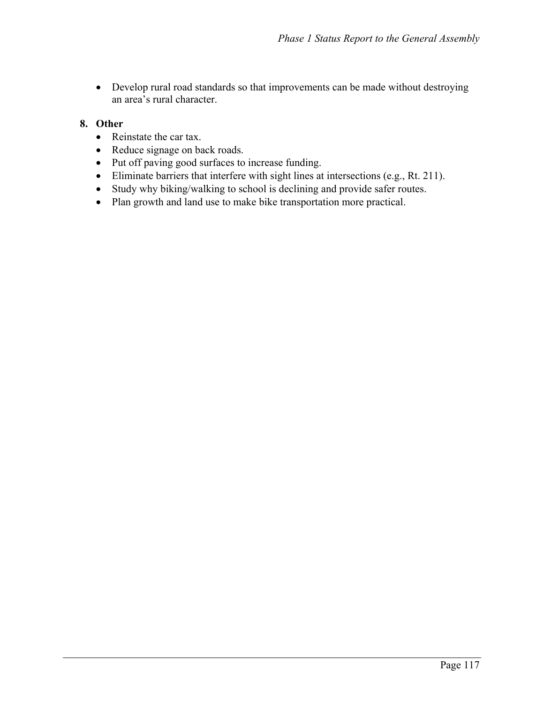• Develop rural road standards so that improvements can be made without destroying an area's rural character.

## **8. Other**

- Reinstate the car tax.
- Reduce signage on back roads.
- Put off paving good surfaces to increase funding.
- Eliminate barriers that interfere with sight lines at intersections (e.g., Rt. 211).
- Study why biking/walking to school is declining and provide safer routes.
- Plan growth and land use to make bike transportation more practical.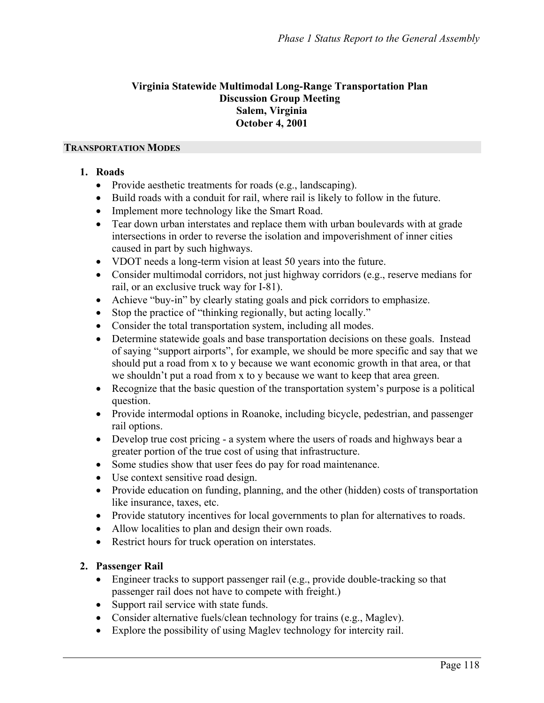### **Virginia Statewide Multimodal Long-Range Transportation Plan Discussion Group Meeting Salem, Virginia October 4, 2001**

#### **TRANSPORTATION MODES**

#### **1. Roads**

- Provide aesthetic treatments for roads (e.g., landscaping).
- Build roads with a conduit for rail, where rail is likely to follow in the future.
- Implement more technology like the Smart Road.
- Tear down urban interstates and replace them with urban boulevards with at grade intersections in order to reverse the isolation and impoverishment of inner cities caused in part by such highways.
- VDOT needs a long-term vision at least 50 years into the future.
- Consider multimodal corridors, not just highway corridors (e.g., reserve medians for rail, or an exclusive truck way for I-81).
- Achieve "buy-in" by clearly stating goals and pick corridors to emphasize.
- Stop the practice of "thinking regionally, but acting locally."
- Consider the total transportation system, including all modes.
- Determine statewide goals and base transportation decisions on these goals. Instead of saying "support airports", for example, we should be more specific and say that we should put a road from x to y because we want economic growth in that area, or that we shouldn't put a road from x to y because we want to keep that area green.
- Recognize that the basic question of the transportation system's purpose is a political question.
- Provide intermodal options in Roanoke, including bicycle, pedestrian, and passenger rail options.
- Develop true cost pricing a system where the users of roads and highways bear a greater portion of the true cost of using that infrastructure.
- Some studies show that user fees do pay for road maintenance.
- Use context sensitive road design.
- Provide education on funding, planning, and the other (hidden) costs of transportation like insurance, taxes, etc.
- Provide statutory incentives for local governments to plan for alternatives to roads.
- Allow localities to plan and design their own roads.
- Restrict hours for truck operation on interstates.

### **2. Passenger Rail**

- Engineer tracks to support passenger rail (e.g., provide double-tracking so that passenger rail does not have to compete with freight.)
- Support rail service with state funds.
- Consider alternative fuels/clean technology for trains (e.g., Maglev).
- Explore the possibility of using Maglev technology for intercity rail.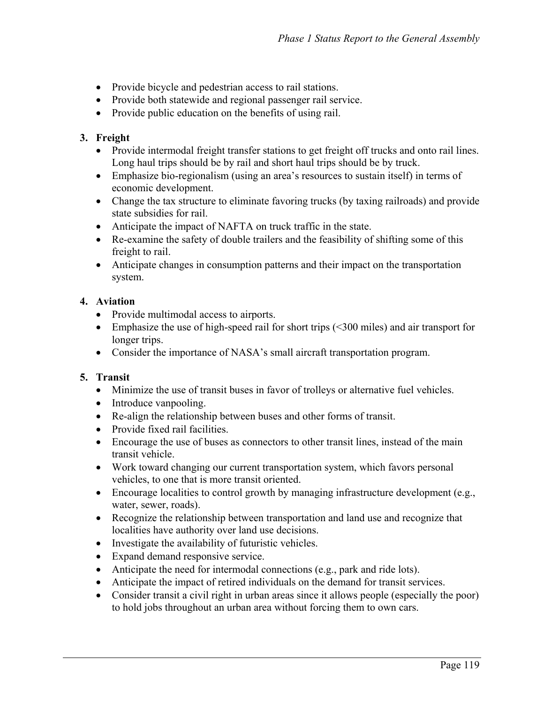- Provide bicycle and pedestrian access to rail stations.
- Provide both statewide and regional passenger rail service.
- Provide public education on the benefits of using rail.

## **3. Freight**

- Provide intermodal freight transfer stations to get freight off trucks and onto rail lines. Long haul trips should be by rail and short haul trips should be by truck.
- Emphasize bio-regionalism (using an area's resources to sustain itself) in terms of economic development.
- Change the tax structure to eliminate favoring trucks (by taxing railroads) and provide state subsidies for rail.
- Anticipate the impact of NAFTA on truck traffic in the state.
- Re-examine the safety of double trailers and the feasibility of shifting some of this freight to rail.
- Anticipate changes in consumption patterns and their impact on the transportation system.

# **4. Aviation**

- Provide multimodal access to airports.
- Emphasize the use of high-speed rail for short trips (<300 miles) and air transport for longer trips.
- Consider the importance of NASA's small aircraft transportation program.

### **5. Transit**

- Minimize the use of transit buses in favor of trolleys or alternative fuel vehicles.
- Introduce vanpooling.
- Re-align the relationship between buses and other forms of transit.
- Provide fixed rail facilities.
- Encourage the use of buses as connectors to other transit lines, instead of the main transit vehicle.
- Work toward changing our current transportation system, which favors personal vehicles, to one that is more transit oriented.
- Encourage localities to control growth by managing infrastructure development (e.g., water, sewer, roads).
- Recognize the relationship between transportation and land use and recognize that localities have authority over land use decisions.
- Investigate the availability of futuristic vehicles.
- Expand demand responsive service.
- Anticipate the need for intermodal connections (e.g., park and ride lots).
- Anticipate the impact of retired individuals on the demand for transit services.
- Consider transit a civil right in urban areas since it allows people (especially the poor) to hold jobs throughout an urban area without forcing them to own cars.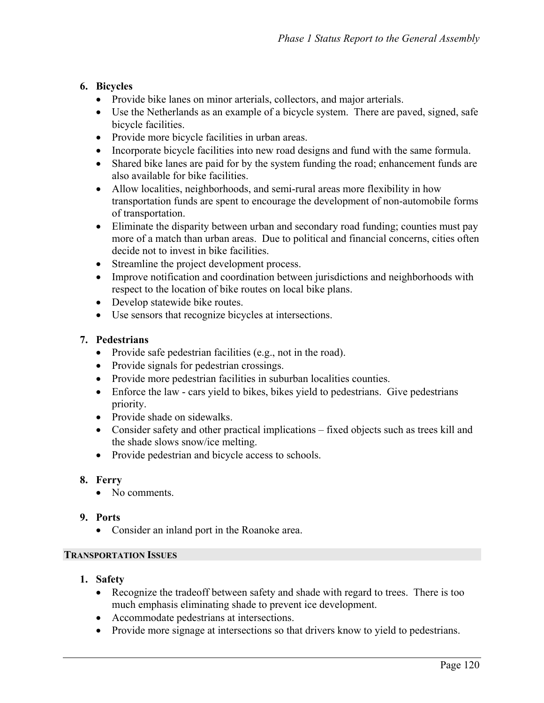### **6. Bicycles**

- Provide bike lanes on minor arterials, collectors, and major arterials.
- Use the Netherlands as an example of a bicycle system. There are paved, signed, safe bicycle facilities.
- Provide more bicycle facilities in urban areas.
- Incorporate bicycle facilities into new road designs and fund with the same formula.
- Shared bike lanes are paid for by the system funding the road; enhancement funds are also available for bike facilities.
- Allow localities, neighborhoods, and semi-rural areas more flexibility in how transportation funds are spent to encourage the development of non-automobile forms of transportation.
- Eliminate the disparity between urban and secondary road funding; counties must pay more of a match than urban areas. Due to political and financial concerns, cities often decide not to invest in bike facilities.
- Streamline the project development process.
- Improve notification and coordination between jurisdictions and neighborhoods with respect to the location of bike routes on local bike plans.
- Develop statewide bike routes.
- Use sensors that recognize bicycles at intersections.

### **7. Pedestrians**

- Provide safe pedestrian facilities (e.g., not in the road).
- Provide signals for pedestrian crossings.
- Provide more pedestrian facilities in suburban localities counties.
- Enforce the law cars yield to bikes, bikes yield to pedestrians. Give pedestrians priority.
- Provide shade on sidewalks.
- Consider safety and other practical implications fixed objects such as trees kill and the shade slows snow/ice melting.
- Provide pedestrian and bicycle access to schools.

# **8. Ferry**

• No comments

### **9. Ports**

• Consider an inland port in the Roanoke area.

### **TRANSPORTATION ISSUES**

- **1. Safety** 
	- Recognize the tradeoff between safety and shade with regard to trees. There is too much emphasis eliminating shade to prevent ice development.
	- Accommodate pedestrians at intersections.
	- Provide more signage at intersections so that drivers know to yield to pedestrians.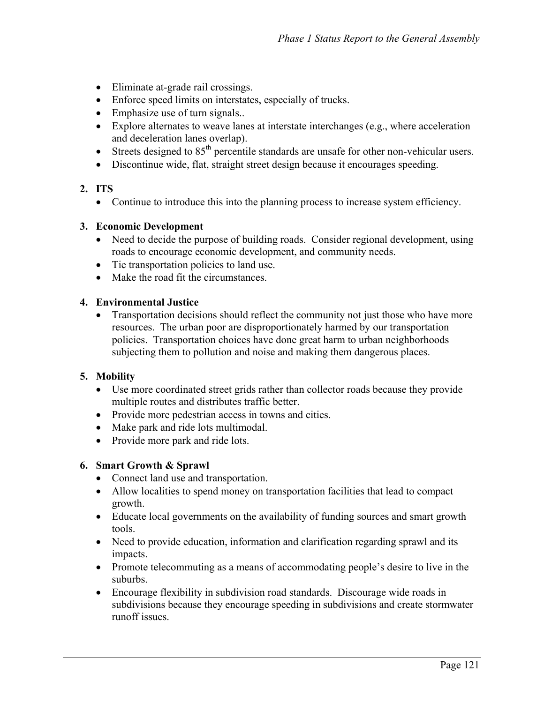- Eliminate at-grade rail crossings.
- Enforce speed limits on interstates, especially of trucks.
- Emphasize use of turn signals..
- Explore alternates to weave lanes at interstate interchanges (e.g., where acceleration and deceleration lanes overlap).
- Streets designed to  $85<sup>th</sup>$  percentile standards are unsafe for other non-vehicular users.
- Discontinue wide, flat, straight street design because it encourages speeding.

# **2. ITS**

• Continue to introduce this into the planning process to increase system efficiency.

### **3. Economic Development**

- Need to decide the purpose of building roads. Consider regional development, using roads to encourage economic development, and community needs.
- Tie transportation policies to land use.
- Make the road fit the circumstances

#### **4. Environmental Justice**

• Transportation decisions should reflect the community not just those who have more resources. The urban poor are disproportionately harmed by our transportation policies. Transportation choices have done great harm to urban neighborhoods subjecting them to pollution and noise and making them dangerous places.

### **5. Mobility**

- Use more coordinated street grids rather than collector roads because they provide multiple routes and distributes traffic better.
- Provide more pedestrian access in towns and cities.
- Make park and ride lots multimodal.
- Provide more park and ride lots.

### **6. Smart Growth & Sprawl**

- Connect land use and transportation.
- Allow localities to spend money on transportation facilities that lead to compact growth.
- Educate local governments on the availability of funding sources and smart growth tools.
- Need to provide education, information and clarification regarding sprawl and its impacts.
- Promote telecommuting as a means of accommodating people's desire to live in the suburbs.
- Encourage flexibility in subdivision road standards. Discourage wide roads in subdivisions because they encourage speeding in subdivisions and create stormwater runoff issues.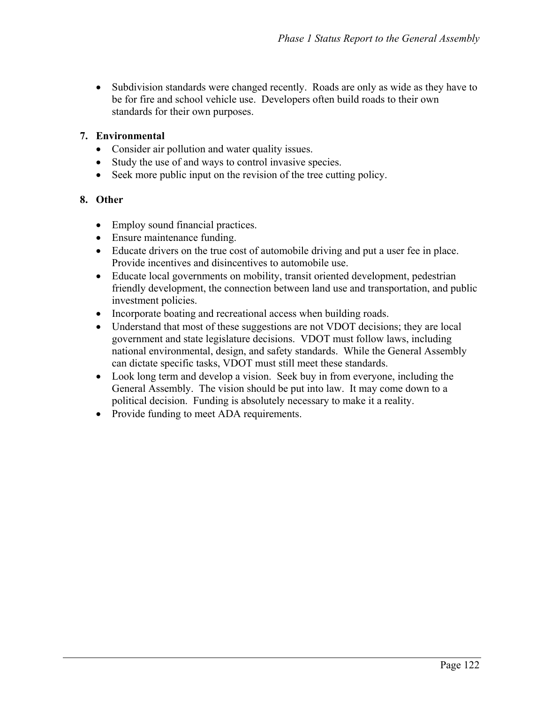• Subdivision standards were changed recently. Roads are only as wide as they have to be for fire and school vehicle use. Developers often build roads to their own standards for their own purposes.

### **7. Environmental**

- Consider air pollution and water quality issues.
- Study the use of and ways to control invasive species.
- Seek more public input on the revision of the tree cutting policy.

# **8. Other**

- Employ sound financial practices.
- Ensure maintenance funding.
- Educate drivers on the true cost of automobile driving and put a user fee in place. Provide incentives and disincentives to automobile use.
- Educate local governments on mobility, transit oriented development, pedestrian friendly development, the connection between land use and transportation, and public investment policies.
- Incorporate boating and recreational access when building roads.
- Understand that most of these suggestions are not VDOT decisions; they are local government and state legislature decisions. VDOT must follow laws, including national environmental, design, and safety standards. While the General Assembly can dictate specific tasks, VDOT must still meet these standards.
- Look long term and develop a vision. Seek buy in from everyone, including the General Assembly. The vision should be put into law. It may come down to a political decision. Funding is absolutely necessary to make it a reality.
- Provide funding to meet ADA requirements.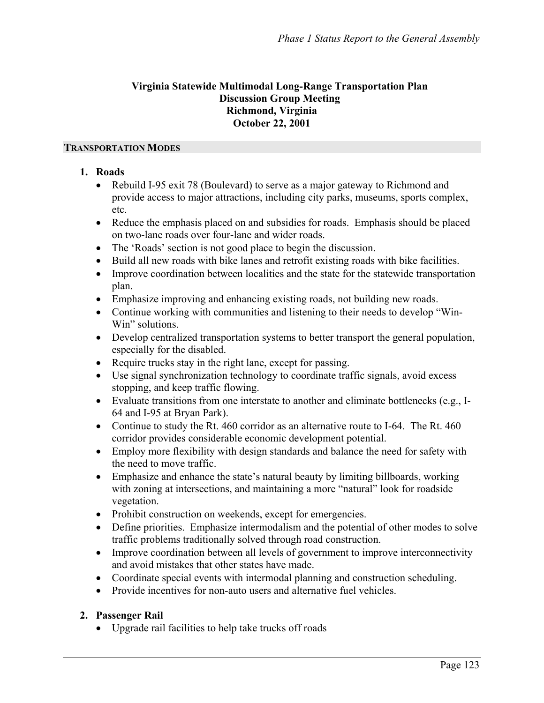### **Virginia Statewide Multimodal Long-Range Transportation Plan Discussion Group Meeting Richmond, Virginia October 22, 2001**

#### **TRANSPORTATION MODES**

#### **1. Roads**

- Rebuild I-95 exit 78 (Boulevard) to serve as a major gateway to Richmond and provide access to major attractions, including city parks, museums, sports complex, etc.
- Reduce the emphasis placed on and subsidies for roads. Emphasis should be placed on two-lane roads over four-lane and wider roads.
- The 'Roads' section is not good place to begin the discussion.
- Build all new roads with bike lanes and retrofit existing roads with bike facilities.
- Improve coordination between localities and the state for the statewide transportation plan.
- Emphasize improving and enhancing existing roads, not building new roads.
- Continue working with communities and listening to their needs to develop "Win-Win" solutions.
- Develop centralized transportation systems to better transport the general population, especially for the disabled.
- Require trucks stay in the right lane, except for passing.
- Use signal synchronization technology to coordinate traffic signals, avoid excess stopping, and keep traffic flowing.
- Evaluate transitions from one interstate to another and eliminate bottlenecks (e.g., I-64 and I-95 at Bryan Park).
- Continue to study the Rt. 460 corridor as an alternative route to I-64. The Rt. 460 corridor provides considerable economic development potential.
- Employ more flexibility with design standards and balance the need for safety with the need to move traffic.
- Emphasize and enhance the state's natural beauty by limiting billboards, working with zoning at intersections, and maintaining a more "natural" look for roadside vegetation.
- Prohibit construction on weekends, except for emergencies.
- Define priorities. Emphasize intermodalism and the potential of other modes to solve traffic problems traditionally solved through road construction.
- Improve coordination between all levels of government to improve interconnectivity and avoid mistakes that other states have made.
- Coordinate special events with intermodal planning and construction scheduling.
- Provide incentives for non-auto users and alternative fuel vehicles.

# **2. Passenger Rail**

• Upgrade rail facilities to help take trucks off roads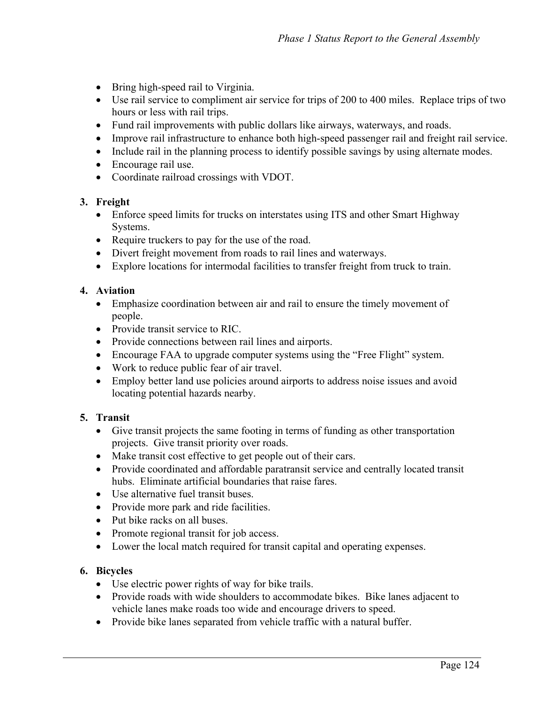- Bring high-speed rail to Virginia.
- Use rail service to compliment air service for trips of 200 to 400 miles. Replace trips of two hours or less with rail trips.
- Fund rail improvements with public dollars like airways, waterways, and roads.
- Improve rail infrastructure to enhance both high-speed passenger rail and freight rail service.
- Include rail in the planning process to identify possible savings by using alternate modes.
- Encourage rail use.
- Coordinate railroad crossings with VDOT.

### **3. Freight**

- Enforce speed limits for trucks on interstates using ITS and other Smart Highway Systems.
- Require truckers to pay for the use of the road.
- Divert freight movement from roads to rail lines and waterways.
- Explore locations for intermodal facilities to transfer freight from truck to train.

# **4. Aviation**

- Emphasize coordination between air and rail to ensure the timely movement of people.
- Provide transit service to RIC.
- Provide connections between rail lines and airports.
- Encourage FAA to upgrade computer systems using the "Free Flight" system.
- Work to reduce public fear of air travel.
- Employ better land use policies around airports to address noise issues and avoid locating potential hazards nearby.

### **5. Transit**

- Give transit projects the same footing in terms of funding as other transportation projects. Give transit priority over roads.
- Make transit cost effective to get people out of their cars.
- Provide coordinated and affordable paratransit service and centrally located transit hubs. Eliminate artificial boundaries that raise fares.
- Use alternative fuel transit buses.
- Provide more park and ride facilities.
- Put bike racks on all buses.
- Promote regional transit for job access.
- Lower the local match required for transit capital and operating expenses.

### **6. Bicycles**

- Use electric power rights of way for bike trails.
- Provide roads with wide shoulders to accommodate bikes. Bike lanes adjacent to vehicle lanes make roads too wide and encourage drivers to speed.
- Provide bike lanes separated from vehicle traffic with a natural buffer.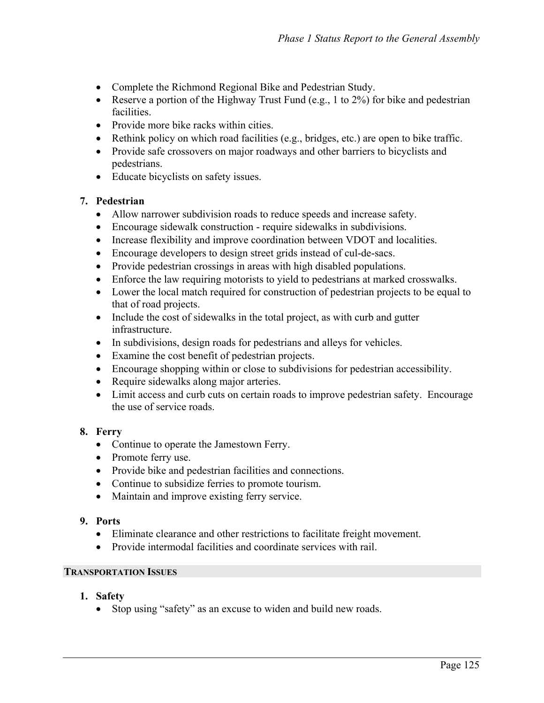- Complete the Richmond Regional Bike and Pedestrian Study.
- Reserve a portion of the Highway Trust Fund (e.g., 1 to  $2\%$ ) for bike and pedestrian facilities.
- Provide more bike racks within cities.
- Rethink policy on which road facilities (e.g., bridges, etc.) are open to bike traffic.
- Provide safe crossovers on major roadways and other barriers to bicyclists and pedestrians.
- Educate bicyclists on safety issues.

### **7. Pedestrian**

- Allow narrower subdivision roads to reduce speeds and increase safety.
- Encourage sidewalk construction require sidewalks in subdivisions.
- Increase flexibility and improve coordination between VDOT and localities.
- Encourage developers to design street grids instead of cul-de-sacs.
- Provide pedestrian crossings in areas with high disabled populations.
- Enforce the law requiring motorists to yield to pedestrians at marked crosswalks.
- Lower the local match required for construction of pedestrian projects to be equal to that of road projects.
- Include the cost of sidewalks in the total project, as with curb and gutter infrastructure.
- In subdivisions, design roads for pedestrians and alleys for vehicles.
- Examine the cost benefit of pedestrian projects.
- Encourage shopping within or close to subdivisions for pedestrian accessibility.
- Require sidewalks along major arteries.
- Limit access and curb cuts on certain roads to improve pedestrian safety. Encourage the use of service roads.

### **8. Ferry**

- Continue to operate the Jamestown Ferry.
- Promote ferry use.
- Provide bike and pedestrian facilities and connections.
- Continue to subsidize ferries to promote tourism.
- Maintain and improve existing ferry service.

### **9. Ports**

- Eliminate clearance and other restrictions to facilitate freight movement.
- Provide intermodal facilities and coordinate services with rail.

### **TRANSPORTATION ISSUES**

- **1. Safety** 
	- Stop using "safety" as an excuse to widen and build new roads.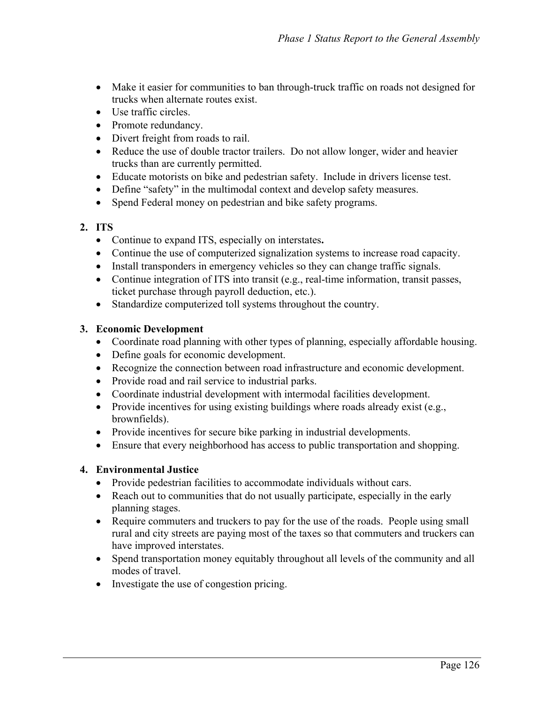- Make it easier for communities to ban through-truck traffic on roads not designed for trucks when alternate routes exist.
- Use traffic circles.
- Promote redundancy.
- Divert freight from roads to rail.
- Reduce the use of double tractor trailers. Do not allow longer, wider and heavier trucks than are currently permitted.
- Educate motorists on bike and pedestrian safety. Include in drivers license test.
- Define "safety" in the multimodal context and develop safety measures.
- Spend Federal money on pedestrian and bike safety programs.

# **2. ITS**

- Continue to expand ITS, especially on interstates**.**
- Continue the use of computerized signalization systems to increase road capacity.
- Install transponders in emergency vehicles so they can change traffic signals.
- Continue integration of ITS into transit (e.g., real-time information, transit passes, ticket purchase through payroll deduction, etc.).
- Standardize computerized toll systems throughout the country.

# **3. Economic Development**

- Coordinate road planning with other types of planning, especially affordable housing.
- Define goals for economic development.
- Recognize the connection between road infrastructure and economic development.
- Provide road and rail service to industrial parks.
- Coordinate industrial development with intermodal facilities development.
- Provide incentives for using existing buildings where roads already exist (e.g., brownfields).
- Provide incentives for secure bike parking in industrial developments.
- Ensure that every neighborhood has access to public transportation and shopping.

### **4. Environmental Justice**

- Provide pedestrian facilities to accommodate individuals without cars.
- Reach out to communities that do not usually participate, especially in the early planning stages.
- Require commuters and truckers to pay for the use of the roads. People using small rural and city streets are paying most of the taxes so that commuters and truckers can have improved interstates.
- Spend transportation money equitably throughout all levels of the community and all modes of travel.
- Investigate the use of congestion pricing.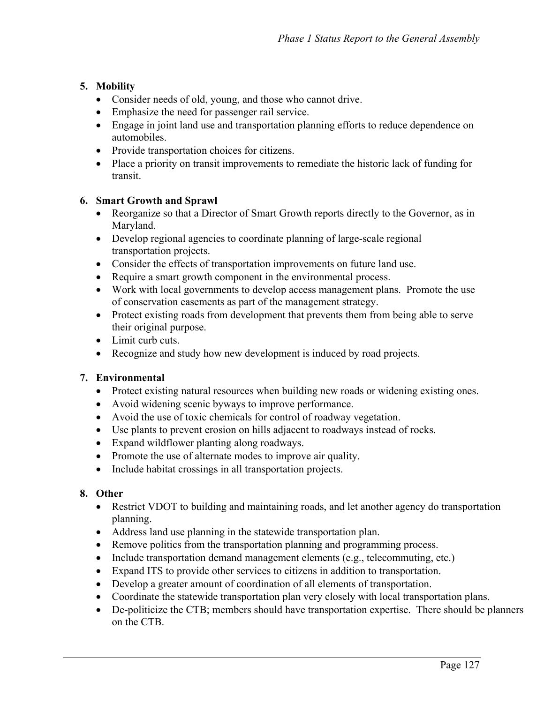# **5. Mobility**

- Consider needs of old, young, and those who cannot drive.
- Emphasize the need for passenger rail service.
- Engage in joint land use and transportation planning efforts to reduce dependence on automobiles.
- Provide transportation choices for citizens.
- Place a priority on transit improvements to remediate the historic lack of funding for transit.

### **6. Smart Growth and Sprawl**

- Reorganize so that a Director of Smart Growth reports directly to the Governor, as in Maryland.
- Develop regional agencies to coordinate planning of large-scale regional transportation projects.
- Consider the effects of transportation improvements on future land use.
- Require a smart growth component in the environmental process.
- Work with local governments to develop access management plans. Promote the use of conservation easements as part of the management strategy.
- Protect existing roads from development that prevents them from being able to serve their original purpose.
- Limit curb cuts.
- Recognize and study how new development is induced by road projects.

### **7. Environmental**

- Protect existing natural resources when building new roads or widening existing ones.
- Avoid widening scenic byways to improve performance.
- Avoid the use of toxic chemicals for control of roadway vegetation.
- Use plants to prevent erosion on hills adjacent to roadways instead of rocks.
- Expand wildflower planting along roadways.
- Promote the use of alternate modes to improve air quality.
- Include habitat crossings in all transportation projects.

### **8. Other**

- Restrict VDOT to building and maintaining roads, and let another agency do transportation planning.
- Address land use planning in the statewide transportation plan.
- Remove politics from the transportation planning and programming process.
- Include transportation demand management elements (e.g., telecommuting, etc.)
- Expand ITS to provide other services to citizens in addition to transportation.
- Develop a greater amount of coordination of all elements of transportation.
- Coordinate the statewide transportation plan very closely with local transportation plans.
- De-politicize the CTB; members should have transportation expertise. There should be planners on the CTB.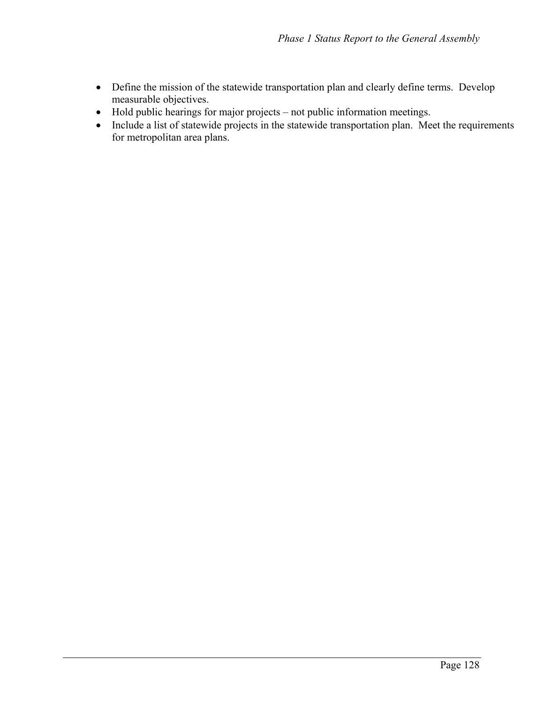- Define the mission of the statewide transportation plan and clearly define terms. Develop measurable objectives.
- Hold public hearings for major projects not public information meetings.
- Include a list of statewide projects in the statewide transportation plan. Meet the requirements for metropolitan area plans.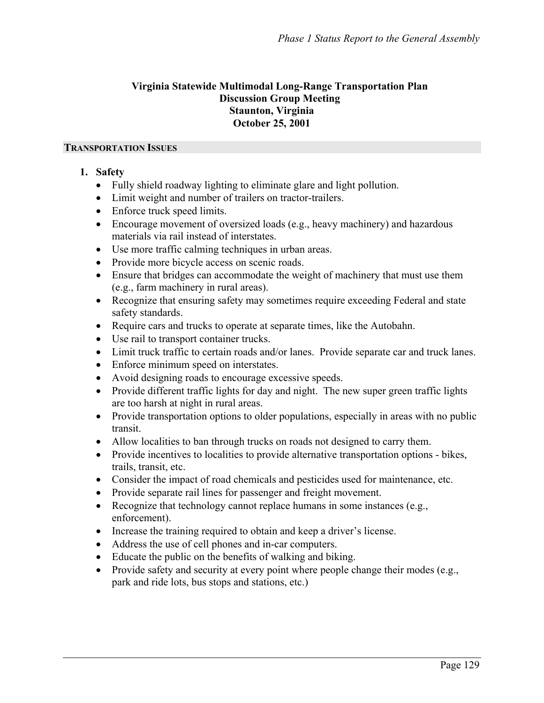### **Virginia Statewide Multimodal Long-Range Transportation Plan Discussion Group Meeting Staunton, Virginia October 25, 2001**

#### **TRANSPORTATION ISSUES**

#### **1. Safety**

- Fully shield roadway lighting to eliminate glare and light pollution.
- Limit weight and number of trailers on tractor-trailers.
- Enforce truck speed limits.
- Encourage movement of oversized loads (e.g., heavy machinery) and hazardous materials via rail instead of interstates.
- Use more traffic calming techniques in urban areas.
- Provide more bicycle access on scenic roads.
- Ensure that bridges can accommodate the weight of machinery that must use them (e.g., farm machinery in rural areas).
- Recognize that ensuring safety may sometimes require exceeding Federal and state safety standards.
- Require cars and trucks to operate at separate times, like the Autobahn.
- Use rail to transport container trucks.
- Limit truck traffic to certain roads and/or lanes. Provide separate car and truck lanes.
- Enforce minimum speed on interstates.
- Avoid designing roads to encourage excessive speeds.
- Provide different traffic lights for day and night. The new super green traffic lights are too harsh at night in rural areas.
- Provide transportation options to older populations, especially in areas with no public transit.
- Allow localities to ban through trucks on roads not designed to carry them.
- Provide incentives to localities to provide alternative transportation options bikes, trails, transit, etc.
- Consider the impact of road chemicals and pesticides used for maintenance, etc.
- Provide separate rail lines for passenger and freight movement.
- Recognize that technology cannot replace humans in some instances (e.g., enforcement).
- Increase the training required to obtain and keep a driver's license.
- Address the use of cell phones and in-car computers.
- Educate the public on the benefits of walking and biking.
- Provide safety and security at every point where people change their modes (e.g., park and ride lots, bus stops and stations, etc.)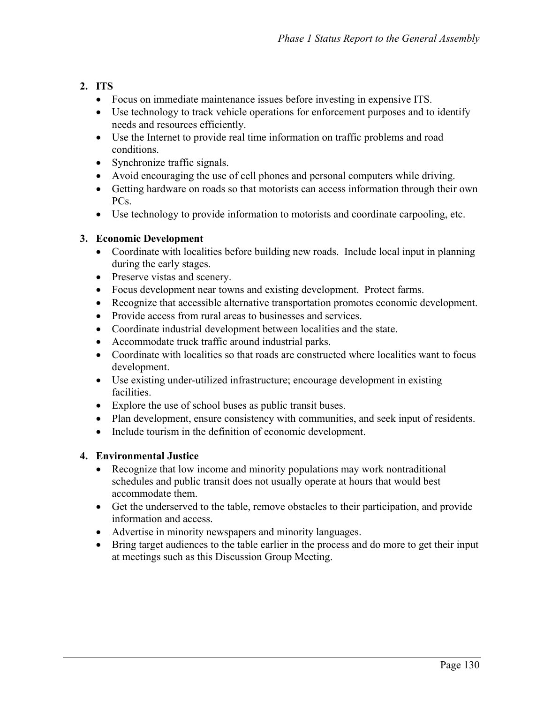# **2. ITS**

- Focus on immediate maintenance issues before investing in expensive ITS.
- Use technology to track vehicle operations for enforcement purposes and to identify needs and resources efficiently.
- Use the Internet to provide real time information on traffic problems and road conditions.
- Synchronize traffic signals.
- Avoid encouraging the use of cell phones and personal computers while driving.
- Getting hardware on roads so that motorists can access information through their own PC<sub>s</sub>.
- Use technology to provide information to motorists and coordinate carpooling, etc.

# **3. Economic Development**

- Coordinate with localities before building new roads. Include local input in planning during the early stages.
- Preserve vistas and scenery.
- Focus development near towns and existing development. Protect farms.
- Recognize that accessible alternative transportation promotes economic development.
- Provide access from rural areas to businesses and services.
- Coordinate industrial development between localities and the state.
- Accommodate truck traffic around industrial parks.
- Coordinate with localities so that roads are constructed where localities want to focus development.
- Use existing under-utilized infrastructure; encourage development in existing facilities.
- Explore the use of school buses as public transit buses.
- Plan development, ensure consistency with communities, and seek input of residents.
- Include tourism in the definition of economic development.

### **4. Environmental Justice**

- Recognize that low income and minority populations may work nontraditional schedules and public transit does not usually operate at hours that would best accommodate them.
- Get the underserved to the table, remove obstacles to their participation, and provide information and access.
- Advertise in minority newspapers and minority languages.
- Bring target audiences to the table earlier in the process and do more to get their input at meetings such as this Discussion Group Meeting.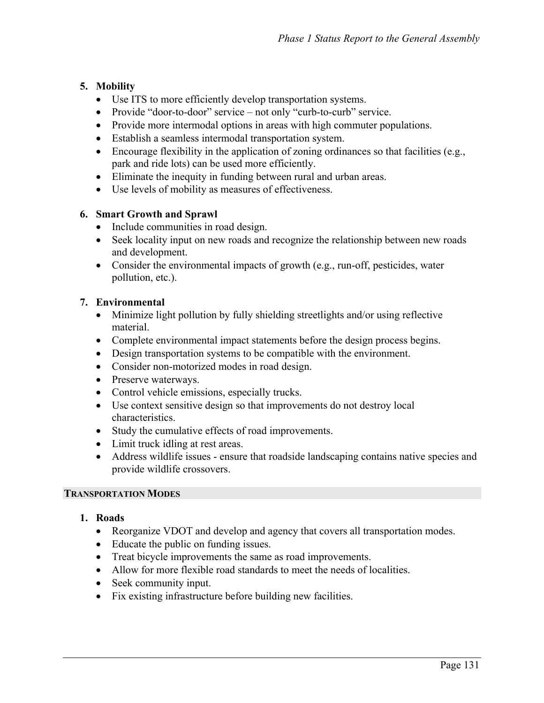# **5. Mobility**

- Use ITS to more efficiently develop transportation systems.
- Provide "door-to-door" service not only "curb-to-curb" service.
- Provide more intermodal options in areas with high commuter populations.
- Establish a seamless intermodal transportation system.
- Encourage flexibility in the application of zoning ordinances so that facilities (e.g., park and ride lots) can be used more efficiently.
- Eliminate the inequity in funding between rural and urban areas.
- Use levels of mobility as measures of effectiveness.

### **6. Smart Growth and Sprawl**

- Include communities in road design.
- Seek locality input on new roads and recognize the relationship between new roads and development.
- Consider the environmental impacts of growth (e.g., run-off, pesticides, water pollution, etc.).

### **7. Environmental**

- Minimize light pollution by fully shielding streetlights and/or using reflective material.
- Complete environmental impact statements before the design process begins.
- Design transportation systems to be compatible with the environment.
- Consider non-motorized modes in road design.
- Preserve waterways.
- Control vehicle emissions, especially trucks.
- Use context sensitive design so that improvements do not destroy local characteristics.
- Study the cumulative effects of road improvements.
- Limit truck idling at rest areas.
- Address wildlife issues ensure that roadside landscaping contains native species and provide wildlife crossovers.

### **TRANSPORTATION MODES**

- **1. Roads** 
	- Reorganize VDOT and develop and agency that covers all transportation modes.
	- Educate the public on funding issues.
	- Treat bicycle improvements the same as road improvements.
	- Allow for more flexible road standards to meet the needs of localities.
	- Seek community input.
	- Fix existing infrastructure before building new facilities.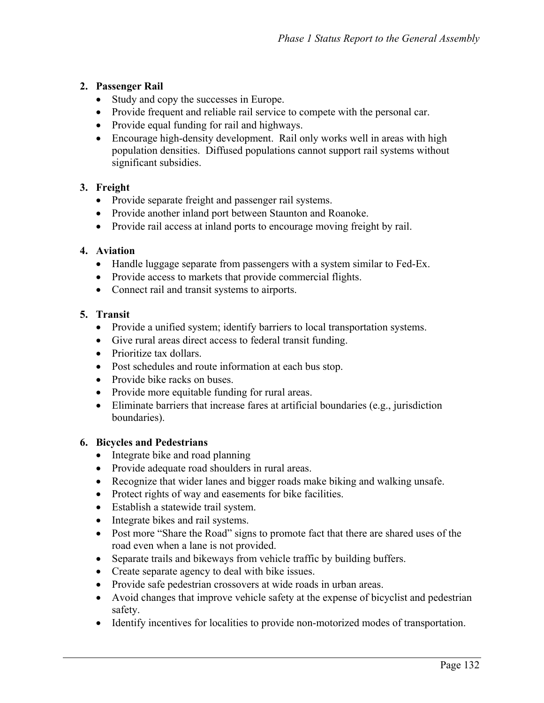# **2. Passenger Rail**

- Study and copy the successes in Europe.
- Provide frequent and reliable rail service to compete with the personal car.
- Provide equal funding for rail and highways.
- Encourage high-density development. Rail only works well in areas with high population densities. Diffused populations cannot support rail systems without significant subsidies.

### **3. Freight**

- Provide separate freight and passenger rail systems.
- Provide another inland port between Staunton and Roanoke.
- Provide rail access at inland ports to encourage moving freight by rail.

# **4. Aviation**

- Handle luggage separate from passengers with a system similar to Fed-Ex.
- Provide access to markets that provide commercial flights.
- Connect rail and transit systems to airports.

### **5. Transit**

- Provide a unified system; identify barriers to local transportation systems.
- Give rural areas direct access to federal transit funding.
- Prioritize tax dollars.
- Post schedules and route information at each bus stop.
- Provide bike racks on buses.
- Provide more equitable funding for rural areas.
- Eliminate barriers that increase fares at artificial boundaries (e.g., jurisdiction boundaries).

### **6. Bicycles and Pedestrians**

- Integrate bike and road planning
- Provide adequate road shoulders in rural areas.
- Recognize that wider lanes and bigger roads make biking and walking unsafe.
- Protect rights of way and easements for bike facilities.
- Establish a statewide trail system.
- Integrate bikes and rail systems.
- Post more "Share the Road" signs to promote fact that there are shared uses of the road even when a lane is not provided.
- Separate trails and bikeways from vehicle traffic by building buffers.
- Create separate agency to deal with bike issues.
- Provide safe pedestrian crossovers at wide roads in urban areas.
- Avoid changes that improve vehicle safety at the expense of bicyclist and pedestrian safety.
- Identify incentives for localities to provide non-motorized modes of transportation.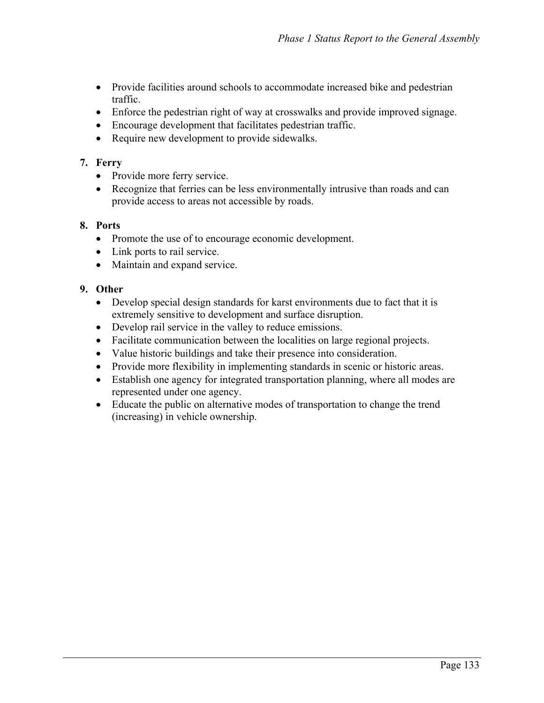- Provide facilities around schools to accommodate increased bike and pedestrian traffic.
- Enforce the pedestrian right of way at crosswalks and provide improved signage.
- Encourage development that facilitates pedestrian traffic.
- Require new development to provide sidewalks.

## **7. Ferry**

- Provide more ferry service.
- Recognize that ferries can be less environmentally intrusive than roads and can provide access to areas not accessible by roads.

### **8. Ports**

- Promote the use of to encourage economic development.
- Link ports to rail service.
- Maintain and expand service.

# **9. Other**

- Develop special design standards for karst environments due to fact that it is extremely sensitive to development and surface disruption.
- Develop rail service in the valley to reduce emissions.
- Facilitate communication between the localities on large regional projects.
- Value historic buildings and take their presence into consideration.
- Provide more flexibility in implementing standards in scenic or historic areas.
- Establish one agency for integrated transportation planning, where all modes are represented under one agency.
- Educate the public on alternative modes of transportation to change the trend (increasing) in vehicle ownership.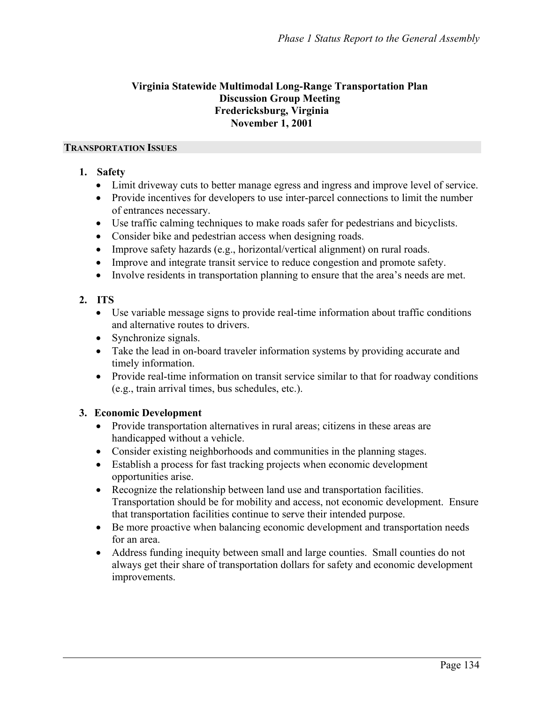#### **Virginia Statewide Multimodal Long-Range Transportation Plan Discussion Group Meeting Fredericksburg, Virginia November 1, 2001**

#### **TRANSPORTATION ISSUES**

#### **1. Safety**

- Limit driveway cuts to better manage egress and ingress and improve level of service.
- Provide incentives for developers to use inter-parcel connections to limit the number of entrances necessary.
- Use traffic calming techniques to make roads safer for pedestrians and bicyclists.
- Consider bike and pedestrian access when designing roads.
- Improve safety hazards (e.g., horizontal/vertical alignment) on rural roads.
- Improve and integrate transit service to reduce congestion and promote safety.
- Involve residents in transportation planning to ensure that the area's needs are met.

# **2. ITS**

- Use variable message signs to provide real-time information about traffic conditions and alternative routes to drivers.
- Synchronize signals.
- Take the lead in on-board traveler information systems by providing accurate and timely information.
- Provide real-time information on transit service similar to that for roadway conditions (e.g., train arrival times, bus schedules, etc.).

### **3. Economic Development**

- Provide transportation alternatives in rural areas; citizens in these areas are handicapped without a vehicle.
- Consider existing neighborhoods and communities in the planning stages.
- Establish a process for fast tracking projects when economic development opportunities arise.
- Recognize the relationship between land use and transportation facilities. Transportation should be for mobility and access, not economic development. Ensure that transportation facilities continue to serve their intended purpose.
- Be more proactive when balancing economic development and transportation needs for an area.
- Address funding inequity between small and large counties. Small counties do not always get their share of transportation dollars for safety and economic development improvements.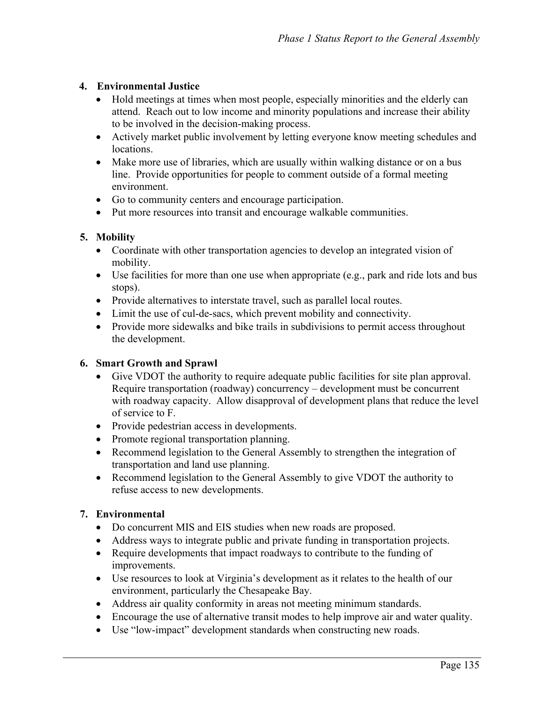# **4. Environmental Justice**

- Hold meetings at times when most people, especially minorities and the elderly can attend. Reach out to low income and minority populations and increase their ability to be involved in the decision-making process.
- Actively market public involvement by letting everyone know meeting schedules and locations.
- Make more use of libraries, which are usually within walking distance or on a bus line. Provide opportunities for people to comment outside of a formal meeting environment.
- Go to community centers and encourage participation.
- Put more resources into transit and encourage walkable communities.

## **5. Mobility**

- Coordinate with other transportation agencies to develop an integrated vision of mobility.
- Use facilities for more than one use when appropriate (e.g., park and ride lots and bus stops).
- Provide alternatives to interstate travel, such as parallel local routes.
- Limit the use of cul-de-sacs, which prevent mobility and connectivity.
- Provide more sidewalks and bike trails in subdivisions to permit access throughout the development.

## **6. Smart Growth and Sprawl**

- Give VDOT the authority to require adequate public facilities for site plan approval. Require transportation (roadway) concurrency – development must be concurrent with roadway capacity. Allow disapproval of development plans that reduce the level of service to F.
- Provide pedestrian access in developments.
- Promote regional transportation planning.
- Recommend legislation to the General Assembly to strengthen the integration of transportation and land use planning.
- Recommend legislation to the General Assembly to give VDOT the authority to refuse access to new developments.

## **7. Environmental**

- Do concurrent MIS and EIS studies when new roads are proposed.
- Address ways to integrate public and private funding in transportation projects.
- Require developments that impact roadways to contribute to the funding of improvements.
- Use resources to look at Virginia's development as it relates to the health of our environment, particularly the Chesapeake Bay.
- Address air quality conformity in areas not meeting minimum standards.
- Encourage the use of alternative transit modes to help improve air and water quality.
- Use "low-impact" development standards when constructing new roads.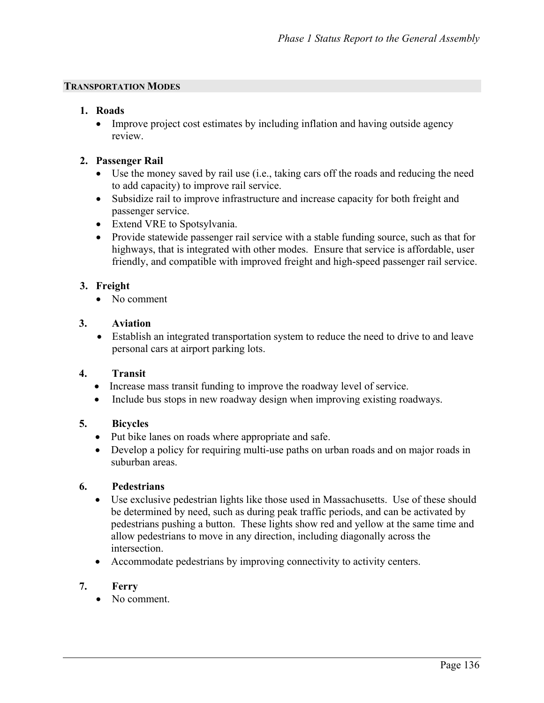#### **TRANSPORTATION MODES**

#### **1. Roads**

• Improve project cost estimates by including inflation and having outside agency review.

### **2. Passenger Rail**

- Use the money saved by rail use (i.e., taking cars off the roads and reducing the need to add capacity) to improve rail service.
- Subsidize rail to improve infrastructure and increase capacity for both freight and passenger service.
- Extend VRE to Spotsylvania.
- Provide statewide passenger rail service with a stable funding source, such as that for highways, that is integrated with other modes. Ensure that service is affordable, user friendly, and compatible with improved freight and high-speed passenger rail service.

## **3. Freight**

• No comment

### **3. Aviation**

• Establish an integrated transportation system to reduce the need to drive to and leave personal cars at airport parking lots.

## **4. Transit**

- Increase mass transit funding to improve the roadway level of service.
- Include bus stops in new roadway design when improving existing roadways.

## **5. Bicycles**

- Put bike lanes on roads where appropriate and safe.
- Develop a policy for requiring multi-use paths on urban roads and on major roads in suburban areas.

#### **6. Pedestrians**

- Use exclusive pedestrian lights like those used in Massachusetts. Use of these should be determined by need, such as during peak traffic periods, and can be activated by pedestrians pushing a button. These lights show red and yellow at the same time and allow pedestrians to move in any direction, including diagonally across the intersection.
- Accommodate pedestrians by improving connectivity to activity centers.

## **7. Ferry**

• No comment.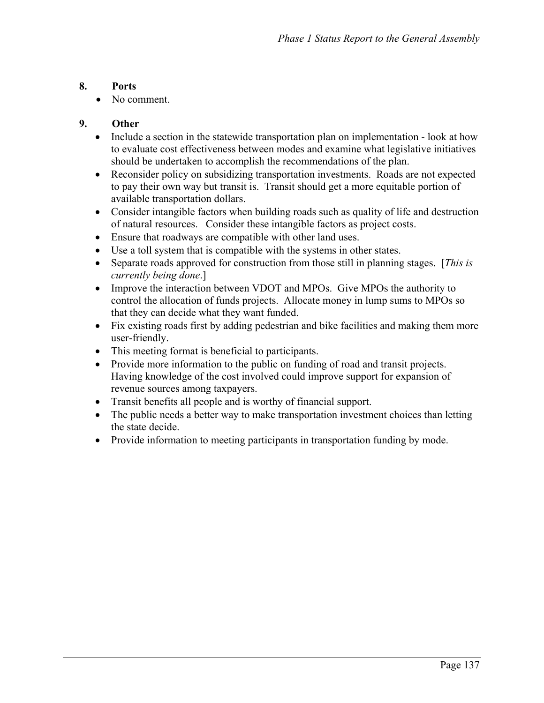# **8. Ports**

• No comment.

# **9. Other**

- Include a section in the statewide transportation plan on implementation look at how to evaluate cost effectiveness between modes and examine what legislative initiatives should be undertaken to accomplish the recommendations of the plan.
- Reconsider policy on subsidizing transportation investments. Roads are not expected to pay their own way but transit is. Transit should get a more equitable portion of available transportation dollars.
- Consider intangible factors when building roads such as quality of life and destruction of natural resources. Consider these intangible factors as project costs.
- Ensure that roadways are compatible with other land uses.
- Use a toll system that is compatible with the systems in other states.
- Separate roads approved for construction from those still in planning stages. [*This is currently being done*.]
- Improve the interaction between VDOT and MPOs. Give MPOs the authority to control the allocation of funds projects. Allocate money in lump sums to MPOs so that they can decide what they want funded.
- Fix existing roads first by adding pedestrian and bike facilities and making them more user-friendly.
- This meeting format is beneficial to participants.
- Provide more information to the public on funding of road and transit projects. Having knowledge of the cost involved could improve support for expansion of revenue sources among taxpayers.
- Transit benefits all people and is worthy of financial support.
- The public needs a better way to make transportation investment choices than letting the state decide.
- Provide information to meeting participants in transportation funding by mode.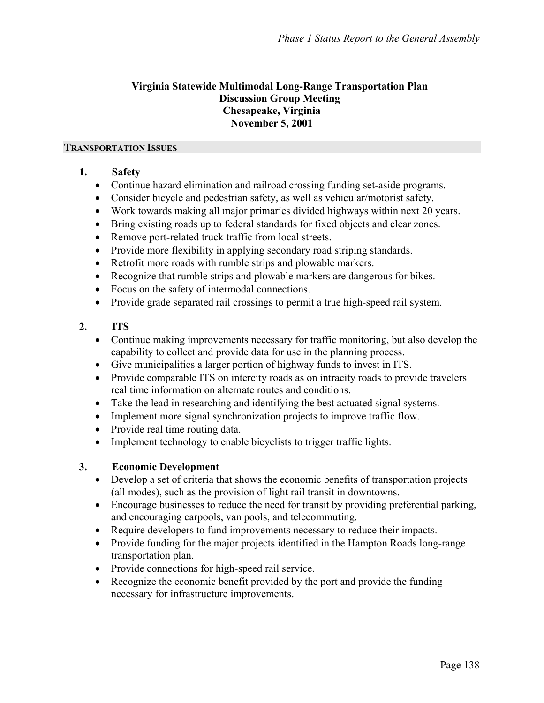## **Virginia Statewide Multimodal Long-Range Transportation Plan Discussion Group Meeting Chesapeake, Virginia November 5, 2001**

#### **TRANSPORTATION ISSUES**

### **1. Safety**

- Continue hazard elimination and railroad crossing funding set-aside programs.
- Consider bicycle and pedestrian safety, as well as vehicular/motorist safety.
- Work towards making all major primaries divided highways within next 20 years.
- Bring existing roads up to federal standards for fixed objects and clear zones.
- Remove port-related truck traffic from local streets.
- Provide more flexibility in applying secondary road striping standards.
- Retrofit more roads with rumble strips and plowable markers.
- Recognize that rumble strips and plowable markers are dangerous for bikes.
- Focus on the safety of intermodal connections.
- Provide grade separated rail crossings to permit a true high-speed rail system.
- **2. ITS** 
	- Continue making improvements necessary for traffic monitoring, but also develop the capability to collect and provide data for use in the planning process.
	- Give municipalities a larger portion of highway funds to invest in ITS.
	- Provide comparable ITS on intercity roads as on intracity roads to provide travelers real time information on alternate routes and conditions.
	- Take the lead in researching and identifying the best actuated signal systems.
	- Implement more signal synchronization projects to improve traffic flow.
	- Provide real time routing data.
	- Implement technology to enable bicyclists to trigger traffic lights.

## **3. Economic Development**

- Develop a set of criteria that shows the economic benefits of transportation projects (all modes), such as the provision of light rail transit in downtowns.
- Encourage businesses to reduce the need for transit by providing preferential parking, and encouraging carpools, van pools, and telecommuting.
- Require developers to fund improvements necessary to reduce their impacts.
- Provide funding for the major projects identified in the Hampton Roads long-range transportation plan.
- Provide connections for high-speed rail service.
- Recognize the economic benefit provided by the port and provide the funding necessary for infrastructure improvements.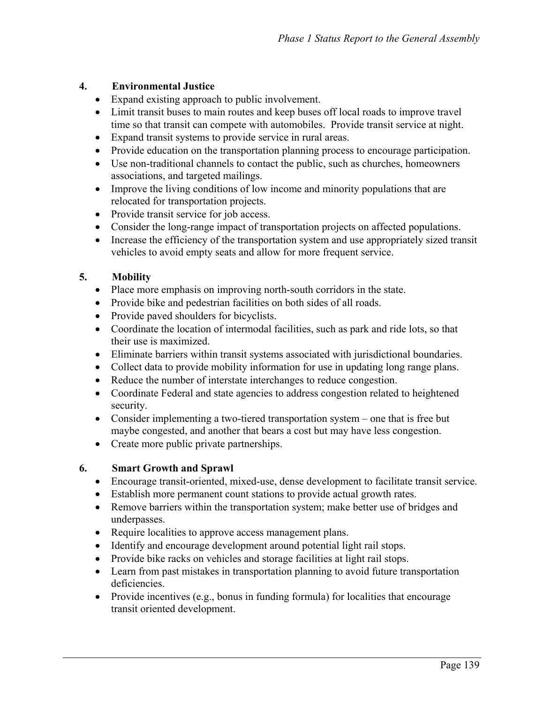# **4. Environmental Justice**

- Expand existing approach to public involvement.
- Limit transit buses to main routes and keep buses off local roads to improve travel time so that transit can compete with automobiles. Provide transit service at night.
- Expand transit systems to provide service in rural areas.
- Provide education on the transportation planning process to encourage participation.
- Use non-traditional channels to contact the public, such as churches, homeowners associations, and targeted mailings.
- Improve the living conditions of low income and minority populations that are relocated for transportation projects.
- Provide transit service for job access.
- Consider the long-range impact of transportation projects on affected populations.
- Increase the efficiency of the transportation system and use appropriately sized transit vehicles to avoid empty seats and allow for more frequent service.

# **5. Mobility**

- Place more emphasis on improving north-south corridors in the state.
- Provide bike and pedestrian facilities on both sides of all roads.
- Provide paved shoulders for bicyclists.
- Coordinate the location of intermodal facilities, such as park and ride lots, so that their use is maximized.
- Eliminate barriers within transit systems associated with jurisdictional boundaries.
- Collect data to provide mobility information for use in updating long range plans.
- Reduce the number of interstate interchanges to reduce congestion.
- Coordinate Federal and state agencies to address congestion related to heightened security.
- Consider implementing a two-tiered transportation system one that is free but maybe congested, and another that bears a cost but may have less congestion.
- Create more public private partnerships.

## **6. Smart Growth and Sprawl**

- Encourage transit-oriented, mixed-use, dense development to facilitate transit service.
- Establish more permanent count stations to provide actual growth rates.
- Remove barriers within the transportation system; make better use of bridges and underpasses.
- Require localities to approve access management plans.
- Identify and encourage development around potential light rail stops.
- Provide bike racks on vehicles and storage facilities at light rail stops.
- Learn from past mistakes in transportation planning to avoid future transportation deficiencies.
- Provide incentives (e.g., bonus in funding formula) for localities that encourage transit oriented development.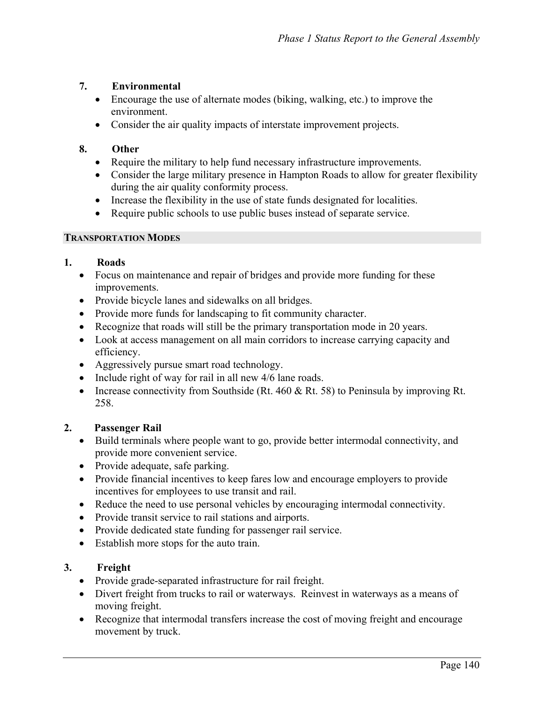# **7. Environmental**

- Encourage the use of alternate modes (biking, walking, etc.) to improve the environment.
- Consider the air quality impacts of interstate improvement projects.

# **8. Other**

- Require the military to help fund necessary infrastructure improvements.
- Consider the large military presence in Hampton Roads to allow for greater flexibility during the air quality conformity process.
- Increase the flexibility in the use of state funds designated for localities.
- Require public schools to use public buses instead of separate service.

### **TRANSPORTATION MODES**

### **1. Roads**

- Focus on maintenance and repair of bridges and provide more funding for these improvements.
- Provide bicycle lanes and sidewalks on all bridges.
- Provide more funds for landscaping to fit community character.
- Recognize that roads will still be the primary transportation mode in 20 years.
- Look at access management on all main corridors to increase carrying capacity and efficiency.
- Aggressively pursue smart road technology.
- Include right of way for rail in all new 4/6 lane roads.
- Increase connectivity from Southside (Rt. 460 & Rt. 58) to Peninsula by improving Rt. 258.

## **2. Passenger Rail**

- Build terminals where people want to go, provide better intermodal connectivity, and provide more convenient service.
- Provide adequate, safe parking.
- Provide financial incentives to keep fares low and encourage employers to provide incentives for employees to use transit and rail.
- Reduce the need to use personal vehicles by encouraging intermodal connectivity.
- Provide transit service to rail stations and airports.
- Provide dedicated state funding for passenger rail service.
- Establish more stops for the auto train.

# **3. Freight**

- Provide grade-separated infrastructure for rail freight.
- Divert freight from trucks to rail or waterways. Reinvest in waterways as a means of moving freight.
- Recognize that intermodal transfers increase the cost of moving freight and encourage movement by truck.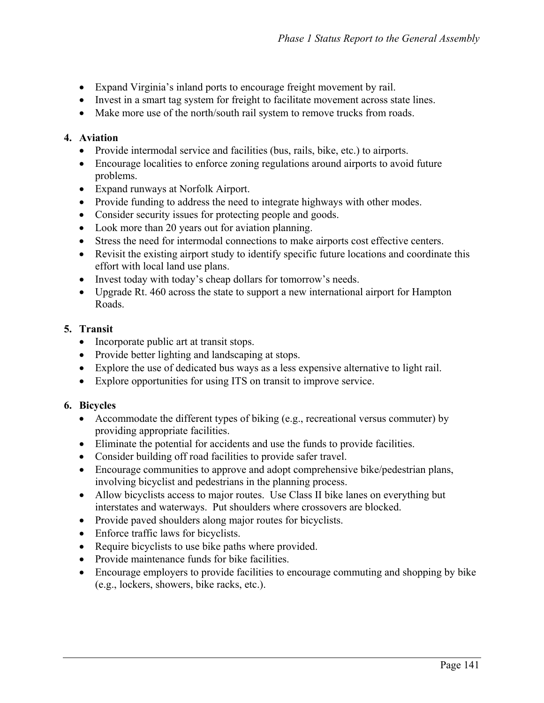- Expand Virginia's inland ports to encourage freight movement by rail.
- Invest in a smart tag system for freight to facilitate movement across state lines.
- Make more use of the north/south rail system to remove trucks from roads.

# **4. Aviation**

- Provide intermodal service and facilities (bus, rails, bike, etc.) to airports.
- Encourage localities to enforce zoning regulations around airports to avoid future problems.
- Expand runways at Norfolk Airport.
- Provide funding to address the need to integrate highways with other modes.
- Consider security issues for protecting people and goods.
- Look more than 20 years out for aviation planning.
- Stress the need for intermodal connections to make airports cost effective centers.
- Revisit the existing airport study to identify specific future locations and coordinate this effort with local land use plans.
- Invest today with today's cheap dollars for tomorrow's needs.
- Upgrade Rt. 460 across the state to support a new international airport for Hampton Roads.

# **5. Transit**

- Incorporate public art at transit stops.
- Provide better lighting and landscaping at stops.
- Explore the use of dedicated bus ways as a less expensive alternative to light rail.
- Explore opportunities for using ITS on transit to improve service.

## **6. Bicycles**

- Accommodate the different types of biking (e.g., recreational versus commuter) by providing appropriate facilities.
- Eliminate the potential for accidents and use the funds to provide facilities.
- Consider building off road facilities to provide safer travel.
- Encourage communities to approve and adopt comprehensive bike/pedestrian plans, involving bicyclist and pedestrians in the planning process.
- Allow bicyclists access to major routes. Use Class II bike lanes on everything but interstates and waterways. Put shoulders where crossovers are blocked.
- Provide paved shoulders along major routes for bicyclists.
- Enforce traffic laws for bicyclists.
- Require bicyclists to use bike paths where provided.
- Provide maintenance funds for bike facilities.
- Encourage employers to provide facilities to encourage commuting and shopping by bike (e.g., lockers, showers, bike racks, etc.).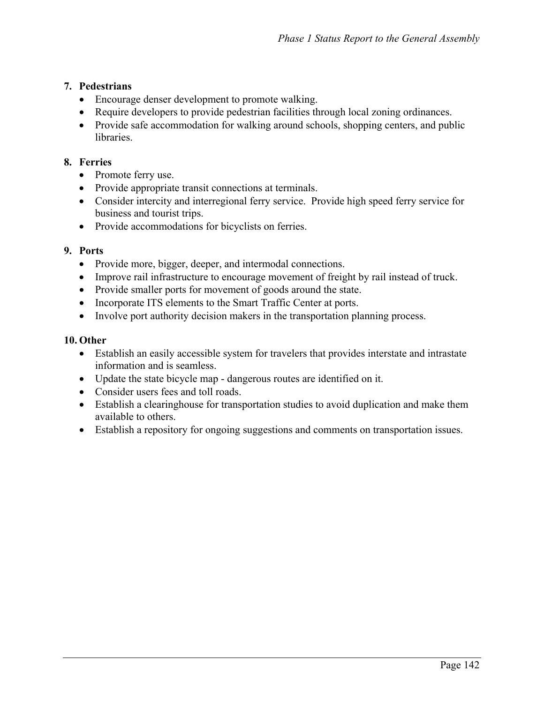# **7. Pedestrians**

- Encourage denser development to promote walking.
- Require developers to provide pedestrian facilities through local zoning ordinances.
- Provide safe accommodation for walking around schools, shopping centers, and public libraries.

# **8. Ferries**

- Promote ferry use.
- Provide appropriate transit connections at terminals.
- Consider intercity and interregional ferry service. Provide high speed ferry service for business and tourist trips.
- Provide accommodations for bicyclists on ferries.

## **9. Ports**

- Provide more, bigger, deeper, and intermodal connections.
- Improve rail infrastructure to encourage movement of freight by rail instead of truck.
- Provide smaller ports for movement of goods around the state.
- Incorporate ITS elements to the Smart Traffic Center at ports.
- Involve port authority decision makers in the transportation planning process.

## **10. Other**

- Establish an easily accessible system for travelers that provides interstate and intrastate information and is seamless.
- Update the state bicycle map dangerous routes are identified on it.
- Consider users fees and toll roads.
- Establish a clearinghouse for transportation studies to avoid duplication and make them available to others.
- Establish a repository for ongoing suggestions and comments on transportation issues.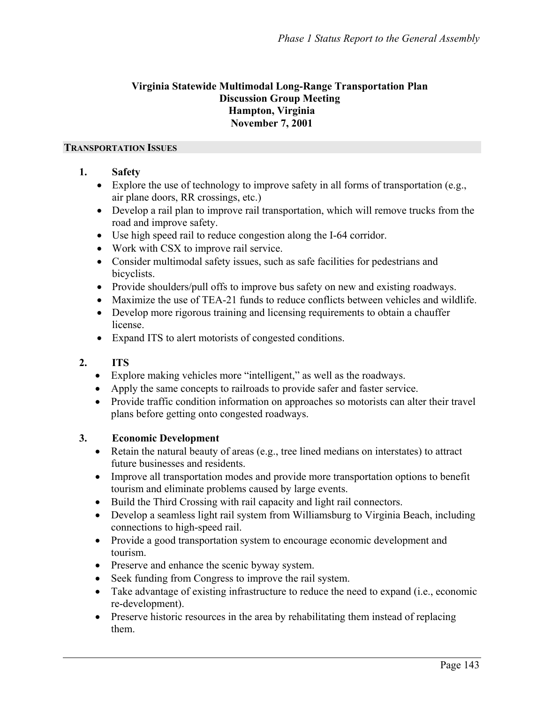# **Virginia Statewide Multimodal Long-Range Transportation Plan Discussion Group Meeting Hampton, Virginia November 7, 2001**

#### **TRANSPORTATION ISSUES**

### **1. Safety**

- Explore the use of technology to improve safety in all forms of transportation (e.g., air plane doors, RR crossings, etc.)
- Develop a rail plan to improve rail transportation, which will remove trucks from the road and improve safety.
- Use high speed rail to reduce congestion along the I-64 corridor.
- Work with CSX to improve rail service.
- Consider multimodal safety issues, such as safe facilities for pedestrians and bicyclists.
- Provide shoulders/pull offs to improve bus safety on new and existing roadways.
- Maximize the use of TEA-21 funds to reduce conflicts between vehicles and wildlife.
- Develop more rigorous training and licensing requirements to obtain a chauffer license.
- Expand ITS to alert motorists of congested conditions.

## **2. ITS**

- Explore making vehicles more "intelligent," as well as the roadways.
- Apply the same concepts to railroads to provide safer and faster service.
- Provide traffic condition information on approaches so motorists can alter their travel plans before getting onto congested roadways.

## **3. Economic Development**

- Retain the natural beauty of areas (e.g., tree lined medians on interstates) to attract future businesses and residents.
- Improve all transportation modes and provide more transportation options to benefit tourism and eliminate problems caused by large events.
- Build the Third Crossing with rail capacity and light rail connectors.
- Develop a seamless light rail system from Williamsburg to Virginia Beach, including connections to high-speed rail.
- Provide a good transportation system to encourage economic development and tourism.
- Preserve and enhance the scenic byway system.
- Seek funding from Congress to improve the rail system.
- Take advantage of existing infrastructure to reduce the need to expand (i.e., economic re-development).
- Preserve historic resources in the area by rehabilitating them instead of replacing them.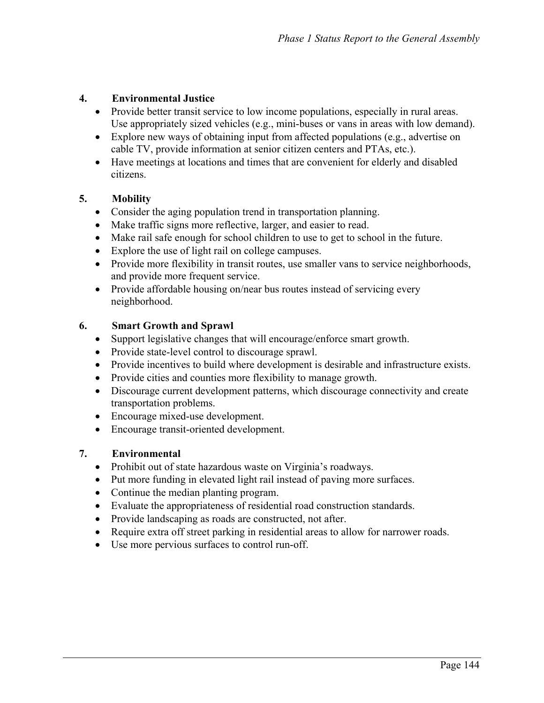# **4. Environmental Justice**

- Provide better transit service to low income populations, especially in rural areas. Use appropriately sized vehicles (e.g., mini-buses or vans in areas with low demand).
- Explore new ways of obtaining input from affected populations (e.g., advertise on cable TV, provide information at senior citizen centers and PTAs, etc.).
- Have meetings at locations and times that are convenient for elderly and disabled citizens.

# **5. Mobility**

- Consider the aging population trend in transportation planning.
- Make traffic signs more reflective, larger, and easier to read.
- Make rail safe enough for school children to use to get to school in the future.
- Explore the use of light rail on college campuses.
- Provide more flexibility in transit routes, use smaller vans to service neighborhoods, and provide more frequent service.
- Provide affordable housing on/near bus routes instead of servicing every neighborhood.

# **6. Smart Growth and Sprawl**

- Support legislative changes that will encourage/enforce smart growth.
- Provide state-level control to discourage sprawl.
- Provide incentives to build where development is desirable and infrastructure exists.
- Provide cities and counties more flexibility to manage growth.
- Discourage current development patterns, which discourage connectivity and create transportation problems.
- Encourage mixed-use development.
- Encourage transit-oriented development.

# **7. Environmental**

- Prohibit out of state hazardous waste on Virginia's roadways.
- Put more funding in elevated light rail instead of paving more surfaces.
- Continue the median planting program.
- Evaluate the appropriateness of residential road construction standards.
- Provide landscaping as roads are constructed, not after.
- Require extra off street parking in residential areas to allow for narrower roads.
- Use more pervious surfaces to control run-off.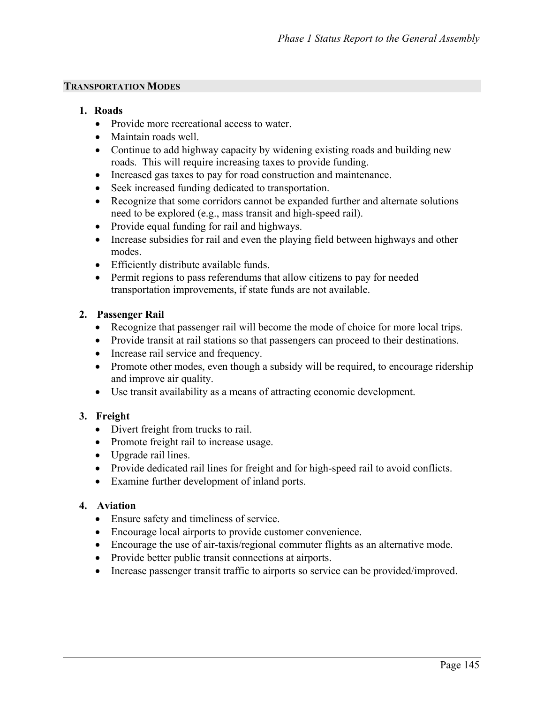#### **TRANSPORTATION MODES**

- **1. Roads** 
	- Provide more recreational access to water.
	- Maintain roads well.
	- Continue to add highway capacity by widening existing roads and building new roads. This will require increasing taxes to provide funding.
	- Increased gas taxes to pay for road construction and maintenance.
	- Seek increased funding dedicated to transportation.
	- Recognize that some corridors cannot be expanded further and alternate solutions need to be explored (e.g., mass transit and high-speed rail).
	- Provide equal funding for rail and highways.
	- Increase subsidies for rail and even the playing field between highways and other modes.
	- Efficiently distribute available funds.
	- Permit regions to pass referendums that allow citizens to pay for needed transportation improvements, if state funds are not available.

### **2. Passenger Rail**

- Recognize that passenger rail will become the mode of choice for more local trips.
- Provide transit at rail stations so that passengers can proceed to their destinations.
- Increase rail service and frequency.
- Promote other modes, even though a subsidy will be required, to encourage ridership and improve air quality.
- Use transit availability as a means of attracting economic development.

## **3. Freight**

- Divert freight from trucks to rail.
- Promote freight rail to increase usage.
- Upgrade rail lines.
- Provide dedicated rail lines for freight and for high-speed rail to avoid conflicts.
- Examine further development of inland ports.

## **4. Aviation**

- Ensure safety and timeliness of service.
- Encourage local airports to provide customer convenience.
- Encourage the use of air-taxis/regional commuter flights as an alternative mode.
- Provide better public transit connections at airports.
- Increase passenger transit traffic to airports so service can be provided/improved.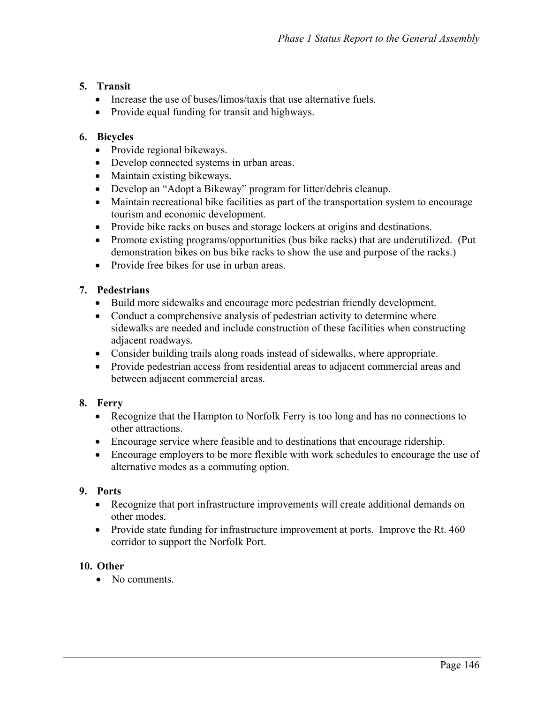# **5. Transit**

- Increase the use of buses/limos/taxis that use alternative fuels.
- Provide equal funding for transit and highways.

# **6. Bicycles**

- Provide regional bikeways.
- Develop connected systems in urban areas.
- Maintain existing bikeways.
- Develop an "Adopt a Bikeway" program for litter/debris cleanup.
- Maintain recreational bike facilities as part of the transportation system to encourage tourism and economic development.
- Provide bike racks on buses and storage lockers at origins and destinations.
- Promote existing programs/opportunities (bus bike racks) that are underutilized. (Put demonstration bikes on bus bike racks to show the use and purpose of the racks.)
- Provide free bikes for use in urban areas.

# **7. Pedestrians**

- Build more sidewalks and encourage more pedestrian friendly development.
- Conduct a comprehensive analysis of pedestrian activity to determine where sidewalks are needed and include construction of these facilities when constructing adjacent roadways.
- Consider building trails along roads instead of sidewalks, where appropriate.
- Provide pedestrian access from residential areas to adjacent commercial areas and between adjacent commercial areas.

# **8. Ferry**

- Recognize that the Hampton to Norfolk Ferry is too long and has no connections to other attractions.
- Encourage service where feasible and to destinations that encourage ridership.
- Encourage employers to be more flexible with work schedules to encourage the use of alternative modes as a commuting option.

## **9. Ports**

- Recognize that port infrastructure improvements will create additional demands on other modes.
- Provide state funding for infrastructure improvement at ports. Improve the Rt. 460 corridor to support the Norfolk Port.

# **10. Other**

• No comments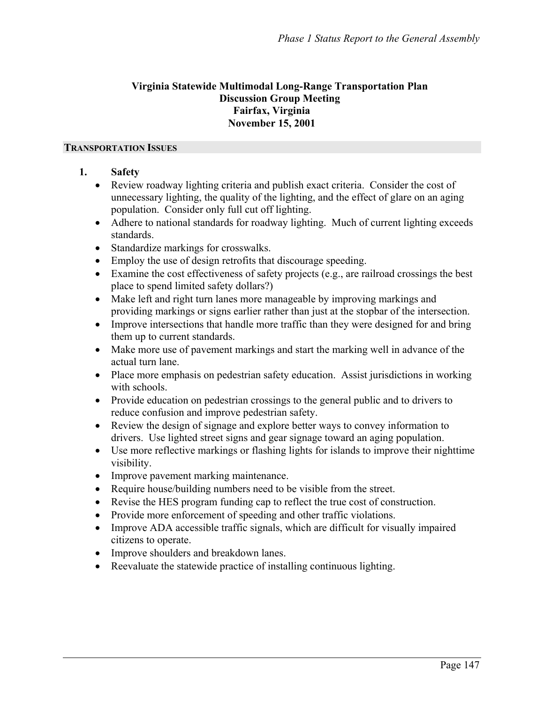# **Virginia Statewide Multimodal Long-Range Transportation Plan Discussion Group Meeting Fairfax, Virginia November 15, 2001**

#### **TRANSPORTATION ISSUES**

#### **1. Safety**

- Review roadway lighting criteria and publish exact criteria. Consider the cost of unnecessary lighting, the quality of the lighting, and the effect of glare on an aging population. Consider only full cut off lighting.
- Adhere to national standards for roadway lighting. Much of current lighting exceeds standards.
- Standardize markings for crosswalks.
- Employ the use of design retrofits that discourage speeding.
- Examine the cost effectiveness of safety projects (e.g., are railroad crossings the best place to spend limited safety dollars?)
- Make left and right turn lanes more manageable by improving markings and providing markings or signs earlier rather than just at the stopbar of the intersection.
- Improve intersections that handle more traffic than they were designed for and bring them up to current standards.
- Make more use of pavement markings and start the marking well in advance of the actual turn lane.
- Place more emphasis on pedestrian safety education. Assist jurisdictions in working with schools.
- Provide education on pedestrian crossings to the general public and to drivers to reduce confusion and improve pedestrian safety.
- Review the design of signage and explore better ways to convey information to drivers. Use lighted street signs and gear signage toward an aging population.
- Use more reflective markings or flashing lights for islands to improve their nighttime visibility.
- Improve pavement marking maintenance.
- Require house/building numbers need to be visible from the street.
- Revise the HES program funding cap to reflect the true cost of construction.
- Provide more enforcement of speeding and other traffic violations.
- Improve ADA accessible traffic signals, which are difficult for visually impaired citizens to operate.
- Improve shoulders and breakdown lanes.
- Reevaluate the statewide practice of installing continuous lighting.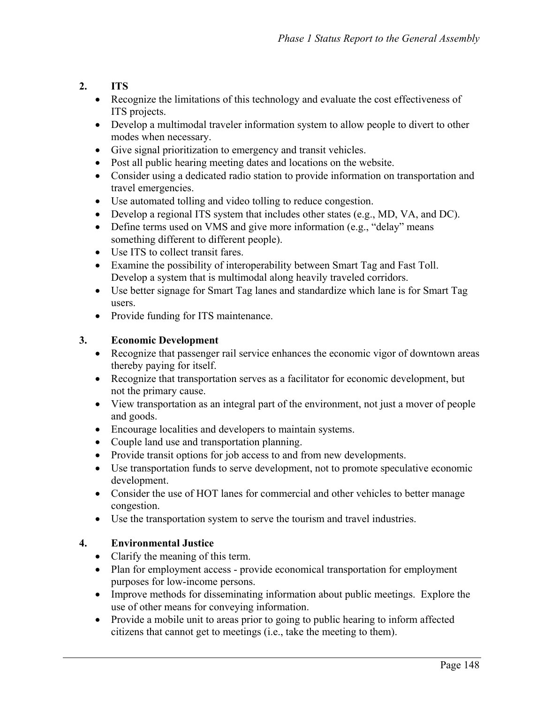- **2. ITS** 
	- Recognize the limitations of this technology and evaluate the cost effectiveness of ITS projects.
	- Develop a multimodal traveler information system to allow people to divert to other modes when necessary.
	- Give signal prioritization to emergency and transit vehicles.
	- Post all public hearing meeting dates and locations on the website.
	- Consider using a dedicated radio station to provide information on transportation and travel emergencies.
	- Use automated tolling and video tolling to reduce congestion.
	- Develop a regional ITS system that includes other states (e.g., MD, VA, and DC).
	- Define terms used on VMS and give more information (e.g., "delay" means something different to different people).
	- Use ITS to collect transit fares.
	- Examine the possibility of interoperability between Smart Tag and Fast Toll. Develop a system that is multimodal along heavily traveled corridors.
	- Use better signage for Smart Tag lanes and standardize which lane is for Smart Tag users.
	- Provide funding for ITS maintenance.

## **3. Economic Development**

- Recognize that passenger rail service enhances the economic vigor of downtown areas thereby paying for itself.
- Recognize that transportation serves as a facilitator for economic development, but not the primary cause.
- View transportation as an integral part of the environment, not just a mover of people and goods.
- Encourage localities and developers to maintain systems.
- Couple land use and transportation planning.
- Provide transit options for job access to and from new developments.
- Use transportation funds to serve development, not to promote speculative economic development.
- Consider the use of HOT lanes for commercial and other vehicles to better manage congestion.
- Use the transportation system to serve the tourism and travel industries.

## **4. Environmental Justice**

- Clarify the meaning of this term.
- Plan for employment access provide economical transportation for employment purposes for low-income persons.
- Improve methods for disseminating information about public meetings. Explore the use of other means for conveying information.
- Provide a mobile unit to areas prior to going to public hearing to inform affected citizens that cannot get to meetings (i.e., take the meeting to them).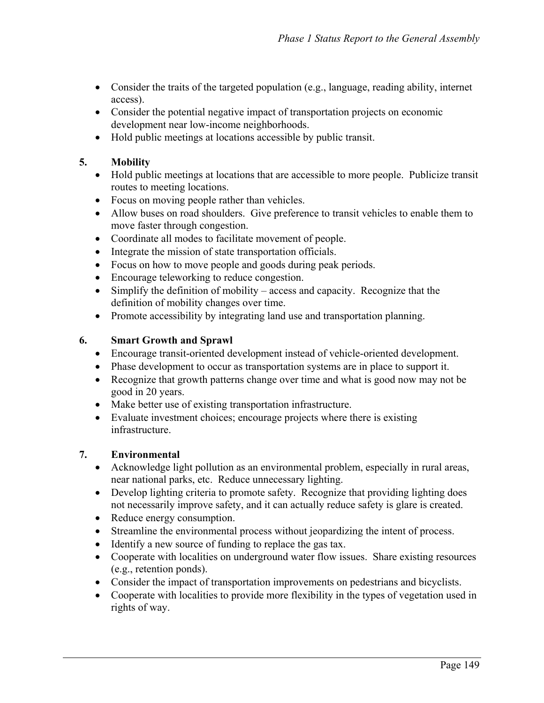- Consider the traits of the targeted population (e.g., language, reading ability, internet access).
- Consider the potential negative impact of transportation projects on economic development near low-income neighborhoods.
- Hold public meetings at locations accessible by public transit.

# **5. Mobility**

- Hold public meetings at locations that are accessible to more people. Publicize transit routes to meeting locations.
- Focus on moving people rather than vehicles.
- Allow buses on road shoulders. Give preference to transit vehicles to enable them to move faster through congestion.
- Coordinate all modes to facilitate movement of people.
- Integrate the mission of state transportation officials.
- Focus on how to move people and goods during peak periods.
- Encourage teleworking to reduce congestion.
- Simplify the definition of mobility access and capacity. Recognize that the definition of mobility changes over time.
- Promote accessibility by integrating land use and transportation planning.

## **6. Smart Growth and Sprawl**

- Encourage transit-oriented development instead of vehicle-oriented development.
- Phase development to occur as transportation systems are in place to support it.
- Recognize that growth patterns change over time and what is good now may not be good in 20 years.
- Make better use of existing transportation infrastructure.
- Evaluate investment choices; encourage projects where there is existing infrastructure.

## **7. Environmental**

- Acknowledge light pollution as an environmental problem, especially in rural areas, near national parks, etc. Reduce unnecessary lighting.
- Develop lighting criteria to promote safety. Recognize that providing lighting does not necessarily improve safety, and it can actually reduce safety is glare is created.
- Reduce energy consumption.
- Streamline the environmental process without jeopardizing the intent of process.
- Identify a new source of funding to replace the gas tax.
- Cooperate with localities on underground water flow issues. Share existing resources (e.g., retention ponds).
- Consider the impact of transportation improvements on pedestrians and bicyclists.
- Cooperate with localities to provide more flexibility in the types of vegetation used in rights of way.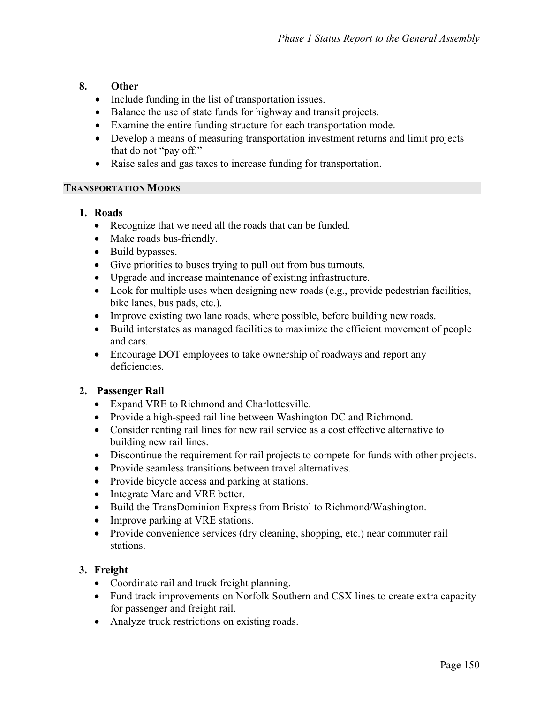# **8. Other**

- Include funding in the list of transportation issues.
- Balance the use of state funds for highway and transit projects.
- Examine the entire funding structure for each transportation mode.
- Develop a means of measuring transportation investment returns and limit projects that do not "pay off."
- Raise sales and gas taxes to increase funding for transportation.

### **TRANSPORTATION MODES**

## **1. Roads**

- Recognize that we need all the roads that can be funded.
- Make roads bus-friendly.
- Build bypasses.
- Give priorities to buses trying to pull out from bus turnouts.
- Upgrade and increase maintenance of existing infrastructure.
- Look for multiple uses when designing new roads (e.g., provide pedestrian facilities, bike lanes, bus pads, etc.).
- Improve existing two lane roads, where possible, before building new roads.
- Build interstates as managed facilities to maximize the efficient movement of people and cars.
- Encourage DOT employees to take ownership of roadways and report any deficiencies.

# **2. Passenger Rail**

- Expand VRE to Richmond and Charlottesville.
- Provide a high-speed rail line between Washington DC and Richmond.
- Consider renting rail lines for new rail service as a cost effective alternative to building new rail lines.
- Discontinue the requirement for rail projects to compete for funds with other projects.
- Provide seamless transitions between travel alternatives.
- Provide bicycle access and parking at stations.
- Integrate Marc and VRE better.
- Build the TransDominion Express from Bristol to Richmond/Washington.
- Improve parking at VRE stations.
- Provide convenience services (dry cleaning, shopping, etc.) near commuter rail stations.

## **3. Freight**

- Coordinate rail and truck freight planning.
- Fund track improvements on Norfolk Southern and CSX lines to create extra capacity for passenger and freight rail.
- Analyze truck restrictions on existing roads.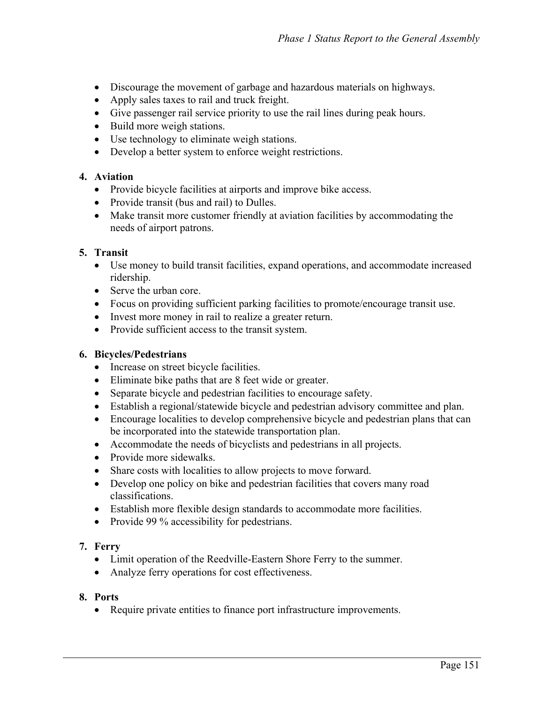- Discourage the movement of garbage and hazardous materials on highways.
- Apply sales taxes to rail and truck freight.
- Give passenger rail service priority to use the rail lines during peak hours.
- Build more weigh stations.
- Use technology to eliminate weigh stations.
- Develop a better system to enforce weight restrictions.

### **4. Aviation**

- Provide bicycle facilities at airports and improve bike access.
- Provide transit (bus and rail) to Dulles.
- Make transit more customer friendly at aviation facilities by accommodating the needs of airport patrons.

### **5. Transit**

- Use money to build transit facilities, expand operations, and accommodate increased ridership.
- Serve the urban core.
- Focus on providing sufficient parking facilities to promote/encourage transit use.
- Invest more money in rail to realize a greater return.
- Provide sufficient access to the transit system.

## **6. Bicycles/Pedestrians**

- Increase on street bicycle facilities.
- Eliminate bike paths that are 8 feet wide or greater.
- Separate bicycle and pedestrian facilities to encourage safety.
- Establish a regional/statewide bicycle and pedestrian advisory committee and plan.
- Encourage localities to develop comprehensive bicycle and pedestrian plans that can be incorporated into the statewide transportation plan.
- Accommodate the needs of bicyclists and pedestrians in all projects.
- Provide more sidewalks.
- Share costs with localities to allow projects to move forward.
- Develop one policy on bike and pedestrian facilities that covers many road classifications.
- Establish more flexible design standards to accommodate more facilities.
- Provide 99 % accessibility for pedestrians.

## **7. Ferry**

- Limit operation of the Reedville-Eastern Shore Ferry to the summer.
- Analyze ferry operations for cost effectiveness.

## **8. Ports**

• Require private entities to finance port infrastructure improvements.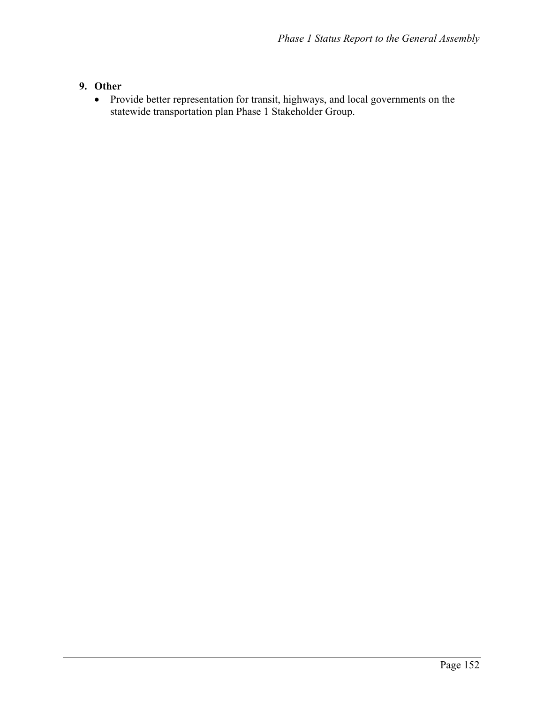# **9. Other**

• Provide better representation for transit, highways, and local governments on the statewide transportation plan Phase 1 Stakeholder Group.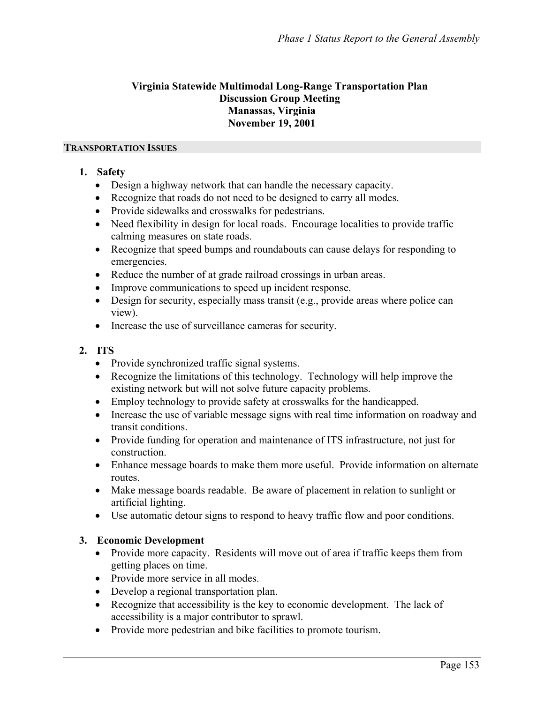# **Virginia Statewide Multimodal Long-Range Transportation Plan Discussion Group Meeting Manassas, Virginia November 19, 2001**

#### **TRANSPORTATION ISSUES**

#### **1. Safety**

- Design a highway network that can handle the necessary capacity.
- Recognize that roads do not need to be designed to carry all modes.
- Provide sidewalks and crosswalks for pedestrians.
- Need flexibility in design for local roads. Encourage localities to provide traffic calming measures on state roads.
- Recognize that speed bumps and roundabouts can cause delays for responding to emergencies.
- Reduce the number of at grade railroad crossings in urban areas.
- Improve communications to speed up incident response.
- Design for security, especially mass transit (e.g., provide areas where police can view).
- Increase the use of surveillance cameras for security.

# **2. ITS**

- Provide synchronized traffic signal systems.
- Recognize the limitations of this technology. Technology will help improve the existing network but will not solve future capacity problems.
- Employ technology to provide safety at crosswalks for the handicapped.
- Increase the use of variable message signs with real time information on roadway and transit conditions.
- Provide funding for operation and maintenance of ITS infrastructure, not just for construction.
- Enhance message boards to make them more useful. Provide information on alternate routes.
- Make message boards readable. Be aware of placement in relation to sunlight or artificial lighting.
- Use automatic detour signs to respond to heavy traffic flow and poor conditions.

## **3. Economic Development**

- Provide more capacity. Residents will move out of area if traffic keeps them from getting places on time.
- Provide more service in all modes.
- Develop a regional transportation plan.
- Recognize that accessibility is the key to economic development. The lack of accessibility is a major contributor to sprawl.
- Provide more pedestrian and bike facilities to promote tourism.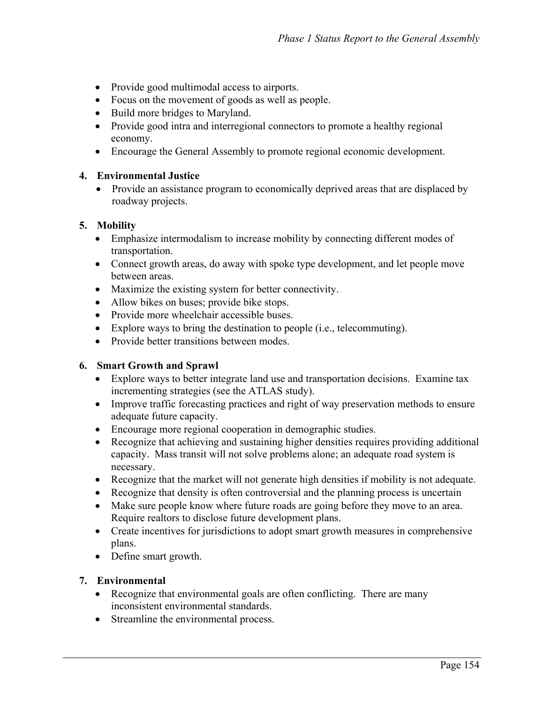- Provide good multimodal access to airports.
- Focus on the movement of goods as well as people.
- Build more bridges to Maryland.
- Provide good intra and interregional connectors to promote a healthy regional economy.
- Encourage the General Assembly to promote regional economic development.

### **4. Environmental Justice**

• Provide an assistance program to economically deprived areas that are displaced by roadway projects.

### **5. Mobility**

- Emphasize intermodalism to increase mobility by connecting different modes of transportation.
- Connect growth areas, do away with spoke type development, and let people move between areas.
- Maximize the existing system for better connectivity.
- Allow bikes on buses; provide bike stops.
- Provide more wheelchair accessible buses.
- Explore ways to bring the destination to people (i.e., telecommuting).
- Provide better transitions between modes.

#### **6. Smart Growth and Sprawl**

- Explore ways to better integrate land use and transportation decisions. Examine tax incrementing strategies (see the ATLAS study).
- Improve traffic forecasting practices and right of way preservation methods to ensure adequate future capacity.
- Encourage more regional cooperation in demographic studies.
- Recognize that achieving and sustaining higher densities requires providing additional capacity. Mass transit will not solve problems alone; an adequate road system is necessary.
- Recognize that the market will not generate high densities if mobility is not adequate.
- Recognize that density is often controversial and the planning process is uncertain
- Make sure people know where future roads are going before they move to an area. Require realtors to disclose future development plans.
- Create incentives for jurisdictions to adopt smart growth measures in comprehensive plans.
- Define smart growth.

### **7. Environmental**

- Recognize that environmental goals are often conflicting. There are many inconsistent environmental standards.
- Streamline the environmental process.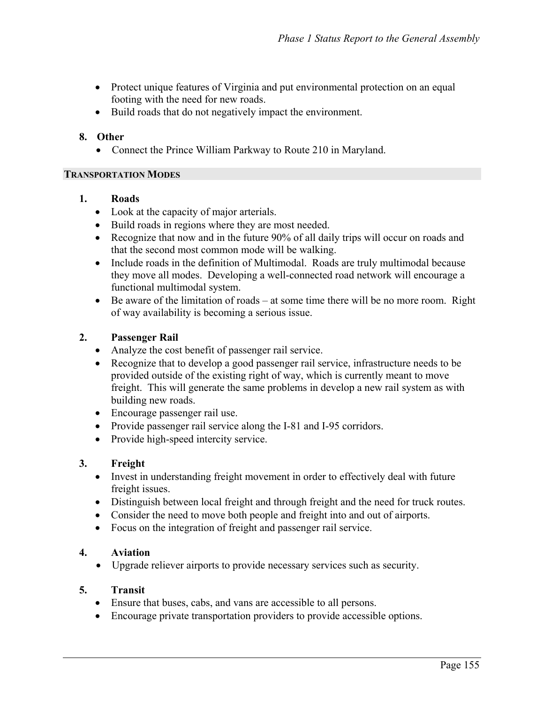- Protect unique features of Virginia and put environmental protection on an equal footing with the need for new roads.
- Build roads that do not negatively impact the environment.

### **8. Other**

• Connect the Prince William Parkway to Route 210 in Maryland.

#### **TRANSPORTATION MODES**

#### **1. Roads**

- Look at the capacity of major arterials.
- Build roads in regions where they are most needed.
- Recognize that now and in the future 90% of all daily trips will occur on roads and that the second most common mode will be walking.
- Include roads in the definition of Multimodal. Roads are truly multimodal because they move all modes. Developing a well-connected road network will encourage a functional multimodal system.
- Be aware of the limitation of roads at some time there will be no more room. Right of way availability is becoming a serious issue.

### **2. Passenger Rail**

- Analyze the cost benefit of passenger rail service.
- Recognize that to develop a good passenger rail service, infrastructure needs to be provided outside of the existing right of way, which is currently meant to move freight. This will generate the same problems in develop a new rail system as with building new roads.
- Encourage passenger rail use.
- Provide passenger rail service along the I-81 and I-95 corridors.
- Provide high-speed intercity service.

#### **3. Freight**

- Invest in understanding freight movement in order to effectively deal with future freight issues.
- Distinguish between local freight and through freight and the need for truck routes.
- Consider the need to move both people and freight into and out of airports.
- Focus on the integration of freight and passenger rail service.

### **4. Aviation**

• Upgrade reliever airports to provide necessary services such as security.

### **5. Transit**

- Ensure that buses, cabs, and vans are accessible to all persons.
- Encourage private transportation providers to provide accessible options.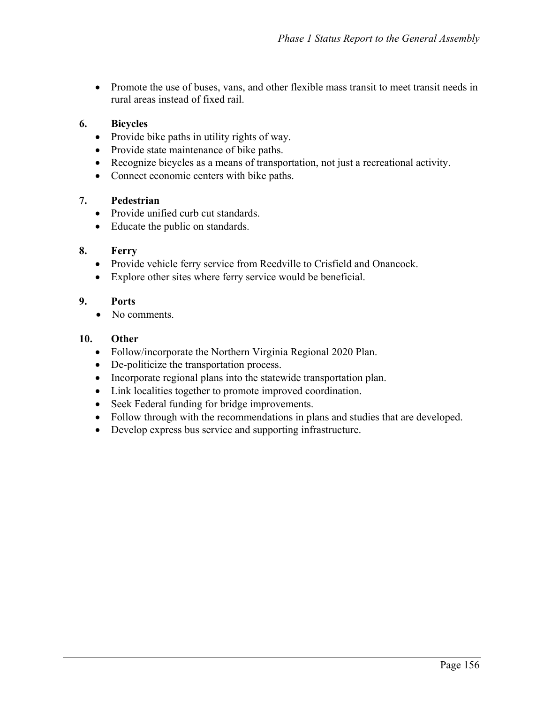• Promote the use of buses, vans, and other flexible mass transit to meet transit needs in rural areas instead of fixed rail.

### **6. Bicycles**

- Provide bike paths in utility rights of way.
- Provide state maintenance of bike paths.
- Recognize bicycles as a means of transportation, not just a recreational activity.
- Connect economic centers with bike paths.

### **7. Pedestrian**

- Provide unified curb cut standards.
- Educate the public on standards.

## **8. Ferry**

- Provide vehicle ferry service from Reedville to Crisfield and Onancock.
- Explore other sites where ferry service would be beneficial.

### **9. Ports**

• No comments

### **10. Other**

- Follow/incorporate the Northern Virginia Regional 2020 Plan.
- De-politicize the transportation process.
- Incorporate regional plans into the statewide transportation plan.
- Link localities together to promote improved coordination.
- Seek Federal funding for bridge improvements.
- Follow through with the recommendations in plans and studies that are developed.
- Develop express bus service and supporting infrastructure.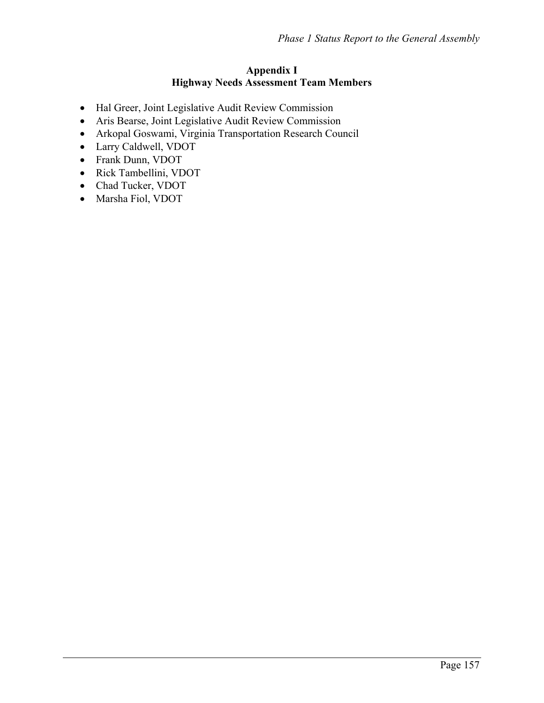## **Appendix I Highway Needs Assessment Team Members**

- Hal Greer, Joint Legislative Audit Review Commission
- Aris Bearse, Joint Legislative Audit Review Commission
- Arkopal Goswami, Virginia Transportation Research Council
- Larry Caldwell, VDOT
- Frank Dunn, VDOT
- Rick Tambellini, VDOT
- Chad Tucker, VDOT
- Marsha Fiol, VDOT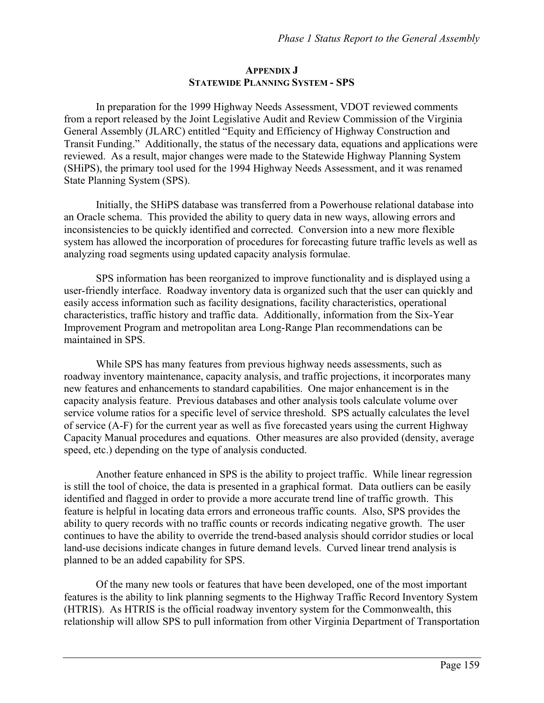#### **APPENDIX J STATEWIDE PLANNING SYSTEM - SPS**

In preparation for the 1999 Highway Needs Assessment, VDOT reviewed comments from a report released by the Joint Legislative Audit and Review Commission of the Virginia General Assembly (JLARC) entitled "Equity and Efficiency of Highway Construction and Transit Funding." Additionally, the status of the necessary data, equations and applications were reviewed. As a result, major changes were made to the Statewide Highway Planning System (SHiPS), the primary tool used for the 1994 Highway Needs Assessment, and it was renamed State Planning System (SPS).

Initially, the SHiPS database was transferred from a Powerhouse relational database into an Oracle schema. This provided the ability to query data in new ways, allowing errors and inconsistencies to be quickly identified and corrected. Conversion into a new more flexible system has allowed the incorporation of procedures for forecasting future traffic levels as well as analyzing road segments using updated capacity analysis formulae.

SPS information has been reorganized to improve functionality and is displayed using a user-friendly interface. Roadway inventory data is organized such that the user can quickly and easily access information such as facility designations, facility characteristics, operational characteristics, traffic history and traffic data. Additionally, information from the Six-Year Improvement Program and metropolitan area Long-Range Plan recommendations can be maintained in SPS.

While SPS has many features from previous highway needs assessments, such as roadway inventory maintenance, capacity analysis, and traffic projections, it incorporates many new features and enhancements to standard capabilities. One major enhancement is in the capacity analysis feature. Previous databases and other analysis tools calculate volume over service volume ratios for a specific level of service threshold. SPS actually calculates the level of service (A-F) for the current year as well as five forecasted years using the current Highway Capacity Manual procedures and equations. Other measures are also provided (density, average speed, etc.) depending on the type of analysis conducted.

Another feature enhanced in SPS is the ability to project traffic. While linear regression is still the tool of choice, the data is presented in a graphical format. Data outliers can be easily identified and flagged in order to provide a more accurate trend line of traffic growth. This feature is helpful in locating data errors and erroneous traffic counts. Also, SPS provides the ability to query records with no traffic counts or records indicating negative growth. The user continues to have the ability to override the trend-based analysis should corridor studies or local land-use decisions indicate changes in future demand levels. Curved linear trend analysis is planned to be an added capability for SPS.

Of the many new tools or features that have been developed, one of the most important features is the ability to link planning segments to the Highway Traffic Record Inventory System (HTRIS). As HTRIS is the official roadway inventory system for the Commonwealth, this relationship will allow SPS to pull information from other Virginia Department of Transportation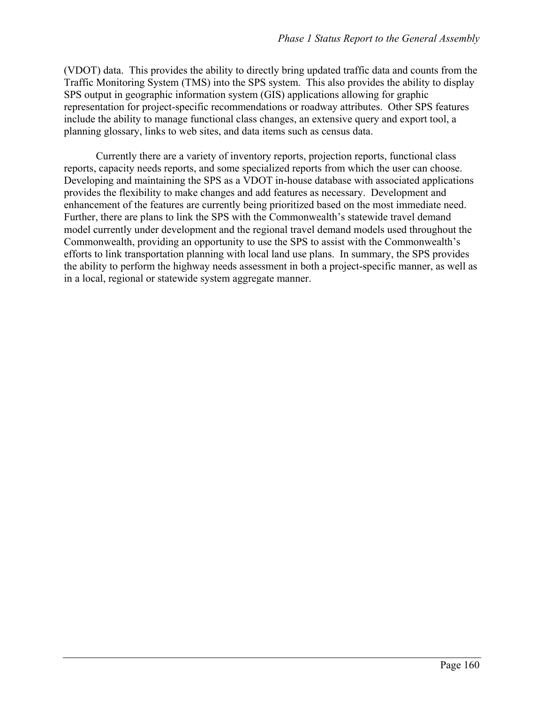(VDOT) data. This provides the ability to directly bring updated traffic data and counts from the Traffic Monitoring System (TMS) into the SPS system. This also provides the ability to display SPS output in geographic information system (GIS) applications allowing for graphic representation for project-specific recommendations or roadway attributes. Other SPS features include the ability to manage functional class changes, an extensive query and export tool, a planning glossary, links to web sites, and data items such as census data.

Currently there are a variety of inventory reports, projection reports, functional class reports, capacity needs reports, and some specialized reports from which the user can choose. Developing and maintaining the SPS as a VDOT in-house database with associated applications provides the flexibility to make changes and add features as necessary. Development and enhancement of the features are currently being prioritized based on the most immediate need. Further, there are plans to link the SPS with the Commonwealth's statewide travel demand model currently under development and the regional travel demand models used throughout the Commonwealth, providing an opportunity to use the SPS to assist with the Commonwealth's efforts to link transportation planning with local land use plans. In summary, the SPS provides the ability to perform the highway needs assessment in both a project-specific manner, as well as in a local, regional or statewide system aggregate manner.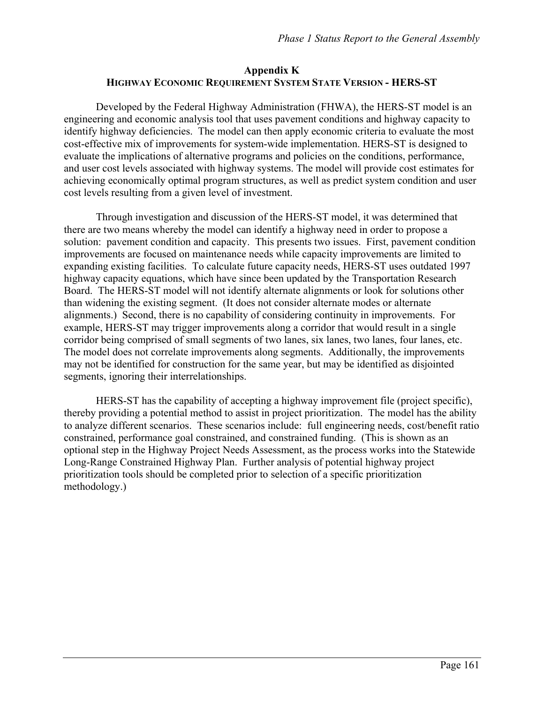### **Appendix K HIGHWAY ECONOMIC REQUIREMENT SYSTEM STATE VERSION - HERS-ST**

Developed by the Federal Highway Administration (FHWA), the HERS-ST model is an engineering and economic analysis tool that uses pavement conditions and highway capacity to identify highway deficiencies. The model can then apply economic criteria to evaluate the most cost-effective mix of improvements for system-wide implementation. HERS-ST is designed to evaluate the implications of alternative programs and policies on the conditions, performance, and user cost levels associated with highway systems. The model will provide cost estimates for achieving economically optimal program structures, as well as predict system condition and user cost levels resulting from a given level of investment.

Through investigation and discussion of the HERS-ST model, it was determined that there are two means whereby the model can identify a highway need in order to propose a solution: pavement condition and capacity. This presents two issues. First, pavement condition improvements are focused on maintenance needs while capacity improvements are limited to expanding existing facilities. To calculate future capacity needs, HERS-ST uses outdated 1997 highway capacity equations, which have since been updated by the Transportation Research Board. The HERS-ST model will not identify alternate alignments or look for solutions other than widening the existing segment. (It does not consider alternate modes or alternate alignments.) Second, there is no capability of considering continuity in improvements. For example, HERS-ST may trigger improvements along a corridor that would result in a single corridor being comprised of small segments of two lanes, six lanes, two lanes, four lanes, etc. The model does not correlate improvements along segments. Additionally, the improvements may not be identified for construction for the same year, but may be identified as disjointed segments, ignoring their interrelationships.

HERS-ST has the capability of accepting a highway improvement file (project specific), thereby providing a potential method to assist in project prioritization. The model has the ability to analyze different scenarios. These scenarios include: full engineering needs, cost/benefit ratio constrained, performance goal constrained, and constrained funding. (This is shown as an optional step in the Highway Project Needs Assessment, as the process works into the Statewide Long-Range Constrained Highway Plan. Further analysis of potential highway project prioritization tools should be completed prior to selection of a specific prioritization methodology.)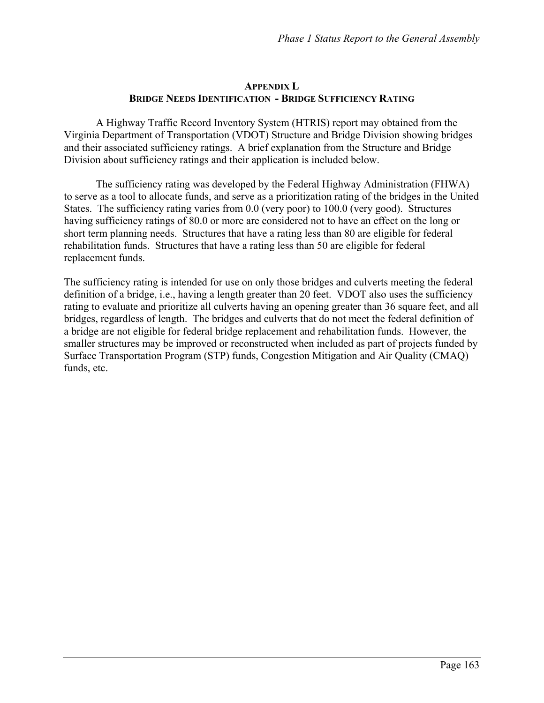### **APPENDIX L BRIDGE NEEDS IDENTIFICATION - BRIDGE SUFFICIENCY RATING**

A Highway Traffic Record Inventory System (HTRIS) report may obtained from the Virginia Department of Transportation (VDOT) Structure and Bridge Division showing bridges and their associated sufficiency ratings. A brief explanation from the Structure and Bridge Division about sufficiency ratings and their application is included below.

The sufficiency rating was developed by the Federal Highway Administration (FHWA) to serve as a tool to allocate funds, and serve as a prioritization rating of the bridges in the United States. The sufficiency rating varies from 0.0 (very poor) to 100.0 (very good). Structures having sufficiency ratings of 80.0 or more are considered not to have an effect on the long or short term planning needs. Structures that have a rating less than 80 are eligible for federal rehabilitation funds. Structures that have a rating less than 50 are eligible for federal replacement funds.

The sufficiency rating is intended for use on only those bridges and culverts meeting the federal definition of a bridge, i.e., having a length greater than 20 feet. VDOT also uses the sufficiency rating to evaluate and prioritize all culverts having an opening greater than 36 square feet, and all bridges, regardless of length. The bridges and culverts that do not meet the federal definition of a bridge are not eligible for federal bridge replacement and rehabilitation funds. However, the smaller structures may be improved or reconstructed when included as part of projects funded by Surface Transportation Program (STP) funds, Congestion Mitigation and Air Quality (CMAQ) funds, etc.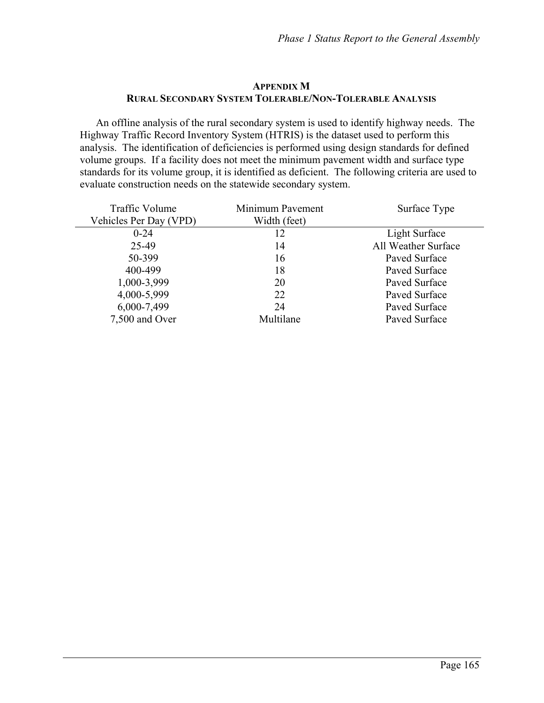### **APPENDIX M RURAL SECONDARY SYSTEM TOLERABLE/NON-TOLERABLE ANALYSIS**

An offline analysis of the rural secondary system is used to identify highway needs. The Highway Traffic Record Inventory System (HTRIS) is the dataset used to perform this analysis. The identification of deficiencies is performed using design standards for defined volume groups. If a facility does not meet the minimum pavement width and surface type standards for its volume group, it is identified as deficient. The following criteria are used to evaluate construction needs on the statewide secondary system.

| <b>Traffic Volume</b>  | Minimum Pavement | Surface Type        |
|------------------------|------------------|---------------------|
| Vehicles Per Day (VPD) | Width (feet)     |                     |
| $0 - 24$               | 12               | Light Surface       |
| 25-49                  | 14               | All Weather Surface |
| 50-399                 | 16               | Paved Surface       |
| 400-499                | 18               | Paved Surface       |
| 1,000-3,999            | 20               | Paved Surface       |
| 4,000-5,999            | 22               | Paved Surface       |
| 6,000-7,499            | 24               | Paved Surface       |
| 7,500 and Over         | Multilane        | Paved Surface       |